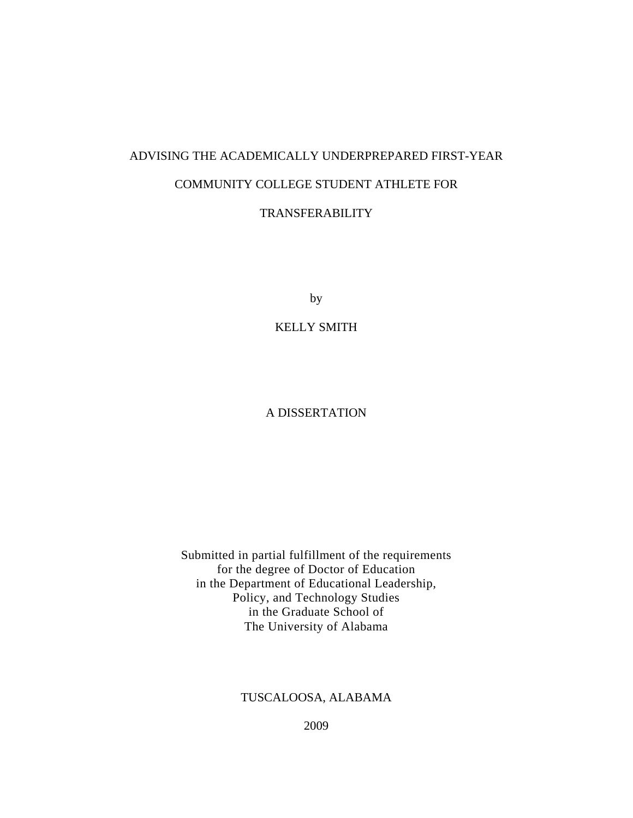# ADVISING THE ACADEMICALLY UNDERPREPARED FIRST-YEAR COMMUNITY COLLEGE STUDENT ATHLETE FOR TRANSFERABILITY

by

KELLY SMITH

## A DISSERTATION

Submitted in partial fulfillment of the requirements for the degree of Doctor of Education in the Department of Educational Leadership, Policy, and Technology Studies in the Graduate School of The University of Alabama

### TUSCALOOSA, ALABAMA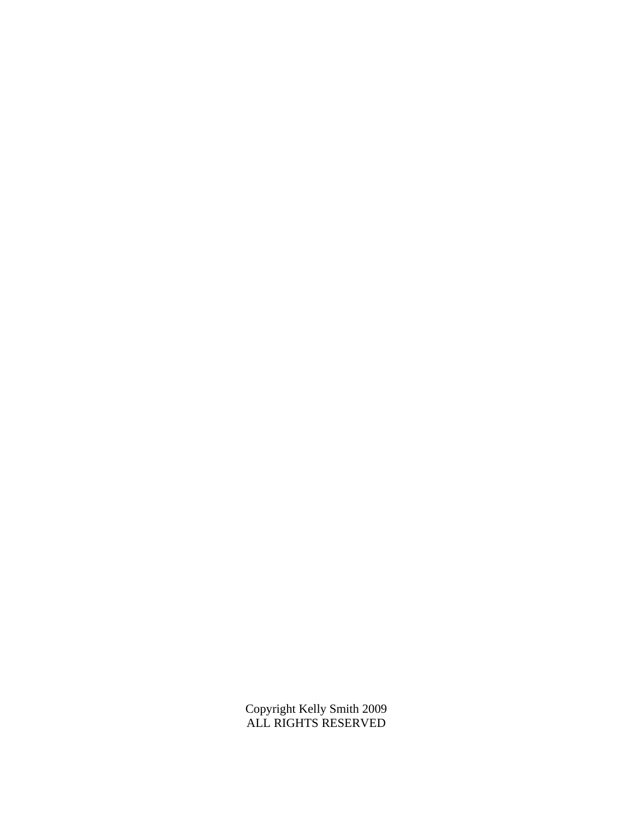Copyright Kelly Smith 2009 ALL RIGHTS RESERVED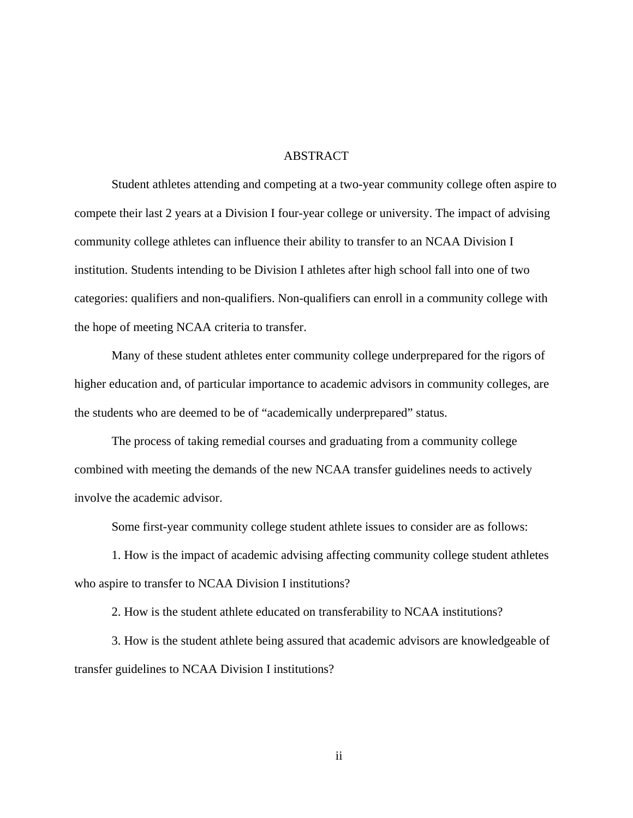#### ABSTRACT

Student athletes attending and competing at a two-year community college often aspire to compete their last 2 years at a Division I four-year college or university. The impact of advising community college athletes can influence their ability to transfer to an NCAA Division I institution. Students intending to be Division I athletes after high school fall into one of two categories: qualifiers and non-qualifiers. Non-qualifiers can enroll in a community college with the hope of meeting NCAA criteria to transfer.

Many of these student athletes enter community college underprepared for the rigors of higher education and, of particular importance to academic advisors in community colleges, are the students who are deemed to be of "academically underprepared" status.

The process of taking remedial courses and graduating from a community college combined with meeting the demands of the new NCAA transfer guidelines needs to actively involve the academic advisor.

Some first-year community college student athlete issues to consider are as follows:

1. How is the impact of academic advising affecting community college student athletes who aspire to transfer to NCAA Division I institutions?

2. How is the student athlete educated on transferability to NCAA institutions?

3. How is the student athlete being assured that academic advisors are knowledgeable of transfer guidelines to NCAA Division I institutions?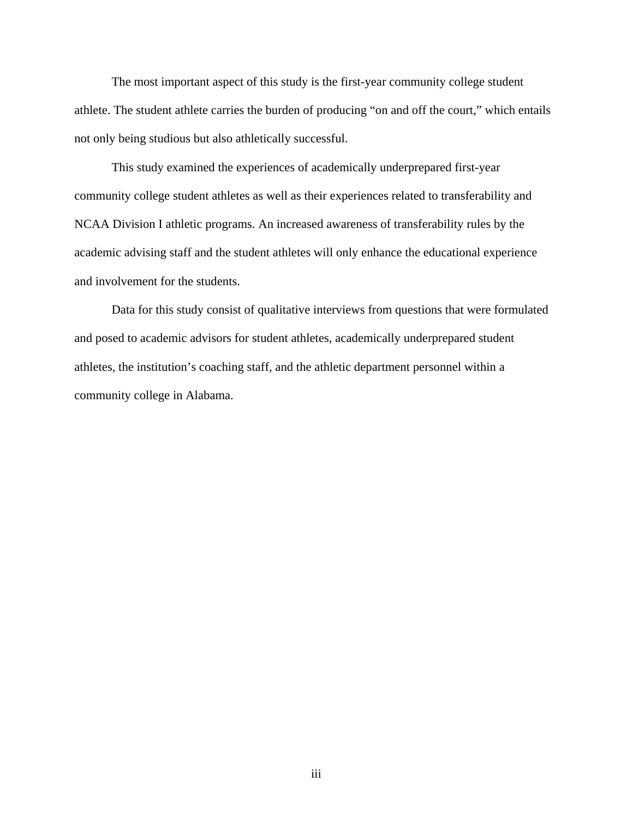The most important aspect of this study is the first-year community college student athlete. The student athlete carries the burden of producing "on and off the court," which entails not only being studious but also athletically successful.

This study examined the experiences of academically underprepared first-year community college student athletes as well as their experiences related to transferability and NCAA Division I athletic programs. An increased awareness of transferability rules by the academic advising staff and the student athletes will only enhance the educational experience and involvement for the students.

Data for this study consist of qualitative interviews from questions that were formulated and posed to academic advisors for student athletes, academically underprepared student athletes, the institution's coaching staff, and the athletic department personnel within a community college in Alabama.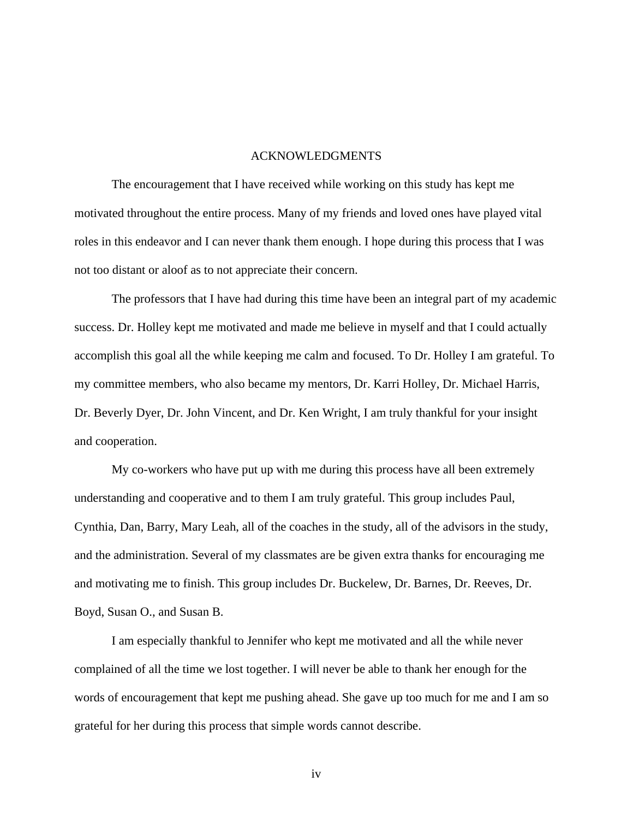#### ACKNOWLEDGMENTS

 The encouragement that I have received while working on this study has kept me motivated throughout the entire process. Many of my friends and loved ones have played vital roles in this endeavor and I can never thank them enough. I hope during this process that I was not too distant or aloof as to not appreciate their concern.

 The professors that I have had during this time have been an integral part of my academic success. Dr. Holley kept me motivated and made me believe in myself and that I could actually accomplish this goal all the while keeping me calm and focused. To Dr. Holley I am grateful. To my committee members, who also became my mentors, Dr. Karri Holley, Dr. Michael Harris, Dr. Beverly Dyer, Dr. John Vincent, and Dr. Ken Wright, I am truly thankful for your insight and cooperation.

 My co-workers who have put up with me during this process have all been extremely understanding and cooperative and to them I am truly grateful. This group includes Paul, Cynthia, Dan, Barry, Mary Leah, all of the coaches in the study, all of the advisors in the study, and the administration. Several of my classmates are be given extra thanks for encouraging me and motivating me to finish. This group includes Dr. Buckelew, Dr. Barnes, Dr. Reeves, Dr. Boyd, Susan O., and Susan B.

 I am especially thankful to Jennifer who kept me motivated and all the while never complained of all the time we lost together. I will never be able to thank her enough for the words of encouragement that kept me pushing ahead. She gave up too much for me and I am so grateful for her during this process that simple words cannot describe.

iv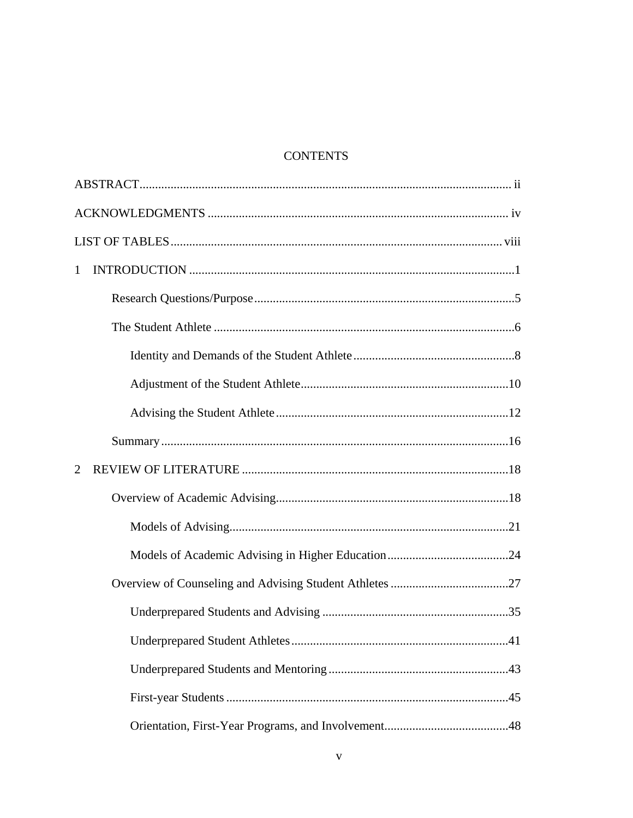## **CONTENTS**

| 1 |  |  |  |
|---|--|--|--|
|   |  |  |  |
|   |  |  |  |
|   |  |  |  |
|   |  |  |  |
|   |  |  |  |
|   |  |  |  |
| 2 |  |  |  |
|   |  |  |  |
|   |  |  |  |
|   |  |  |  |
|   |  |  |  |
|   |  |  |  |
|   |  |  |  |
|   |  |  |  |
|   |  |  |  |
|   |  |  |  |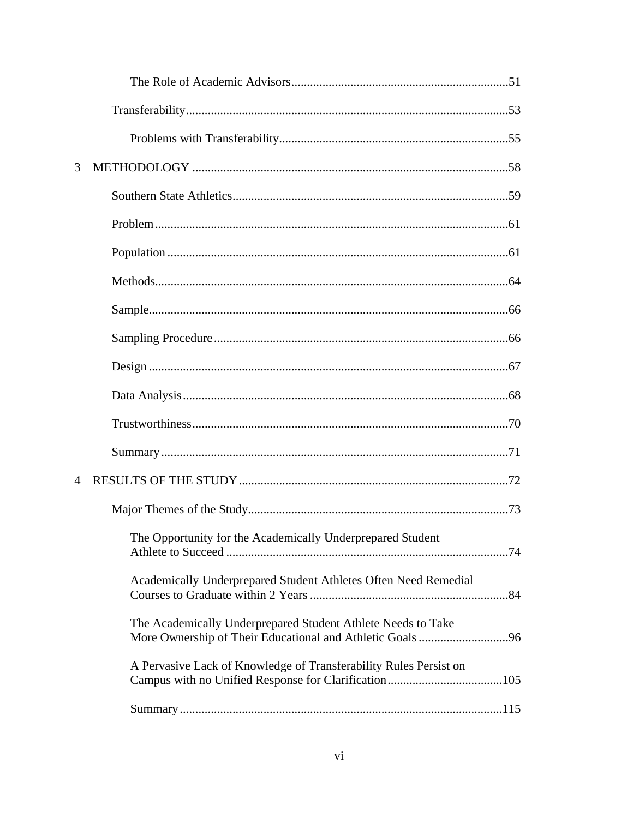| 3              |                                                                   |
|----------------|-------------------------------------------------------------------|
|                |                                                                   |
|                |                                                                   |
|                |                                                                   |
|                |                                                                   |
|                |                                                                   |
|                |                                                                   |
|                |                                                                   |
|                |                                                                   |
|                |                                                                   |
|                |                                                                   |
| $\overline{4}$ |                                                                   |
|                |                                                                   |
|                | The Opportunity for the Academically Underprepared Student        |
|                | Academically Underprepared Student Athletes Often Need Remedial   |
|                | The Academically Underprepared Student Athlete Needs to Take      |
|                | A Pervasive Lack of Knowledge of Transferability Rules Persist on |
|                |                                                                   |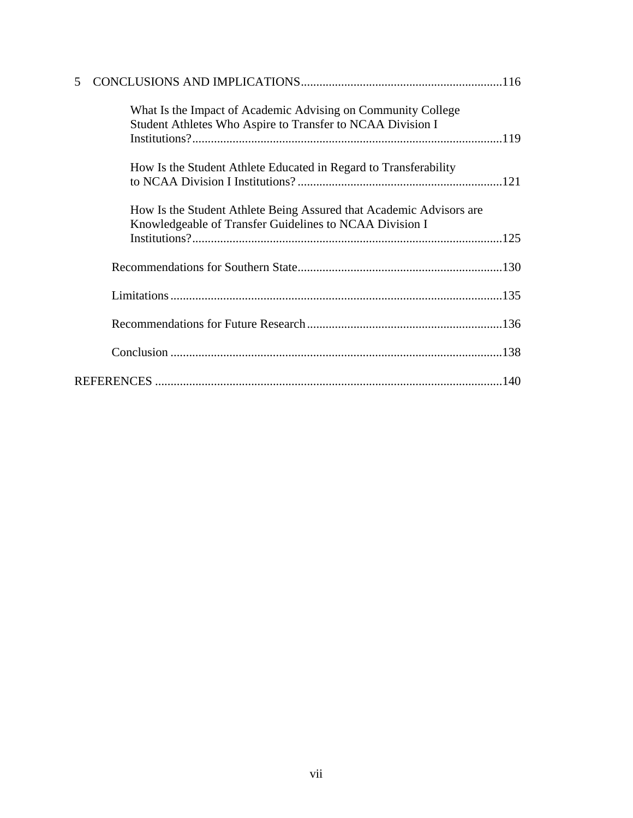| 5 |                                                                                                                                                             |
|---|-------------------------------------------------------------------------------------------------------------------------------------------------------------|
|   | What Is the Impact of Academic Advising on Community College<br>Student Athletes Who Aspire to Transfer to NCAA Division I                                  |
|   | How Is the Student Athlete Educated in Regard to Transferability                                                                                            |
|   | How Is the Student Athlete Being Assured that Academic Advisors are<br>Knowledgeable of Transfer Guidelines to NCAA Division I<br>$Institutions? \dots 125$ |
|   |                                                                                                                                                             |
|   |                                                                                                                                                             |
|   |                                                                                                                                                             |
|   |                                                                                                                                                             |
|   |                                                                                                                                                             |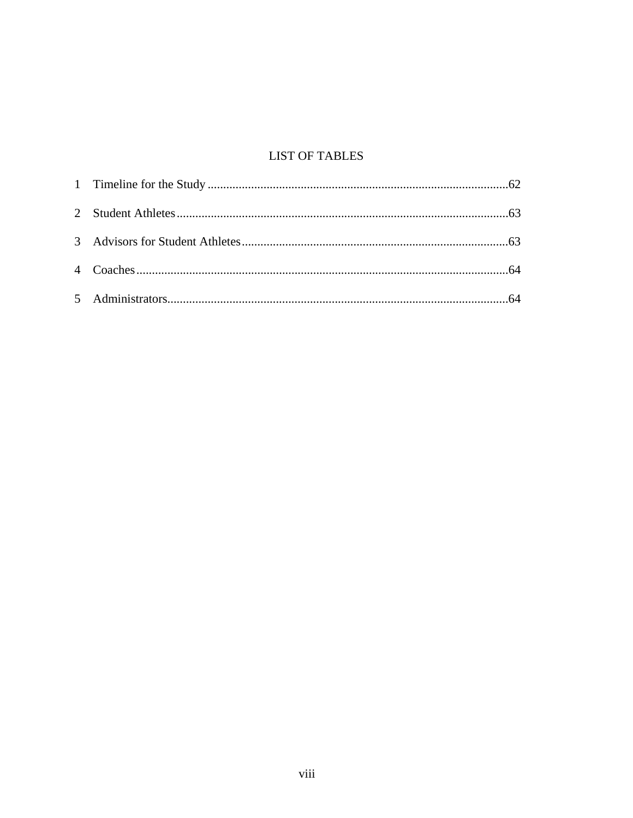# **LIST OF TABLES**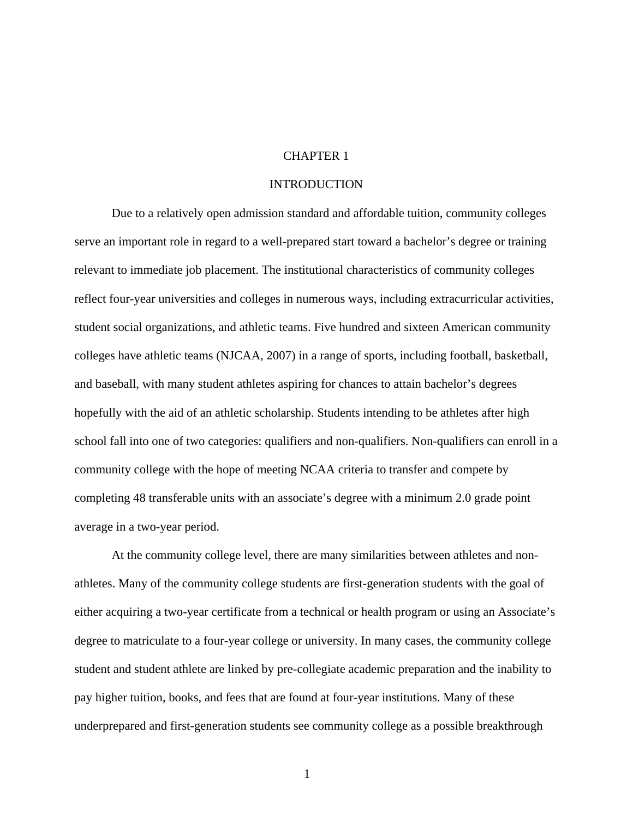#### CHAPTER 1

#### INTRODUCTION

 Due to a relatively open admission standard and affordable tuition, community colleges serve an important role in regard to a well-prepared start toward a bachelor's degree or training relevant to immediate job placement. The institutional characteristics of community colleges reflect four-year universities and colleges in numerous ways, including extracurricular activities, student social organizations, and athletic teams. Five hundred and sixteen American community colleges have athletic teams (NJCAA, 2007) in a range of sports, including football, basketball, and baseball, with many student athletes aspiring for chances to attain bachelor's degrees hopefully with the aid of an athletic scholarship. Students intending to be athletes after high school fall into one of two categories: qualifiers and non-qualifiers. Non-qualifiers can enroll in a community college with the hope of meeting NCAA criteria to transfer and compete by completing 48 transferable units with an associate's degree with a minimum 2.0 grade point average in a two-year period.

At the community college level, there are many similarities between athletes and nonathletes. Many of the community college students are first-generation students with the goal of either acquiring a two-year certificate from a technical or health program or using an Associate's degree to matriculate to a four-year college or university. In many cases, the community college student and student athlete are linked by pre-collegiate academic preparation and the inability to pay higher tuition, books, and fees that are found at four-year institutions. Many of these underprepared and first-generation students see community college as a possible breakthrough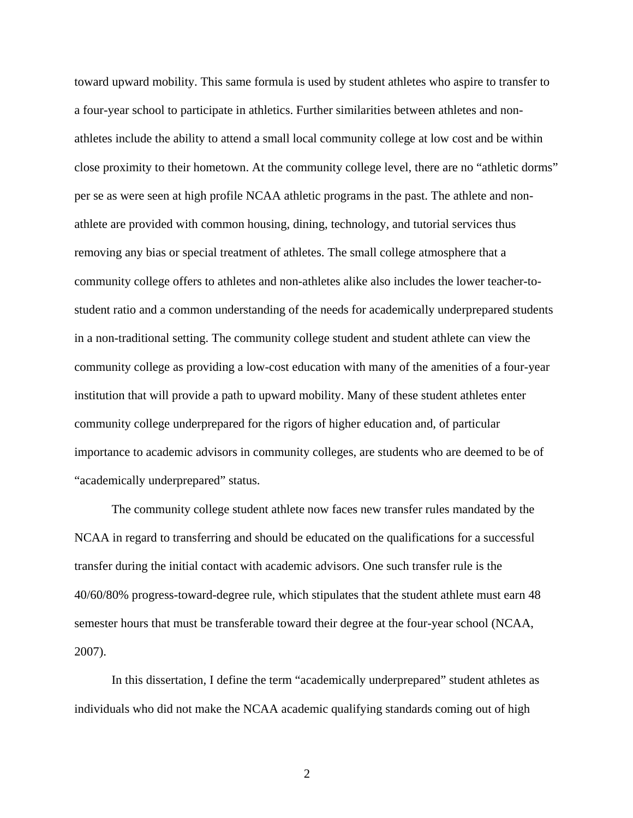toward upward mobility. This same formula is used by student athletes who aspire to transfer to a four-year school to participate in athletics. Further similarities between athletes and nonathletes include the ability to attend a small local community college at low cost and be within close proximity to their hometown. At the community college level, there are no "athletic dorms" per se as were seen at high profile NCAA athletic programs in the past. The athlete and nonathlete are provided with common housing, dining, technology, and tutorial services thus removing any bias or special treatment of athletes. The small college atmosphere that a community college offers to athletes and non-athletes alike also includes the lower teacher-tostudent ratio and a common understanding of the needs for academically underprepared students in a non-traditional setting. The community college student and student athlete can view the community college as providing a low-cost education with many of the amenities of a four-year institution that will provide a path to upward mobility. Many of these student athletes enter community college underprepared for the rigors of higher education and, of particular importance to academic advisors in community colleges, are students who are deemed to be of "academically underprepared" status.

The community college student athlete now faces new transfer rules mandated by the NCAA in regard to transferring and should be educated on the qualifications for a successful transfer during the initial contact with academic advisors. One such transfer rule is the 40/60/80% progress-toward-degree rule, which stipulates that the student athlete must earn 48 semester hours that must be transferable toward their degree at the four-year school (NCAA, 2007).

In this dissertation, I define the term "academically underprepared" student athletes as individuals who did not make the NCAA academic qualifying standards coming out of high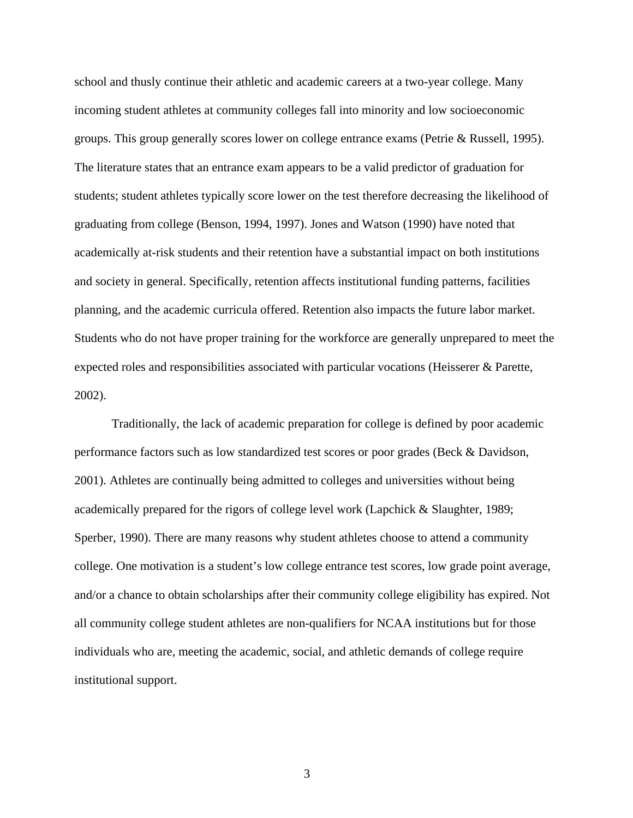school and thusly continue their athletic and academic careers at a two-year college. Many incoming student athletes at community colleges fall into minority and low socioeconomic groups. This group generally scores lower on college entrance exams (Petrie & Russell, 1995). The literature states that an entrance exam appears to be a valid predictor of graduation for students; student athletes typically score lower on the test therefore decreasing the likelihood of graduating from college (Benson, 1994, 1997). Jones and Watson (1990) have noted that academically at-risk students and their retention have a substantial impact on both institutions and society in general. Specifically, retention affects institutional funding patterns, facilities planning, and the academic curricula offered. Retention also impacts the future labor market. Students who do not have proper training for the workforce are generally unprepared to meet the expected roles and responsibilities associated with particular vocations (Heisserer & Parette, 2002).

Traditionally, the lack of academic preparation for college is defined by poor academic performance factors such as low standardized test scores or poor grades (Beck & Davidson, 2001). Athletes are continually being admitted to colleges and universities without being academically prepared for the rigors of college level work (Lapchick & Slaughter, 1989; Sperber, 1990). There are many reasons why student athletes choose to attend a community college. One motivation is a student's low college entrance test scores, low grade point average, and/or a chance to obtain scholarships after their community college eligibility has expired. Not all community college student athletes are non-qualifiers for NCAA institutions but for those individuals who are, meeting the academic, social, and athletic demands of college require institutional support.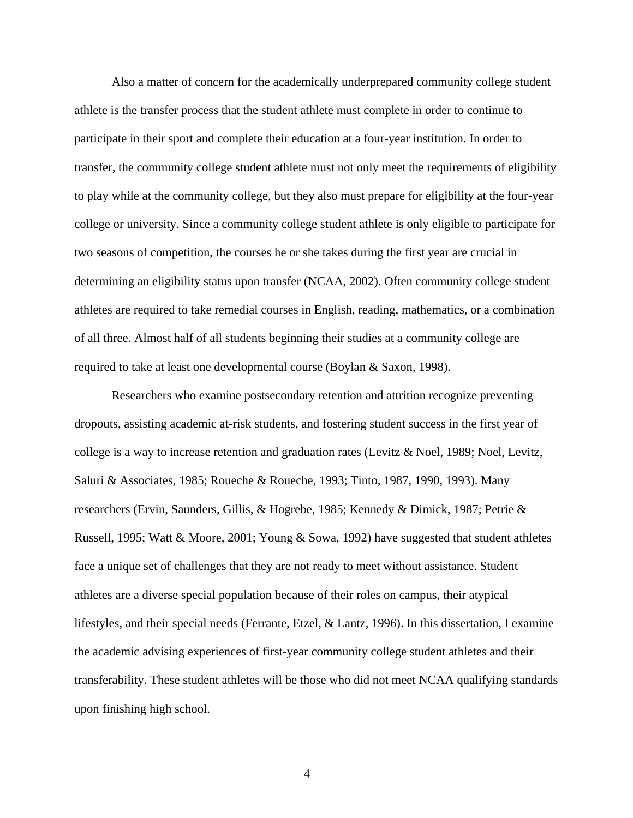Also a matter of concern for the academically underprepared community college student athlete is the transfer process that the student athlete must complete in order to continue to participate in their sport and complete their education at a four-year institution. In order to transfer, the community college student athlete must not only meet the requirements of eligibility to play while at the community college, but they also must prepare for eligibility at the four-year college or university. Since a community college student athlete is only eligible to participate for two seasons of competition, the courses he or she takes during the first year are crucial in determining an eligibility status upon transfer (NCAA, 2002). Often community college student athletes are required to take remedial courses in English, reading, mathematics, or a combination of all three. Almost half of all students beginning their studies at a community college are required to take at least one developmental course (Boylan & Saxon, 1998).

Researchers who examine postsecondary retention and attrition recognize preventing dropouts, assisting academic at-risk students, and fostering student success in the first year of college is a way to increase retention and graduation rates (Levitz & Noel, 1989; Noel, Levitz, Saluri & Associates, 1985; Roueche & Roueche, 1993; Tinto, 1987, 1990, 1993). Many researchers (Ervin, Saunders, Gillis, & Hogrebe, 1985; Kennedy & Dimick, 1987; Petrie & Russell, 1995; Watt & Moore, 2001; Young & Sowa, 1992) have suggested that student athletes face a unique set of challenges that they are not ready to meet without assistance. Student athletes are a diverse special population because of their roles on campus, their atypical lifestyles, and their special needs (Ferrante, Etzel, & Lantz, 1996). In this dissertation, I examine the academic advising experiences of first-year community college student athletes and their transferability. These student athletes will be those who did not meet NCAA qualifying standards upon finishing high school.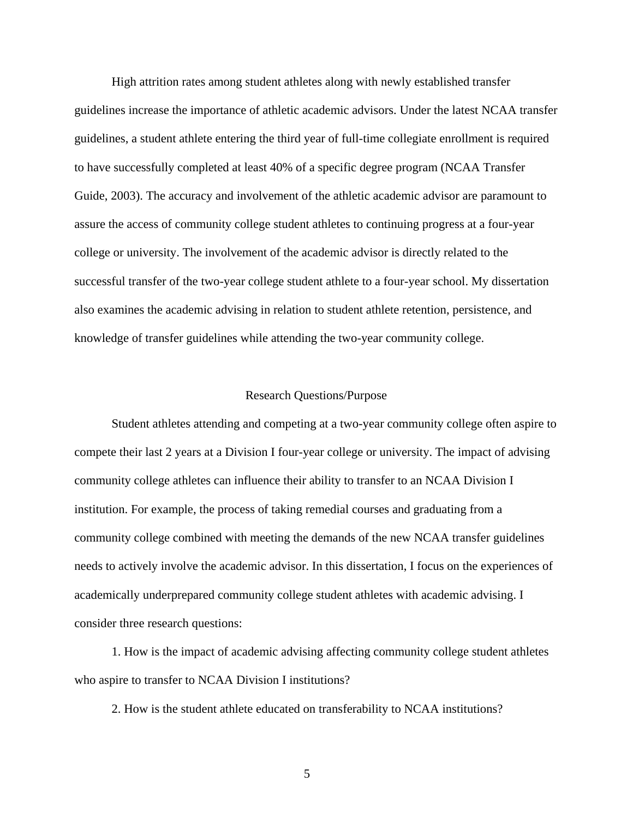High attrition rates among student athletes along with newly established transfer guidelines increase the importance of athletic academic advisors. Under the latest NCAA transfer guidelines, a student athlete entering the third year of full-time collegiate enrollment is required to have successfully completed at least 40% of a specific degree program (NCAA Transfer Guide, 2003). The accuracy and involvement of the athletic academic advisor are paramount to assure the access of community college student athletes to continuing progress at a four-year college or university. The involvement of the academic advisor is directly related to the successful transfer of the two-year college student athlete to a four-year school. My dissertation also examines the academic advising in relation to student athlete retention, persistence, and knowledge of transfer guidelines while attending the two-year community college.

#### Research Questions/Purpose

Student athletes attending and competing at a two-year community college often aspire to compete their last 2 years at a Division I four-year college or university. The impact of advising community college athletes can influence their ability to transfer to an NCAA Division I institution. For example, the process of taking remedial courses and graduating from a community college combined with meeting the demands of the new NCAA transfer guidelines needs to actively involve the academic advisor. In this dissertation, I focus on the experiences of academically underprepared community college student athletes with academic advising. I consider three research questions:

1. How is the impact of academic advising affecting community college student athletes who aspire to transfer to NCAA Division I institutions?

2. How is the student athlete educated on transferability to NCAA institutions?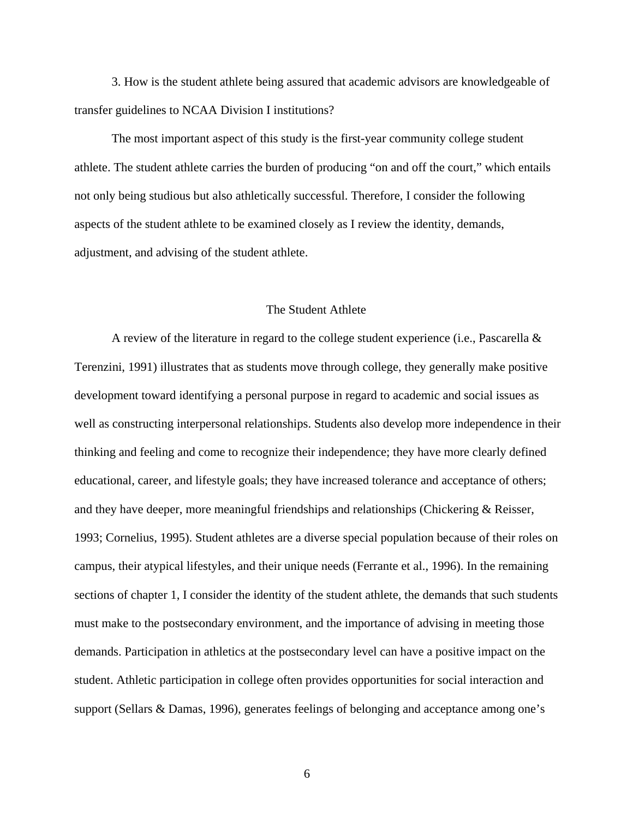3. How is the student athlete being assured that academic advisors are knowledgeable of transfer guidelines to NCAA Division I institutions?

The most important aspect of this study is the first-year community college student athlete. The student athlete carries the burden of producing "on and off the court," which entails not only being studious but also athletically successful. Therefore, I consider the following aspects of the student athlete to be examined closely as I review the identity, demands, adjustment, and advising of the student athlete.

#### The Student Athlete

 A review of the literature in regard to the college student experience (i.e., Pascarella & Terenzini, 1991) illustrates that as students move through college, they generally make positive development toward identifying a personal purpose in regard to academic and social issues as well as constructing interpersonal relationships. Students also develop more independence in their thinking and feeling and come to recognize their independence; they have more clearly defined educational, career, and lifestyle goals; they have increased tolerance and acceptance of others; and they have deeper, more meaningful friendships and relationships (Chickering & Reisser, 1993; Cornelius, 1995). Student athletes are a diverse special population because of their roles on campus, their atypical lifestyles, and their unique needs (Ferrante et al., 1996). In the remaining sections of chapter 1, I consider the identity of the student athlete, the demands that such students must make to the postsecondary environment, and the importance of advising in meeting those demands. Participation in athletics at the postsecondary level can have a positive impact on the student. Athletic participation in college often provides opportunities for social interaction and support (Sellars & Damas, 1996), generates feelings of belonging and acceptance among one's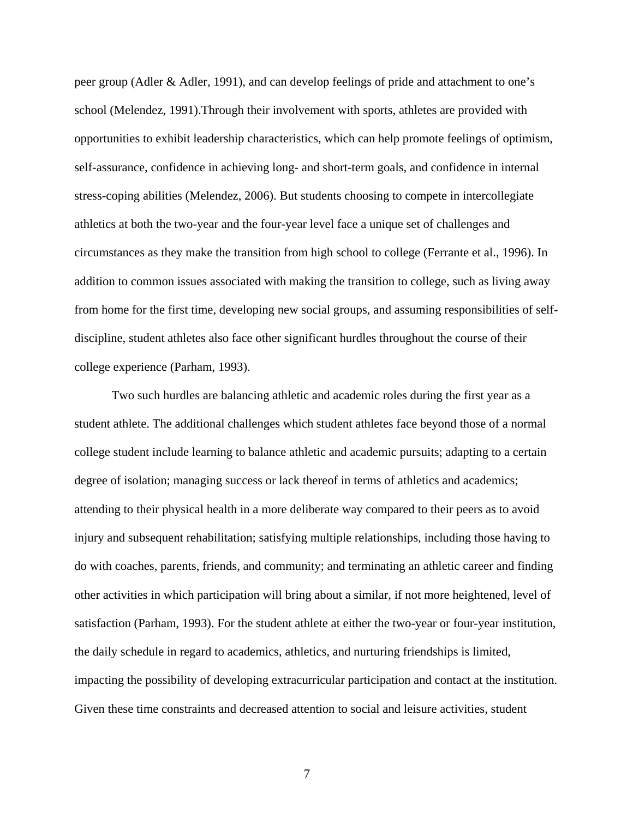peer group (Adler & Adler, 1991), and can develop feelings of pride and attachment to one's school (Melendez, 1991).Through their involvement with sports, athletes are provided with opportunities to exhibit leadership characteristics, which can help promote feelings of optimism, self-assurance, confidence in achieving long- and short-term goals, and confidence in internal stress-coping abilities (Melendez, 2006). But students choosing to compete in intercollegiate athletics at both the two-year and the four-year level face a unique set of challenges and circumstances as they make the transition from high school to college (Ferrante et al., 1996). In addition to common issues associated with making the transition to college, such as living away from home for the first time, developing new social groups, and assuming responsibilities of selfdiscipline, student athletes also face other significant hurdles throughout the course of their college experience (Parham, 1993).

Two such hurdles are balancing athletic and academic roles during the first year as a student athlete. The additional challenges which student athletes face beyond those of a normal college student include learning to balance athletic and academic pursuits; adapting to a certain degree of isolation; managing success or lack thereof in terms of athletics and academics; attending to their physical health in a more deliberate way compared to their peers as to avoid injury and subsequent rehabilitation; satisfying multiple relationships, including those having to do with coaches, parents, friends, and community; and terminating an athletic career and finding other activities in which participation will bring about a similar, if not more heightened, level of satisfaction (Parham, 1993). For the student athlete at either the two-year or four-year institution, the daily schedule in regard to academics, athletics, and nurturing friendships is limited, impacting the possibility of developing extracurricular participation and contact at the institution. Given these time constraints and decreased attention to social and leisure activities, student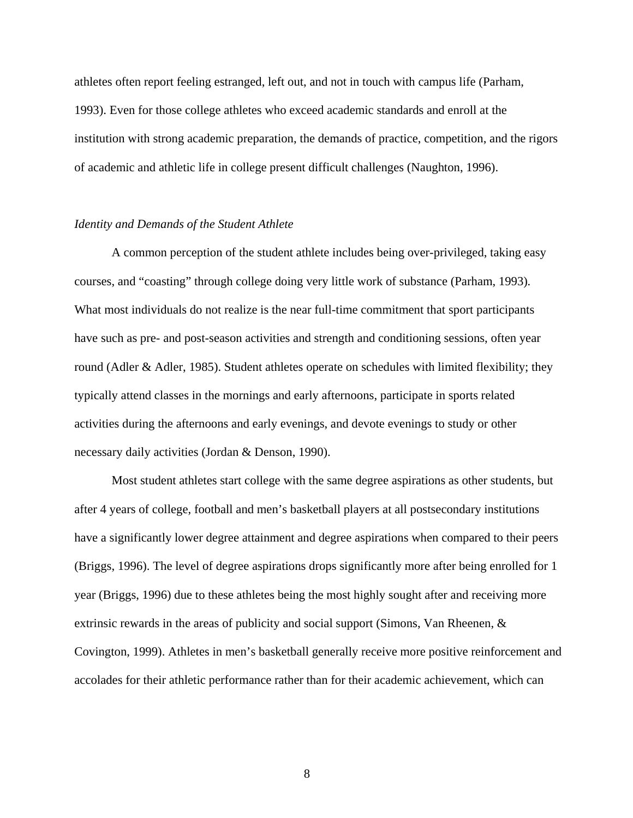athletes often report feeling estranged, left out, and not in touch with campus life (Parham, 1993). Even for those college athletes who exceed academic standards and enroll at the institution with strong academic preparation, the demands of practice, competition, and the rigors of academic and athletic life in college present difficult challenges (Naughton, 1996).

#### *Identity and Demands of the Student Athlete*

 A common perception of the student athlete includes being over-privileged, taking easy courses, and "coasting" through college doing very little work of substance (Parham, 1993)*.*  What most individuals do not realize is the near full-time commitment that sport participants have such as pre- and post-season activities and strength and conditioning sessions, often year round (Adler & Adler, 1985). Student athletes operate on schedules with limited flexibility; they typically attend classes in the mornings and early afternoons, participate in sports related activities during the afternoons and early evenings, and devote evenings to study or other necessary daily activities (Jordan & Denson, 1990).

 Most student athletes start college with the same degree aspirations as other students, but after 4 years of college, football and men's basketball players at all postsecondary institutions have a significantly lower degree attainment and degree aspirations when compared to their peers (Briggs, 1996). The level of degree aspirations drops significantly more after being enrolled for 1 year (Briggs, 1996) due to these athletes being the most highly sought after and receiving more extrinsic rewards in the areas of publicity and social support (Simons, Van Rheenen, & Covington, 1999). Athletes in men's basketball generally receive more positive reinforcement and accolades for their athletic performance rather than for their academic achievement, which can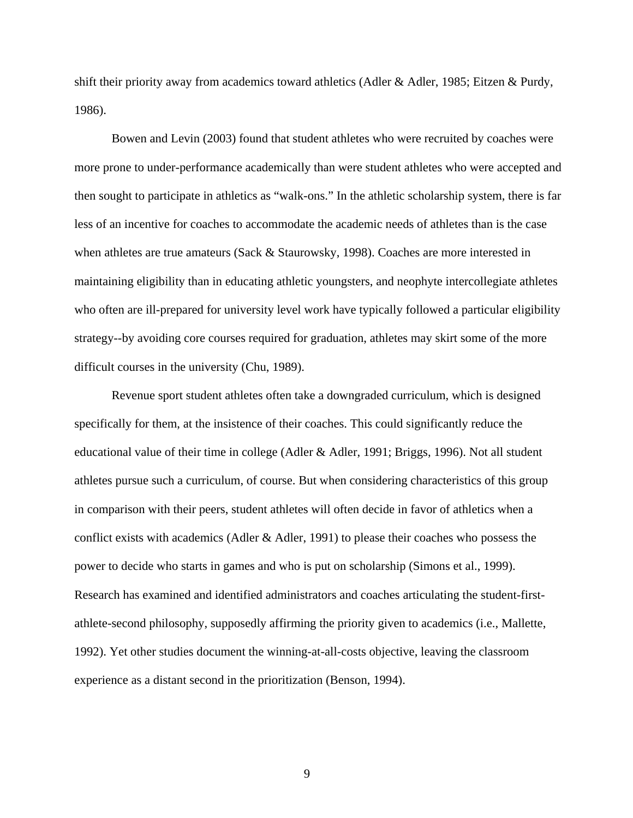shift their priority away from academics toward athletics (Adler & Adler, 1985; Eitzen & Purdy, 1986).

 Bowen and Levin (2003) found that student athletes who were recruited by coaches were more prone to under-performance academically than were student athletes who were accepted and then sought to participate in athletics as "walk-ons." In the athletic scholarship system, there is far less of an incentive for coaches to accommodate the academic needs of athletes than is the case when athletes are true amateurs (Sack & Staurowsky, 1998). Coaches are more interested in maintaining eligibility than in educating athletic youngsters, and neophyte intercollegiate athletes who often are ill-prepared for university level work have typically followed a particular eligibility strategy--by avoiding core courses required for graduation, athletes may skirt some of the more difficult courses in the university (Chu, 1989).

Revenue sport student athletes often take a downgraded curriculum, which is designed specifically for them, at the insistence of their coaches. This could significantly reduce the educational value of their time in college (Adler & Adler, 1991; Briggs, 1996). Not all student athletes pursue such a curriculum, of course. But when considering characteristics of this group in comparison with their peers, student athletes will often decide in favor of athletics when a conflict exists with academics (Adler & Adler, 1991) to please their coaches who possess the power to decide who starts in games and who is put on scholarship (Simons et al., 1999). Research has examined and identified administrators and coaches articulating the student-firstathlete-second philosophy, supposedly affirming the priority given to academics (i.e., Mallette, 1992). Yet other studies document the winning-at-all-costs objective, leaving the classroom experience as a distant second in the prioritization (Benson, 1994).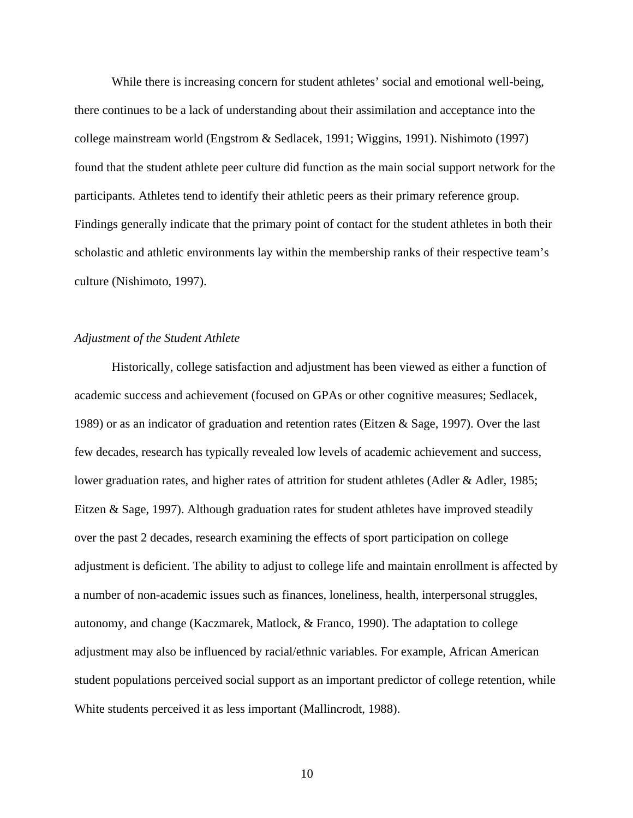While there is increasing concern for student athletes' social and emotional well-being, there continues to be a lack of understanding about their assimilation and acceptance into the college mainstream world (Engstrom & Sedlacek, 1991; Wiggins, 1991). Nishimoto (1997) found that the student athlete peer culture did function as the main social support network for the participants. Athletes tend to identify their athletic peers as their primary reference group. Findings generally indicate that the primary point of contact for the student athletes in both their scholastic and athletic environments lay within the membership ranks of their respective team's culture (Nishimoto, 1997).

#### *Adjustment of the Student Athlete*

Historically, college satisfaction and adjustment has been viewed as either a function of academic success and achievement (focused on GPAs or other cognitive measures; Sedlacek, 1989) or as an indicator of graduation and retention rates (Eitzen & Sage, 1997). Over the last few decades, research has typically revealed low levels of academic achievement and success, lower graduation rates, and higher rates of attrition for student athletes (Adler & Adler, 1985; Eitzen & Sage, 1997). Although graduation rates for student athletes have improved steadily over the past 2 decades, research examining the effects of sport participation on college adjustment is deficient. The ability to adjust to college life and maintain enrollment is affected by a number of non-academic issues such as finances, loneliness, health, interpersonal struggles, autonomy, and change (Kaczmarek, Matlock, & Franco, 1990). The adaptation to college adjustment may also be influenced by racial/ethnic variables. For example, African American student populations perceived social support as an important predictor of college retention, while White students perceived it as less important (Mallincrodt, 1988).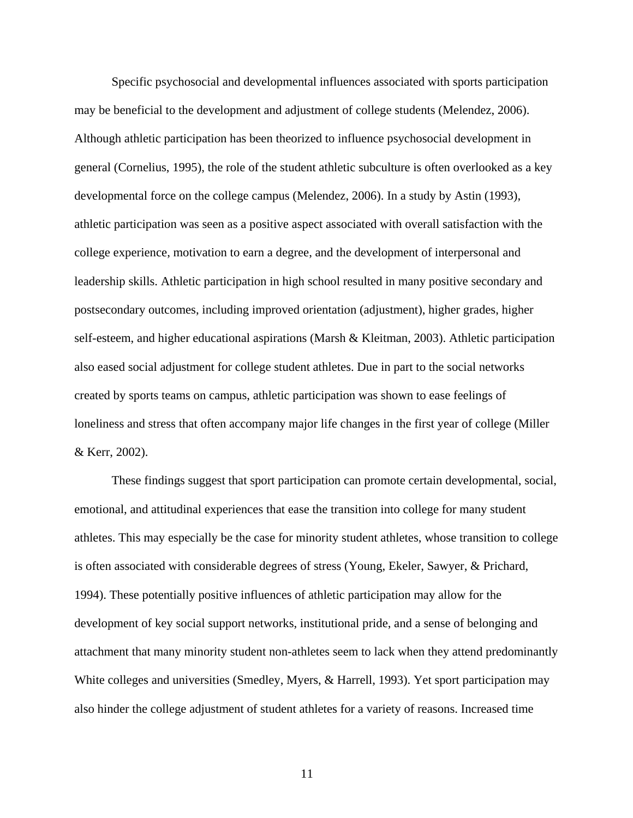Specific psychosocial and developmental influences associated with sports participation may be beneficial to the development and adjustment of college students (Melendez, 2006). Although athletic participation has been theorized to influence psychosocial development in general (Cornelius, 1995), the role of the student athletic subculture is often overlooked as a key developmental force on the college campus (Melendez, 2006). In a study by Astin (1993), athletic participation was seen as a positive aspect associated with overall satisfaction with the college experience, motivation to earn a degree, and the development of interpersonal and leadership skills. Athletic participation in high school resulted in many positive secondary and postsecondary outcomes, including improved orientation (adjustment), higher grades, higher self-esteem, and higher educational aspirations (Marsh & Kleitman, 2003). Athletic participation also eased social adjustment for college student athletes. Due in part to the social networks created by sports teams on campus, athletic participation was shown to ease feelings of loneliness and stress that often accompany major life changes in the first year of college (Miller & Kerr, 2002).

 These findings suggest that sport participation can promote certain developmental, social, emotional, and attitudinal experiences that ease the transition into college for many student athletes. This may especially be the case for minority student athletes, whose transition to college is often associated with considerable degrees of stress (Young, Ekeler, Sawyer, & Prichard, 1994). These potentially positive influences of athletic participation may allow for the development of key social support networks, institutional pride, and a sense of belonging and attachment that many minority student non-athletes seem to lack when they attend predominantly White colleges and universities (Smedley, Myers, & Harrell, 1993). Yet sport participation may also hinder the college adjustment of student athletes for a variety of reasons. Increased time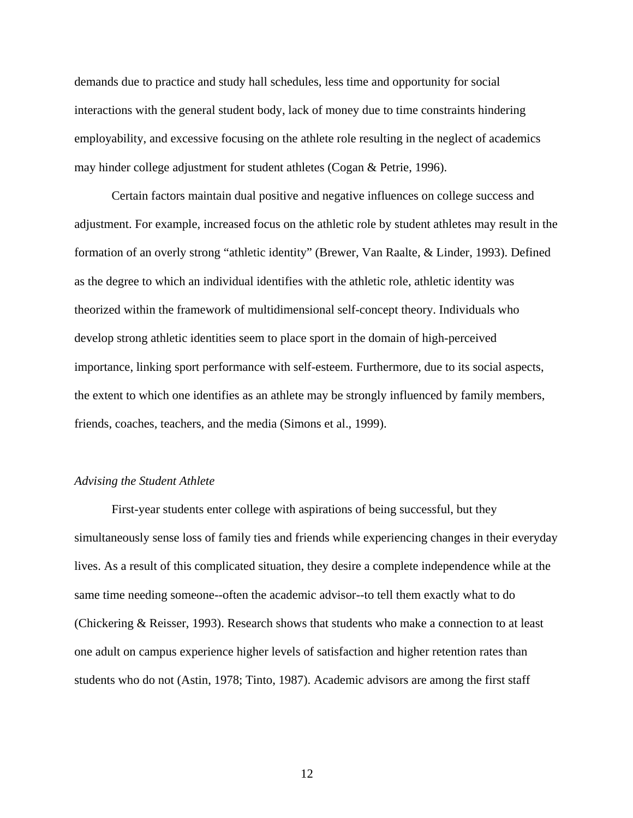demands due to practice and study hall schedules, less time and opportunity for social interactions with the general student body, lack of money due to time constraints hindering employability, and excessive focusing on the athlete role resulting in the neglect of academics may hinder college adjustment for student athletes (Cogan & Petrie, 1996).

Certain factors maintain dual positive and negative influences on college success and adjustment. For example, increased focus on the athletic role by student athletes may result in the formation of an overly strong "athletic identity" (Brewer, Van Raalte, & Linder, 1993). Defined as the degree to which an individual identifies with the athletic role, athletic identity was theorized within the framework of multidimensional self-concept theory. Individuals who develop strong athletic identities seem to place sport in the domain of high-perceived importance, linking sport performance with self-esteem. Furthermore, due to its social aspects, the extent to which one identifies as an athlete may be strongly influenced by family members, friends, coaches, teachers, and the media (Simons et al., 1999).

#### *Advising the Student Athlete*

 First-year students enter college with aspirations of being successful, but they simultaneously sense loss of family ties and friends while experiencing changes in their everyday lives. As a result of this complicated situation, they desire a complete independence while at the same time needing someone--often the academic advisor--to tell them exactly what to do (Chickering & Reisser, 1993). Research shows that students who make a connection to at least one adult on campus experience higher levels of satisfaction and higher retention rates than students who do not (Astin, 1978; Tinto, 1987). Academic advisors are among the first staff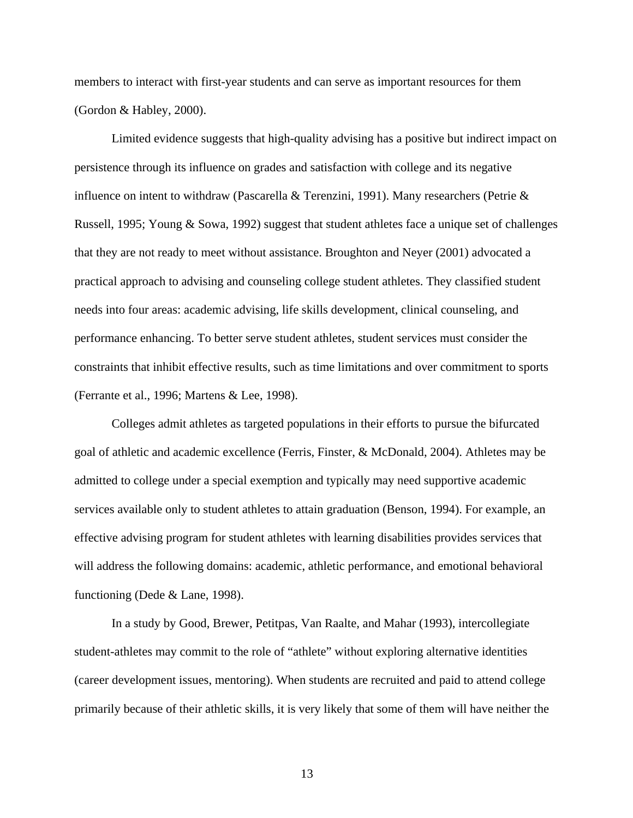members to interact with first-year students and can serve as important resources for them (Gordon & Habley, 2000).

 Limited evidence suggests that high-quality advising has a positive but indirect impact on persistence through its influence on grades and satisfaction with college and its negative influence on intent to withdraw (Pascarella & Terenzini, 1991). Many researchers (Petrie & Russell, 1995; Young & Sowa, 1992) suggest that student athletes face a unique set of challenges that they are not ready to meet without assistance. Broughton and Neyer (2001) advocated a practical approach to advising and counseling college student athletes. They classified student needs into four areas: academic advising, life skills development, clinical counseling, and performance enhancing. To better serve student athletes, student services must consider the constraints that inhibit effective results, such as time limitations and over commitment to sports (Ferrante et al., 1996; Martens & Lee, 1998).

 Colleges admit athletes as targeted populations in their efforts to pursue the bifurcated goal of athletic and academic excellence (Ferris, Finster, & McDonald, 2004). Athletes may be admitted to college under a special exemption and typically may need supportive academic services available only to student athletes to attain graduation (Benson, 1994). For example, an effective advising program for student athletes with learning disabilities provides services that will address the following domains: academic, athletic performance, and emotional behavioral functioning (Dede & Lane, 1998).

In a study by Good, Brewer, Petitpas, Van Raalte, and Mahar (1993), intercollegiate student-athletes may commit to the role of "athlete" without exploring alternative identities (career development issues, mentoring). When students are recruited and paid to attend college primarily because of their athletic skills, it is very likely that some of them will have neither the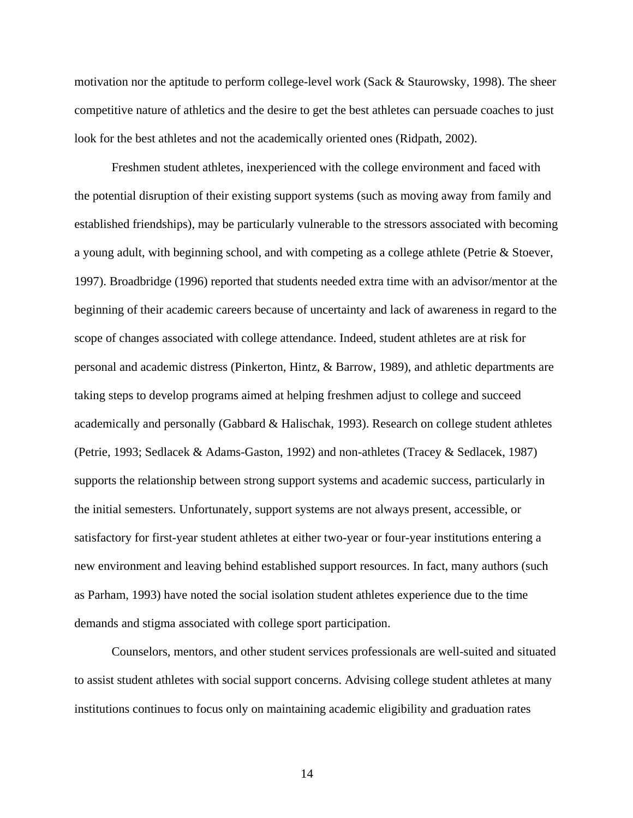motivation nor the aptitude to perform college-level work (Sack & Staurowsky, 1998). The sheer competitive nature of athletics and the desire to get the best athletes can persuade coaches to just look for the best athletes and not the academically oriented ones (Ridpath, 2002).

 Freshmen student athletes, inexperienced with the college environment and faced with the potential disruption of their existing support systems (such as moving away from family and established friendships), may be particularly vulnerable to the stressors associated with becoming a young adult, with beginning school, and with competing as a college athlete (Petrie & Stoever, 1997). Broadbridge (1996) reported that students needed extra time with an advisor/mentor at the beginning of their academic careers because of uncertainty and lack of awareness in regard to the scope of changes associated with college attendance. Indeed, student athletes are at risk for personal and academic distress (Pinkerton, Hintz, & Barrow, 1989), and athletic departments are taking steps to develop programs aimed at helping freshmen adjust to college and succeed academically and personally (Gabbard & Halischak, 1993). Research on college student athletes (Petrie, 1993; Sedlacek & Adams-Gaston, 1992) and non-athletes (Tracey & Sedlacek, 1987) supports the relationship between strong support systems and academic success, particularly in the initial semesters. Unfortunately, support systems are not always present, accessible, or satisfactory for first-year student athletes at either two-year or four-year institutions entering a new environment and leaving behind established support resources. In fact, many authors (such as Parham, 1993) have noted the social isolation student athletes experience due to the time demands and stigma associated with college sport participation.

 Counselors, mentors, and other student services professionals are well-suited and situated to assist student athletes with social support concerns. Advising college student athletes at many institutions continues to focus only on maintaining academic eligibility and graduation rates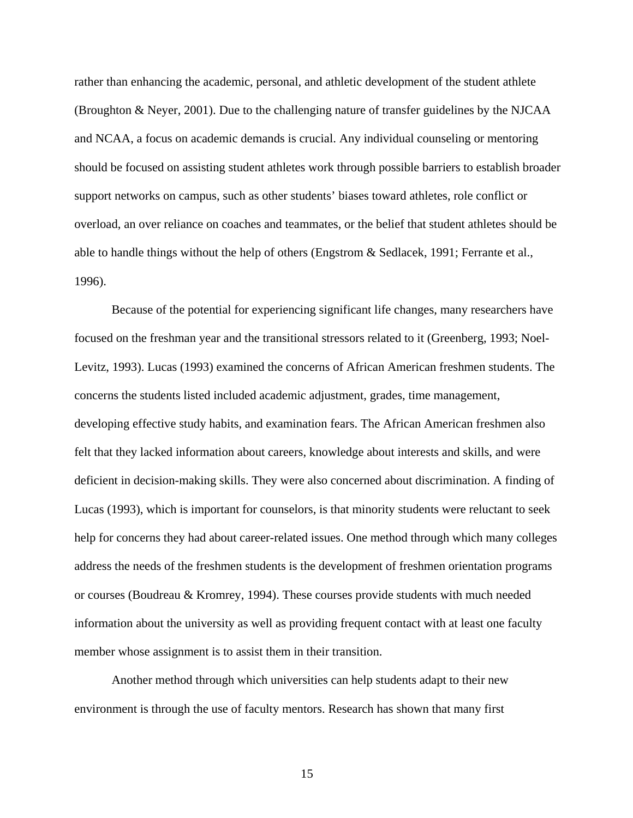rather than enhancing the academic, personal, and athletic development of the student athlete (Broughton & Neyer, 2001). Due to the challenging nature of transfer guidelines by the NJCAA and NCAA, a focus on academic demands is crucial. Any individual counseling or mentoring should be focused on assisting student athletes work through possible barriers to establish broader support networks on campus, such as other students' biases toward athletes, role conflict or overload, an over reliance on coaches and teammates, or the belief that student athletes should be able to handle things without the help of others (Engstrom & Sedlacek, 1991; Ferrante et al., 1996).

 Because of the potential for experiencing significant life changes, many researchers have focused on the freshman year and the transitional stressors related to it (Greenberg, 1993; Noel-Levitz, 1993). Lucas (1993) examined the concerns of African American freshmen students. The concerns the students listed included academic adjustment, grades, time management, developing effective study habits, and examination fears. The African American freshmen also felt that they lacked information about careers, knowledge about interests and skills, and were deficient in decision-making skills. They were also concerned about discrimination. A finding of Lucas (1993), which is important for counselors, is that minority students were reluctant to seek help for concerns they had about career-related issues. One method through which many colleges address the needs of the freshmen students is the development of freshmen orientation programs or courses (Boudreau & Kromrey, 1994). These courses provide students with much needed information about the university as well as providing frequent contact with at least one faculty member whose assignment is to assist them in their transition.

Another method through which universities can help students adapt to their new environment is through the use of faculty mentors. Research has shown that many first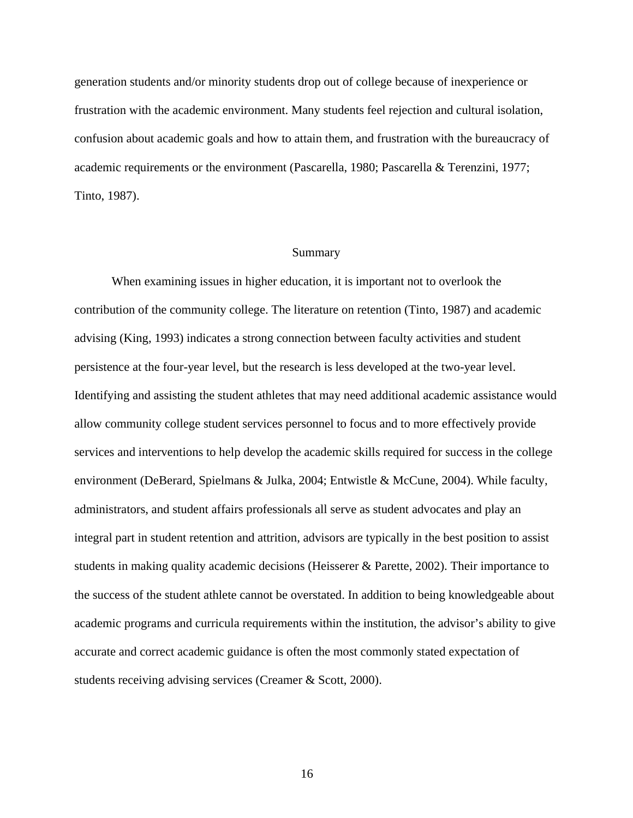generation students and/or minority students drop out of college because of inexperience or frustration with the academic environment. Many students feel rejection and cultural isolation, confusion about academic goals and how to attain them, and frustration with the bureaucracy of academic requirements or the environment (Pascarella, 1980; Pascarella & Terenzini, 1977; Tinto, 1987).

#### Summary

When examining issues in higher education, it is important not to overlook the contribution of the community college. The literature on retention (Tinto, 1987) and academic advising (King, 1993) indicates a strong connection between faculty activities and student persistence at the four-year level, but the research is less developed at the two-year level. Identifying and assisting the student athletes that may need additional academic assistance would allow community college student services personnel to focus and to more effectively provide services and interventions to help develop the academic skills required for success in the college environment (DeBerard, Spielmans & Julka, 2004; Entwistle & McCune, 2004). While faculty, administrators, and student affairs professionals all serve as student advocates and play an integral part in student retention and attrition, advisors are typically in the best position to assist students in making quality academic decisions (Heisserer & Parette, 2002). Their importance to the success of the student athlete cannot be overstated. In addition to being knowledgeable about academic programs and curricula requirements within the institution, the advisor's ability to give accurate and correct academic guidance is often the most commonly stated expectation of students receiving advising services (Creamer & Scott, 2000).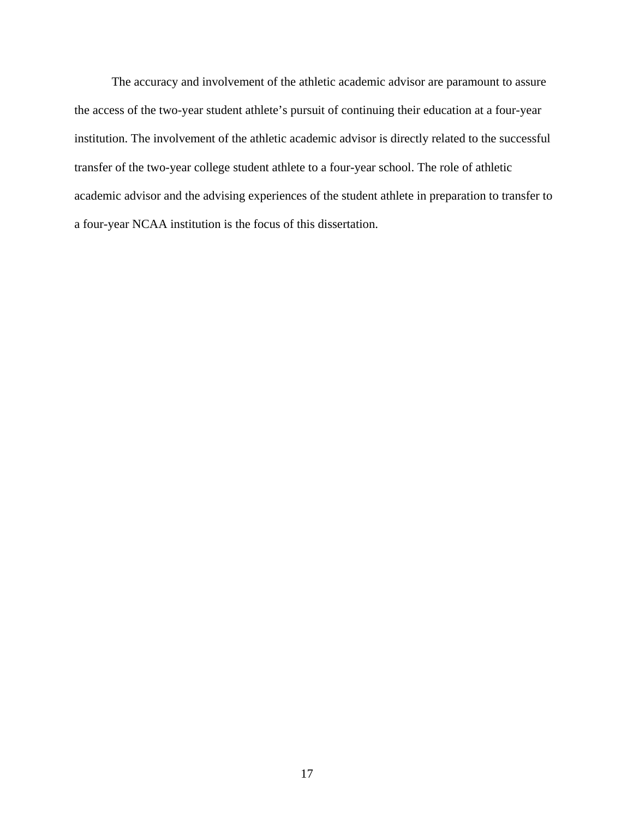The accuracy and involvement of the athletic academic advisor are paramount to assure the access of the two-year student athlete's pursuit of continuing their education at a four-year institution. The involvement of the athletic academic advisor is directly related to the successful transfer of the two-year college student athlete to a four-year school. The role of athletic academic advisor and the advising experiences of the student athlete in preparation to transfer to a four-year NCAA institution is the focus of this dissertation.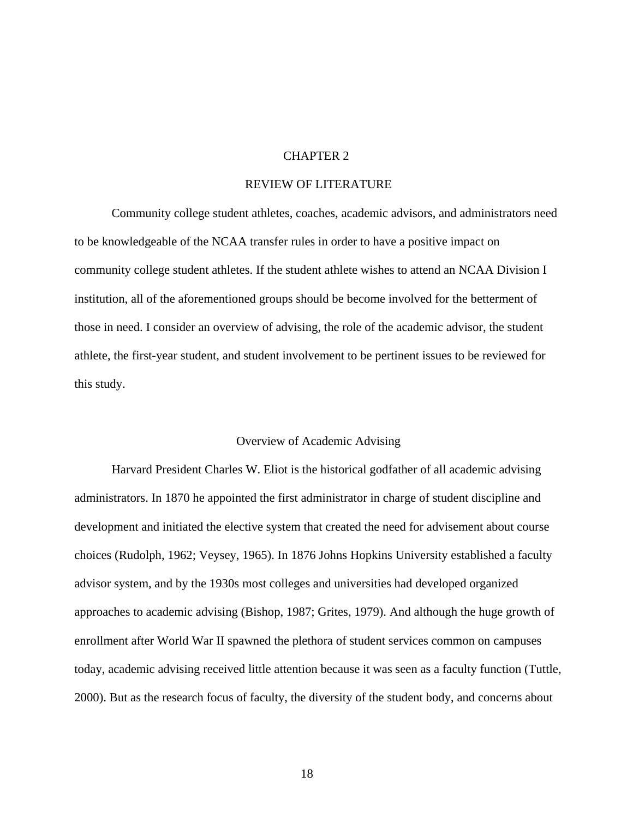#### CHAPTER 2

#### REVIEW OF LITERATURE

Community college student athletes, coaches, academic advisors, and administrators need to be knowledgeable of the NCAA transfer rules in order to have a positive impact on community college student athletes. If the student athlete wishes to attend an NCAA Division I institution, all of the aforementioned groups should be become involved for the betterment of those in need. I consider an overview of advising, the role of the academic advisor, the student athlete, the first-year student, and student involvement to be pertinent issues to be reviewed for this study.

#### Overview of Academic Advising

 Harvard President Charles W. Eliot is the historical godfather of all academic advising administrators. In 1870 he appointed the first administrator in charge of student discipline and development and initiated the elective system that created the need for advisement about course choices (Rudolph, 1962; Veysey, 1965). In 1876 Johns Hopkins University established a faculty advisor system, and by the 1930s most colleges and universities had developed organized approaches to academic advising (Bishop, 1987; Grites, 1979). And although the huge growth of enrollment after World War II spawned the plethora of student services common on campuses today, academic advising received little attention because it was seen as a faculty function (Tuttle, 2000). But as the research focus of faculty, the diversity of the student body, and concerns about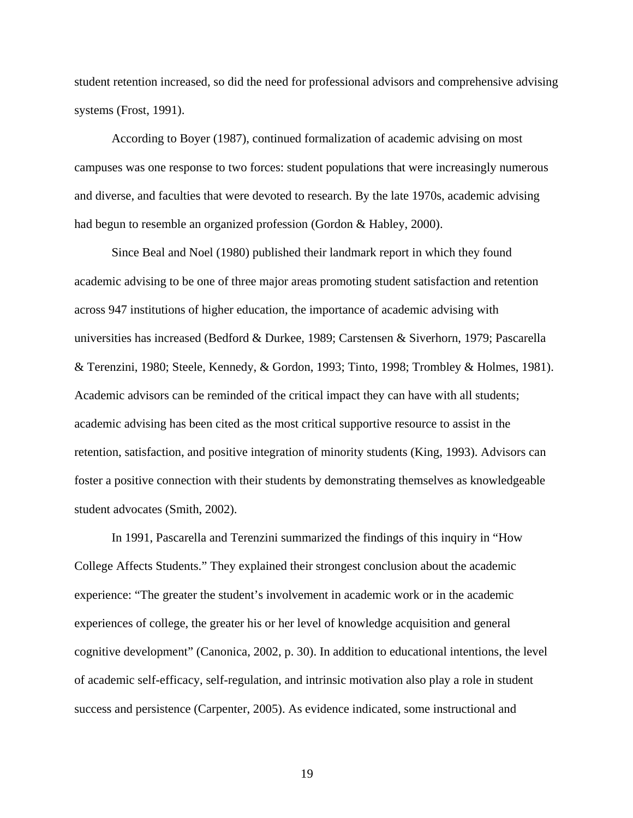student retention increased, so did the need for professional advisors and comprehensive advising systems (Frost, 1991).

According to Boyer (1987), continued formalization of academic advising on most campuses was one response to two forces: student populations that were increasingly numerous and diverse, and faculties that were devoted to research. By the late 1970s, academic advising had begun to resemble an organized profession (Gordon & Habley, 2000).

Since Beal and Noel (1980) published their landmark report in which they found academic advising to be one of three major areas promoting student satisfaction and retention across 947 institutions of higher education, the importance of academic advising with universities has increased (Bedford & Durkee, 1989; Carstensen & Siverhorn, 1979; Pascarella & Terenzini, 1980; Steele, Kennedy, & Gordon, 1993; Tinto, 1998; Trombley & Holmes, 1981). Academic advisors can be reminded of the critical impact they can have with all students; academic advising has been cited as the most critical supportive resource to assist in the retention, satisfaction, and positive integration of minority students (King, 1993). Advisors can foster a positive connection with their students by demonstrating themselves as knowledgeable student advocates (Smith, 2002).

In 1991, Pascarella and Terenzini summarized the findings of this inquiry in "How College Affects Students." They explained their strongest conclusion about the academic experience: "The greater the student's involvement in academic work or in the academic experiences of college, the greater his or her level of knowledge acquisition and general cognitive development" (Canonica, 2002, p. 30). In addition to educational intentions, the level of academic self-efficacy, self-regulation, and intrinsic motivation also play a role in student success and persistence (Carpenter, 2005). As evidence indicated, some instructional and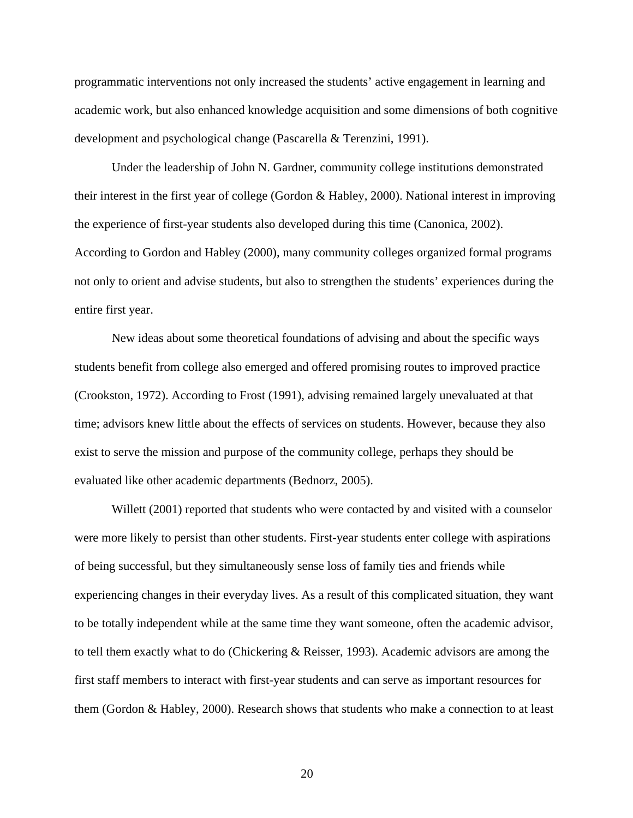programmatic interventions not only increased the students' active engagement in learning and academic work, but also enhanced knowledge acquisition and some dimensions of both cognitive development and psychological change (Pascarella & Terenzini, 1991).

Under the leadership of John N. Gardner, community college institutions demonstrated their interest in the first year of college (Gordon & Habley, 2000). National interest in improving the experience of first-year students also developed during this time (Canonica, 2002). According to Gordon and Habley (2000), many community colleges organized formal programs not only to orient and advise students, but also to strengthen the students' experiences during the entire first year.

New ideas about some theoretical foundations of advising and about the specific ways students benefit from college also emerged and offered promising routes to improved practice (Crookston, 1972). According to Frost (1991), advising remained largely unevaluated at that time; advisors knew little about the effects of services on students. However, because they also exist to serve the mission and purpose of the community college, perhaps they should be evaluated like other academic departments (Bednorz, 2005).

Willett (2001) reported that students who were contacted by and visited with a counselor were more likely to persist than other students. First-year students enter college with aspirations of being successful, but they simultaneously sense loss of family ties and friends while experiencing changes in their everyday lives. As a result of this complicated situation, they want to be totally independent while at the same time they want someone, often the academic advisor, to tell them exactly what to do (Chickering & Reisser, 1993). Academic advisors are among the first staff members to interact with first-year students and can serve as important resources for them (Gordon & Habley, 2000). Research shows that students who make a connection to at least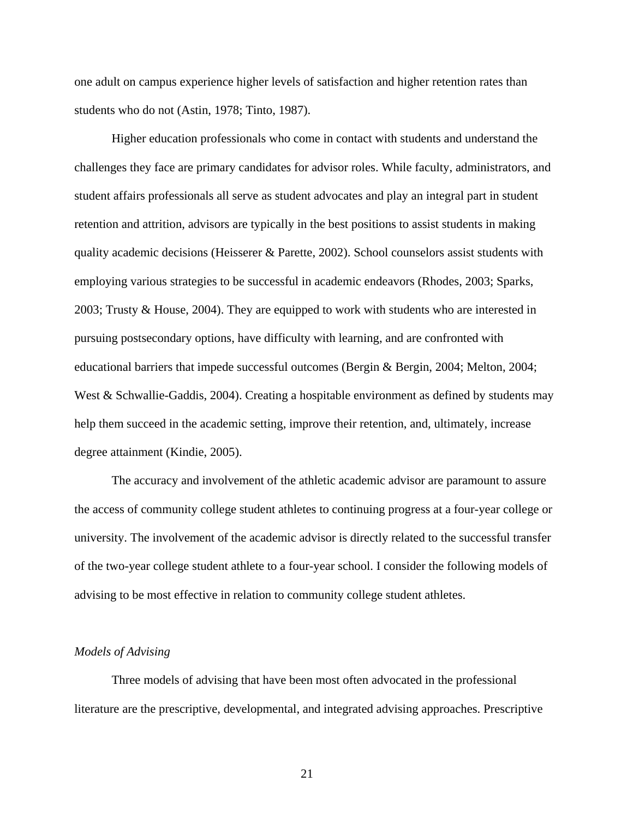one adult on campus experience higher levels of satisfaction and higher retention rates than students who do not (Astin, 1978; Tinto, 1987).

Higher education professionals who come in contact with students and understand the challenges they face are primary candidates for advisor roles. While faculty, administrators, and student affairs professionals all serve as student advocates and play an integral part in student retention and attrition, advisors are typically in the best positions to assist students in making quality academic decisions (Heisserer & Parette, 2002). School counselors assist students with employing various strategies to be successful in academic endeavors (Rhodes, 2003; Sparks, 2003; Trusty & House, 2004). They are equipped to work with students who are interested in pursuing postsecondary options, have difficulty with learning, and are confronted with educational barriers that impede successful outcomes (Bergin & Bergin, 2004; Melton, 2004; West & Schwallie-Gaddis, 2004). Creating a hospitable environment as defined by students may help them succeed in the academic setting, improve their retention, and, ultimately, increase degree attainment (Kindie, 2005).

The accuracy and involvement of the athletic academic advisor are paramount to assure the access of community college student athletes to continuing progress at a four-year college or university. The involvement of the academic advisor is directly related to the successful transfer of the two-year college student athlete to a four-year school. I consider the following models of advising to be most effective in relation to community college student athletes.

#### *Models of Advising*

Three models of advising that have been most often advocated in the professional literature are the prescriptive, developmental, and integrated advising approaches. Prescriptive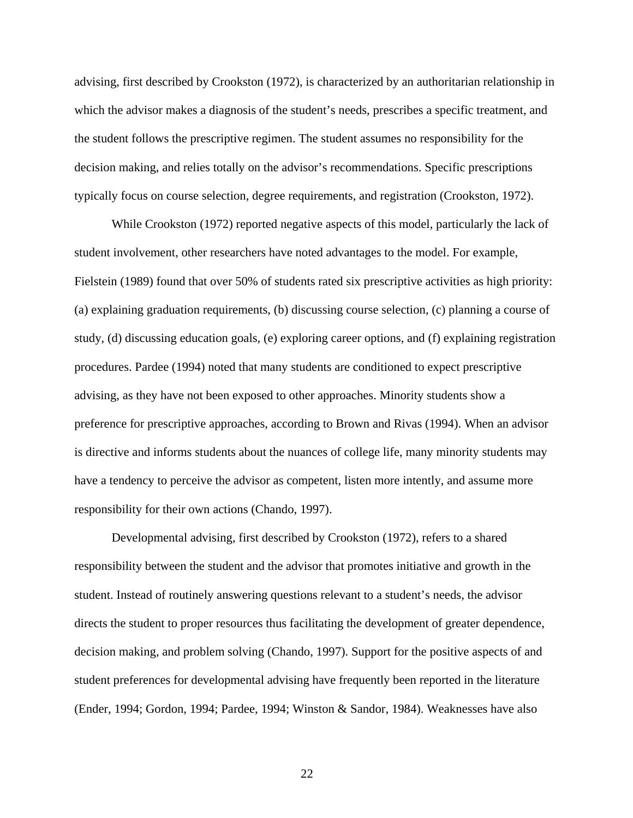advising, first described by Crookston (1972), is characterized by an authoritarian relationship in which the advisor makes a diagnosis of the student's needs, prescribes a specific treatment, and the student follows the prescriptive regimen. The student assumes no responsibility for the decision making, and relies totally on the advisor's recommendations. Specific prescriptions typically focus on course selection, degree requirements, and registration (Crookston, 1972).

While Crookston (1972) reported negative aspects of this model, particularly the lack of student involvement, other researchers have noted advantages to the model. For example, Fielstein (1989) found that over 50% of students rated six prescriptive activities as high priority: (a) explaining graduation requirements, (b) discussing course selection, (c) planning a course of study, (d) discussing education goals, (e) exploring career options, and (f) explaining registration procedures. Pardee (1994) noted that many students are conditioned to expect prescriptive advising, as they have not been exposed to other approaches. Minority students show a preference for prescriptive approaches, according to Brown and Rivas (1994). When an advisor is directive and informs students about the nuances of college life, many minority students may have a tendency to perceive the advisor as competent, listen more intently, and assume more responsibility for their own actions (Chando, 1997).

Developmental advising, first described by Crookston (1972), refers to a shared responsibility between the student and the advisor that promotes initiative and growth in the student. Instead of routinely answering questions relevant to a student's needs, the advisor directs the student to proper resources thus facilitating the development of greater dependence, decision making, and problem solving (Chando, 1997). Support for the positive aspects of and student preferences for developmental advising have frequently been reported in the literature (Ender, 1994; Gordon, 1994; Pardee, 1994; Winston & Sandor, 1984). Weaknesses have also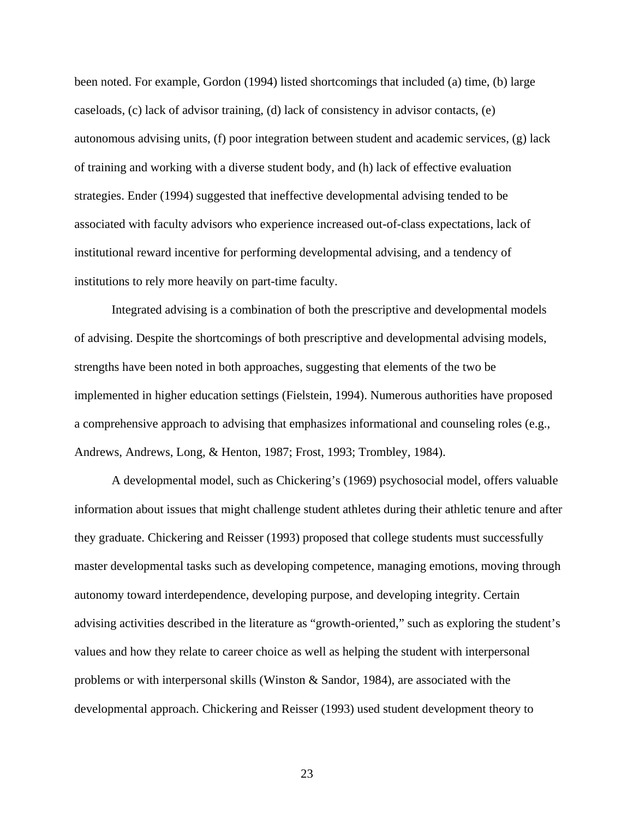been noted. For example, Gordon (1994) listed shortcomings that included (a) time, (b) large caseloads, (c) lack of advisor training, (d) lack of consistency in advisor contacts, (e) autonomous advising units, (f) poor integration between student and academic services, (g) lack of training and working with a diverse student body, and (h) lack of effective evaluation strategies. Ender (1994) suggested that ineffective developmental advising tended to be associated with faculty advisors who experience increased out-of-class expectations, lack of institutional reward incentive for performing developmental advising, and a tendency of institutions to rely more heavily on part-time faculty.

Integrated advising is a combination of both the prescriptive and developmental models of advising. Despite the shortcomings of both prescriptive and developmental advising models, strengths have been noted in both approaches, suggesting that elements of the two be implemented in higher education settings (Fielstein, 1994). Numerous authorities have proposed a comprehensive approach to advising that emphasizes informational and counseling roles (e.g., Andrews, Andrews, Long, & Henton, 1987; Frost, 1993; Trombley, 1984).

 A developmental model, such as Chickering's (1969) psychosocial model, offers valuable information about issues that might challenge student athletes during their athletic tenure and after they graduate. Chickering and Reisser (1993) proposed that college students must successfully master developmental tasks such as developing competence, managing emotions, moving through autonomy toward interdependence, developing purpose, and developing integrity. Certain advising activities described in the literature as "growth-oriented," such as exploring the student's values and how they relate to career choice as well as helping the student with interpersonal problems or with interpersonal skills (Winston & Sandor, 1984), are associated with the developmental approach. Chickering and Reisser (1993) used student development theory to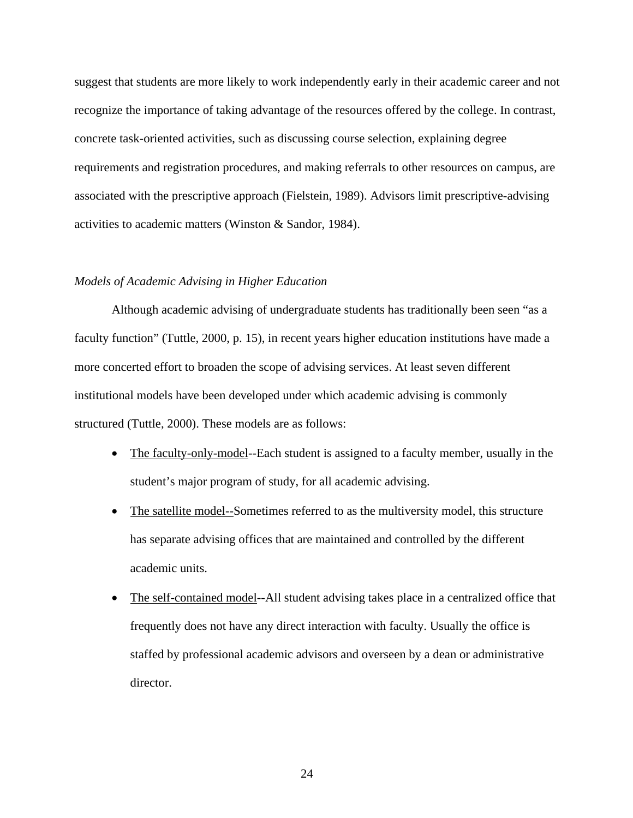suggest that students are more likely to work independently early in their academic career and not recognize the importance of taking advantage of the resources offered by the college. In contrast, concrete task-oriented activities, such as discussing course selection, explaining degree requirements and registration procedures, and making referrals to other resources on campus, are associated with the prescriptive approach (Fielstein, 1989). Advisors limit prescriptive-advising activities to academic matters (Winston & Sandor, 1984).

#### *Models of Academic Advising in Higher Education*

Although academic advising of undergraduate students has traditionally been seen "as a faculty function" (Tuttle, 2000, p. 15), in recent years higher education institutions have made a more concerted effort to broaden the scope of advising services. At least seven different institutional models have been developed under which academic advising is commonly structured (Tuttle, 2000). These models are as follows:

- The faculty-only-model--Each student is assigned to a faculty member, usually in the student's major program of study, for all academic advising.
- The satellite model--Sometimes referred to as the multiversity model, this structure has separate advising offices that are maintained and controlled by the different academic units.
- The self-contained model--All student advising takes place in a centralized office that frequently does not have any direct interaction with faculty. Usually the office is staffed by professional academic advisors and overseen by a dean or administrative director.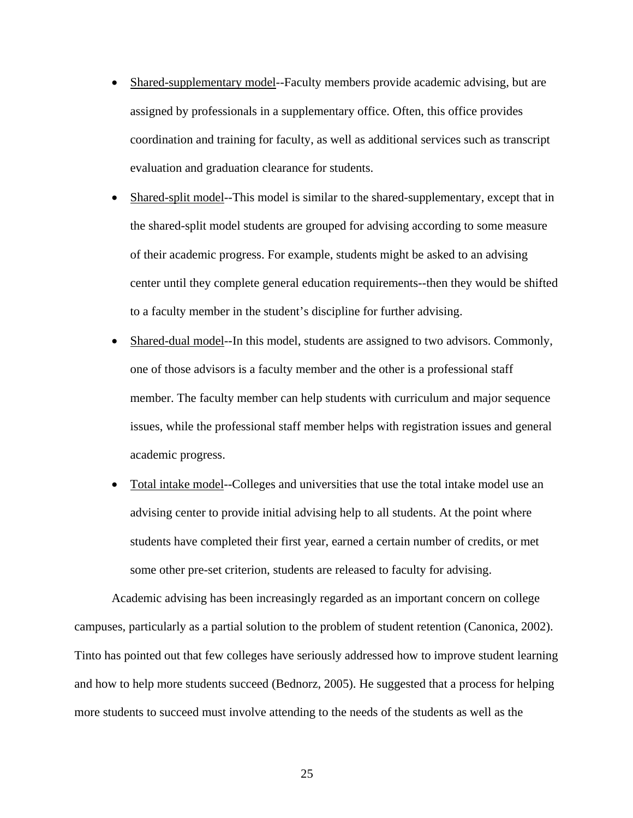- Shared-supplementary model--Faculty members provide academic advising, but are assigned by professionals in a supplementary office. Often, this office provides coordination and training for faculty, as well as additional services such as transcript evaluation and graduation clearance for students.
- Shared-split model--This model is similar to the shared-supplementary, except that in the shared-split model students are grouped for advising according to some measure of their academic progress. For example, students might be asked to an advising center until they complete general education requirements--then they would be shifted to a faculty member in the student's discipline for further advising.
- Shared-dual model--In this model, students are assigned to two advisors. Commonly, one of those advisors is a faculty member and the other is a professional staff member. The faculty member can help students with curriculum and major sequence issues, while the professional staff member helps with registration issues and general academic progress.
- Total intake model--Colleges and universities that use the total intake model use an advising center to provide initial advising help to all students. At the point where students have completed their first year, earned a certain number of credits, or met some other pre-set criterion, students are released to faculty for advising.

Academic advising has been increasingly regarded as an important concern on college campuses, particularly as a partial solution to the problem of student retention (Canonica, 2002). Tinto has pointed out that few colleges have seriously addressed how to improve student learning and how to help more students succeed (Bednorz, 2005). He suggested that a process for helping more students to succeed must involve attending to the needs of the students as well as the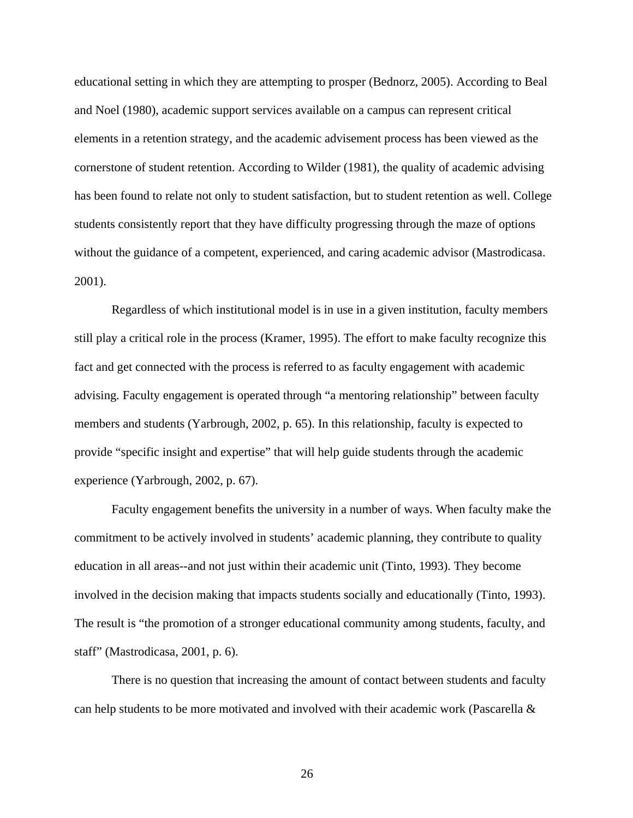educational setting in which they are attempting to prosper (Bednorz, 2005). According to Beal and Noel (1980), academic support services available on a campus can represent critical elements in a retention strategy, and the academic advisement process has been viewed as the cornerstone of student retention. According to Wilder (1981), the quality of academic advising has been found to relate not only to student satisfaction, but to student retention as well. College students consistently report that they have difficulty progressing through the maze of options without the guidance of a competent, experienced, and caring academic advisor (Mastrodicasa. 2001).

Regardless of which institutional model is in use in a given institution, faculty members still play a critical role in the process (Kramer, 1995). The effort to make faculty recognize this fact and get connected with the process is referred to as faculty engagement with academic advising*.* Faculty engagement is operated through "a mentoring relationship" between faculty members and students (Yarbrough, 2002, p. 65). In this relationship, faculty is expected to provide "specific insight and expertise" that will help guide students through the academic experience (Yarbrough, 2002, p. 67).

Faculty engagement benefits the university in a number of ways. When faculty make the commitment to be actively involved in students' academic planning, they contribute to quality education in all areas--and not just within their academic unit (Tinto, 1993). They become involved in the decision making that impacts students socially and educationally (Tinto, 1993). The result is "the promotion of a stronger educational community among students, faculty, and staff" (Mastrodicasa, 2001, p. 6).

There is no question that increasing the amount of contact between students and faculty can help students to be more motivated and involved with their academic work (Pascarella &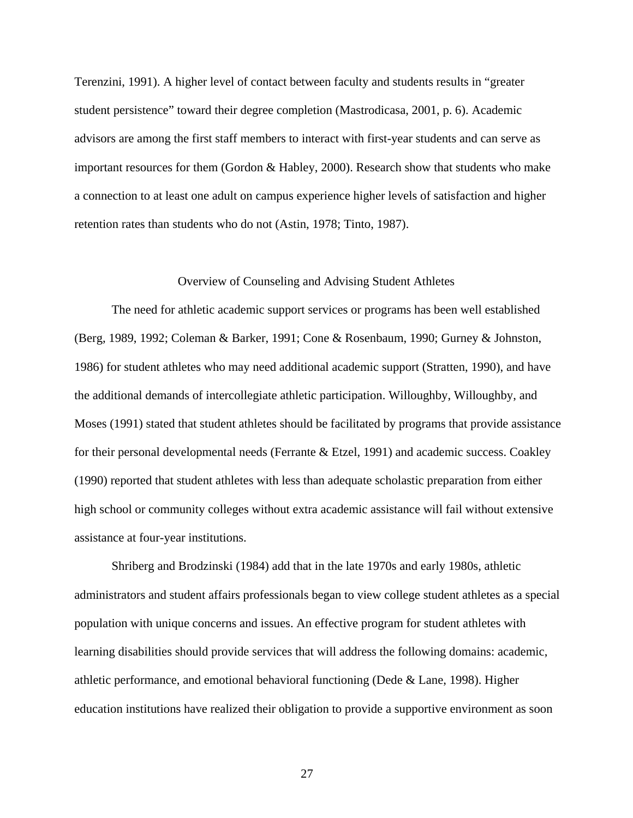Terenzini, 1991). A higher level of contact between faculty and students results in "greater student persistence" toward their degree completion (Mastrodicasa, 2001, p. 6). Academic advisors are among the first staff members to interact with first-year students and can serve as important resources for them (Gordon & Habley, 2000). Research show that students who make a connection to at least one adult on campus experience higher levels of satisfaction and higher retention rates than students who do not (Astin, 1978; Tinto, 1987).

#### Overview of Counseling and Advising Student Athletes

 The need for athletic academic support services or programs has been well established (Berg, 1989, 1992; Coleman & Barker, 1991; Cone & Rosenbaum, 1990; Gurney & Johnston, 1986) for student athletes who may need additional academic support (Stratten, 1990), and have the additional demands of intercollegiate athletic participation. Willoughby, Willoughby, and Moses (1991) stated that student athletes should be facilitated by programs that provide assistance for their personal developmental needs (Ferrante & Etzel, 1991) and academic success. Coakley (1990) reported that student athletes with less than adequate scholastic preparation from either high school or community colleges without extra academic assistance will fail without extensive assistance at four-year institutions.

 Shriberg and Brodzinski (1984) add that in the late 1970s and early 1980s, athletic administrators and student affairs professionals began to view college student athletes as a special population with unique concerns and issues. An effective program for student athletes with learning disabilities should provide services that will address the following domains: academic, athletic performance, and emotional behavioral functioning (Dede & Lane, 1998). Higher education institutions have realized their obligation to provide a supportive environment as soon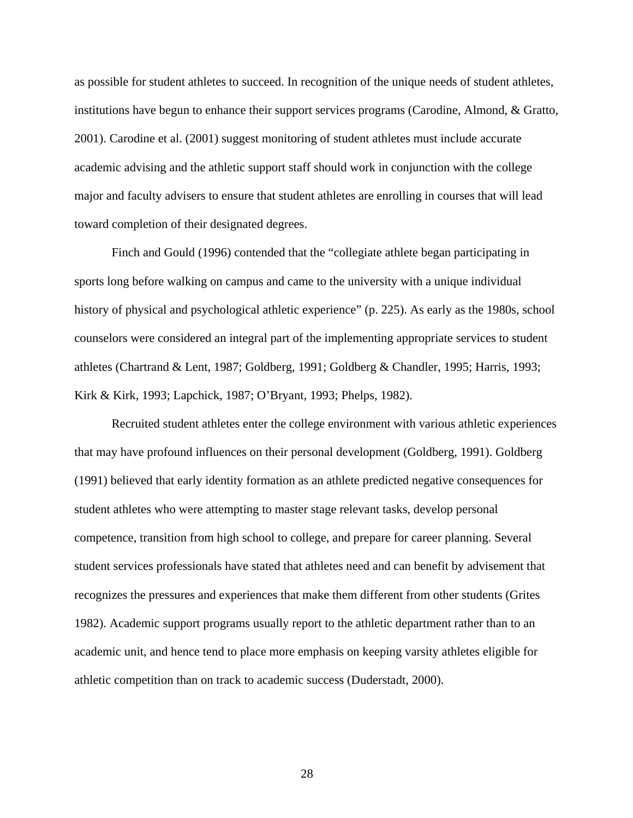as possible for student athletes to succeed. In recognition of the unique needs of student athletes, institutions have begun to enhance their support services programs (Carodine, Almond, & Gratto, 2001). Carodine et al. (2001) suggest monitoring of student athletes must include accurate academic advising and the athletic support staff should work in conjunction with the college major and faculty advisers to ensure that student athletes are enrolling in courses that will lead toward completion of their designated degrees.

Finch and Gould (1996) contended that the "collegiate athlete began participating in sports long before walking on campus and came to the university with a unique individual history of physical and psychological athletic experience" (p. 225). As early as the 1980s, school counselors were considered an integral part of the implementing appropriate services to student athletes (Chartrand & Lent, 1987; Goldberg, 1991; Goldberg & Chandler, 1995; Harris, 1993; Kirk & Kirk, 1993; Lapchick, 1987; O'Bryant, 1993; Phelps, 1982).

 Recruited student athletes enter the college environment with various athletic experiences that may have profound influences on their personal development (Goldberg, 1991). Goldberg (1991) believed that early identity formation as an athlete predicted negative consequences for student athletes who were attempting to master stage relevant tasks, develop personal competence, transition from high school to college, and prepare for career planning. Several student services professionals have stated that athletes need and can benefit by advisement that recognizes the pressures and experiences that make them different from other students (Grites 1982). Academic support programs usually report to the athletic department rather than to an academic unit, and hence tend to place more emphasis on keeping varsity athletes eligible for athletic competition than on track to academic success (Duderstadt, 2000).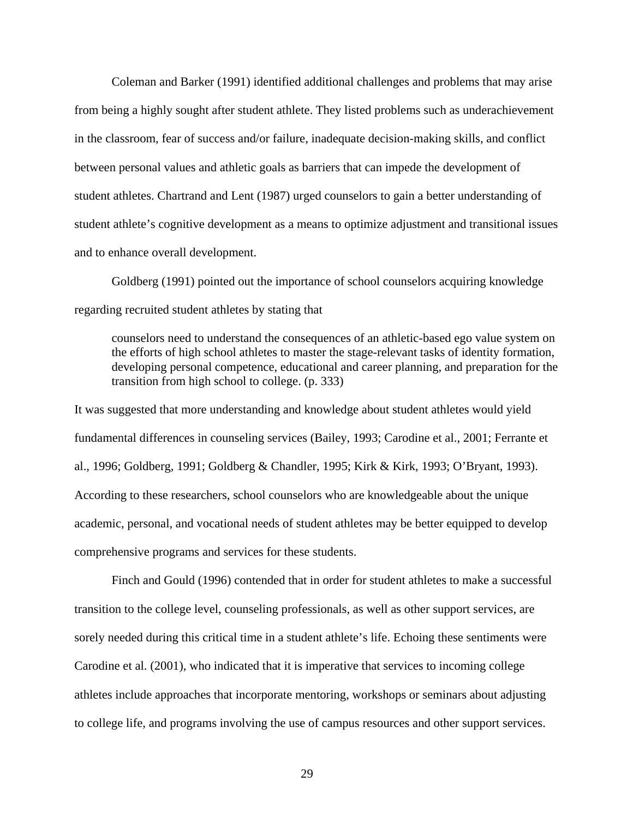Coleman and Barker (1991) identified additional challenges and problems that may arise from being a highly sought after student athlete. They listed problems such as underachievement in the classroom, fear of success and/or failure, inadequate decision-making skills, and conflict between personal values and athletic goals as barriers that can impede the development of student athletes. Chartrand and Lent (1987) urged counselors to gain a better understanding of student athlete's cognitive development as a means to optimize adjustment and transitional issues and to enhance overall development.

Goldberg (1991) pointed out the importance of school counselors acquiring knowledge regarding recruited student athletes by stating that

counselors need to understand the consequences of an athletic-based ego value system on the efforts of high school athletes to master the stage-relevant tasks of identity formation, developing personal competence, educational and career planning, and preparation for the transition from high school to college. (p. 333)

It was suggested that more understanding and knowledge about student athletes would yield fundamental differences in counseling services (Bailey, 1993; Carodine et al., 2001; Ferrante et al., 1996; Goldberg, 1991; Goldberg & Chandler, 1995; Kirk & Kirk, 1993; O'Bryant, 1993). According to these researchers, school counselors who are knowledgeable about the unique academic, personal, and vocational needs of student athletes may be better equipped to develop comprehensive programs and services for these students.

Finch and Gould (1996) contended that in order for student athletes to make a successful transition to the college level, counseling professionals, as well as other support services, are sorely needed during this critical time in a student athlete's life. Echoing these sentiments were Carodine et al. (2001), who indicated that it is imperative that services to incoming college athletes include approaches that incorporate mentoring, workshops or seminars about adjusting to college life, and programs involving the use of campus resources and other support services.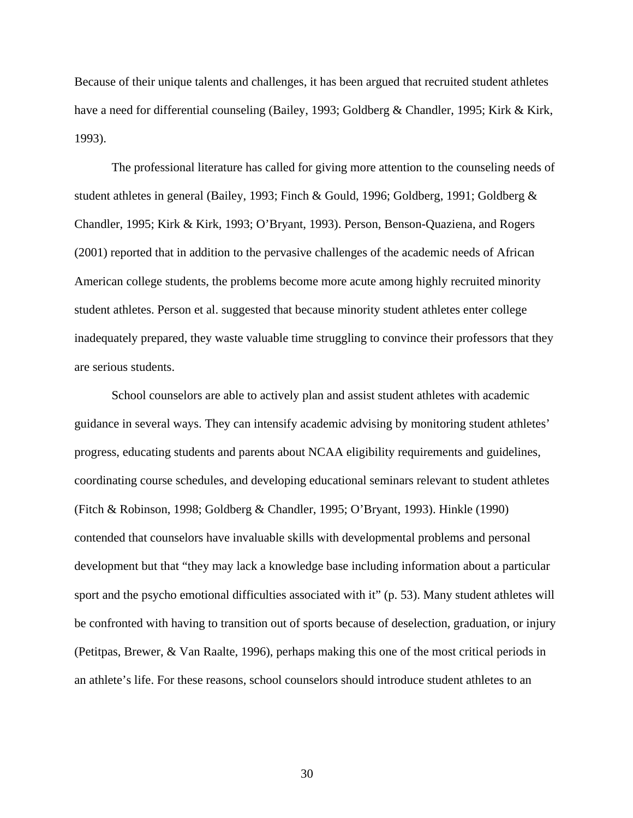Because of their unique talents and challenges, it has been argued that recruited student athletes have a need for differential counseling (Bailey, 1993; Goldberg & Chandler, 1995; Kirk & Kirk, 1993).

The professional literature has called for giving more attention to the counseling needs of student athletes in general (Bailey, 1993; Finch & Gould, 1996; Goldberg, 1991; Goldberg & Chandler, 1995; Kirk & Kirk, 1993; O'Bryant, 1993). Person, Benson-Quaziena, and Rogers (2001) reported that in addition to the pervasive challenges of the academic needs of African American college students, the problems become more acute among highly recruited minority student athletes. Person et al. suggested that because minority student athletes enter college inadequately prepared, they waste valuable time struggling to convince their professors that they are serious students.

 School counselors are able to actively plan and assist student athletes with academic guidance in several ways. They can intensify academic advising by monitoring student athletes' progress, educating students and parents about NCAA eligibility requirements and guidelines, coordinating course schedules, and developing educational seminars relevant to student athletes (Fitch & Robinson, 1998; Goldberg & Chandler, 1995; O'Bryant, 1993). Hinkle (1990) contended that counselors have invaluable skills with developmental problems and personal development but that "they may lack a knowledge base including information about a particular sport and the psycho emotional difficulties associated with it" (p. 53). Many student athletes will be confronted with having to transition out of sports because of deselection, graduation, or injury (Petitpas, Brewer, & Van Raalte, 1996), perhaps making this one of the most critical periods in an athlete's life. For these reasons, school counselors should introduce student athletes to an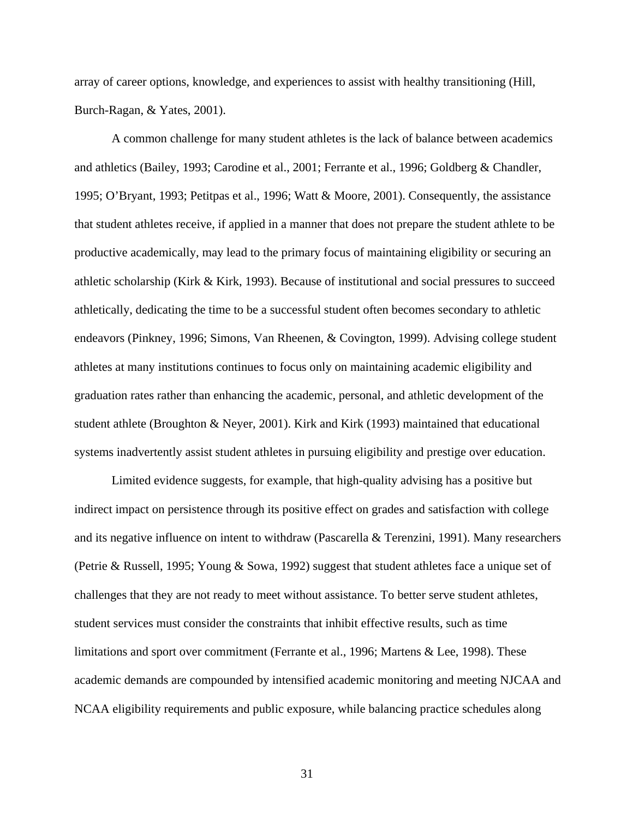array of career options, knowledge, and experiences to assist with healthy transitioning (Hill, Burch-Ragan, & Yates, 2001).

A common challenge for many student athletes is the lack of balance between academics and athletics (Bailey, 1993; Carodine et al., 2001; Ferrante et al., 1996; Goldberg & Chandler, 1995; O'Bryant, 1993; Petitpas et al., 1996; Watt & Moore, 2001). Consequently, the assistance that student athletes receive, if applied in a manner that does not prepare the student athlete to be productive academically, may lead to the primary focus of maintaining eligibility or securing an athletic scholarship (Kirk & Kirk, 1993). Because of institutional and social pressures to succeed athletically, dedicating the time to be a successful student often becomes secondary to athletic endeavors (Pinkney, 1996; Simons, Van Rheenen, & Covington, 1999). Advising college student athletes at many institutions continues to focus only on maintaining academic eligibility and graduation rates rather than enhancing the academic, personal, and athletic development of the student athlete (Broughton & Neyer, 2001). Kirk and Kirk (1993) maintained that educational systems inadvertently assist student athletes in pursuing eligibility and prestige over education.

 Limited evidence suggests, for example, that high-quality advising has a positive but indirect impact on persistence through its positive effect on grades and satisfaction with college and its negative influence on intent to withdraw (Pascarella & Terenzini, 1991). Many researchers (Petrie & Russell, 1995; Young & Sowa, 1992) suggest that student athletes face a unique set of challenges that they are not ready to meet without assistance. To better serve student athletes, student services must consider the constraints that inhibit effective results, such as time limitations and sport over commitment (Ferrante et al., 1996; Martens & Lee, 1998). These academic demands are compounded by intensified academic monitoring and meeting NJCAA and NCAA eligibility requirements and public exposure, while balancing practice schedules along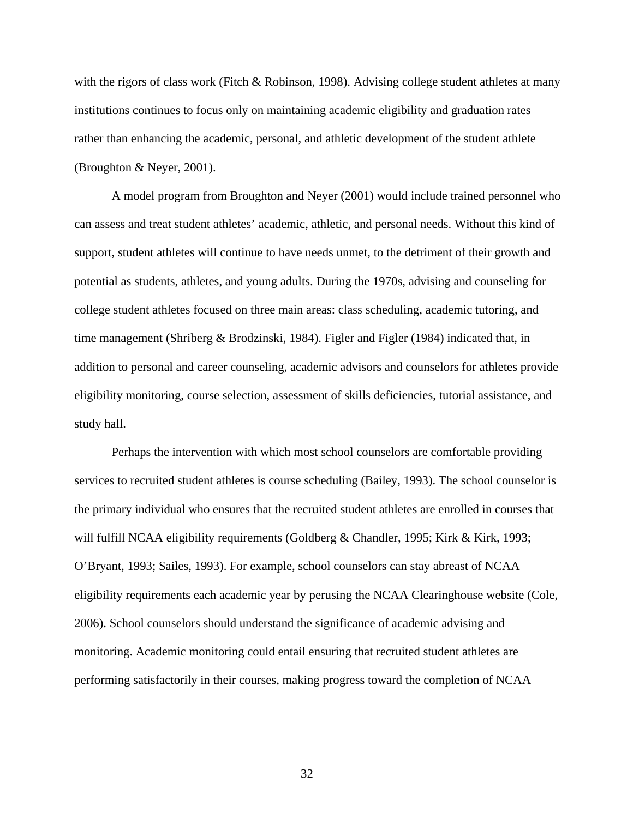with the rigors of class work (Fitch & Robinson, 1998). Advising college student athletes at many institutions continues to focus only on maintaining academic eligibility and graduation rates rather than enhancing the academic, personal, and athletic development of the student athlete (Broughton & Neyer, 2001).

 A model program from Broughton and Neyer (2001) would include trained personnel who can assess and treat student athletes' academic, athletic, and personal needs. Without this kind of support, student athletes will continue to have needs unmet, to the detriment of their growth and potential as students, athletes, and young adults. During the 1970s, advising and counseling for college student athletes focused on three main areas: class scheduling, academic tutoring, and time management (Shriberg & Brodzinski, 1984). Figler and Figler (1984) indicated that, in addition to personal and career counseling, academic advisors and counselors for athletes provide eligibility monitoring, course selection, assessment of skills deficiencies, tutorial assistance, and study hall.

Perhaps the intervention with which most school counselors are comfortable providing services to recruited student athletes is course scheduling (Bailey, 1993). The school counselor is the primary individual who ensures that the recruited student athletes are enrolled in courses that will fulfill NCAA eligibility requirements (Goldberg & Chandler, 1995; Kirk & Kirk, 1993; O'Bryant, 1993; Sailes, 1993). For example, school counselors can stay abreast of NCAA eligibility requirements each academic year by perusing the NCAA Clearinghouse website (Cole, 2006). School counselors should understand the significance of academic advising and monitoring. Academic monitoring could entail ensuring that recruited student athletes are performing satisfactorily in their courses, making progress toward the completion of NCAA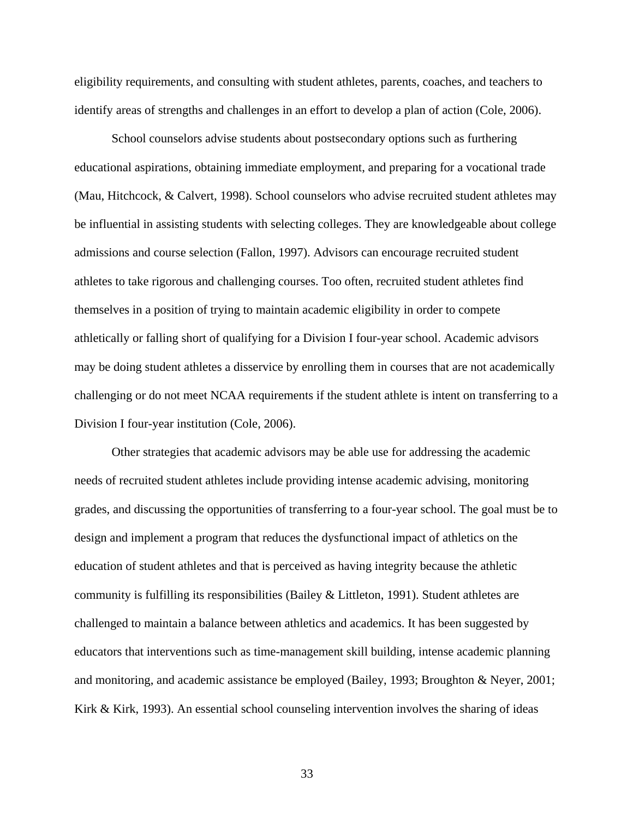eligibility requirements, and consulting with student athletes, parents, coaches, and teachers to identify areas of strengths and challenges in an effort to develop a plan of action (Cole, 2006).

School counselors advise students about postsecondary options such as furthering educational aspirations, obtaining immediate employment, and preparing for a vocational trade (Mau, Hitchcock, & Calvert, 1998). School counselors who advise recruited student athletes may be influential in assisting students with selecting colleges. They are knowledgeable about college admissions and course selection (Fallon, 1997). Advisors can encourage recruited student athletes to take rigorous and challenging courses. Too often, recruited student athletes find themselves in a position of trying to maintain academic eligibility in order to compete athletically or falling short of qualifying for a Division I four-year school. Academic advisors may be doing student athletes a disservice by enrolling them in courses that are not academically challenging or do not meet NCAA requirements if the student athlete is intent on transferring to a Division I four-year institution (Cole, 2006).

Other strategies that academic advisors may be able use for addressing the academic needs of recruited student athletes include providing intense academic advising, monitoring grades, and discussing the opportunities of transferring to a four-year school. The goal must be to design and implement a program that reduces the dysfunctional impact of athletics on the education of student athletes and that is perceived as having integrity because the athletic community is fulfilling its responsibilities (Bailey & Littleton, 1991). Student athletes are challenged to maintain a balance between athletics and academics. It has been suggested by educators that interventions such as time-management skill building, intense academic planning and monitoring, and academic assistance be employed (Bailey, 1993; Broughton & Neyer, 2001; Kirk & Kirk, 1993). An essential school counseling intervention involves the sharing of ideas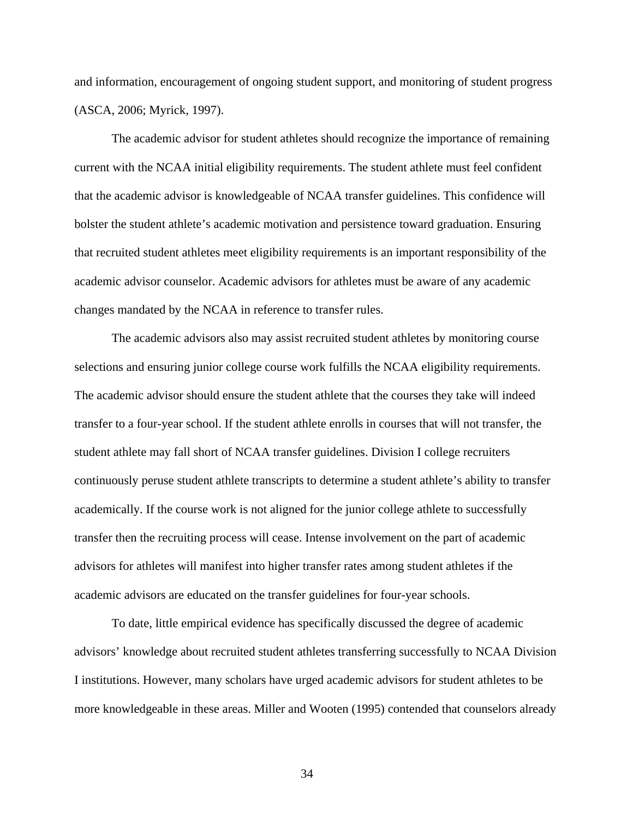and information, encouragement of ongoing student support, and monitoring of student progress (ASCA, 2006; Myrick, 1997).

The academic advisor for student athletes should recognize the importance of remaining current with the NCAA initial eligibility requirements. The student athlete must feel confident that the academic advisor is knowledgeable of NCAA transfer guidelines. This confidence will bolster the student athlete's academic motivation and persistence toward graduation. Ensuring that recruited student athletes meet eligibility requirements is an important responsibility of the academic advisor counselor. Academic advisors for athletes must be aware of any academic changes mandated by the NCAA in reference to transfer rules.

The academic advisors also may assist recruited student athletes by monitoring course selections and ensuring junior college course work fulfills the NCAA eligibility requirements. The academic advisor should ensure the student athlete that the courses they take will indeed transfer to a four-year school. If the student athlete enrolls in courses that will not transfer, the student athlete may fall short of NCAA transfer guidelines. Division I college recruiters continuously peruse student athlete transcripts to determine a student athlete's ability to transfer academically. If the course work is not aligned for the junior college athlete to successfully transfer then the recruiting process will cease. Intense involvement on the part of academic advisors for athletes will manifest into higher transfer rates among student athletes if the academic advisors are educated on the transfer guidelines for four-year schools.

To date, little empirical evidence has specifically discussed the degree of academic advisors' knowledge about recruited student athletes transferring successfully to NCAA Division I institutions. However, many scholars have urged academic advisors for student athletes to be more knowledgeable in these areas. Miller and Wooten (1995) contended that counselors already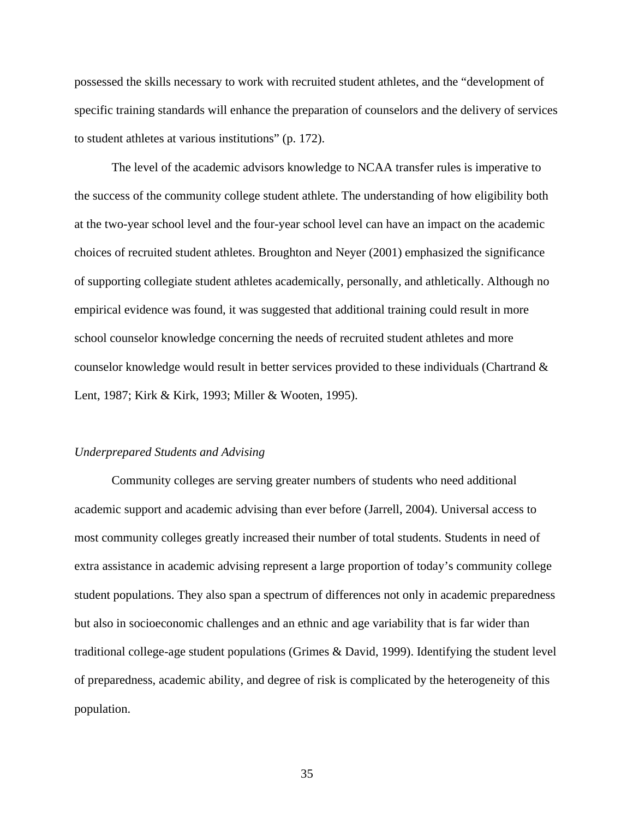possessed the skills necessary to work with recruited student athletes, and the "development of specific training standards will enhance the preparation of counselors and the delivery of services to student athletes at various institutions" (p. 172).

The level of the academic advisors knowledge to NCAA transfer rules is imperative to the success of the community college student athlete. The understanding of how eligibility both at the two-year school level and the four-year school level can have an impact on the academic choices of recruited student athletes. Broughton and Neyer (2001) emphasized the significance of supporting collegiate student athletes academically, personally, and athletically. Although no empirical evidence was found, it was suggested that additional training could result in more school counselor knowledge concerning the needs of recruited student athletes and more counselor knowledge would result in better services provided to these individuals (Chartrand & Lent, 1987; Kirk & Kirk, 1993; Miller & Wooten, 1995).

#### *Underprepared Students and Advising*

Community colleges are serving greater numbers of students who need additional academic support and academic advising than ever before (Jarrell, 2004). Universal access to most community colleges greatly increased their number of total students. Students in need of extra assistance in academic advising represent a large proportion of today's community college student populations. They also span a spectrum of differences not only in academic preparedness but also in socioeconomic challenges and an ethnic and age variability that is far wider than traditional college-age student populations (Grimes & David, 1999). Identifying the student level of preparedness, academic ability, and degree of risk is complicated by the heterogeneity of this population.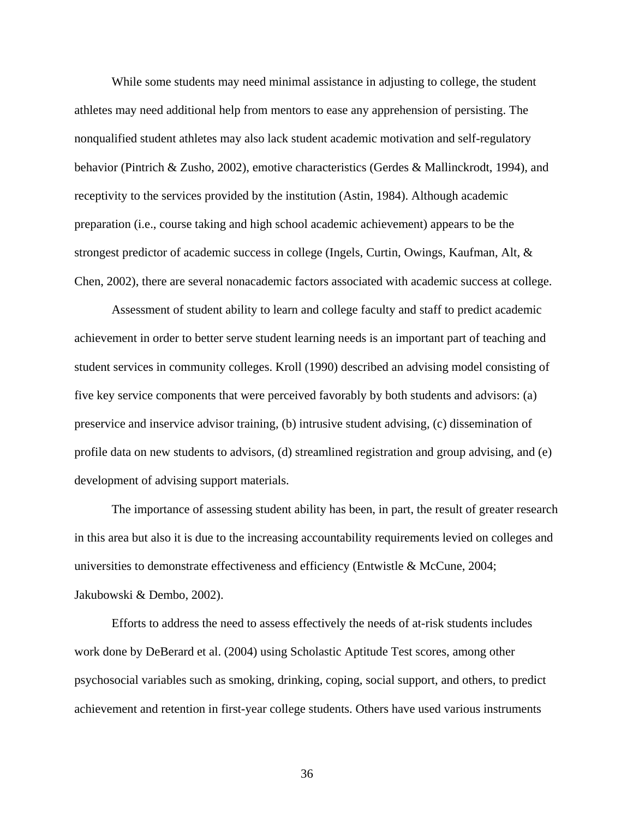While some students may need minimal assistance in adjusting to college, the student athletes may need additional help from mentors to ease any apprehension of persisting. The nonqualified student athletes may also lack student academic motivation and self-regulatory behavior (Pintrich & Zusho, 2002), emotive characteristics (Gerdes & Mallinckrodt, 1994), and receptivity to the services provided by the institution (Astin, 1984). Although academic preparation (i.e., course taking and high school academic achievement) appears to be the strongest predictor of academic success in college (Ingels, Curtin, Owings, Kaufman, Alt, & Chen, 2002), there are several nonacademic factors associated with academic success at college.

Assessment of student ability to learn and college faculty and staff to predict academic achievement in order to better serve student learning needs is an important part of teaching and student services in community colleges. Kroll (1990) described an advising model consisting of five key service components that were perceived favorably by both students and advisors: (a) preservice and inservice advisor training, (b) intrusive student advising, (c) dissemination of profile data on new students to advisors, (d) streamlined registration and group advising, and (e) development of advising support materials.

The importance of assessing student ability has been, in part, the result of greater research in this area but also it is due to the increasing accountability requirements levied on colleges and universities to demonstrate effectiveness and efficiency (Entwistle & McCune, 2004; Jakubowski & Dembo, 2002).

 Efforts to address the need to assess effectively the needs of at-risk students includes work done by DeBerard et al. (2004) using Scholastic Aptitude Test scores, among other psychosocial variables such as smoking, drinking, coping, social support, and others, to predict achievement and retention in first-year college students. Others have used various instruments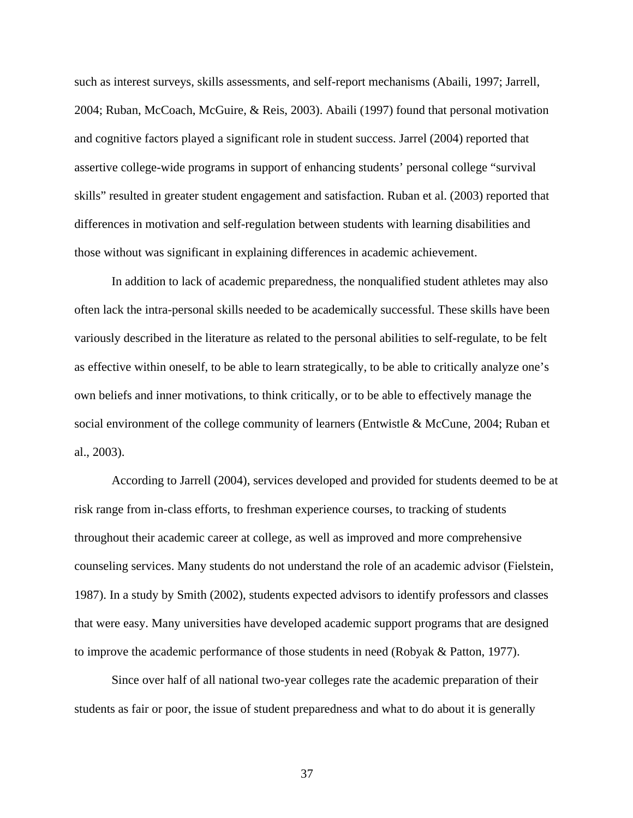such as interest surveys, skills assessments, and self-report mechanisms (Abaili, 1997; Jarrell, 2004; Ruban, McCoach, McGuire, & Reis, 2003). Abaili (1997) found that personal motivation and cognitive factors played a significant role in student success. Jarrel (2004) reported that assertive college-wide programs in support of enhancing students' personal college "survival skills" resulted in greater student engagement and satisfaction. Ruban et al. (2003) reported that differences in motivation and self-regulation between students with learning disabilities and those without was significant in explaining differences in academic achievement.

In addition to lack of academic preparedness, the nonqualified student athletes may also often lack the intra-personal skills needed to be academically successful. These skills have been variously described in the literature as related to the personal abilities to self-regulate, to be felt as effective within oneself, to be able to learn strategically, to be able to critically analyze one's own beliefs and inner motivations, to think critically, or to be able to effectively manage the social environment of the college community of learners (Entwistle & McCune, 2004; Ruban et al., 2003).

According to Jarrell (2004), services developed and provided for students deemed to be at risk range from in-class efforts, to freshman experience courses, to tracking of students throughout their academic career at college, as well as improved and more comprehensive counseling services. Many students do not understand the role of an academic advisor (Fielstein, 1987). In a study by Smith (2002), students expected advisors to identify professors and classes that were easy. Many universities have developed academic support programs that are designed to improve the academic performance of those students in need (Robyak & Patton, 1977).

Since over half of all national two-year colleges rate the academic preparation of their students as fair or poor, the issue of student preparedness and what to do about it is generally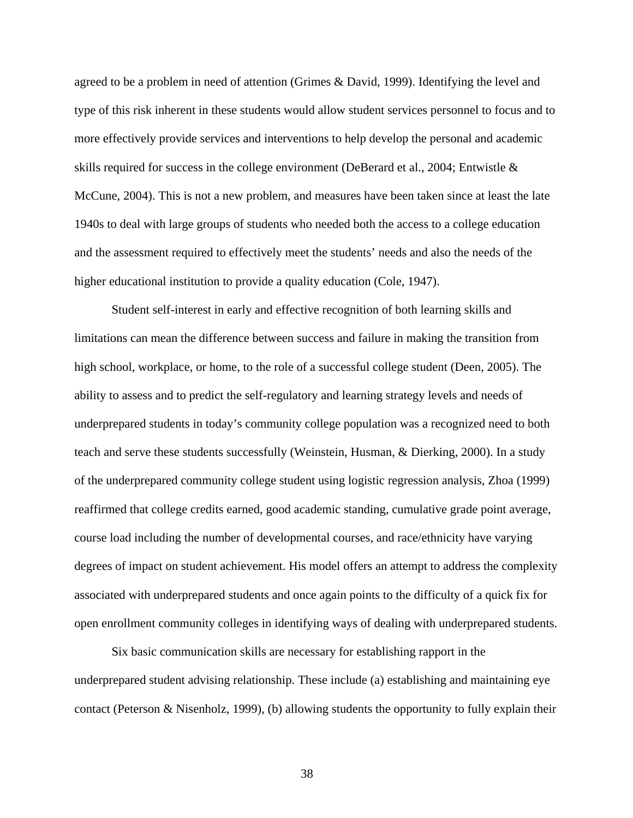agreed to be a problem in need of attention (Grimes & David, 1999). Identifying the level and type of this risk inherent in these students would allow student services personnel to focus and to more effectively provide services and interventions to help develop the personal and academic skills required for success in the college environment (DeBerard et al., 2004; Entwistle & McCune, 2004). This is not a new problem, and measures have been taken since at least the late 1940s to deal with large groups of students who needed both the access to a college education and the assessment required to effectively meet the students' needs and also the needs of the higher educational institution to provide a quality education (Cole, 1947).

Student self-interest in early and effective recognition of both learning skills and limitations can mean the difference between success and failure in making the transition from high school, workplace, or home, to the role of a successful college student (Deen, 2005). The ability to assess and to predict the self-regulatory and learning strategy levels and needs of underprepared students in today's community college population was a recognized need to both teach and serve these students successfully (Weinstein, Husman, & Dierking, 2000). In a study of the underprepared community college student using logistic regression analysis, Zhoa (1999) reaffirmed that college credits earned, good academic standing, cumulative grade point average, course load including the number of developmental courses, and race/ethnicity have varying degrees of impact on student achievement. His model offers an attempt to address the complexity associated with underprepared students and once again points to the difficulty of a quick fix for open enrollment community colleges in identifying ways of dealing with underprepared students.

Six basic communication skills are necessary for establishing rapport in the underprepared student advising relationship. These include (a) establishing and maintaining eye contact (Peterson & Nisenholz, 1999), (b) allowing students the opportunity to fully explain their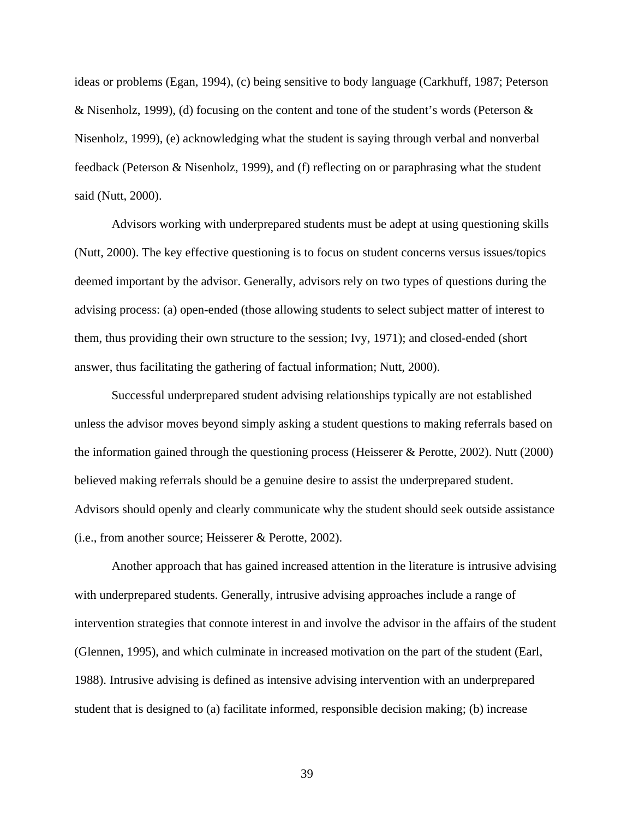ideas or problems (Egan, 1994), (c) being sensitive to body language (Carkhuff, 1987; Peterson & Nisenholz, 1999), (d) focusing on the content and tone of the student's words (Peterson & Nisenholz, 1999), (e) acknowledging what the student is saying through verbal and nonverbal feedback (Peterson & Nisenholz, 1999), and (f) reflecting on or paraphrasing what the student said (Nutt, 2000).

Advisors working with underprepared students must be adept at using questioning skills (Nutt, 2000). The key effective questioning is to focus on student concerns versus issues/topics deemed important by the advisor. Generally, advisors rely on two types of questions during the advising process: (a) open-ended (those allowing students to select subject matter of interest to them, thus providing their own structure to the session; Ivy, 1971); and closed-ended (short answer, thus facilitating the gathering of factual information; Nutt, 2000).

Successful underprepared student advising relationships typically are not established unless the advisor moves beyond simply asking a student questions to making referrals based on the information gained through the questioning process (Heisserer & Perotte, 2002). Nutt (2000) believed making referrals should be a genuine desire to assist the underprepared student. Advisors should openly and clearly communicate why the student should seek outside assistance (i.e., from another source; Heisserer & Perotte, 2002).

Another approach that has gained increased attention in the literature is intrusive advising with underprepared students. Generally, intrusive advising approaches include a range of intervention strategies that connote interest in and involve the advisor in the affairs of the student (Glennen, 1995), and which culminate in increased motivation on the part of the student (Earl, 1988). Intrusive advising is defined as intensive advising intervention with an underprepared student that is designed to (a) facilitate informed, responsible decision making; (b) increase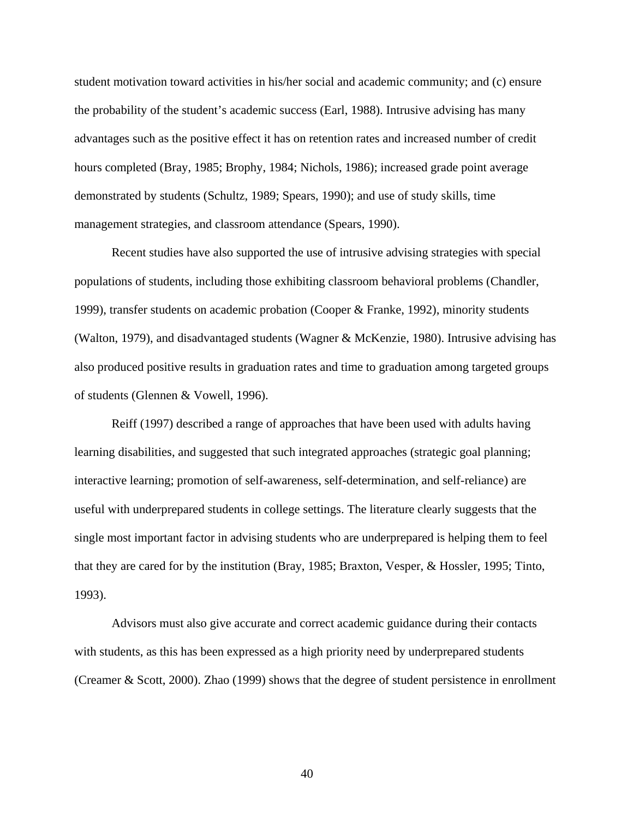student motivation toward activities in his/her social and academic community; and (c) ensure the probability of the student's academic success (Earl, 1988). Intrusive advising has many advantages such as the positive effect it has on retention rates and increased number of credit hours completed (Bray, 1985; Brophy, 1984; Nichols, 1986); increased grade point average demonstrated by students (Schultz, 1989; Spears, 1990); and use of study skills, time management strategies, and classroom attendance (Spears, 1990).

Recent studies have also supported the use of intrusive advising strategies with special populations of students, including those exhibiting classroom behavioral problems (Chandler, 1999), transfer students on academic probation (Cooper & Franke, 1992), minority students (Walton, 1979), and disadvantaged students (Wagner & McKenzie, 1980). Intrusive advising has also produced positive results in graduation rates and time to graduation among targeted groups of students (Glennen & Vowell, 1996).

Reiff (1997) described a range of approaches that have been used with adults having learning disabilities, and suggested that such integrated approaches (strategic goal planning; interactive learning; promotion of self-awareness, self-determination, and self-reliance) are useful with underprepared students in college settings. The literature clearly suggests that the single most important factor in advising students who are underprepared is helping them to feel that they are cared for by the institution (Bray, 1985; Braxton, Vesper, & Hossler, 1995; Tinto, 1993).

Advisors must also give accurate and correct academic guidance during their contacts with students, as this has been expressed as a high priority need by underprepared students (Creamer & Scott, 2000). Zhao (1999) shows that the degree of student persistence in enrollment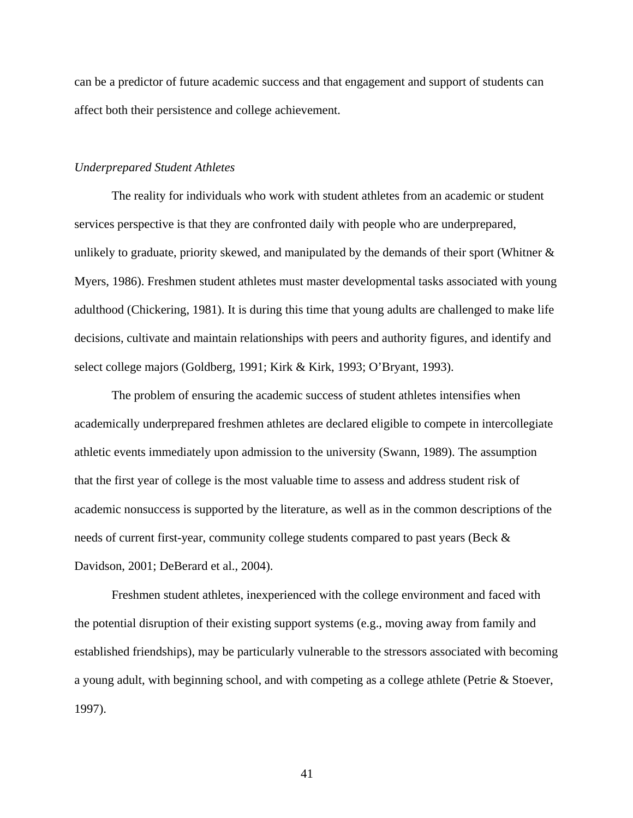can be a predictor of future academic success and that engagement and support of students can affect both their persistence and college achievement.

### *Underprepared Student Athletes*

The reality for individuals who work with student athletes from an academic or student services perspective is that they are confronted daily with people who are underprepared, unlikely to graduate, priority skewed, and manipulated by the demands of their sport (Whitner  $\&$ Myers, 1986). Freshmen student athletes must master developmental tasks associated with young adulthood (Chickering, 1981). It is during this time that young adults are challenged to make life decisions, cultivate and maintain relationships with peers and authority figures, and identify and select college majors (Goldberg, 1991; Kirk & Kirk, 1993; O'Bryant, 1993).

The problem of ensuring the academic success of student athletes intensifies when academically underprepared freshmen athletes are declared eligible to compete in intercollegiate athletic events immediately upon admission to the university (Swann, 1989). The assumption that the first year of college is the most valuable time to assess and address student risk of academic nonsuccess is supported by the literature, as well as in the common descriptions of the needs of current first-year, community college students compared to past years (Beck & Davidson, 2001; DeBerard et al., 2004).

Freshmen student athletes, inexperienced with the college environment and faced with the potential disruption of their existing support systems (e.g., moving away from family and established friendships), may be particularly vulnerable to the stressors associated with becoming a young adult, with beginning school, and with competing as a college athlete (Petrie & Stoever, 1997).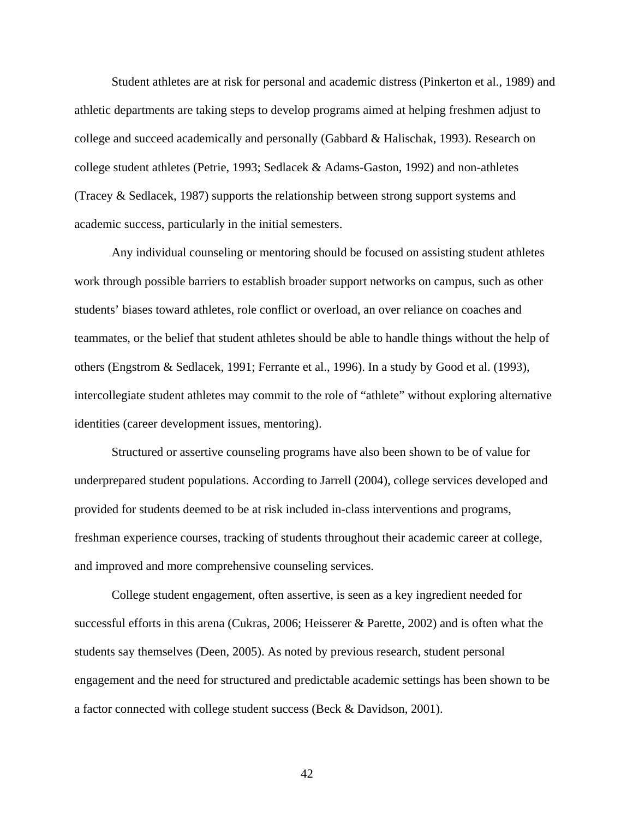Student athletes are at risk for personal and academic distress (Pinkerton et al., 1989) and athletic departments are taking steps to develop programs aimed at helping freshmen adjust to college and succeed academically and personally (Gabbard & Halischak, 1993). Research on college student athletes (Petrie, 1993; Sedlacek & Adams-Gaston, 1992) and non-athletes (Tracey & Sedlacek, 1987) supports the relationship between strong support systems and academic success, particularly in the initial semesters.

 Any individual counseling or mentoring should be focused on assisting student athletes work through possible barriers to establish broader support networks on campus, such as other students' biases toward athletes, role conflict or overload, an over reliance on coaches and teammates, or the belief that student athletes should be able to handle things without the help of others (Engstrom & Sedlacek, 1991; Ferrante et al., 1996). In a study by Good et al. (1993), intercollegiate student athletes may commit to the role of "athlete" without exploring alternative identities (career development issues, mentoring).

Structured or assertive counseling programs have also been shown to be of value for underprepared student populations. According to Jarrell (2004), college services developed and provided for students deemed to be at risk included in-class interventions and programs, freshman experience courses, tracking of students throughout their academic career at college, and improved and more comprehensive counseling services.

College student engagement, often assertive, is seen as a key ingredient needed for successful efforts in this arena (Cukras, 2006; Heisserer & Parette, 2002) and is often what the students say themselves (Deen, 2005). As noted by previous research, student personal engagement and the need for structured and predictable academic settings has been shown to be a factor connected with college student success (Beck & Davidson, 2001).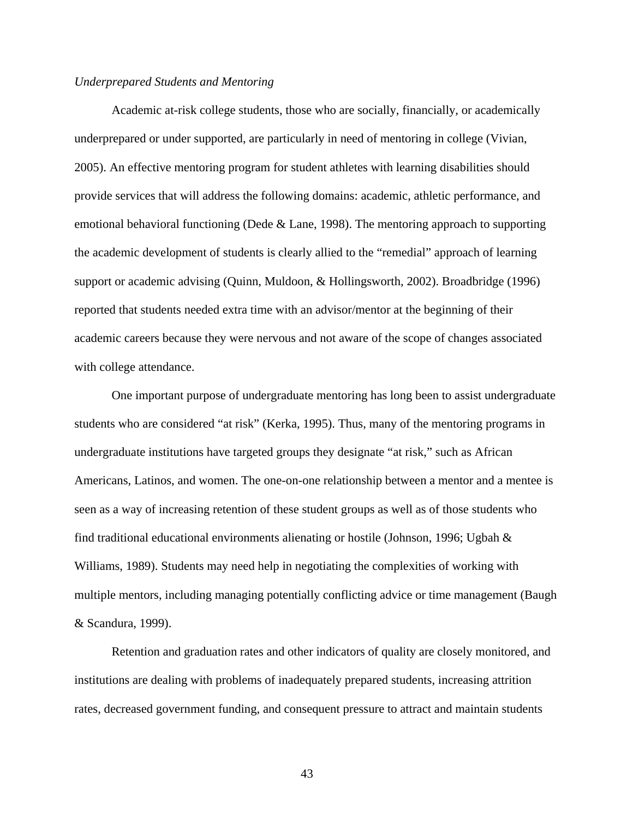#### *Underprepared Students and Mentoring*

Academic at-risk college students, those who are socially, financially, or academically underprepared or under supported, are particularly in need of mentoring in college (Vivian, 2005). An effective mentoring program for student athletes with learning disabilities should provide services that will address the following domains: academic, athletic performance, and emotional behavioral functioning (Dede & Lane, 1998). The mentoring approach to supporting the academic development of students is clearly allied to the "remedial" approach of learning support or academic advising (Quinn, Muldoon, & Hollingsworth, 2002). Broadbridge (1996) reported that students needed extra time with an advisor/mentor at the beginning of their academic careers because they were nervous and not aware of the scope of changes associated with college attendance.

One important purpose of undergraduate mentoring has long been to assist undergraduate students who are considered "at risk" (Kerka, 1995). Thus, many of the mentoring programs in undergraduate institutions have targeted groups they designate "at risk," such as African Americans, Latinos, and women. The one-on-one relationship between a mentor and a mentee is seen as a way of increasing retention of these student groups as well as of those students who find traditional educational environments alienating or hostile (Johnson, 1996; Ugbah  $\&$ Williams, 1989). Students may need help in negotiating the complexities of working with multiple mentors, including managing potentially conflicting advice or time management (Baugh & Scandura, 1999).

Retention and graduation rates and other indicators of quality are closely monitored, and institutions are dealing with problems of inadequately prepared students, increasing attrition rates, decreased government funding, and consequent pressure to attract and maintain students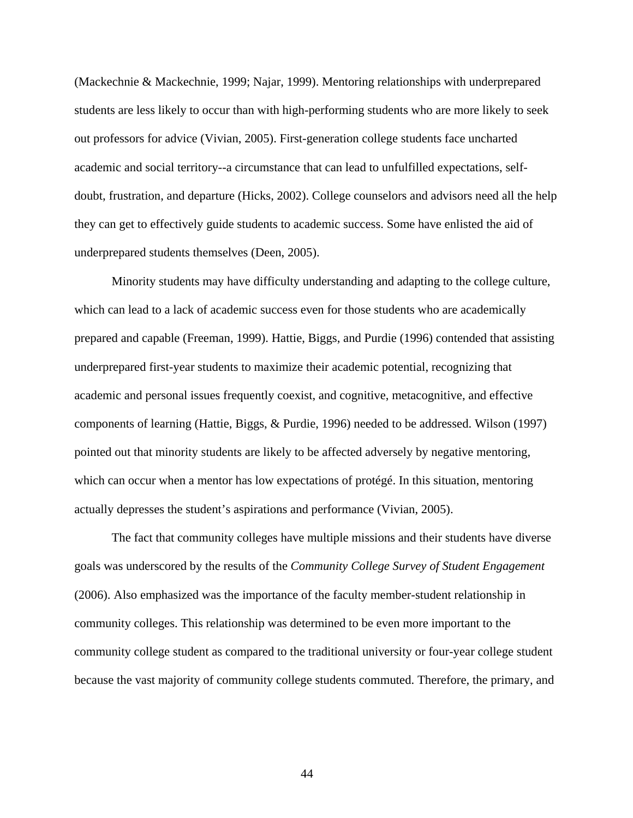(Mackechnie & Mackechnie, 1999; Najar, 1999). Mentoring relationships with underprepared students are less likely to occur than with high-performing students who are more likely to seek out professors for advice (Vivian, 2005). First-generation college students face uncharted academic and social territory--a circumstance that can lead to unfulfilled expectations, selfdoubt, frustration, and departure (Hicks, 2002). College counselors and advisors need all the help they can get to effectively guide students to academic success. Some have enlisted the aid of underprepared students themselves (Deen, 2005).

Minority students may have difficulty understanding and adapting to the college culture, which can lead to a lack of academic success even for those students who are academically prepared and capable (Freeman, 1999). Hattie, Biggs, and Purdie (1996) contended that assisting underprepared first-year students to maximize their academic potential, recognizing that academic and personal issues frequently coexist, and cognitive, metacognitive, and effective components of learning (Hattie, Biggs, & Purdie, 1996) needed to be addressed. Wilson (1997) pointed out that minority students are likely to be affected adversely by negative mentoring, which can occur when a mentor has low expectations of protégé. In this situation, mentoring actually depresses the student's aspirations and performance (Vivian, 2005).

The fact that community colleges have multiple missions and their students have diverse goals was underscored by the results of the *Community College Survey of Student Engagement*  (2006). Also emphasized was the importance of the faculty member-student relationship in community colleges. This relationship was determined to be even more important to the community college student as compared to the traditional university or four-year college student because the vast majority of community college students commuted. Therefore, the primary, and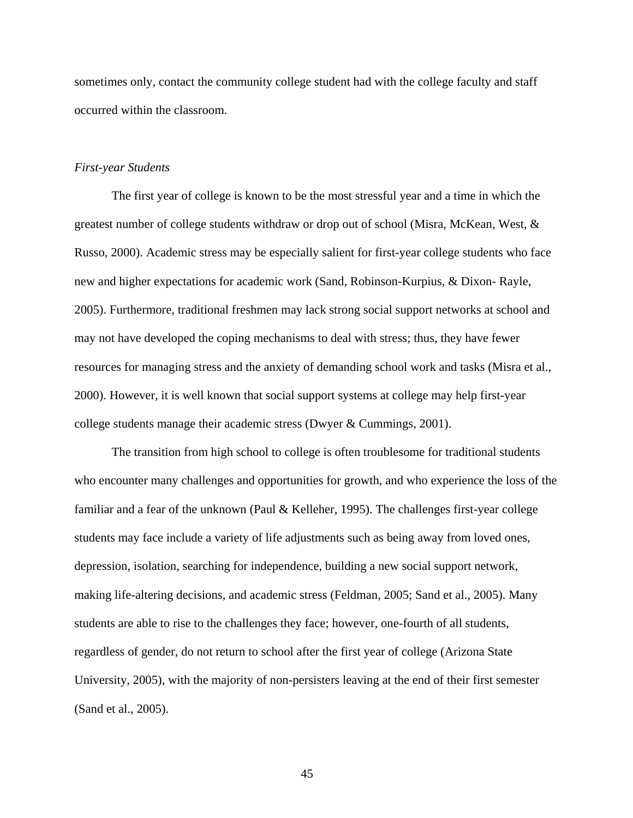sometimes only, contact the community college student had with the college faculty and staff occurred within the classroom.

### *First-year Students*

The first year of college is known to be the most stressful year and a time in which the greatest number of college students withdraw or drop out of school (Misra, McKean, West, & Russo, 2000). Academic stress may be especially salient for first-year college students who face new and higher expectations for academic work (Sand, Robinson-Kurpius, & Dixon- Rayle, 2005). Furthermore, traditional freshmen may lack strong social support networks at school and may not have developed the coping mechanisms to deal with stress; thus, they have fewer resources for managing stress and the anxiety of demanding school work and tasks (Misra et al., 2000). However, it is well known that social support systems at college may help first-year college students manage their academic stress (Dwyer & Cummings, 2001).

The transition from high school to college is often troublesome for traditional students who encounter many challenges and opportunities for growth, and who experience the loss of the familiar and a fear of the unknown (Paul & Kelleher, 1995). The challenges first-year college students may face include a variety of life adjustments such as being away from loved ones, depression, isolation, searching for independence, building a new social support network, making life-altering decisions, and academic stress (Feldman, 2005; Sand et al., 2005). Many students are able to rise to the challenges they face; however, one-fourth of all students, regardless of gender, do not return to school after the first year of college (Arizona State University, 2005), with the majority of non-persisters leaving at the end of their first semester (Sand et al., 2005).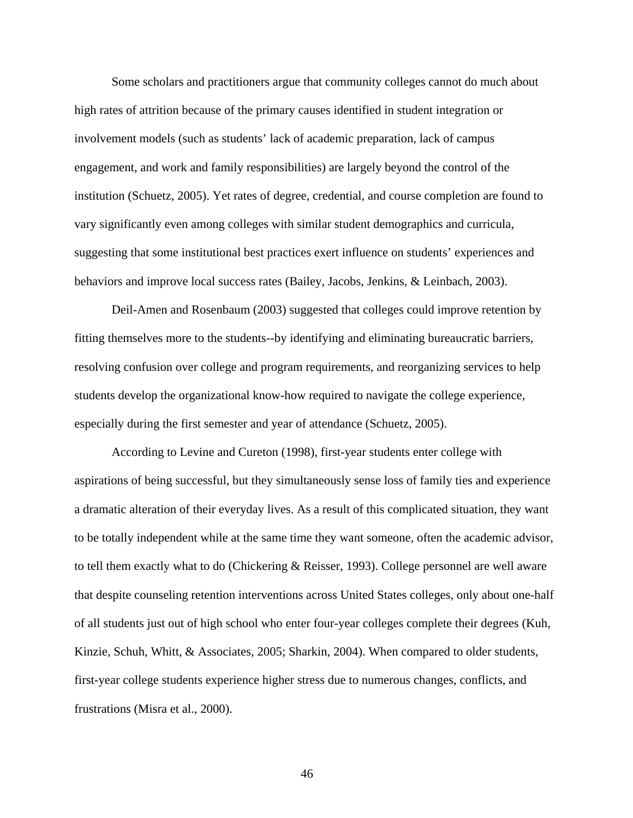Some scholars and practitioners argue that community colleges cannot do much about high rates of attrition because of the primary causes identified in student integration or involvement models (such as students' lack of academic preparation, lack of campus engagement, and work and family responsibilities) are largely beyond the control of the institution (Schuetz, 2005). Yet rates of degree, credential, and course completion are found to vary significantly even among colleges with similar student demographics and curricula, suggesting that some institutional best practices exert influence on students' experiences and behaviors and improve local success rates (Bailey, Jacobs, Jenkins, & Leinbach, 2003).

Deil-Amen and Rosenbaum (2003) suggested that colleges could improve retention by fitting themselves more to the students--by identifying and eliminating bureaucratic barriers, resolving confusion over college and program requirements, and reorganizing services to help students develop the organizational know-how required to navigate the college experience, especially during the first semester and year of attendance (Schuetz, 2005).

According to Levine and Cureton (1998), first-year students enter college with aspirations of being successful, but they simultaneously sense loss of family ties and experience a dramatic alteration of their everyday lives. As a result of this complicated situation, they want to be totally independent while at the same time they want someone, often the academic advisor, to tell them exactly what to do (Chickering & Reisser, 1993). College personnel are well aware that despite counseling retention interventions across United States colleges, only about one-half of all students just out of high school who enter four-year colleges complete their degrees (Kuh, Kinzie, Schuh, Whitt, & Associates, 2005; Sharkin, 2004). When compared to older students, first-year college students experience higher stress due to numerous changes, conflicts, and frustrations (Misra et al., 2000).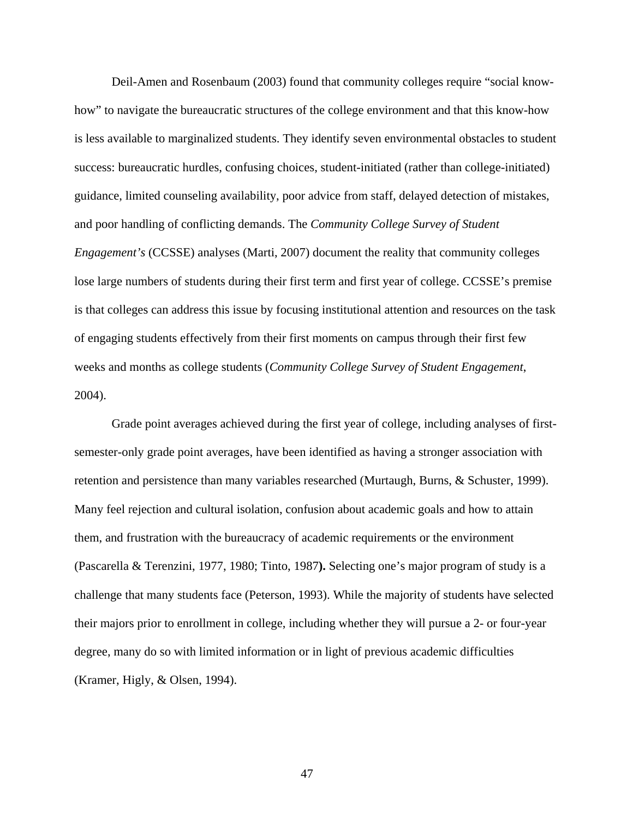Deil-Amen and Rosenbaum (2003) found that community colleges require "social knowhow" to navigate the bureaucratic structures of the college environment and that this know-how is less available to marginalized students. They identify seven environmental obstacles to student success: bureaucratic hurdles, confusing choices, student-initiated (rather than college-initiated) guidance, limited counseling availability, poor advice from staff, delayed detection of mistakes, and poor handling of conflicting demands. The *Community College Survey of Student Engagement's* (CCSSE) analyses (Marti, 2007) document the reality that community colleges lose large numbers of students during their first term and first year of college. CCSSE's premise is that colleges can address this issue by focusing institutional attention and resources on the task of engaging students effectively from their first moments on campus through their first few weeks and months as college students (*Community College Survey of Student Engagement*, 2004).

Grade point averages achieved during the first year of college, including analyses of firstsemester-only grade point averages, have been identified as having a stronger association with retention and persistence than many variables researched (Murtaugh, Burns, & Schuster, 1999). Many feel rejection and cultural isolation, confusion about academic goals and how to attain them, and frustration with the bureaucracy of academic requirements or the environment (Pascarella & Terenzini, 1977, 1980; Tinto, 1987**).** Selecting one's major program of study is a challenge that many students face (Peterson, 1993). While the majority of students have selected their majors prior to enrollment in college, including whether they will pursue a 2- or four-year degree, many do so with limited information or in light of previous academic difficulties (Kramer, Higly, & Olsen, 1994).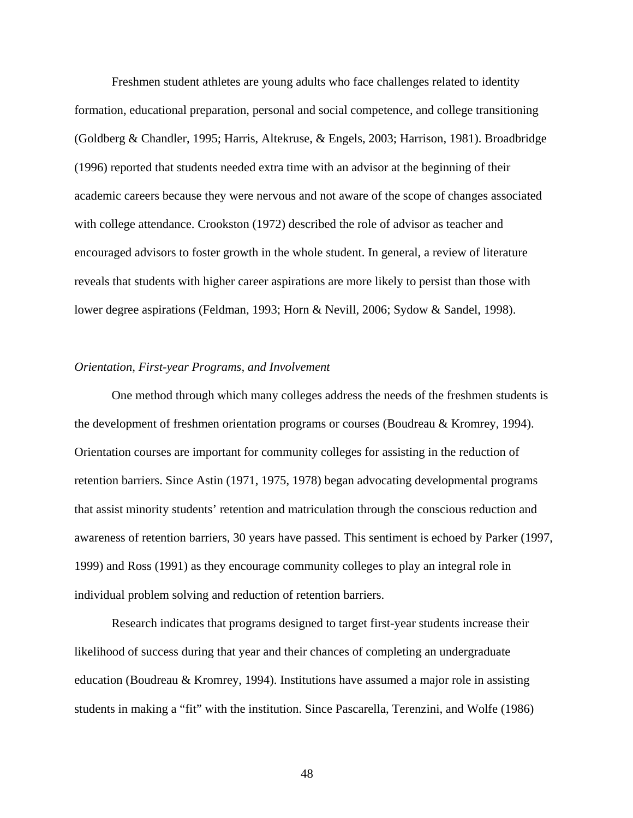Freshmen student athletes are young adults who face challenges related to identity formation, educational preparation, personal and social competence, and college transitioning (Goldberg & Chandler, 1995; Harris, Altekruse, & Engels, 2003; Harrison, 1981). Broadbridge (1996) reported that students needed extra time with an advisor at the beginning of their academic careers because they were nervous and not aware of the scope of changes associated with college attendance. Crookston (1972) described the role of advisor as teacher and encouraged advisors to foster growth in the whole student. In general, a review of literature reveals that students with higher career aspirations are more likely to persist than those with lower degree aspirations (Feldman, 1993; Horn & Nevill, 2006; Sydow & Sandel, 1998).

#### *Orientation, First-year Programs, and Involvement*

One method through which many colleges address the needs of the freshmen students is the development of freshmen orientation programs or courses (Boudreau & Kromrey, 1994). Orientation courses are important for community colleges for assisting in the reduction of retention barriers. Since Astin (1971, 1975, 1978) began advocating developmental programs that assist minority students' retention and matriculation through the conscious reduction and awareness of retention barriers, 30 years have passed. This sentiment is echoed by Parker (1997, 1999) and Ross (1991) as they encourage community colleges to play an integral role in individual problem solving and reduction of retention barriers.

Research indicates that programs designed to target first-year students increase their likelihood of success during that year and their chances of completing an undergraduate education (Boudreau & Kromrey, 1994). Institutions have assumed a major role in assisting students in making a "fit" with the institution. Since Pascarella, Terenzini, and Wolfe (1986)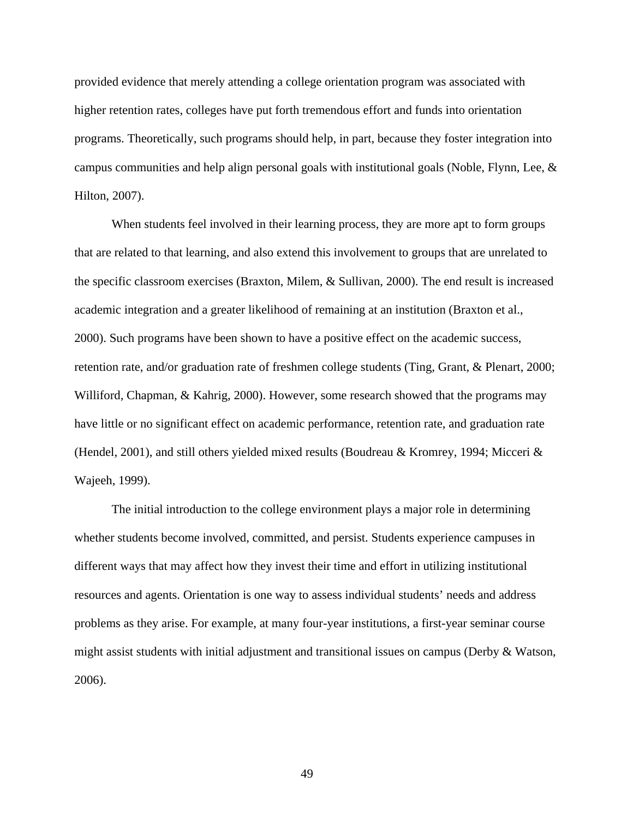provided evidence that merely attending a college orientation program was associated with higher retention rates, colleges have put forth tremendous effort and funds into orientation programs. Theoretically, such programs should help, in part, because they foster integration into campus communities and help align personal goals with institutional goals (Noble, Flynn, Lee, & Hilton, 2007).

 When students feel involved in their learning process, they are more apt to form groups that are related to that learning, and also extend this involvement to groups that are unrelated to the specific classroom exercises (Braxton, Milem, & Sullivan, 2000). The end result is increased academic integration and a greater likelihood of remaining at an institution (Braxton et al., 2000). Such programs have been shown to have a positive effect on the academic success, retention rate, and/or graduation rate of freshmen college students (Ting, Grant, & Plenart, 2000; Williford, Chapman, & Kahrig, 2000). However, some research showed that the programs may have little or no significant effect on academic performance, retention rate, and graduation rate (Hendel, 2001), and still others yielded mixed results (Boudreau & Kromrey, 1994; Micceri  $\&$ Wajeeh, 1999).

The initial introduction to the college environment plays a major role in determining whether students become involved, committed, and persist. Students experience campuses in different ways that may affect how they invest their time and effort in utilizing institutional resources and agents. Orientation is one way to assess individual students' needs and address problems as they arise. For example, at many four-year institutions, a first-year seminar course might assist students with initial adjustment and transitional issues on campus (Derby & Watson, 2006).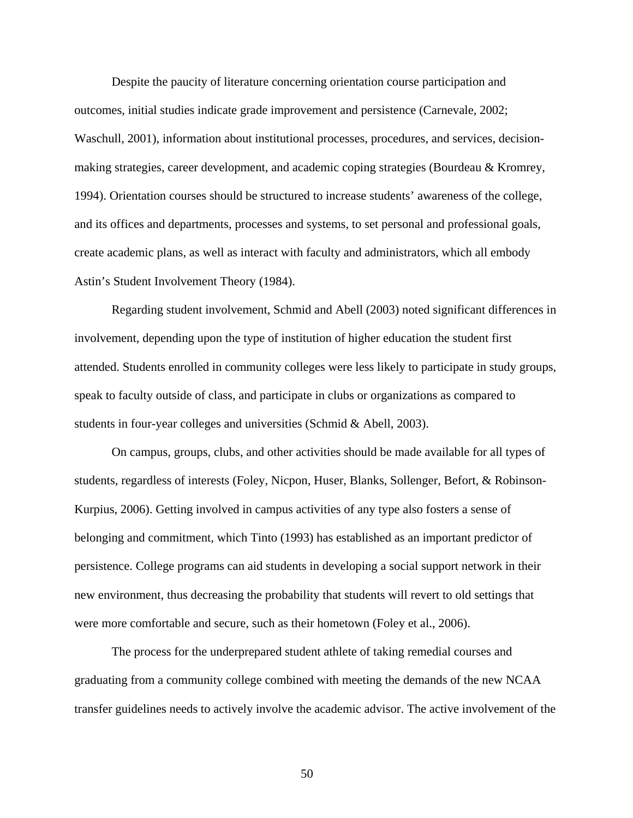Despite the paucity of literature concerning orientation course participation and outcomes, initial studies indicate grade improvement and persistence (Carnevale, 2002; Waschull, 2001), information about institutional processes, procedures, and services, decisionmaking strategies, career development, and academic coping strategies (Bourdeau & Kromrey, 1994). Orientation courses should be structured to increase students' awareness of the college, and its offices and departments, processes and systems, to set personal and professional goals, create academic plans, as well as interact with faculty and administrators, which all embody Astin's Student Involvement Theory (1984).

Regarding student involvement, Schmid and Abell (2003) noted significant differences in involvement, depending upon the type of institution of higher education the student first attended. Students enrolled in community colleges were less likely to participate in study groups, speak to faculty outside of class, and participate in clubs or organizations as compared to students in four-year colleges and universities (Schmid & Abell, 2003).

On campus, groups, clubs, and other activities should be made available for all types of students, regardless of interests (Foley, Nicpon, Huser, Blanks, Sollenger, Befort, & Robinson-Kurpius, 2006). Getting involved in campus activities of any type also fosters a sense of belonging and commitment, which Tinto (1993) has established as an important predictor of persistence. College programs can aid students in developing a social support network in their new environment, thus decreasing the probability that students will revert to old settings that were more comfortable and secure, such as their hometown (Foley et al., 2006).

The process for the underprepared student athlete of taking remedial courses and graduating from a community college combined with meeting the demands of the new NCAA transfer guidelines needs to actively involve the academic advisor. The active involvement of the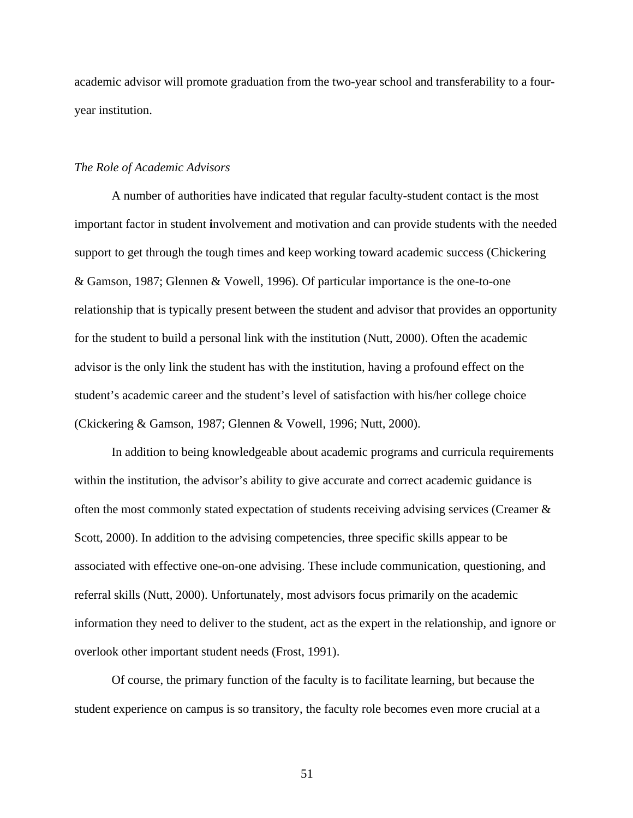academic advisor will promote graduation from the two-year school and transferability to a fouryear institution.

### *The Role of Academic Advisors*

A number of authorities have indicated that regular faculty-student contact is the most important factor in student **i**nvolvement and motivation and can provide students with the needed support to get through the tough times and keep working toward academic success (Chickering & Gamson, 1987; Glennen & Vowell, 1996). Of particular importance is the one-to-one relationship that is typically present between the student and advisor that provides an opportunity for the student to build a personal link with the institution (Nutt, 2000). Often the academic advisor is the only link the student has with the institution, having a profound effect on the student's academic career and the student's level of satisfaction with his/her college choice (Ckickering & Gamson, 1987; Glennen & Vowell, 1996; Nutt, 2000).

In addition to being knowledgeable about academic programs and curricula requirements within the institution, the advisor's ability to give accurate and correct academic guidance is often the most commonly stated expectation of students receiving advising services (Creamer  $\&$ Scott, 2000). In addition to the advising competencies, three specific skills appear to be associated with effective one-on-one advising. These include communication, questioning, and referral skills (Nutt, 2000). Unfortunately, most advisors focus primarily on the academic information they need to deliver to the student, act as the expert in the relationship, and ignore or overlook other important student needs (Frost, 1991).

 Of course, the primary function of the faculty is to facilitate learning, but because the student experience on campus is so transitory, the faculty role becomes even more crucial at a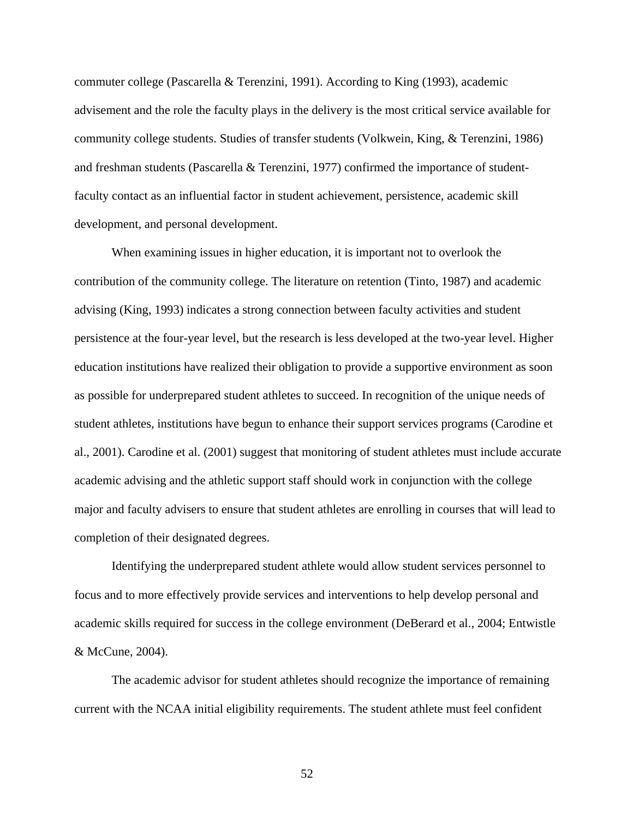commuter college (Pascarella & Terenzini, 1991). According to King (1993), academic advisement and the role the faculty plays in the delivery is the most critical service available for community college students. Studies of transfer students (Volkwein, King, & Terenzini, 1986) and freshman students (Pascarella & Terenzini, 1977) confirmed the importance of studentfaculty contact as an influential factor in student achievement, persistence, academic skill development, and personal development.

 When examining issues in higher education, it is important not to overlook the contribution of the community college. The literature on retention (Tinto, 1987) and academic advising (King, 1993) indicates a strong connection between faculty activities and student persistence at the four-year level, but the research is less developed at the two-year level. Higher education institutions have realized their obligation to provide a supportive environment as soon as possible for underprepared student athletes to succeed. In recognition of the unique needs of student athletes, institutions have begun to enhance their support services programs (Carodine et al., 2001). Carodine et al. (2001) suggest that monitoring of student athletes must include accurate academic advising and the athletic support staff should work in conjunction with the college major and faculty advisers to ensure that student athletes are enrolling in courses that will lead to completion of their designated degrees.

Identifying the underprepared student athlete would allow student services personnel to focus and to more effectively provide services and interventions to help develop personal and academic skills required for success in the college environment (DeBerard et al., 2004; Entwistle & McCune, 2004).

The academic advisor for student athletes should recognize the importance of remaining current with the NCAA initial eligibility requirements. The student athlete must feel confident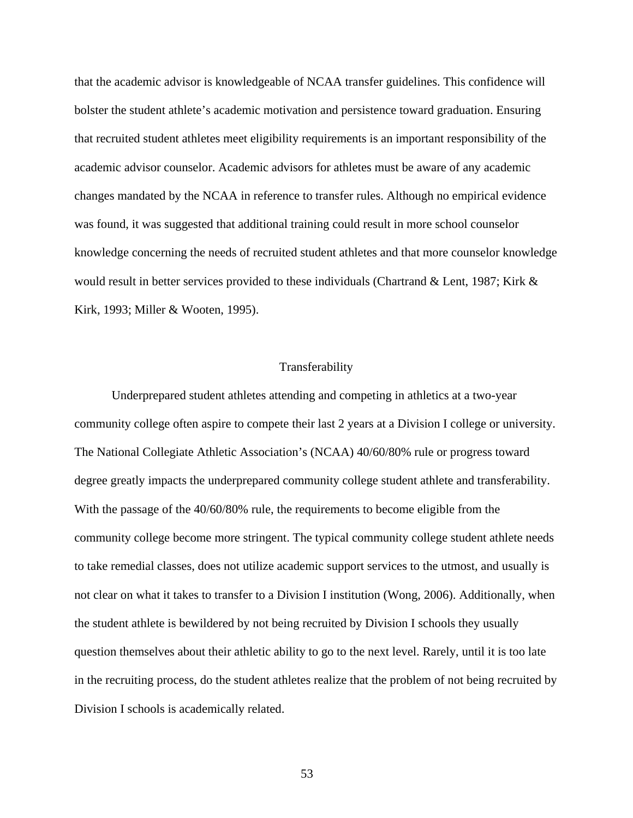that the academic advisor is knowledgeable of NCAA transfer guidelines. This confidence will bolster the student athlete's academic motivation and persistence toward graduation. Ensuring that recruited student athletes meet eligibility requirements is an important responsibility of the academic advisor counselor. Academic advisors for athletes must be aware of any academic changes mandated by the NCAA in reference to transfer rules. Although no empirical evidence was found, it was suggested that additional training could result in more school counselor knowledge concerning the needs of recruited student athletes and that more counselor knowledge would result in better services provided to these individuals (Chartrand & Lent, 1987; Kirk & Kirk, 1993; Miller & Wooten, 1995).

## Transferability

Underprepared student athletes attending and competing in athletics at a two-year community college often aspire to compete their last 2 years at a Division I college or university. The National Collegiate Athletic Association's (NCAA) 40/60/80% rule or progress toward degree greatly impacts the underprepared community college student athlete and transferability. With the passage of the  $40/60/80\%$  rule, the requirements to become eligible from the community college become more stringent. The typical community college student athlete needs to take remedial classes, does not utilize academic support services to the utmost, and usually is not clear on what it takes to transfer to a Division I institution (Wong, 2006). Additionally, when the student athlete is bewildered by not being recruited by Division I schools they usually question themselves about their athletic ability to go to the next level. Rarely, until it is too late in the recruiting process, do the student athletes realize that the problem of not being recruited by Division I schools is academically related.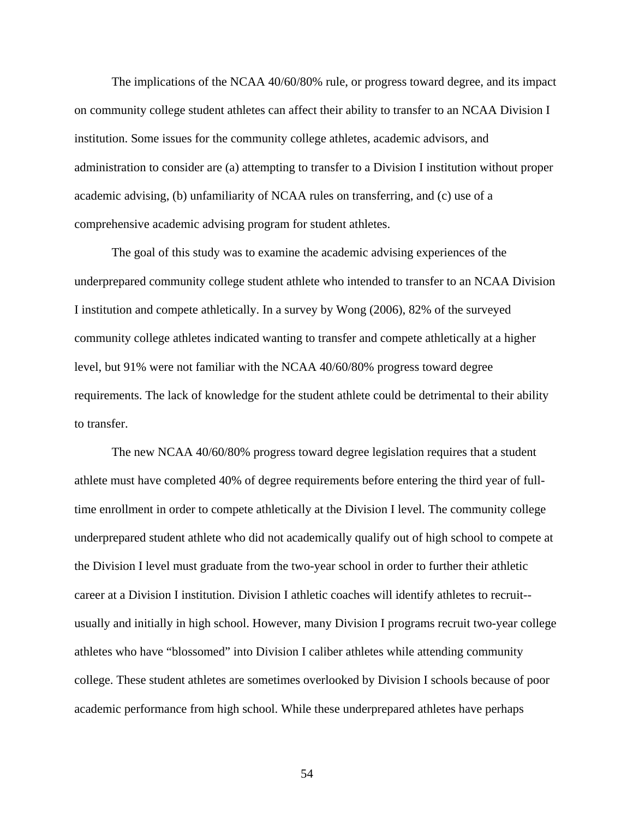The implications of the NCAA 40/60/80% rule, or progress toward degree, and its impact on community college student athletes can affect their ability to transfer to an NCAA Division I institution. Some issues for the community college athletes, academic advisors, and administration to consider are (a) attempting to transfer to a Division I institution without proper academic advising, (b) unfamiliarity of NCAA rules on transferring, and (c) use of a comprehensive academic advising program for student athletes.

The goal of this study was to examine the academic advising experiences of the underprepared community college student athlete who intended to transfer to an NCAA Division I institution and compete athletically. In a survey by Wong (2006), 82% of the surveyed community college athletes indicated wanting to transfer and compete athletically at a higher level, but 91% were not familiar with the NCAA 40/60/80% progress toward degree requirements. The lack of knowledge for the student athlete could be detrimental to their ability to transfer.

The new NCAA 40/60/80% progress toward degree legislation requires that a student athlete must have completed 40% of degree requirements before entering the third year of fulltime enrollment in order to compete athletically at the Division I level. The community college underprepared student athlete who did not academically qualify out of high school to compete at the Division I level must graduate from the two-year school in order to further their athletic career at a Division I institution. Division I athletic coaches will identify athletes to recruit- usually and initially in high school. However, many Division I programs recruit two-year college athletes who have "blossomed" into Division I caliber athletes while attending community college. These student athletes are sometimes overlooked by Division I schools because of poor academic performance from high school. While these underprepared athletes have perhaps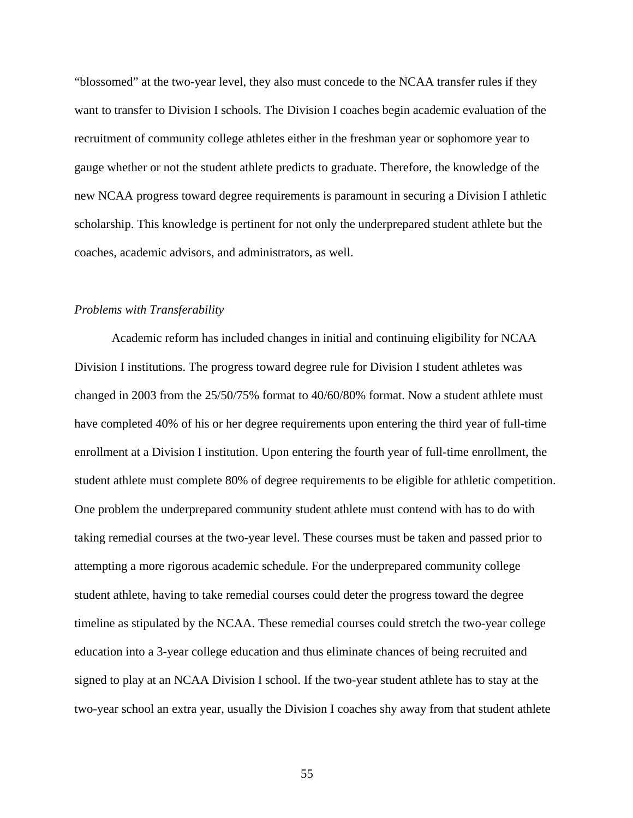"blossomed" at the two-year level, they also must concede to the NCAA transfer rules if they want to transfer to Division I schools. The Division I coaches begin academic evaluation of the recruitment of community college athletes either in the freshman year or sophomore year to gauge whether or not the student athlete predicts to graduate. Therefore, the knowledge of the new NCAA progress toward degree requirements is paramount in securing a Division I athletic scholarship. This knowledge is pertinent for not only the underprepared student athlete but the coaches, academic advisors, and administrators, as well.

#### *Problems with Transferability*

Academic reform has included changes in initial and continuing eligibility for NCAA Division I institutions. The progress toward degree rule for Division I student athletes was changed in 2003 from the 25/50/75% format to 40/60/80% format. Now a student athlete must have completed 40% of his or her degree requirements upon entering the third year of full-time enrollment at a Division I institution. Upon entering the fourth year of full-time enrollment, the student athlete must complete 80% of degree requirements to be eligible for athletic competition. One problem the underprepared community student athlete must contend with has to do with taking remedial courses at the two-year level. These courses must be taken and passed prior to attempting a more rigorous academic schedule. For the underprepared community college student athlete, having to take remedial courses could deter the progress toward the degree timeline as stipulated by the NCAA. These remedial courses could stretch the two-year college education into a 3-year college education and thus eliminate chances of being recruited and signed to play at an NCAA Division I school. If the two-year student athlete has to stay at the two-year school an extra year, usually the Division I coaches shy away from that student athlete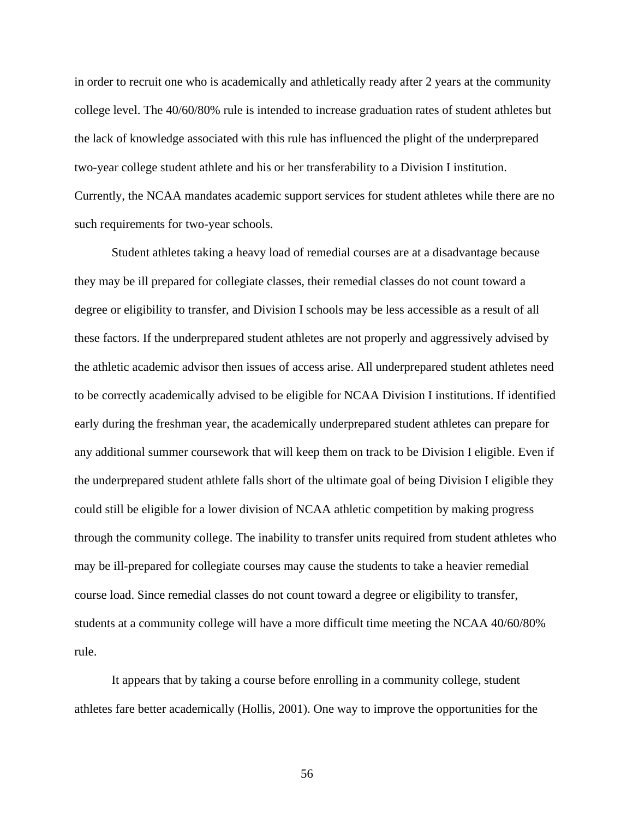in order to recruit one who is academically and athletically ready after 2 years at the community college level. The 40/60/80% rule is intended to increase graduation rates of student athletes but the lack of knowledge associated with this rule has influenced the plight of the underprepared two-year college student athlete and his or her transferability to a Division I institution. Currently, the NCAA mandates academic support services for student athletes while there are no such requirements for two-year schools.

 Student athletes taking a heavy load of remedial courses are at a disadvantage because they may be ill prepared for collegiate classes, their remedial classes do not count toward a degree or eligibility to transfer, and Division I schools may be less accessible as a result of all these factors. If the underprepared student athletes are not properly and aggressively advised by the athletic academic advisor then issues of access arise. All underprepared student athletes need to be correctly academically advised to be eligible for NCAA Division I institutions. If identified early during the freshman year, the academically underprepared student athletes can prepare for any additional summer coursework that will keep them on track to be Division I eligible. Even if the underprepared student athlete falls short of the ultimate goal of being Division I eligible they could still be eligible for a lower division of NCAA athletic competition by making progress through the community college. The inability to transfer units required from student athletes who may be ill-prepared for collegiate courses may cause the students to take a heavier remedial course load. Since remedial classes do not count toward a degree or eligibility to transfer, students at a community college will have a more difficult time meeting the NCAA 40/60/80% rule.

 It appears that by taking a course before enrolling in a community college, student athletes fare better academically (Hollis, 2001). One way to improve the opportunities for the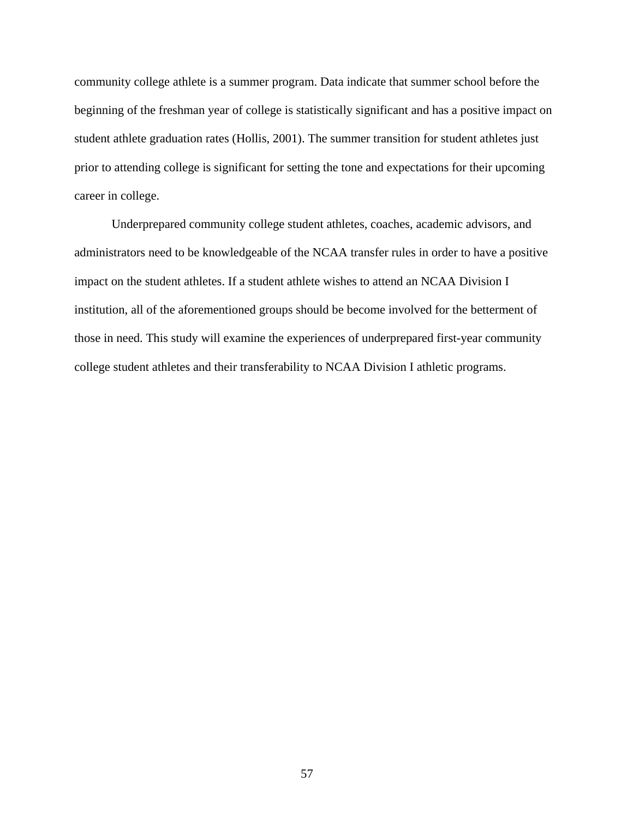community college athlete is a summer program. Data indicate that summer school before the beginning of the freshman year of college is statistically significant and has a positive impact on student athlete graduation rates (Hollis, 2001). The summer transition for student athletes just prior to attending college is significant for setting the tone and expectations for their upcoming career in college.

Underprepared community college student athletes, coaches, academic advisors, and administrators need to be knowledgeable of the NCAA transfer rules in order to have a positive impact on the student athletes. If a student athlete wishes to attend an NCAA Division I institution, all of the aforementioned groups should be become involved for the betterment of those in need. This study will examine the experiences of underprepared first-year community college student athletes and their transferability to NCAA Division I athletic programs.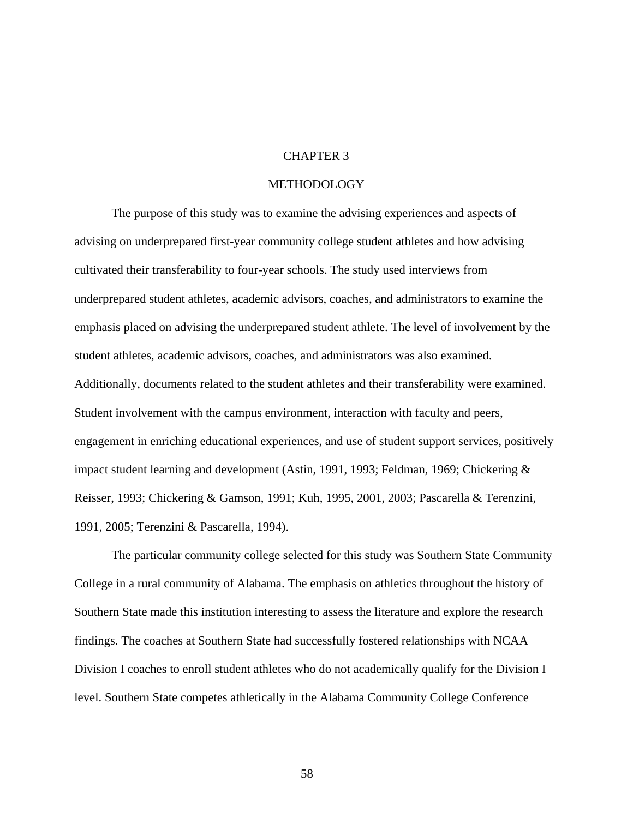## CHAPTER 3

## METHODOLOGY

The purpose of this study was to examine the advising experiences and aspects of advising on underprepared first-year community college student athletes and how advising cultivated their transferability to four-year schools. The study used interviews from underprepared student athletes, academic advisors, coaches, and administrators to examine the emphasis placed on advising the underprepared student athlete. The level of involvement by the student athletes, academic advisors, coaches, and administrators was also examined. Additionally, documents related to the student athletes and their transferability were examined. Student involvement with the campus environment, interaction with faculty and peers, engagement in enriching educational experiences, and use of student support services, positively impact student learning and development (Astin, 1991, 1993; Feldman, 1969; Chickering & Reisser, 1993; Chickering & Gamson, 1991; Kuh, 1995, 2001, 2003; Pascarella & Terenzini, 1991, 2005; Terenzini & Pascarella, 1994).

The particular community college selected for this study was Southern State Community College in a rural community of Alabama. The emphasis on athletics throughout the history of Southern State made this institution interesting to assess the literature and explore the research findings. The coaches at Southern State had successfully fostered relationships with NCAA Division I coaches to enroll student athletes who do not academically qualify for the Division I level. Southern State competes athletically in the Alabama Community College Conference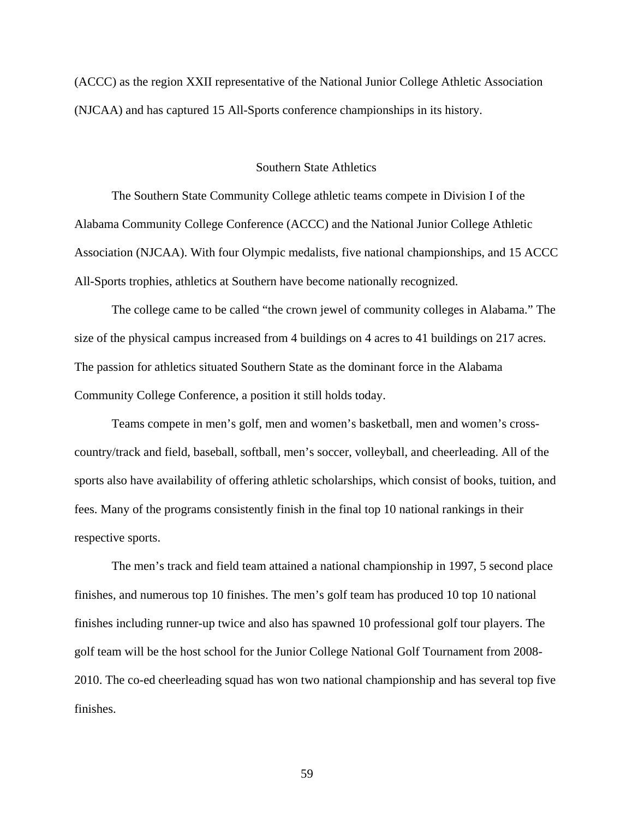(ACCC) as the region XXII representative of the National Junior College Athletic Association (NJCAA) and has captured 15 All-Sports conference championships in its history.

#### Southern State Athletics

 The Southern State Community College athletic teams compete in Division I of the Alabama Community College Conference (ACCC) and the National Junior College Athletic Association (NJCAA). With four Olympic medalists, five national championships, and 15 ACCC All-Sports trophies, athletics at Southern have become nationally recognized.

 The college came to be called "the crown jewel of community colleges in Alabama." The size of the physical campus increased from 4 buildings on 4 acres to 41 buildings on 217 acres. The passion for athletics situated Southern State as the dominant force in the Alabama Community College Conference, a position it still holds today.

 Teams compete in men's golf, men and women's basketball, men and women's crosscountry/track and field, baseball, softball, men's soccer, volleyball, and cheerleading. All of the sports also have availability of offering athletic scholarships, which consist of books, tuition, and fees. Many of the programs consistently finish in the final top 10 national rankings in their respective sports.

 The men's track and field team attained a national championship in 1997, 5 second place finishes, and numerous top 10 finishes. The men's golf team has produced 10 top 10 national finishes including runner-up twice and also has spawned 10 professional golf tour players. The golf team will be the host school for the Junior College National Golf Tournament from 2008- 2010. The co-ed cheerleading squad has won two national championship and has several top five finishes.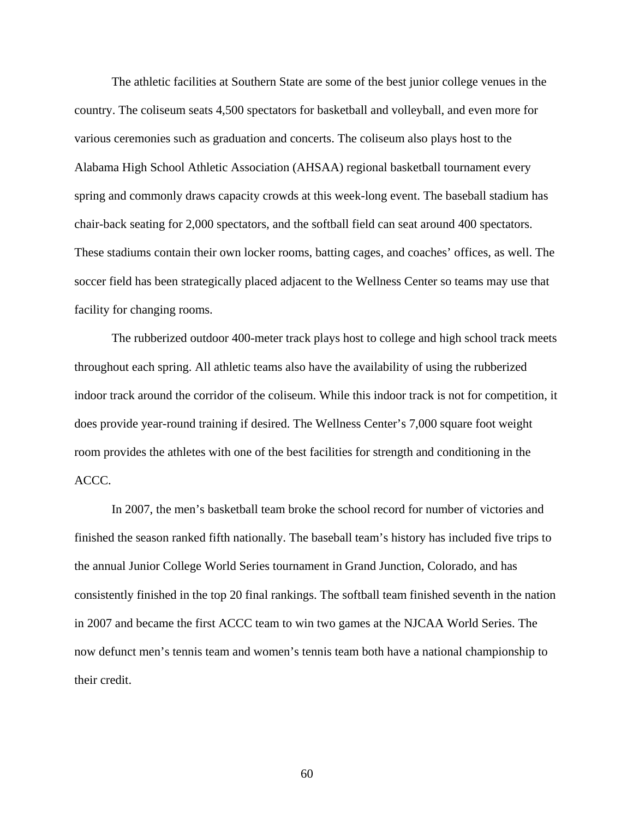The athletic facilities at Southern State are some of the best junior college venues in the country. The coliseum seats 4,500 spectators for basketball and volleyball, and even more for various ceremonies such as graduation and concerts. The coliseum also plays host to the Alabama High School Athletic Association (AHSAA) regional basketball tournament every spring and commonly draws capacity crowds at this week-long event. The baseball stadium has chair-back seating for 2,000 spectators, and the softball field can seat around 400 spectators. These stadiums contain their own locker rooms, batting cages, and coaches' offices, as well. The soccer field has been strategically placed adjacent to the Wellness Center so teams may use that facility for changing rooms.

 The rubberized outdoor 400-meter track plays host to college and high school track meets throughout each spring. All athletic teams also have the availability of using the rubberized indoor track around the corridor of the coliseum. While this indoor track is not for competition, it does provide year-round training if desired. The Wellness Center's 7,000 square foot weight room provides the athletes with one of the best facilities for strength and conditioning in the ACCC.

 In 2007, the men's basketball team broke the school record for number of victories and finished the season ranked fifth nationally. The baseball team's history has included five trips to the annual Junior College World Series tournament in Grand Junction, Colorado, and has consistently finished in the top 20 final rankings. The softball team finished seventh in the nation in 2007 and became the first ACCC team to win two games at the NJCAA World Series. The now defunct men's tennis team and women's tennis team both have a national championship to their credit.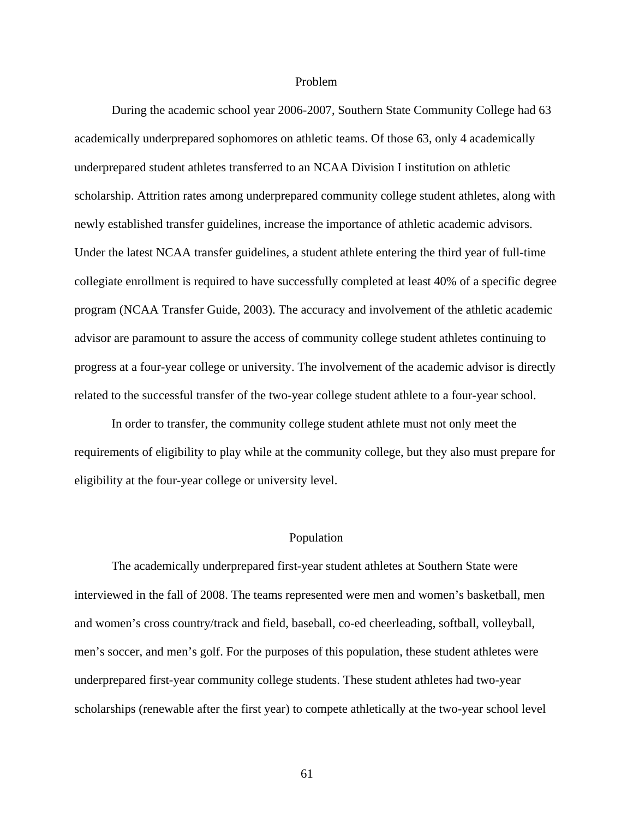#### Problem

During the academic school year 2006-2007, Southern State Community College had 63 academically underprepared sophomores on athletic teams. Of those 63, only 4 academically underprepared student athletes transferred to an NCAA Division I institution on athletic scholarship. Attrition rates among underprepared community college student athletes, along with newly established transfer guidelines, increase the importance of athletic academic advisors. Under the latest NCAA transfer guidelines, a student athlete entering the third year of full-time collegiate enrollment is required to have successfully completed at least 40% of a specific degree program (NCAA Transfer Guide, 2003). The accuracy and involvement of the athletic academic advisor are paramount to assure the access of community college student athletes continuing to progress at a four-year college or university. The involvement of the academic advisor is directly related to the successful transfer of the two-year college student athlete to a four-year school.

In order to transfer, the community college student athlete must not only meet the requirements of eligibility to play while at the community college, but they also must prepare for eligibility at the four-year college or university level.

#### Population

The academically underprepared first-year student athletes at Southern State were interviewed in the fall of 2008. The teams represented were men and women's basketball, men and women's cross country/track and field, baseball, co-ed cheerleading, softball, volleyball, men's soccer, and men's golf. For the purposes of this population, these student athletes were underprepared first-year community college students. These student athletes had two-year scholarships (renewable after the first year) to compete athletically at the two-year school level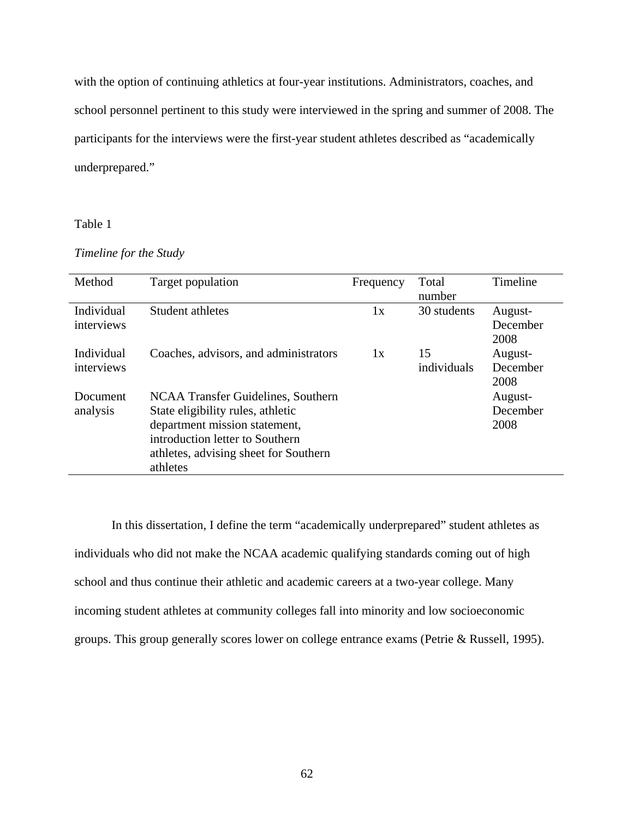with the option of continuing athletics at four-year institutions. Administrators, coaches, and school personnel pertinent to this study were interviewed in the spring and summer of 2008. The participants for the interviews were the first-year student athletes described as "academically underprepared."

## Table 1

## *Timeline for the Study*

| Method                   | Target population                                                                                                                                                                                | Frequency | Total<br>number   | Timeline                    |
|--------------------------|--------------------------------------------------------------------------------------------------------------------------------------------------------------------------------------------------|-----------|-------------------|-----------------------------|
| Individual<br>interviews | Student athletes                                                                                                                                                                                 | 1x        | 30 students       | August-<br>December<br>2008 |
| Individual<br>interviews | Coaches, advisors, and administrators                                                                                                                                                            | 1x        | 15<br>individuals | August-<br>December<br>2008 |
| Document<br>analysis     | NCAA Transfer Guidelines, Southern<br>State eligibility rules, athletic<br>department mission statement,<br>introduction letter to Southern<br>athletes, advising sheet for Southern<br>athletes |           |                   | August-<br>December<br>2008 |

In this dissertation, I define the term "academically underprepared" student athletes as individuals who did not make the NCAA academic qualifying standards coming out of high school and thus continue their athletic and academic careers at a two-year college. Many incoming student athletes at community colleges fall into minority and low socioeconomic groups. This group generally scores lower on college entrance exams (Petrie & Russell, 1995).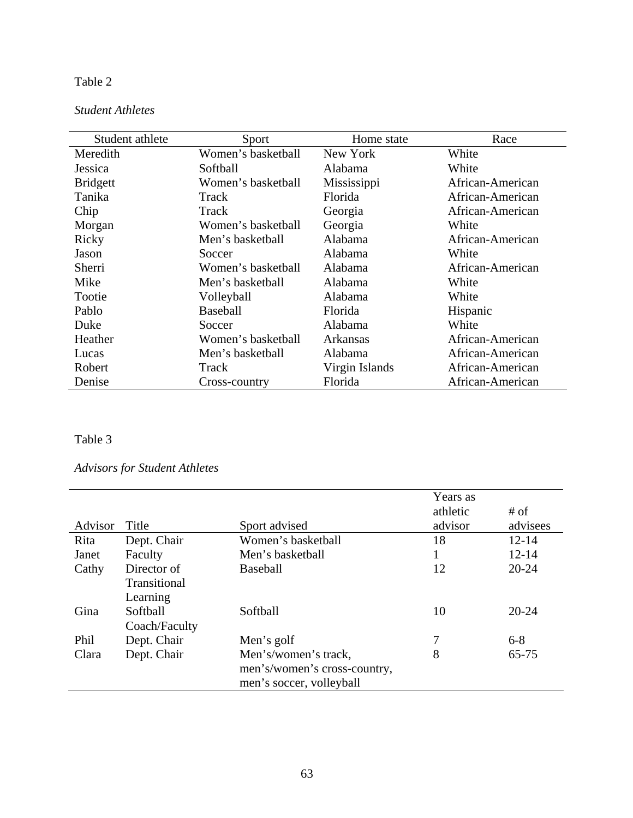## Table 2

## *Student Athletes*

| Student athlete | Sport              | Home state     | Race             |
|-----------------|--------------------|----------------|------------------|
| Meredith        | Women's basketball | New York       | White            |
| Jessica         | Softball           | Alabama        | White            |
| <b>Bridgett</b> | Women's basketball | Mississippi    | African-American |
| Tanika          | Track              | Florida        | African-American |
| Chip            | Track              | Georgia        | African-American |
| Morgan          | Women's basketball | Georgia        | White            |
| Ricky           | Men's basketball   | Alabama        | African-American |
| Jason           | Soccer             | Alabama        | White            |
| Sherri          | Women's basketball | Alabama        | African-American |
| Mike            | Men's basketball   | Alabama        | White            |
| Tootie          | Volleyball         | Alabama        | White            |
| Pablo           | <b>Baseball</b>    | Florida        | Hispanic         |
| Duke            | Soccer             | Alabama        | White            |
| Heather         | Women's basketball | Arkansas       | African-American |
| Lucas           | Men's basketball   | Alabama        | African-American |
| Robert          | Track              | Virgin Islands | African-American |
| Denise          | Cross-country      | Florida        | African-American |

## Table 3

# *Advisors for Student Athletes*

| Advisor | Title         | Sport advised                | Years as<br>athletic<br>advisor | # of<br>advisees |
|---------|---------------|------------------------------|---------------------------------|------------------|
| Rita    | Dept. Chair   | Women's basketball           | 18                              | $12 - 14$        |
| Janet   | Faculty       | Men's basketball             |                                 | $12 - 14$        |
| Cathy   | Director of   | <b>Baseball</b>              | 12                              | $20 - 24$        |
|         | Transitional  |                              |                                 |                  |
|         | Learning      |                              |                                 |                  |
| Gina    | Softball      | Softball                     | 10                              | $20 - 24$        |
|         | Coach/Faculty |                              |                                 |                  |
| Phil    | Dept. Chair   | Men's golf                   | 7                               | $6 - 8$          |
| Clara   | Dept. Chair   | Men's/women's track,         | 8                               | $65 - 75$        |
|         |               | men's/women's cross-country, |                                 |                  |
|         |               | men's soccer, volleyball     |                                 |                  |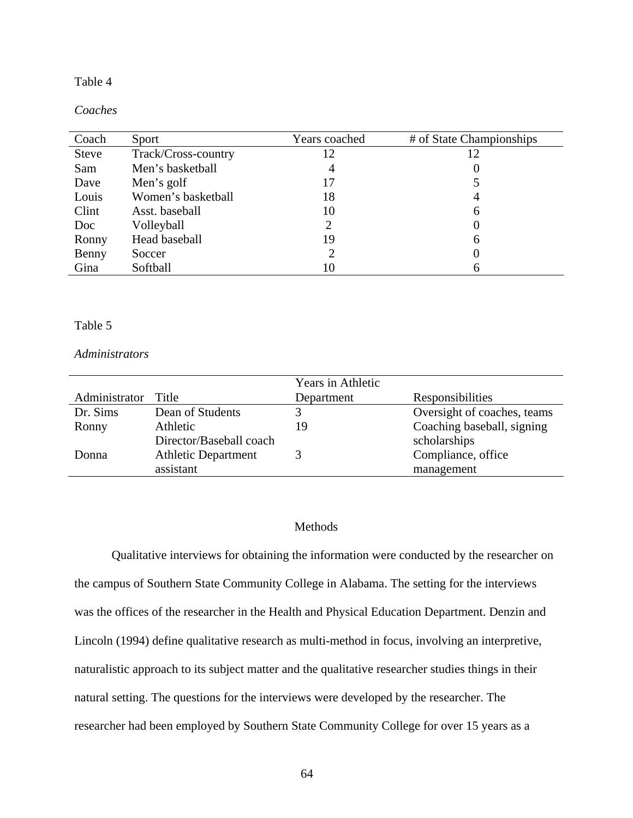## Table 4

### *Coaches*

| Coach        | Sport               | Years coached | # of State Championships |
|--------------|---------------------|---------------|--------------------------|
| <b>Steve</b> | Track/Cross-country | 12            | 12                       |
| Sam          | Men's basketball    | 4             |                          |
| Dave         | Men's golf          | 17            |                          |
| Louis        | Women's basketball  | 18            | 4                        |
| Clint        | Asst. baseball      | 10            | 6                        |
| Doc          | Volleyball          |               | O                        |
| Ronny        | Head baseball       | 19            | 6                        |
| Benny        | Soccer              |               | 0                        |
| Gina         | Softball            | 10            | 6                        |

## Table 5

## *Administrators*

|               |                            | Years in Athletic |                             |
|---------------|----------------------------|-------------------|-----------------------------|
| Administrator | Title                      | Department        | Responsibilities            |
| Dr. Sims      | Dean of Students           |                   | Oversight of coaches, teams |
| Ronny         | Athletic                   | ٥,                | Coaching baseball, signing  |
|               | Director/Baseball coach    |                   | scholarships                |
| Donna         | <b>Athletic Department</b> |                   | Compliance, office          |
|               | assistant                  |                   | management                  |

# Methods

Qualitative interviews for obtaining the information were conducted by the researcher on the campus of Southern State Community College in Alabama. The setting for the interviews was the offices of the researcher in the Health and Physical Education Department. Denzin and Lincoln (1994) define qualitative research as multi-method in focus, involving an interpretive, naturalistic approach to its subject matter and the qualitative researcher studies things in their natural setting. The questions for the interviews were developed by the researcher. The researcher had been employed by Southern State Community College for over 15 years as a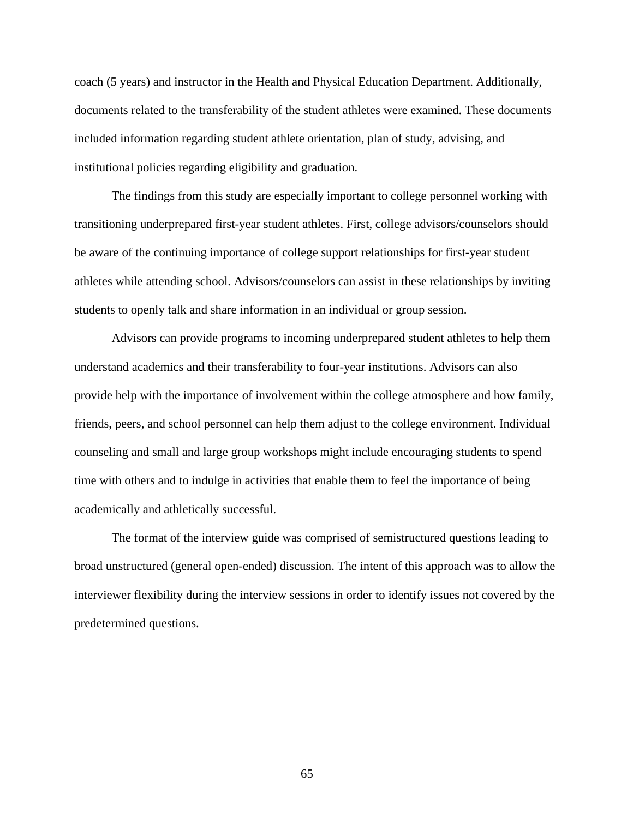coach (5 years) and instructor in the Health and Physical Education Department. Additionally, documents related to the transferability of the student athletes were examined. These documents included information regarding student athlete orientation, plan of study, advising, and institutional policies regarding eligibility and graduation.

The findings from this study are especially important to college personnel working with transitioning underprepared first-year student athletes. First, college advisors/counselors should be aware of the continuing importance of college support relationships for first-year student athletes while attending school. Advisors/counselors can assist in these relationships by inviting students to openly talk and share information in an individual or group session.

Advisors can provide programs to incoming underprepared student athletes to help them understand academics and their transferability to four-year institutions. Advisors can also provide help with the importance of involvement within the college atmosphere and how family, friends, peers, and school personnel can help them adjust to the college environment. Individual counseling and small and large group workshops might include encouraging students to spend time with others and to indulge in activities that enable them to feel the importance of being academically and athletically successful.

The format of the interview guide was comprised of semistructured questions leading to broad unstructured (general open-ended) discussion. The intent of this approach was to allow the interviewer flexibility during the interview sessions in order to identify issues not covered by the predetermined questions.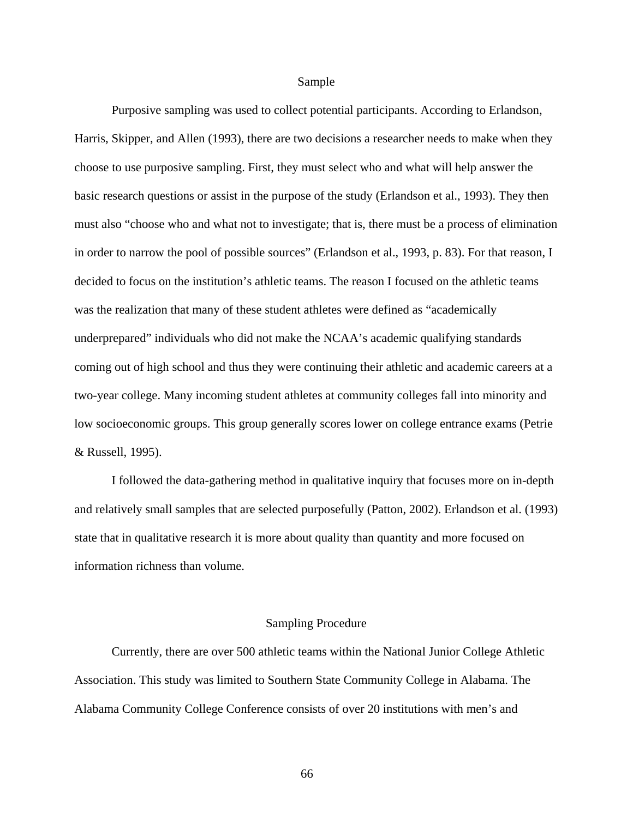#### Sample

Purposive sampling was used to collect potential participants. According to Erlandson, Harris, Skipper, and Allen (1993), there are two decisions a researcher needs to make when they choose to use purposive sampling. First, they must select who and what will help answer the basic research questions or assist in the purpose of the study (Erlandson et al., 1993). They then must also "choose who and what not to investigate; that is, there must be a process of elimination in order to narrow the pool of possible sources" (Erlandson et al., 1993, p. 83). For that reason, I decided to focus on the institution's athletic teams. The reason I focused on the athletic teams was the realization that many of these student athletes were defined as "academically underprepared" individuals who did not make the NCAA's academic qualifying standards coming out of high school and thus they were continuing their athletic and academic careers at a two-year college. Many incoming student athletes at community colleges fall into minority and low socioeconomic groups. This group generally scores lower on college entrance exams (Petrie & Russell, 1995).

 I followed the data-gathering method in qualitative inquiry that focuses more on in-depth and relatively small samples that are selected purposefully (Patton, 2002). Erlandson et al. (1993) state that in qualitative research it is more about quality than quantity and more focused on information richness than volume.

### Sampling Procedure

Currently, there are over 500 athletic teams within the National Junior College Athletic Association. This study was limited to Southern State Community College in Alabama. The Alabama Community College Conference consists of over 20 institutions with men's and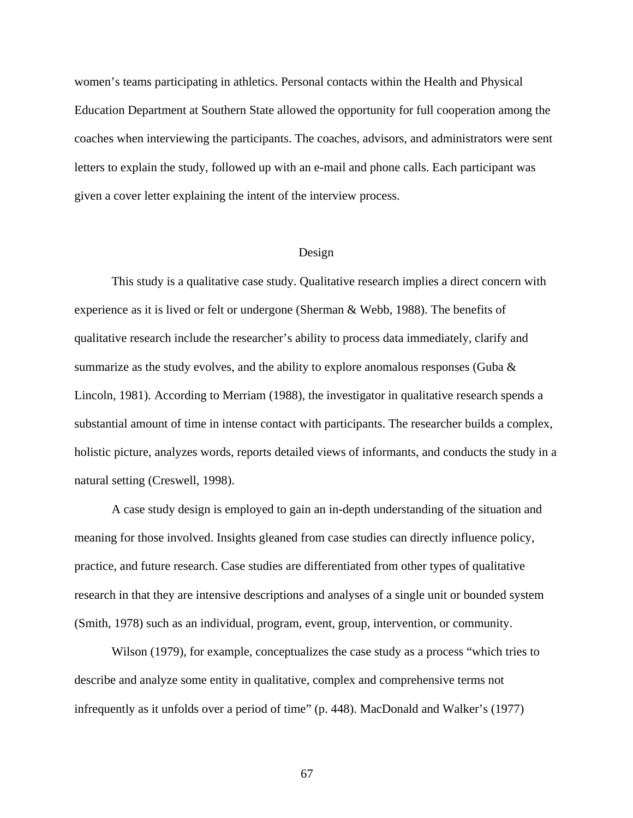women's teams participating in athletics. Personal contacts within the Health and Physical Education Department at Southern State allowed the opportunity for full cooperation among the coaches when interviewing the participants. The coaches, advisors, and administrators were sent letters to explain the study, followed up with an e-mail and phone calls. Each participant was given a cover letter explaining the intent of the interview process.

#### Design

This study is a qualitative case study. Qualitative research implies a direct concern with experience as it is lived or felt or undergone (Sherman & Webb, 1988). The benefits of qualitative research include the researcher's ability to process data immediately, clarify and summarize as the study evolves, and the ability to explore anomalous responses (Guba  $\&$ Lincoln, 1981). According to Merriam (1988), the investigator in qualitative research spends a substantial amount of time in intense contact with participants. The researcher builds a complex, holistic picture, analyzes words, reports detailed views of informants, and conducts the study in a natural setting (Creswell, 1998).

A case study design is employed to gain an in-depth understanding of the situation and meaning for those involved. Insights gleaned from case studies can directly influence policy, practice, and future research. Case studies are differentiated from other types of qualitative research in that they are intensive descriptions and analyses of a single unit or bounded system (Smith, 1978) such as an individual, program, event, group, intervention, or community.

Wilson (1979), for example, conceptualizes the case study as a process "which tries to describe and analyze some entity in qualitative, complex and comprehensive terms not infrequently as it unfolds over a period of time" (p. 448). MacDonald and Walker's (1977)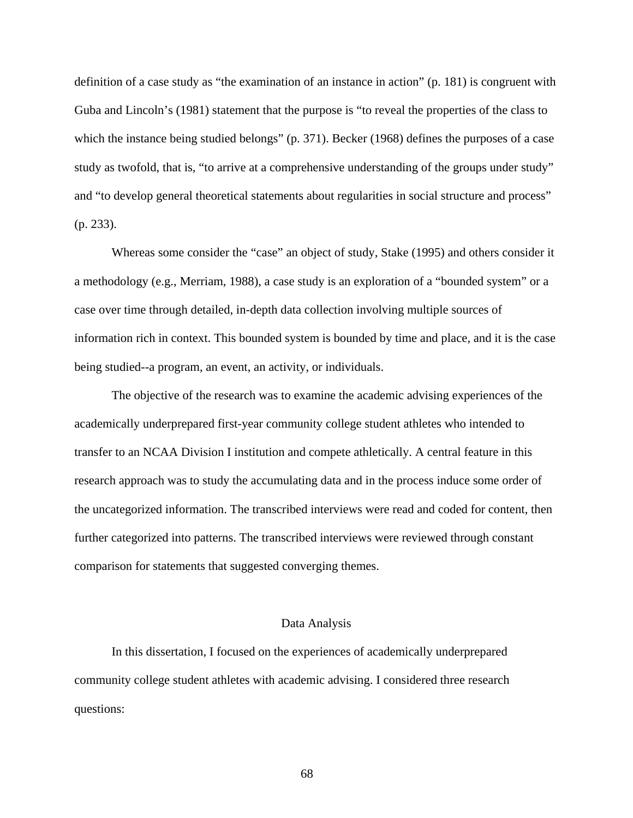definition of a case study as "the examination of an instance in action" (p. 181) is congruent with Guba and Lincoln's (1981) statement that the purpose is "to reveal the properties of the class to which the instance being studied belongs" (p. 371). Becker (1968) defines the purposes of a case study as twofold, that is, "to arrive at a comprehensive understanding of the groups under study" and "to develop general theoretical statements about regularities in social structure and process" (p. 233).

Whereas some consider the "case" an object of study, Stake (1995) and others consider it a methodology (e.g., Merriam, 1988), a case study is an exploration of a "bounded system" or a case over time through detailed, in-depth data collection involving multiple sources of information rich in context. This bounded system is bounded by time and place, and it is the case being studied--a program, an event, an activity, or individuals.

 The objective of the research was to examine the academic advising experiences of the academically underprepared first-year community college student athletes who intended to transfer to an NCAA Division I institution and compete athletically. A central feature in this research approach was to study the accumulating data and in the process induce some order of the uncategorized information. The transcribed interviews were read and coded for content, then further categorized into patterns. The transcribed interviews were reviewed through constant comparison for statements that suggested converging themes.

#### Data Analysis

In this dissertation, I focused on the experiences of academically underprepared community college student athletes with academic advising. I considered three research questions: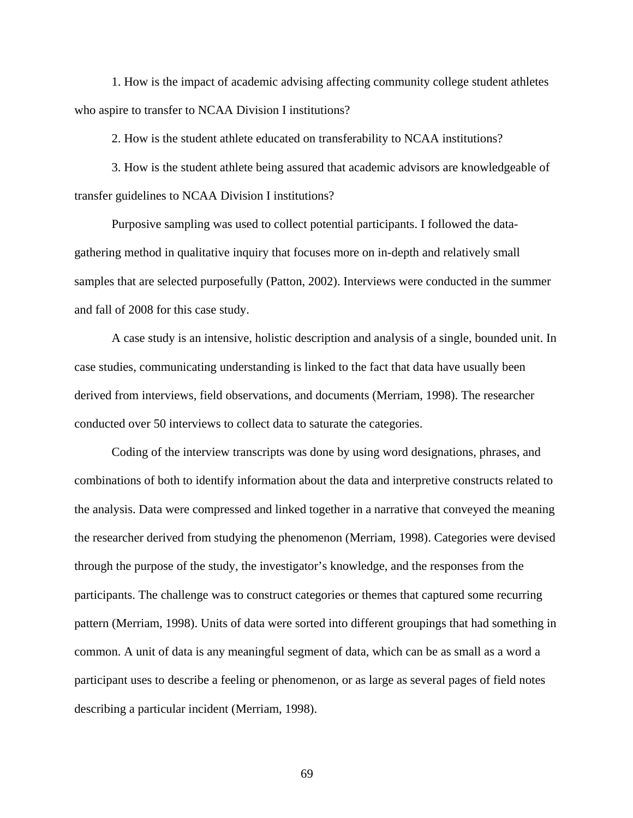1. How is the impact of academic advising affecting community college student athletes who aspire to transfer to NCAA Division I institutions?

2. How is the student athlete educated on transferability to NCAA institutions?

3. How is the student athlete being assured that academic advisors are knowledgeable of transfer guidelines to NCAA Division I institutions?

Purposive sampling was used to collect potential participants. I followed the datagathering method in qualitative inquiry that focuses more on in-depth and relatively small samples that are selected purposefully (Patton, 2002). Interviews were conducted in the summer and fall of 2008 for this case study.

A case study is an intensive, holistic description and analysis of a single, bounded unit. In case studies, communicating understanding is linked to the fact that data have usually been derived from interviews, field observations, and documents (Merriam, 1998). The researcher conducted over 50 interviews to collect data to saturate the categories.

Coding of the interview transcripts was done by using word designations, phrases, and combinations of both to identify information about the data and interpretive constructs related to the analysis. Data were compressed and linked together in a narrative that conveyed the meaning the researcher derived from studying the phenomenon (Merriam, 1998). Categories were devised through the purpose of the study, the investigator's knowledge, and the responses from the participants. The challenge was to construct categories or themes that captured some recurring pattern (Merriam, 1998). Units of data were sorted into different groupings that had something in common. A unit of data is any meaningful segment of data, which can be as small as a word a participant uses to describe a feeling or phenomenon, or as large as several pages of field notes describing a particular incident (Merriam, 1998).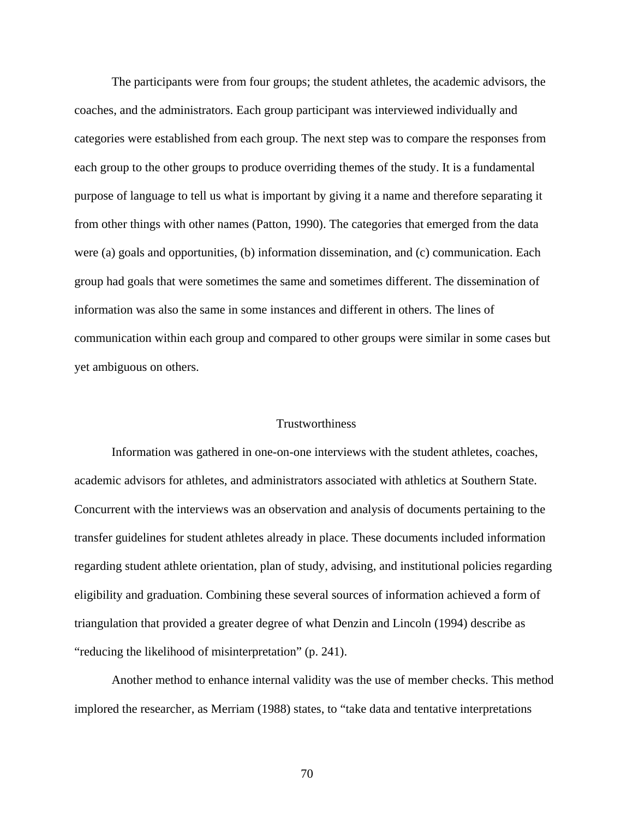The participants were from four groups; the student athletes, the academic advisors, the coaches, and the administrators. Each group participant was interviewed individually and categories were established from each group. The next step was to compare the responses from each group to the other groups to produce overriding themes of the study. It is a fundamental purpose of language to tell us what is important by giving it a name and therefore separating it from other things with other names (Patton, 1990). The categories that emerged from the data were (a) goals and opportunities, (b) information dissemination, and (c) communication. Each group had goals that were sometimes the same and sometimes different. The dissemination of information was also the same in some instances and different in others. The lines of communication within each group and compared to other groups were similar in some cases but yet ambiguous on others.

## **Trustworthiness**

 Information was gathered in one-on-one interviews with the student athletes, coaches, academic advisors for athletes, and administrators associated with athletics at Southern State. Concurrent with the interviews was an observation and analysis of documents pertaining to the transfer guidelines for student athletes already in place. These documents included information regarding student athlete orientation, plan of study, advising, and institutional policies regarding eligibility and graduation. Combining these several sources of information achieved a form of triangulation that provided a greater degree of what Denzin and Lincoln (1994) describe as "reducing the likelihood of misinterpretation" (p. 241).

 Another method to enhance internal validity was the use of member checks. This method implored the researcher, as Merriam (1988) states, to "take data and tentative interpretations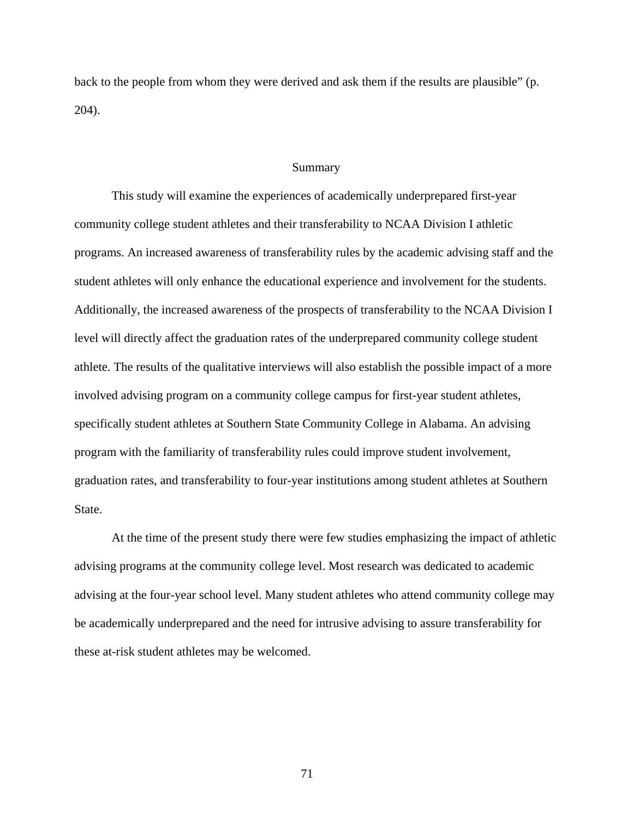back to the people from whom they were derived and ask them if the results are plausible" (p. 204).

#### Summary

This study will examine the experiences of academically underprepared first-year community college student athletes and their transferability to NCAA Division I athletic programs. An increased awareness of transferability rules by the academic advising staff and the student athletes will only enhance the educational experience and involvement for the students. Additionally, the increased awareness of the prospects of transferability to the NCAA Division I level will directly affect the graduation rates of the underprepared community college student athlete. The results of the qualitative interviews will also establish the possible impact of a more involved advising program on a community college campus for first-year student athletes, specifically student athletes at Southern State Community College in Alabama. An advising program with the familiarity of transferability rules could improve student involvement, graduation rates, and transferability to four-year institutions among student athletes at Southern State.

At the time of the present study there were few studies emphasizing the impact of athletic advising programs at the community college level. Most research was dedicated to academic advising at the four-year school level. Many student athletes who attend community college may be academically underprepared and the need for intrusive advising to assure transferability for these at-risk student athletes may be welcomed.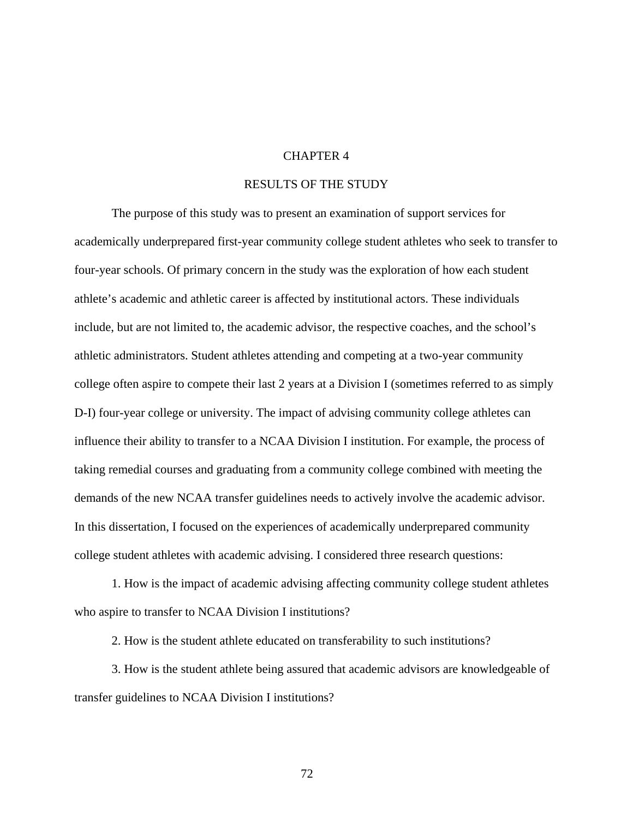## CHAPTER 4

### RESULTS OF THE STUDY

The purpose of this study was to present an examination of support services for academically underprepared first-year community college student athletes who seek to transfer to four-year schools. Of primary concern in the study was the exploration of how each student athlete's academic and athletic career is affected by institutional actors. These individuals include, but are not limited to, the academic advisor, the respective coaches, and the school's athletic administrators. Student athletes attending and competing at a two-year community college often aspire to compete their last 2 years at a Division I (sometimes referred to as simply D-I) four-year college or university. The impact of advising community college athletes can influence their ability to transfer to a NCAA Division I institution. For example, the process of taking remedial courses and graduating from a community college combined with meeting the demands of the new NCAA transfer guidelines needs to actively involve the academic advisor. In this dissertation, I focused on the experiences of academically underprepared community college student athletes with academic advising. I considered three research questions:

1. How is the impact of academic advising affecting community college student athletes who aspire to transfer to NCAA Division I institutions?

2. How is the student athlete educated on transferability to such institutions?

3. How is the student athlete being assured that academic advisors are knowledgeable of transfer guidelines to NCAA Division I institutions?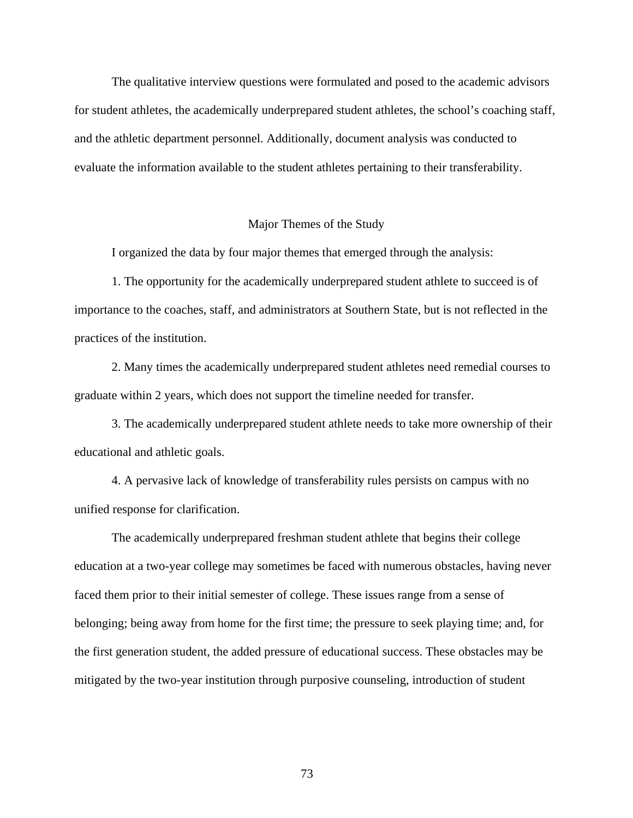The qualitative interview questions were formulated and posed to the academic advisors for student athletes, the academically underprepared student athletes, the school's coaching staff, and the athletic department personnel. Additionally, document analysis was conducted to evaluate the information available to the student athletes pertaining to their transferability.

### Major Themes of the Study

I organized the data by four major themes that emerged through the analysis:

1. The opportunity for the academically underprepared student athlete to succeed is of importance to the coaches, staff, and administrators at Southern State, but is not reflected in the practices of the institution.

2. Many times the academically underprepared student athletes need remedial courses to graduate within 2 years, which does not support the timeline needed for transfer.

3. The academically underprepared student athlete needs to take more ownership of their educational and athletic goals.

4. A pervasive lack of knowledge of transferability rules persists on campus with no unified response for clarification.

 The academically underprepared freshman student athlete that begins their college education at a two-year college may sometimes be faced with numerous obstacles, having never faced them prior to their initial semester of college. These issues range from a sense of belonging; being away from home for the first time; the pressure to seek playing time; and, for the first generation student, the added pressure of educational success. These obstacles may be mitigated by the two-year institution through purposive counseling, introduction of student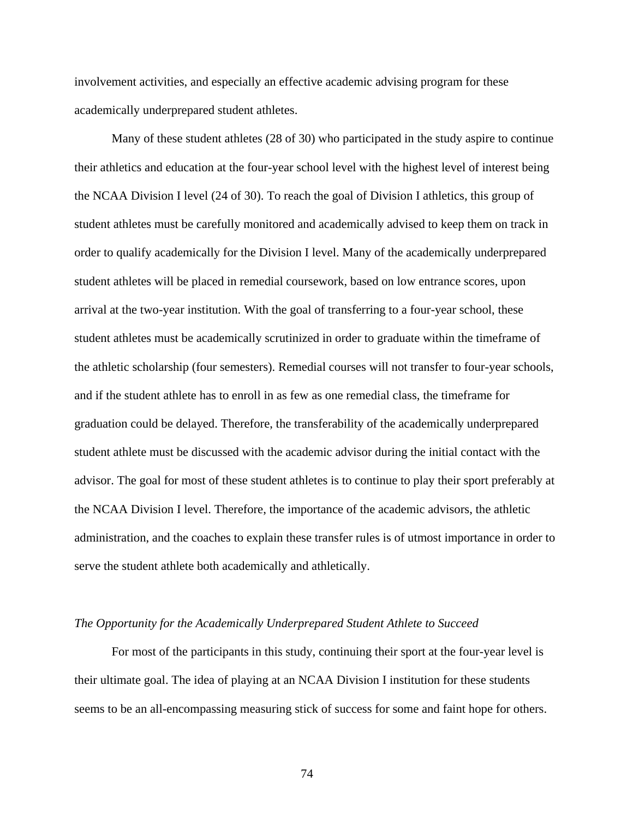involvement activities, and especially an effective academic advising program for these academically underprepared student athletes.

 Many of these student athletes (28 of 30) who participated in the study aspire to continue their athletics and education at the four-year school level with the highest level of interest being the NCAA Division I level (24 of 30). To reach the goal of Division I athletics, this group of student athletes must be carefully monitored and academically advised to keep them on track in order to qualify academically for the Division I level. Many of the academically underprepared student athletes will be placed in remedial coursework, based on low entrance scores, upon arrival at the two-year institution. With the goal of transferring to a four-year school, these student athletes must be academically scrutinized in order to graduate within the timeframe of the athletic scholarship (four semesters). Remedial courses will not transfer to four-year schools, and if the student athlete has to enroll in as few as one remedial class, the timeframe for graduation could be delayed. Therefore, the transferability of the academically underprepared student athlete must be discussed with the academic advisor during the initial contact with the advisor. The goal for most of these student athletes is to continue to play their sport preferably at the NCAA Division I level. Therefore, the importance of the academic advisors, the athletic administration, and the coaches to explain these transfer rules is of utmost importance in order to serve the student athlete both academically and athletically.

#### *The Opportunity for the Academically Underprepared Student Athlete to Succeed*

For most of the participants in this study, continuing their sport at the four-year level is their ultimate goal. The idea of playing at an NCAA Division I institution for these students seems to be an all-encompassing measuring stick of success for some and faint hope for others.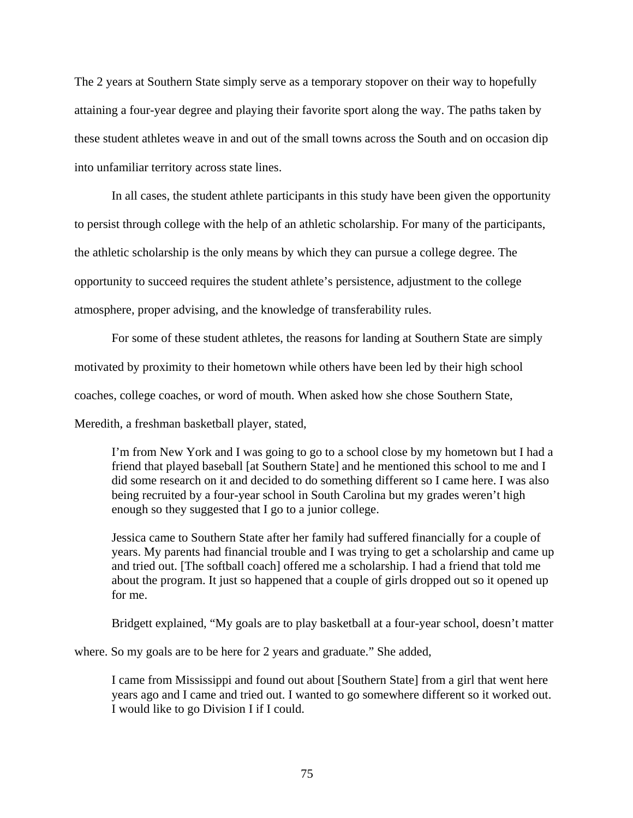The 2 years at Southern State simply serve as a temporary stopover on their way to hopefully attaining a four-year degree and playing their favorite sport along the way. The paths taken by these student athletes weave in and out of the small towns across the South and on occasion dip into unfamiliar territory across state lines.

In all cases, the student athlete participants in this study have been given the opportunity to persist through college with the help of an athletic scholarship. For many of the participants, the athletic scholarship is the only means by which they can pursue a college degree. The opportunity to succeed requires the student athlete's persistence, adjustment to the college atmosphere, proper advising, and the knowledge of transferability rules.

For some of these student athletes, the reasons for landing at Southern State are simply motivated by proximity to their hometown while others have been led by their high school coaches, college coaches, or word of mouth. When asked how she chose Southern State, Meredith, a freshman basketball player, stated,

I'm from New York and I was going to go to a school close by my hometown but I had a friend that played baseball [at Southern State] and he mentioned this school to me and I did some research on it and decided to do something different so I came here. I was also being recruited by a four-year school in South Carolina but my grades weren't high enough so they suggested that I go to a junior college.

Jessica came to Southern State after her family had suffered financially for a couple of years. My parents had financial trouble and I was trying to get a scholarship and came up and tried out. [The softball coach] offered me a scholarship. I had a friend that told me about the program. It just so happened that a couple of girls dropped out so it opened up for me.

Bridgett explained, "My goals are to play basketball at a four-year school, doesn't matter

where. So my goals are to be here for 2 years and graduate." She added,

I came from Mississippi and found out about [Southern State] from a girl that went here years ago and I came and tried out. I wanted to go somewhere different so it worked out. I would like to go Division I if I could.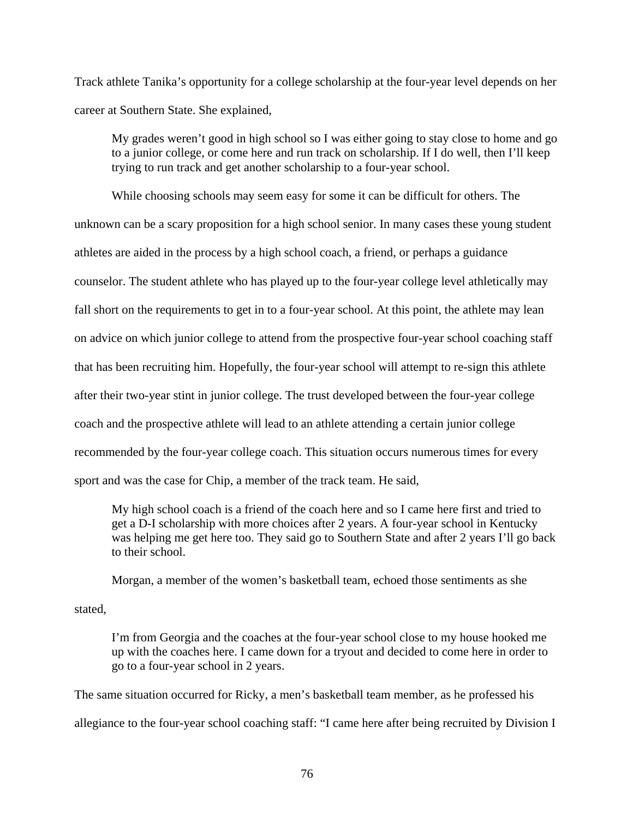Track athlete Tanika's opportunity for a college scholarship at the four-year level depends on her career at Southern State. She explained,

My grades weren't good in high school so I was either going to stay close to home and go to a junior college, or come here and run track on scholarship. If I do well, then I'll keep trying to run track and get another scholarship to a four-year school.

While choosing schools may seem easy for some it can be difficult for others. The unknown can be a scary proposition for a high school senior. In many cases these young student athletes are aided in the process by a high school coach, a friend, or perhaps a guidance counselor. The student athlete who has played up to the four-year college level athletically may fall short on the requirements to get in to a four-year school. At this point, the athlete may lean on advice on which junior college to attend from the prospective four-year school coaching staff that has been recruiting him. Hopefully, the four-year school will attempt to re-sign this athlete after their two-year stint in junior college. The trust developed between the four-year college coach and the prospective athlete will lead to an athlete attending a certain junior college recommended by the four-year college coach. This situation occurs numerous times for every sport and was the case for Chip, a member of the track team. He said,

My high school coach is a friend of the coach here and so I came here first and tried to get a D-I scholarship with more choices after 2 years. A four-year school in Kentucky was helping me get here too. They said go to Southern State and after 2 years I'll go back to their school.

Morgan, a member of the women's basketball team, echoed those sentiments as she

stated,

I'm from Georgia and the coaches at the four-year school close to my house hooked me up with the coaches here. I came down for a tryout and decided to come here in order to go to a four-year school in 2 years.

The same situation occurred for Ricky, a men's basketball team member, as he professed his allegiance to the four-year school coaching staff: "I came here after being recruited by Division I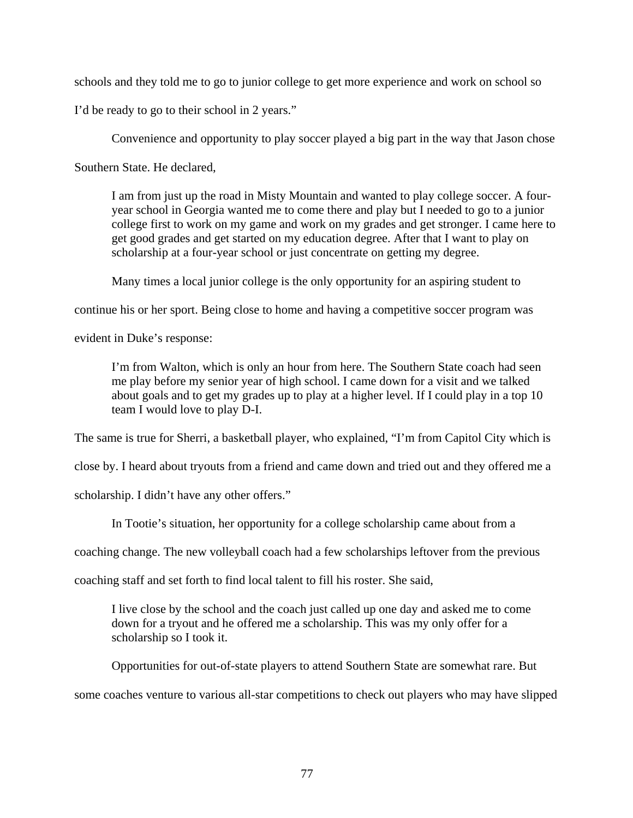schools and they told me to go to junior college to get more experience and work on school so

I'd be ready to go to their school in 2 years."

Convenience and opportunity to play soccer played a big part in the way that Jason chose

Southern State. He declared,

I am from just up the road in Misty Mountain and wanted to play college soccer. A fouryear school in Georgia wanted me to come there and play but I needed to go to a junior college first to work on my game and work on my grades and get stronger. I came here to get good grades and get started on my education degree. After that I want to play on scholarship at a four-year school or just concentrate on getting my degree.

Many times a local junior college is the only opportunity for an aspiring student to

continue his or her sport. Being close to home and having a competitive soccer program was

evident in Duke's response:

I'm from Walton, which is only an hour from here. The Southern State coach had seen me play before my senior year of high school. I came down for a visit and we talked about goals and to get my grades up to play at a higher level. If I could play in a top 10 team I would love to play D-I.

The same is true for Sherri, a basketball player, who explained, "I'm from Capitol City which is

close by. I heard about tryouts from a friend and came down and tried out and they offered me a

scholarship. I didn't have any other offers."

In Tootie's situation, her opportunity for a college scholarship came about from a

coaching change. The new volleyball coach had a few scholarships leftover from the previous

coaching staff and set forth to find local talent to fill his roster. She said,

I live close by the school and the coach just called up one day and asked me to come down for a tryout and he offered me a scholarship. This was my only offer for a scholarship so I took it.

Opportunities for out-of-state players to attend Southern State are somewhat rare. But

some coaches venture to various all-star competitions to check out players who may have slipped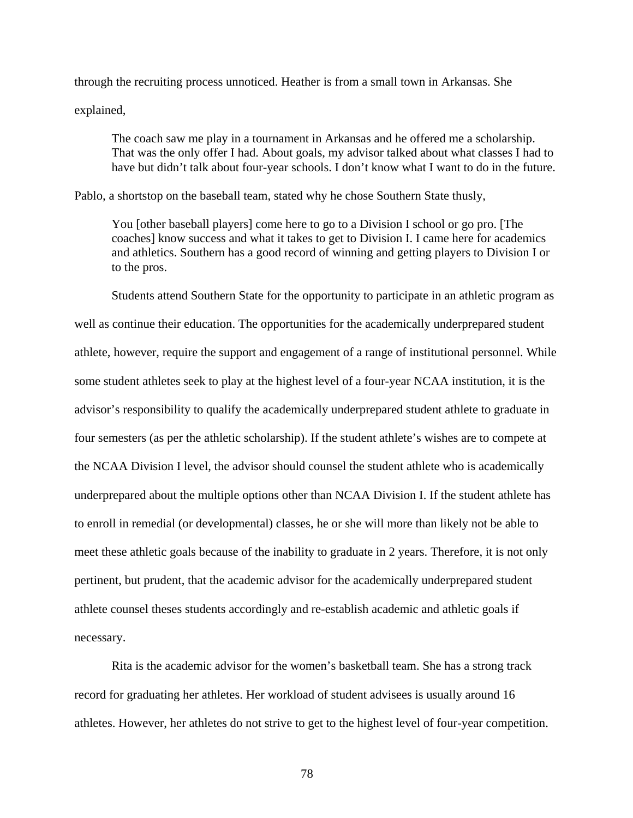through the recruiting process unnoticed. Heather is from a small town in Arkansas. She explained,

The coach saw me play in a tournament in Arkansas and he offered me a scholarship. That was the only offer I had. About goals, my advisor talked about what classes I had to have but didn't talk about four-year schools. I don't know what I want to do in the future.

Pablo, a shortstop on the baseball team, stated why he chose Southern State thusly,

You [other baseball players] come here to go to a Division I school or go pro. [The coaches] know success and what it takes to get to Division I. I came here for academics and athletics. Southern has a good record of winning and getting players to Division I or to the pros.

Students attend Southern State for the opportunity to participate in an athletic program as well as continue their education. The opportunities for the academically underprepared student athlete, however, require the support and engagement of a range of institutional personnel. While some student athletes seek to play at the highest level of a four-year NCAA institution, it is the advisor's responsibility to qualify the academically underprepared student athlete to graduate in four semesters (as per the athletic scholarship). If the student athlete's wishes are to compete at the NCAA Division I level, the advisor should counsel the student athlete who is academically underprepared about the multiple options other than NCAA Division I. If the student athlete has to enroll in remedial (or developmental) classes, he or she will more than likely not be able to meet these athletic goals because of the inability to graduate in 2 years. Therefore, it is not only pertinent, but prudent, that the academic advisor for the academically underprepared student athlete counsel theses students accordingly and re-establish academic and athletic goals if necessary.

Rita is the academic advisor for the women's basketball team. She has a strong track record for graduating her athletes. Her workload of student advisees is usually around 16 athletes. However, her athletes do not strive to get to the highest level of four-year competition.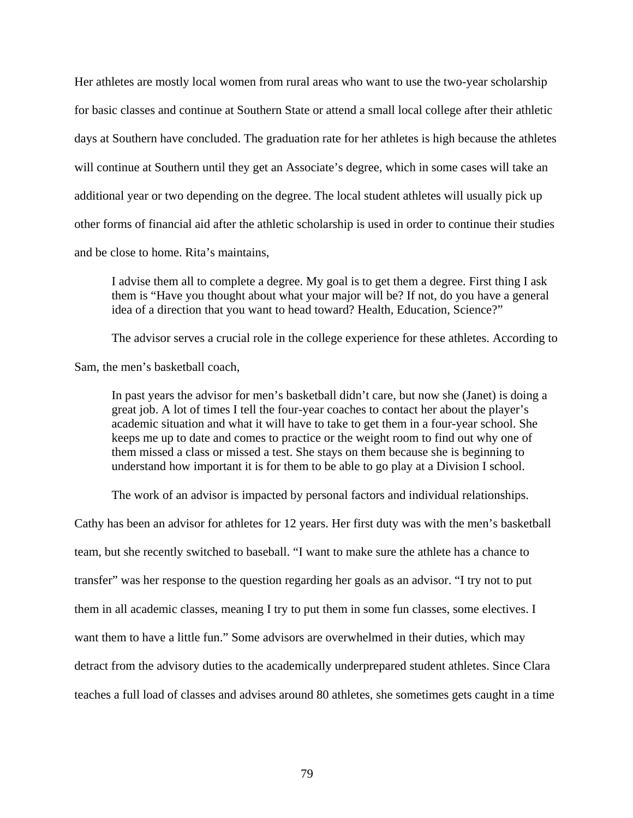Her athletes are mostly local women from rural areas who want to use the two-year scholarship for basic classes and continue at Southern State or attend a small local college after their athletic days at Southern have concluded. The graduation rate for her athletes is high because the athletes will continue at Southern until they get an Associate's degree, which in some cases will take an additional year or two depending on the degree. The local student athletes will usually pick up other forms of financial aid after the athletic scholarship is used in order to continue their studies and be close to home. Rita's maintains,

I advise them all to complete a degree. My goal is to get them a degree. First thing I ask them is "Have you thought about what your major will be? If not, do you have a general idea of a direction that you want to head toward? Health, Education, Science?"

The advisor serves a crucial role in the college experience for these athletes. According to

Sam, the men's basketball coach,

In past years the advisor for men's basketball didn't care, but now she (Janet) is doing a great job. A lot of times I tell the four-year coaches to contact her about the player's academic situation and what it will have to take to get them in a four-year school. She keeps me up to date and comes to practice or the weight room to find out why one of them missed a class or missed a test. She stays on them because she is beginning to understand how important it is for them to be able to go play at a Division I school.

The work of an advisor is impacted by personal factors and individual relationships.

Cathy has been an advisor for athletes for 12 years. Her first duty was with the men's basketball team, but she recently switched to baseball. "I want to make sure the athlete has a chance to transfer" was her response to the question regarding her goals as an advisor. "I try not to put them in all academic classes, meaning I try to put them in some fun classes, some electives. I want them to have a little fun." Some advisors are overwhelmed in their duties, which may detract from the advisory duties to the academically underprepared student athletes. Since Clara teaches a full load of classes and advises around 80 athletes, she sometimes gets caught in a time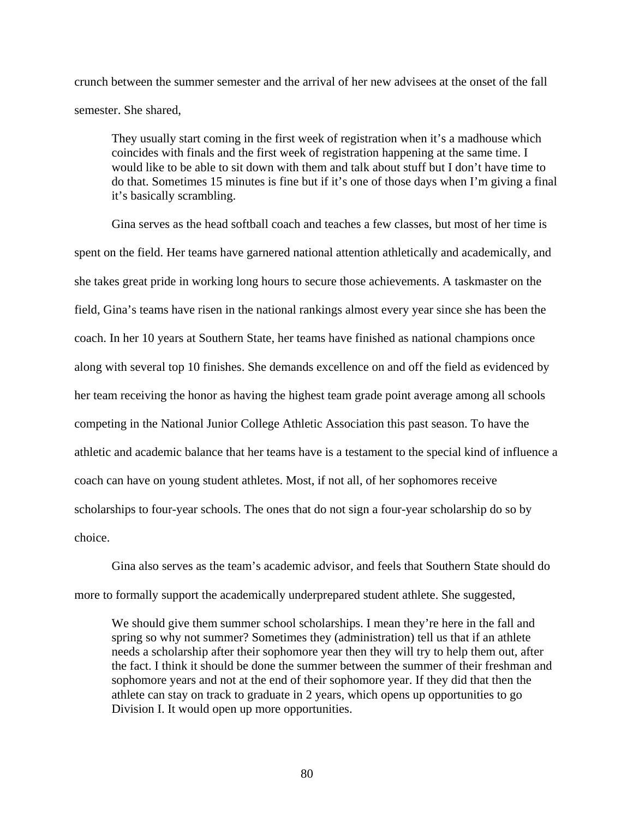crunch between the summer semester and the arrival of her new advisees at the onset of the fall semester. She shared,

They usually start coming in the first week of registration when it's a madhouse which coincides with finals and the first week of registration happening at the same time. I would like to be able to sit down with them and talk about stuff but I don't have time to do that. Sometimes 15 minutes is fine but if it's one of those days when I'm giving a final it's basically scrambling.

Gina serves as the head softball coach and teaches a few classes, but most of her time is spent on the field. Her teams have garnered national attention athletically and academically, and she takes great pride in working long hours to secure those achievements. A taskmaster on the field, Gina's teams have risen in the national rankings almost every year since she has been the coach. In her 10 years at Southern State, her teams have finished as national champions once along with several top 10 finishes. She demands excellence on and off the field as evidenced by her team receiving the honor as having the highest team grade point average among all schools competing in the National Junior College Athletic Association this past season. To have the athletic and academic balance that her teams have is a testament to the special kind of influence a coach can have on young student athletes. Most, if not all, of her sophomores receive scholarships to four-year schools. The ones that do not sign a four-year scholarship do so by choice.

Gina also serves as the team's academic advisor, and feels that Southern State should do more to formally support the academically underprepared student athlete. She suggested,

We should give them summer school scholarships. I mean they're here in the fall and spring so why not summer? Sometimes they (administration) tell us that if an athlete needs a scholarship after their sophomore year then they will try to help them out, after the fact. I think it should be done the summer between the summer of their freshman and sophomore years and not at the end of their sophomore year. If they did that then the athlete can stay on track to graduate in 2 years, which opens up opportunities to go Division I. It would open up more opportunities.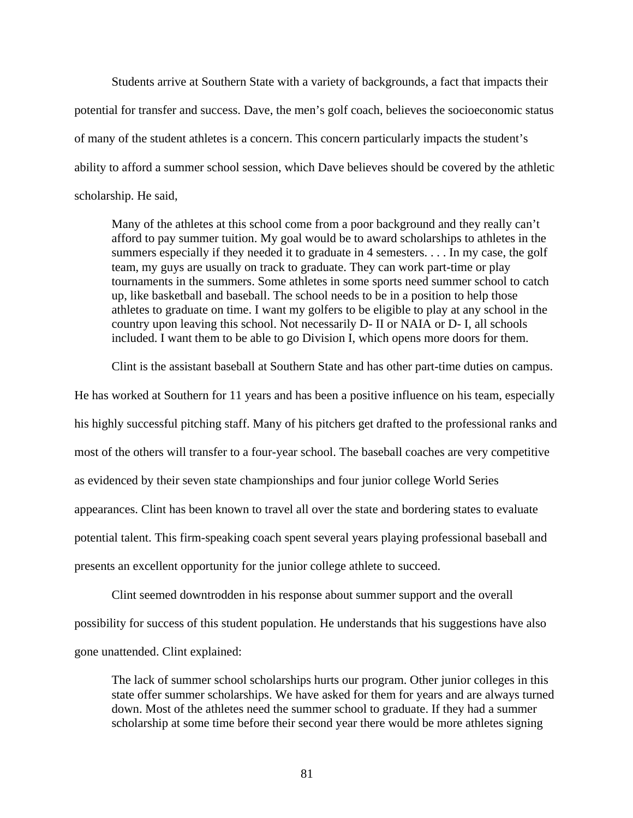Students arrive at Southern State with a variety of backgrounds, a fact that impacts their potential for transfer and success. Dave, the men's golf coach, believes the socioeconomic status of many of the student athletes is a concern. This concern particularly impacts the student's ability to afford a summer school session, which Dave believes should be covered by the athletic scholarship. He said,

Many of the athletes at this school come from a poor background and they really can't afford to pay summer tuition. My goal would be to award scholarships to athletes in the summers especially if they needed it to graduate in 4 semesters. . . . In my case, the golf team, my guys are usually on track to graduate. They can work part-time or play tournaments in the summers. Some athletes in some sports need summer school to catch up, like basketball and baseball. The school needs to be in a position to help those athletes to graduate on time. I want my golfers to be eligible to play at any school in the country upon leaving this school. Not necessarily D- II or NAIA or D- I, all schools included. I want them to be able to go Division I, which opens more doors for them.

Clint is the assistant baseball at Southern State and has other part-time duties on campus.

He has worked at Southern for 11 years and has been a positive influence on his team, especially his highly successful pitching staff. Many of his pitchers get drafted to the professional ranks and most of the others will transfer to a four-year school. The baseball coaches are very competitive as evidenced by their seven state championships and four junior college World Series appearances. Clint has been known to travel all over the state and bordering states to evaluate potential talent. This firm-speaking coach spent several years playing professional baseball and presents an excellent opportunity for the junior college athlete to succeed.

Clint seemed downtrodden in his response about summer support and the overall possibility for success of this student population. He understands that his suggestions have also gone unattended. Clint explained:

The lack of summer school scholarships hurts our program. Other junior colleges in this state offer summer scholarships. We have asked for them for years and are always turned down. Most of the athletes need the summer school to graduate. If they had a summer scholarship at some time before their second year there would be more athletes signing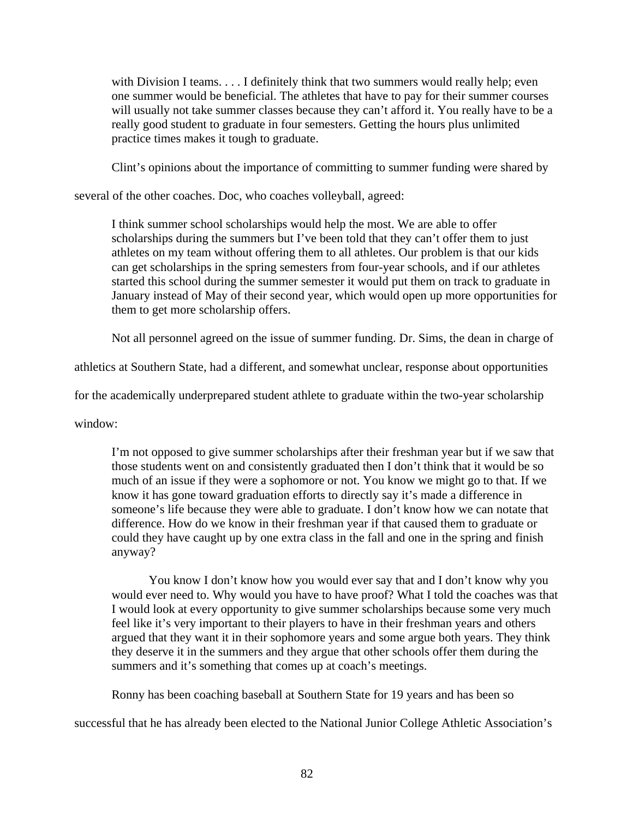with Division I teams. . . . I definitely think that two summers would really help; even one summer would be beneficial. The athletes that have to pay for their summer courses will usually not take summer classes because they can't afford it. You really have to be a really good student to graduate in four semesters. Getting the hours plus unlimited practice times makes it tough to graduate.

Clint's opinions about the importance of committing to summer funding were shared by

several of the other coaches. Doc, who coaches volleyball, agreed:

I think summer school scholarships would help the most. We are able to offer scholarships during the summers but I've been told that they can't offer them to just athletes on my team without offering them to all athletes. Our problem is that our kids can get scholarships in the spring semesters from four-year schools, and if our athletes started this school during the summer semester it would put them on track to graduate in January instead of May of their second year, which would open up more opportunities for them to get more scholarship offers.

Not all personnel agreed on the issue of summer funding. Dr. Sims, the dean in charge of

athletics at Southern State, had a different, and somewhat unclear, response about opportunities

for the academically underprepared student athlete to graduate within the two-year scholarship

window:

I'm not opposed to give summer scholarships after their freshman year but if we saw that those students went on and consistently graduated then I don't think that it would be so much of an issue if they were a sophomore or not. You know we might go to that. If we know it has gone toward graduation efforts to directly say it's made a difference in someone's life because they were able to graduate. I don't know how we can notate that difference. How do we know in their freshman year if that caused them to graduate or could they have caught up by one extra class in the fall and one in the spring and finish anyway?

You know I don't know how you would ever say that and I don't know why you would ever need to. Why would you have to have proof? What I told the coaches was that I would look at every opportunity to give summer scholarships because some very much feel like it's very important to their players to have in their freshman years and others argued that they want it in their sophomore years and some argue both years. They think they deserve it in the summers and they argue that other schools offer them during the summers and it's something that comes up at coach's meetings.

Ronny has been coaching baseball at Southern State for 19 years and has been so

successful that he has already been elected to the National Junior College Athletic Association's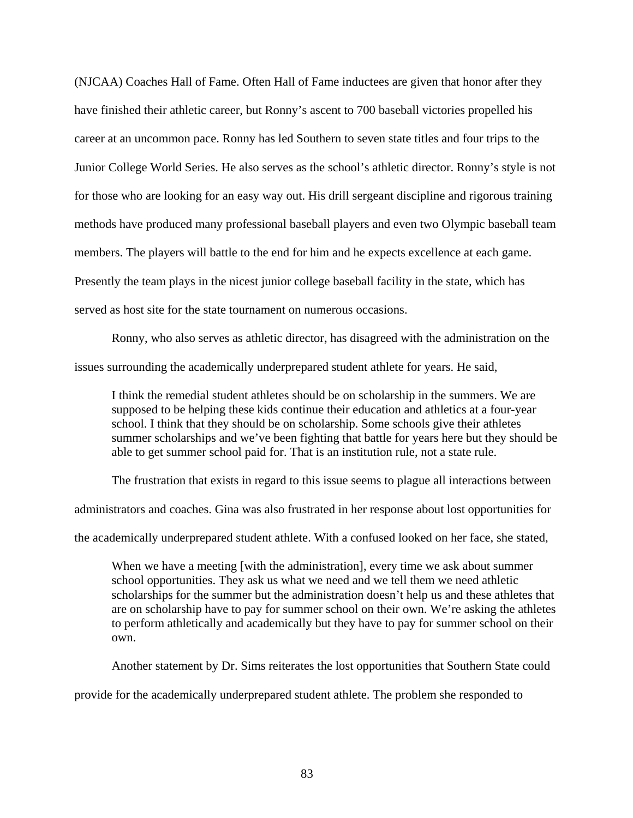(NJCAA) Coaches Hall of Fame. Often Hall of Fame inductees are given that honor after they have finished their athletic career, but Ronny's ascent to 700 baseball victories propelled his career at an uncommon pace. Ronny has led Southern to seven state titles and four trips to the Junior College World Series. He also serves as the school's athletic director. Ronny's style is not for those who are looking for an easy way out. His drill sergeant discipline and rigorous training methods have produced many professional baseball players and even two Olympic baseball team members. The players will battle to the end for him and he expects excellence at each game. Presently the team plays in the nicest junior college baseball facility in the state, which has served as host site for the state tournament on numerous occasions.

Ronny, who also serves as athletic director, has disagreed with the administration on the issues surrounding the academically underprepared student athlete for years. He said,

I think the remedial student athletes should be on scholarship in the summers. We are supposed to be helping these kids continue their education and athletics at a four-year school. I think that they should be on scholarship. Some schools give their athletes summer scholarships and we've been fighting that battle for years here but they should be able to get summer school paid for. That is an institution rule, not a state rule.

The frustration that exists in regard to this issue seems to plague all interactions between

administrators and coaches. Gina was also frustrated in her response about lost opportunities for

the academically underprepared student athlete. With a confused looked on her face, she stated,

When we have a meeting [with the administration], every time we ask about summer school opportunities. They ask us what we need and we tell them we need athletic scholarships for the summer but the administration doesn't help us and these athletes that are on scholarship have to pay for summer school on their own. We're asking the athletes to perform athletically and academically but they have to pay for summer school on their own.

Another statement by Dr. Sims reiterates the lost opportunities that Southern State could

provide for the academically underprepared student athlete. The problem she responded to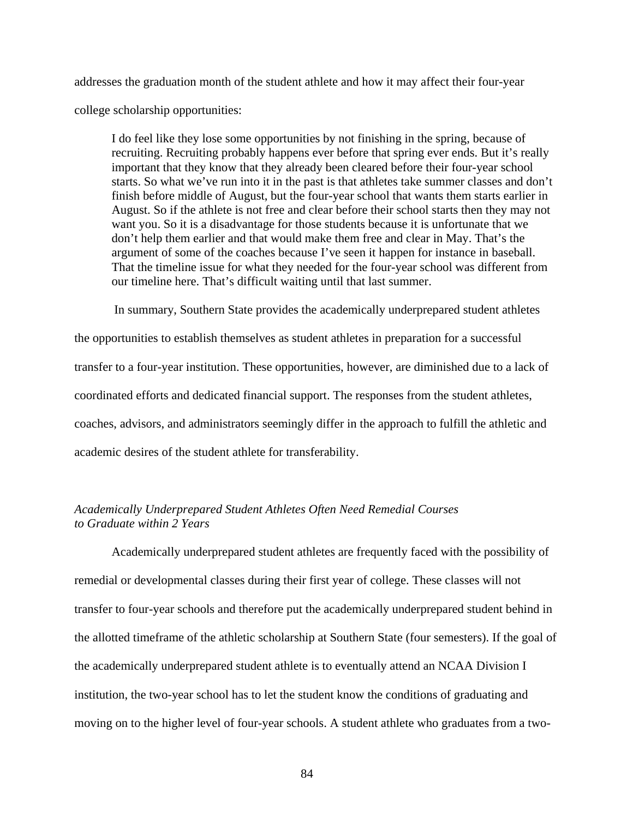addresses the graduation month of the student athlete and how it may affect their four-year college scholarship opportunities:

I do feel like they lose some opportunities by not finishing in the spring, because of recruiting. Recruiting probably happens ever before that spring ever ends. But it's really important that they know that they already been cleared before their four-year school starts. So what we've run into it in the past is that athletes take summer classes and don't finish before middle of August, but the four-year school that wants them starts earlier in August. So if the athlete is not free and clear before their school starts then they may not want you. So it is a disadvantage for those students because it is unfortunate that we don't help them earlier and that would make them free and clear in May. That's the argument of some of the coaches because I've seen it happen for instance in baseball. That the timeline issue for what they needed for the four-year school was different from our timeline here. That's difficult waiting until that last summer.

In summary, Southern State provides the academically underprepared student athletes

the opportunities to establish themselves as student athletes in preparation for a successful transfer to a four-year institution. These opportunities, however, are diminished due to a lack of coordinated efforts and dedicated financial support. The responses from the student athletes, coaches, advisors, and administrators seemingly differ in the approach to fulfill the athletic and academic desires of the student athlete for transferability.

# *Academically Underprepared Student Athletes Often Need Remedial Courses to Graduate within 2 Years*

Academically underprepared student athletes are frequently faced with the possibility of remedial or developmental classes during their first year of college. These classes will not transfer to four-year schools and therefore put the academically underprepared student behind in the allotted timeframe of the athletic scholarship at Southern State (four semesters). If the goal of the academically underprepared student athlete is to eventually attend an NCAA Division I institution, the two-year school has to let the student know the conditions of graduating and moving on to the higher level of four-year schools. A student athlete who graduates from a two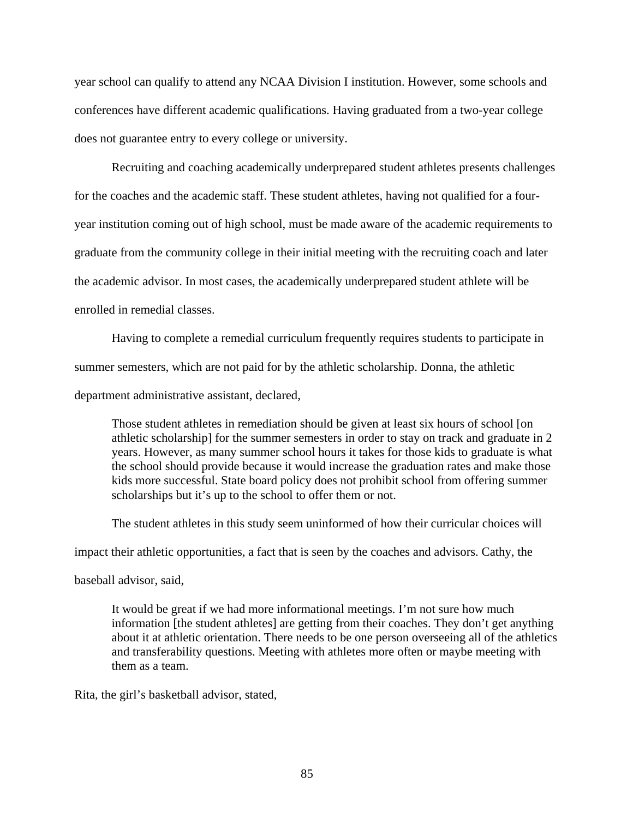year school can qualify to attend any NCAA Division I institution. However, some schools and conferences have different academic qualifications. Having graduated from a two-year college does not guarantee entry to every college or university.

 Recruiting and coaching academically underprepared student athletes presents challenges for the coaches and the academic staff. These student athletes, having not qualified for a fouryear institution coming out of high school, must be made aware of the academic requirements to graduate from the community college in their initial meeting with the recruiting coach and later the academic advisor. In most cases, the academically underprepared student athlete will be enrolled in remedial classes.

Having to complete a remedial curriculum frequently requires students to participate in summer semesters, which are not paid for by the athletic scholarship. Donna, the athletic department administrative assistant, declared,

Those student athletes in remediation should be given at least six hours of school [on athletic scholarship] for the summer semesters in order to stay on track and graduate in 2 years. However, as many summer school hours it takes for those kids to graduate is what the school should provide because it would increase the graduation rates and make those kids more successful. State board policy does not prohibit school from offering summer scholarships but it's up to the school to offer them or not.

The student athletes in this study seem uninformed of how their curricular choices will

impact their athletic opportunities, a fact that is seen by the coaches and advisors. Cathy, the

baseball advisor, said,

It would be great if we had more informational meetings. I'm not sure how much information [the student athletes] are getting from their coaches. They don't get anything about it at athletic orientation. There needs to be one person overseeing all of the athletics and transferability questions. Meeting with athletes more often or maybe meeting with them as a team.

Rita, the girl's basketball advisor, stated,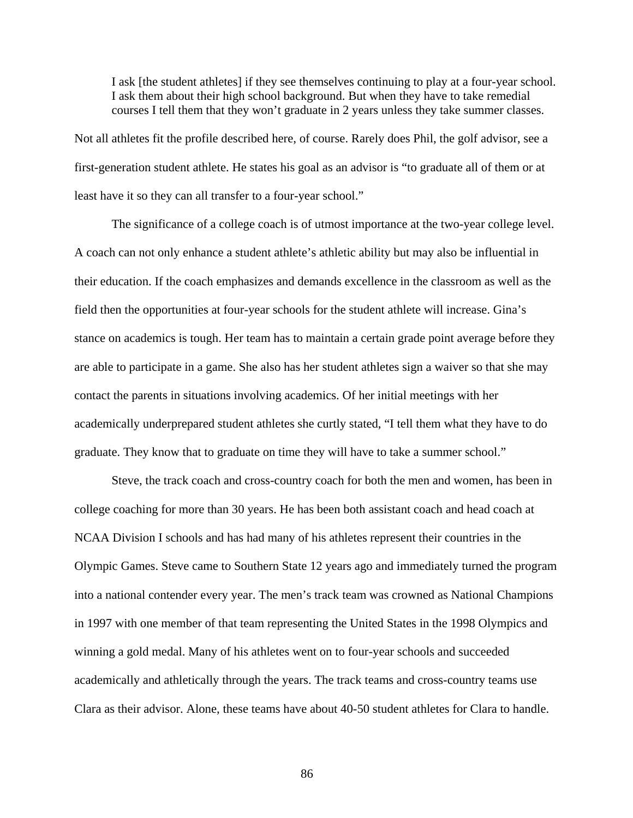I ask [the student athletes] if they see themselves continuing to play at a four-year school. I ask them about their high school background. But when they have to take remedial courses I tell them that they won't graduate in 2 years unless they take summer classes.

Not all athletes fit the profile described here, of course. Rarely does Phil, the golf advisor, see a first-generation student athlete. He states his goal as an advisor is "to graduate all of them or at least have it so they can all transfer to a four-year school."

The significance of a college coach is of utmost importance at the two-year college level. A coach can not only enhance a student athlete's athletic ability but may also be influential in their education. If the coach emphasizes and demands excellence in the classroom as well as the field then the opportunities at four-year schools for the student athlete will increase. Gina's stance on academics is tough. Her team has to maintain a certain grade point average before they are able to participate in a game. She also has her student athletes sign a waiver so that she may contact the parents in situations involving academics. Of her initial meetings with her academically underprepared student athletes she curtly stated, "I tell them what they have to do graduate. They know that to graduate on time they will have to take a summer school."

Steve, the track coach and cross-country coach for both the men and women, has been in college coaching for more than 30 years. He has been both assistant coach and head coach at NCAA Division I schools and has had many of his athletes represent their countries in the Olympic Games. Steve came to Southern State 12 years ago and immediately turned the program into a national contender every year. The men's track team was crowned as National Champions in 1997 with one member of that team representing the United States in the 1998 Olympics and winning a gold medal. Many of his athletes went on to four-year schools and succeeded academically and athletically through the years. The track teams and cross-country teams use Clara as their advisor. Alone, these teams have about 40-50 student athletes for Clara to handle.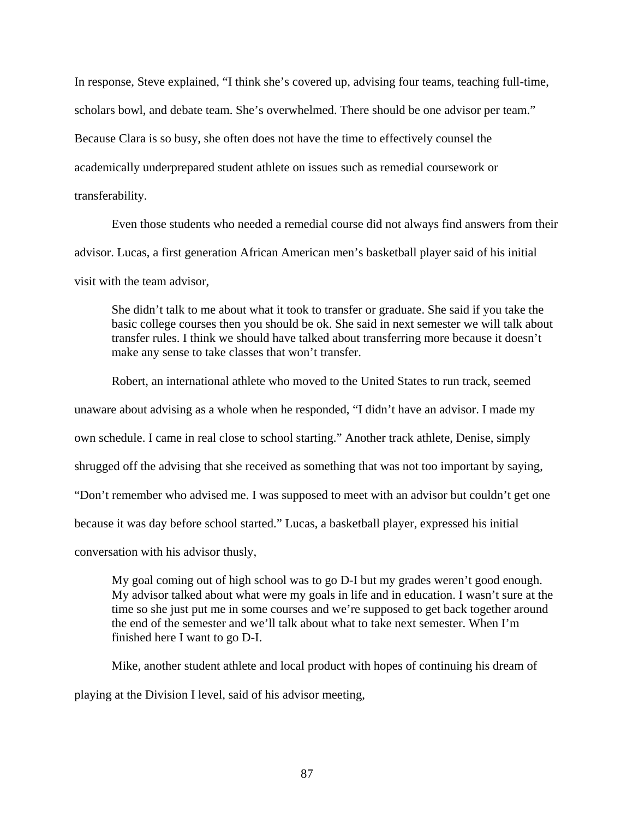In response, Steve explained, "I think she's covered up, advising four teams, teaching full-time, scholars bowl, and debate team. She's overwhelmed. There should be one advisor per team." Because Clara is so busy, she often does not have the time to effectively counsel the academically underprepared student athlete on issues such as remedial coursework or transferability.

Even those students who needed a remedial course did not always find answers from their advisor. Lucas, a first generation African American men's basketball player said of his initial visit with the team advisor,

She didn't talk to me about what it took to transfer or graduate. She said if you take the basic college courses then you should be ok. She said in next semester we will talk about transfer rules. I think we should have talked about transferring more because it doesn't make any sense to take classes that won't transfer.

Robert, an international athlete who moved to the United States to run track, seemed unaware about advising as a whole when he responded, "I didn't have an advisor. I made my own schedule. I came in real close to school starting." Another track athlete, Denise, simply shrugged off the advising that she received as something that was not too important by saying, "Don't remember who advised me. I was supposed to meet with an advisor but couldn't get one because it was day before school started." Lucas, a basketball player, expressed his initial

conversation with his advisor thusly,

My goal coming out of high school was to go D-I but my grades weren't good enough. My advisor talked about what were my goals in life and in education. I wasn't sure at the time so she just put me in some courses and we're supposed to get back together around the end of the semester and we'll talk about what to take next semester. When I'm finished here I want to go D-I.

Mike, another student athlete and local product with hopes of continuing his dream of playing at the Division I level, said of his advisor meeting,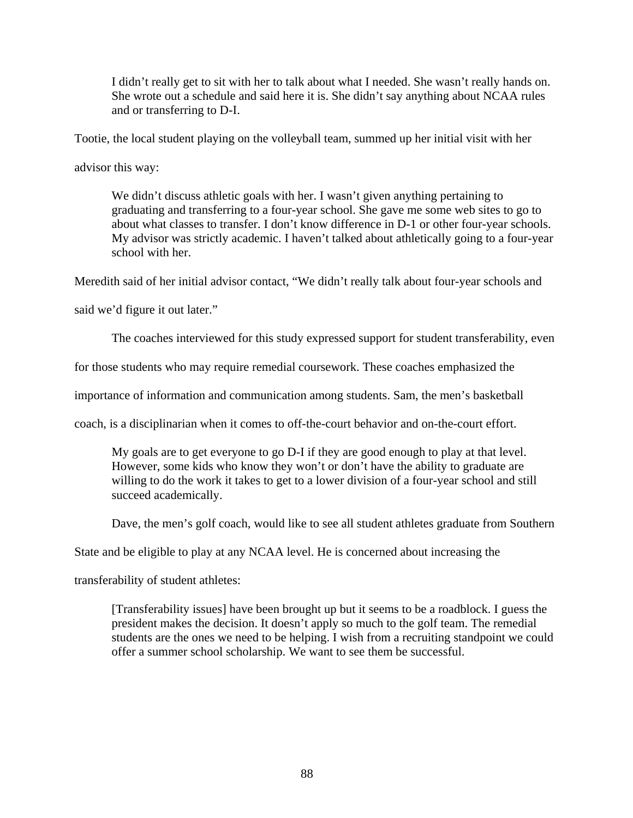I didn't really get to sit with her to talk about what I needed. She wasn't really hands on. She wrote out a schedule and said here it is. She didn't say anything about NCAA rules and or transferring to D-I.

Tootie, the local student playing on the volleyball team, summed up her initial visit with her

advisor this way:

We didn't discuss athletic goals with her. I wasn't given anything pertaining to graduating and transferring to a four-year school. She gave me some web sites to go to about what classes to transfer. I don't know difference in D-1 or other four-year schools. My advisor was strictly academic. I haven't talked about athletically going to a four-year school with her.

Meredith said of her initial advisor contact, "We didn't really talk about four-year schools and

said we'd figure it out later."

The coaches interviewed for this study expressed support for student transferability, even

for those students who may require remedial coursework. These coaches emphasized the

importance of information and communication among students. Sam, the men's basketball

coach, is a disciplinarian when it comes to off-the-court behavior and on-the-court effort.

My goals are to get everyone to go D-I if they are good enough to play at that level. However, some kids who know they won't or don't have the ability to graduate are willing to do the work it takes to get to a lower division of a four-year school and still succeed academically.

Dave, the men's golf coach, would like to see all student athletes graduate from Southern

State and be eligible to play at any NCAA level. He is concerned about increasing the

transferability of student athletes:

[Transferability issues] have been brought up but it seems to be a roadblock. I guess the president makes the decision. It doesn't apply so much to the golf team. The remedial students are the ones we need to be helping. I wish from a recruiting standpoint we could offer a summer school scholarship. We want to see them be successful.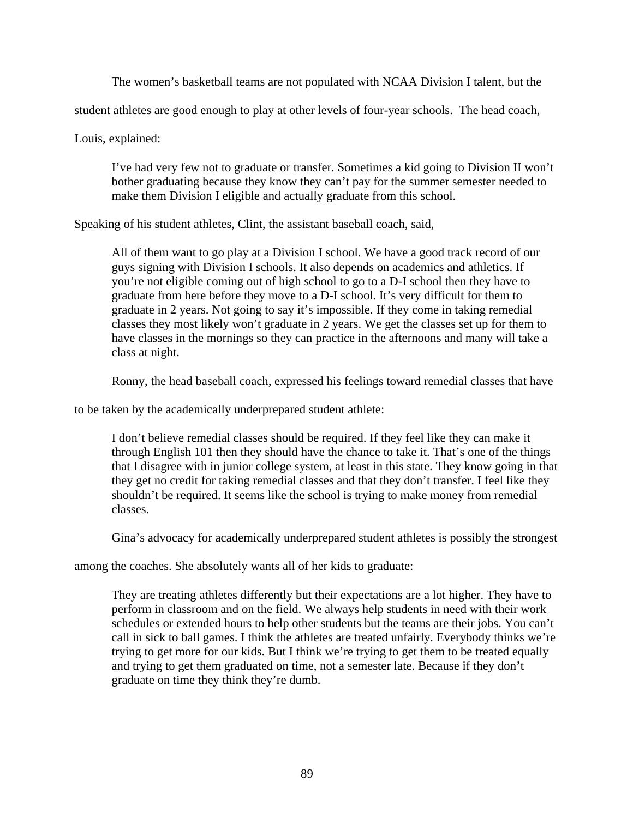The women's basketball teams are not populated with NCAA Division I talent, but the

student athletes are good enough to play at other levels of four-year schools. The head coach,

Louis, explained:

I've had very few not to graduate or transfer. Sometimes a kid going to Division II won't bother graduating because they know they can't pay for the summer semester needed to make them Division I eligible and actually graduate from this school.

Speaking of his student athletes, Clint, the assistant baseball coach, said,

All of them want to go play at a Division I school. We have a good track record of our guys signing with Division I schools. It also depends on academics and athletics. If you're not eligible coming out of high school to go to a D-I school then they have to graduate from here before they move to a D-I school. It's very difficult for them to graduate in 2 years. Not going to say it's impossible. If they come in taking remedial classes they most likely won't graduate in 2 years. We get the classes set up for them to have classes in the mornings so they can practice in the afternoons and many will take a class at night.

Ronny, the head baseball coach, expressed his feelings toward remedial classes that have

to be taken by the academically underprepared student athlete:

I don't believe remedial classes should be required. If they feel like they can make it through English 101 then they should have the chance to take it. That's one of the things that I disagree with in junior college system, at least in this state. They know going in that they get no credit for taking remedial classes and that they don't transfer. I feel like they shouldn't be required. It seems like the school is trying to make money from remedial classes.

Gina's advocacy for academically underprepared student athletes is possibly the strongest

among the coaches. She absolutely wants all of her kids to graduate:

They are treating athletes differently but their expectations are a lot higher. They have to perform in classroom and on the field. We always help students in need with their work schedules or extended hours to help other students but the teams are their jobs. You can't call in sick to ball games. I think the athletes are treated unfairly. Everybody thinks we're trying to get more for our kids. But I think we're trying to get them to be treated equally and trying to get them graduated on time, not a semester late. Because if they don't graduate on time they think they're dumb.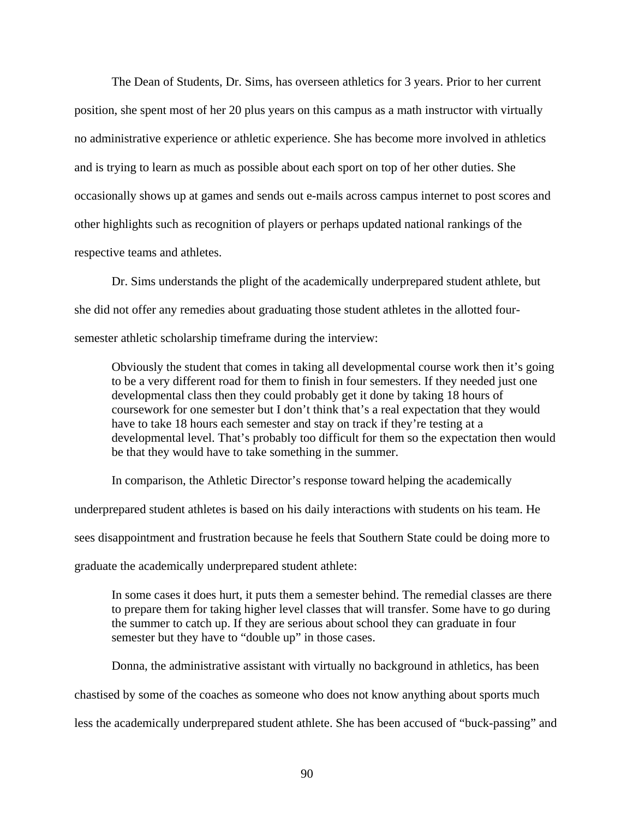The Dean of Students, Dr. Sims, has overseen athletics for 3 years. Prior to her current position, she spent most of her 20 plus years on this campus as a math instructor with virtually no administrative experience or athletic experience. She has become more involved in athletics and is trying to learn as much as possible about each sport on top of her other duties. She occasionally shows up at games and sends out e-mails across campus internet to post scores and other highlights such as recognition of players or perhaps updated national rankings of the respective teams and athletes.

Dr. Sims understands the plight of the academically underprepared student athlete, but she did not offer any remedies about graduating those student athletes in the allotted foursemester athletic scholarship timeframe during the interview:

Obviously the student that comes in taking all developmental course work then it's going to be a very different road for them to finish in four semesters. If they needed just one developmental class then they could probably get it done by taking 18 hours of coursework for one semester but I don't think that's a real expectation that they would have to take 18 hours each semester and stay on track if they're testing at a developmental level. That's probably too difficult for them so the expectation then would be that they would have to take something in the summer.

In comparison, the Athletic Director's response toward helping the academically

underprepared student athletes is based on his daily interactions with students on his team. He

sees disappointment and frustration because he feels that Southern State could be doing more to

graduate the academically underprepared student athlete:

In some cases it does hurt, it puts them a semester behind. The remedial classes are there to prepare them for taking higher level classes that will transfer. Some have to go during the summer to catch up. If they are serious about school they can graduate in four semester but they have to "double up" in those cases.

 Donna, the administrative assistant with virtually no background in athletics, has been chastised by some of the coaches as someone who does not know anything about sports much less the academically underprepared student athlete. She has been accused of "buck-passing" and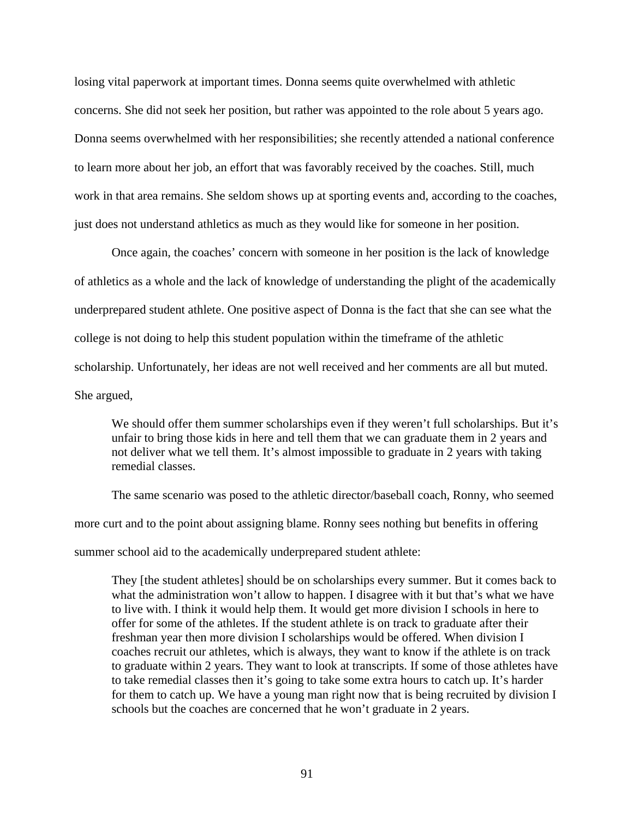losing vital paperwork at important times. Donna seems quite overwhelmed with athletic concerns. She did not seek her position, but rather was appointed to the role about 5 years ago. Donna seems overwhelmed with her responsibilities; she recently attended a national conference to learn more about her job, an effort that was favorably received by the coaches. Still, much work in that area remains. She seldom shows up at sporting events and, according to the coaches, just does not understand athletics as much as they would like for someone in her position.

 Once again, the coaches' concern with someone in her position is the lack of knowledge of athletics as a whole and the lack of knowledge of understanding the plight of the academically underprepared student athlete. One positive aspect of Donna is the fact that she can see what the college is not doing to help this student population within the timeframe of the athletic scholarship. Unfortunately, her ideas are not well received and her comments are all but muted. She argued,

We should offer them summer scholarships even if they weren't full scholarships. But it's unfair to bring those kids in here and tell them that we can graduate them in 2 years and not deliver what we tell them. It's almost impossible to graduate in 2 years with taking remedial classes.

The same scenario was posed to the athletic director/baseball coach, Ronny, who seemed more curt and to the point about assigning blame. Ronny sees nothing but benefits in offering summer school aid to the academically underprepared student athlete:

They [the student athletes] should be on scholarships every summer. But it comes back to what the administration won't allow to happen. I disagree with it but that's what we have to live with. I think it would help them. It would get more division I schools in here to offer for some of the athletes. If the student athlete is on track to graduate after their freshman year then more division I scholarships would be offered. When division I coaches recruit our athletes, which is always, they want to know if the athlete is on track to graduate within 2 years. They want to look at transcripts. If some of those athletes have to take remedial classes then it's going to take some extra hours to catch up. It's harder for them to catch up. We have a young man right now that is being recruited by division I schools but the coaches are concerned that he won't graduate in 2 years.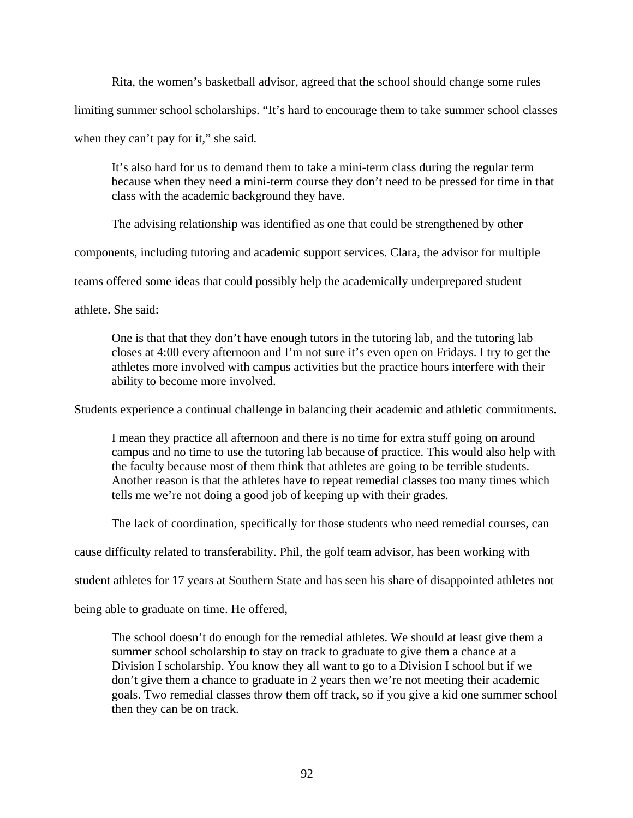Rita, the women's basketball advisor, agreed that the school should change some rules limiting summer school scholarships. "It's hard to encourage them to take summer school classes when they can't pay for it," she said.

It's also hard for us to demand them to take a mini-term class during the regular term because when they need a mini-term course they don't need to be pressed for time in that class with the academic background they have.

The advising relationship was identified as one that could be strengthened by other

components, including tutoring and academic support services. Clara, the advisor for multiple

teams offered some ideas that could possibly help the academically underprepared student

athlete. She said:

One is that that they don't have enough tutors in the tutoring lab, and the tutoring lab closes at 4:00 every afternoon and I'm not sure it's even open on Fridays. I try to get the athletes more involved with campus activities but the practice hours interfere with their ability to become more involved.

Students experience a continual challenge in balancing their academic and athletic commitments.

I mean they practice all afternoon and there is no time for extra stuff going on around campus and no time to use the tutoring lab because of practice. This would also help with the faculty because most of them think that athletes are going to be terrible students. Another reason is that the athletes have to repeat remedial classes too many times which tells me we're not doing a good job of keeping up with their grades.

The lack of coordination, specifically for those students who need remedial courses, can

cause difficulty related to transferability. Phil, the golf team advisor, has been working with

student athletes for 17 years at Southern State and has seen his share of disappointed athletes not

being able to graduate on time. He offered,

The school doesn't do enough for the remedial athletes. We should at least give them a summer school scholarship to stay on track to graduate to give them a chance at a Division I scholarship. You know they all want to go to a Division I school but if we don't give them a chance to graduate in 2 years then we're not meeting their academic goals. Two remedial classes throw them off track, so if you give a kid one summer school then they can be on track.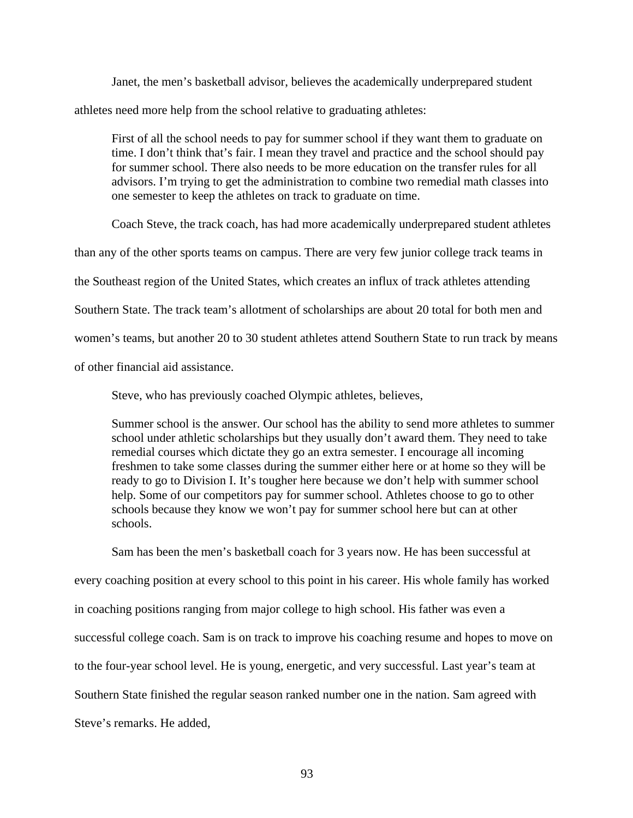Janet, the men's basketball advisor, believes the academically underprepared student athletes need more help from the school relative to graduating athletes:

First of all the school needs to pay for summer school if they want them to graduate on time. I don't think that's fair. I mean they travel and practice and the school should pay for summer school. There also needs to be more education on the transfer rules for all advisors. I'm trying to get the administration to combine two remedial math classes into one semester to keep the athletes on track to graduate on time.

Coach Steve, the track coach, has had more academically underprepared student athletes

than any of the other sports teams on campus. There are very few junior college track teams in

the Southeast region of the United States, which creates an influx of track athletes attending

Southern State. The track team's allotment of scholarships are about 20 total for both men and

women's teams, but another 20 to 30 student athletes attend Southern State to run track by means

of other financial aid assistance.

Steve, who has previously coached Olympic athletes, believes,

Summer school is the answer. Our school has the ability to send more athletes to summer school under athletic scholarships but they usually don't award them. They need to take remedial courses which dictate they go an extra semester. I encourage all incoming freshmen to take some classes during the summer either here or at home so they will be ready to go to Division I. It's tougher here because we don't help with summer school help. Some of our competitors pay for summer school. Athletes choose to go to other schools because they know we won't pay for summer school here but can at other schools.

Sam has been the men's basketball coach for 3 years now. He has been successful at every coaching position at every school to this point in his career. His whole family has worked in coaching positions ranging from major college to high school. His father was even a successful college coach. Sam is on track to improve his coaching resume and hopes to move on to the four-year school level. He is young, energetic, and very successful. Last year's team at Southern State finished the regular season ranked number one in the nation. Sam agreed with Steve's remarks. He added,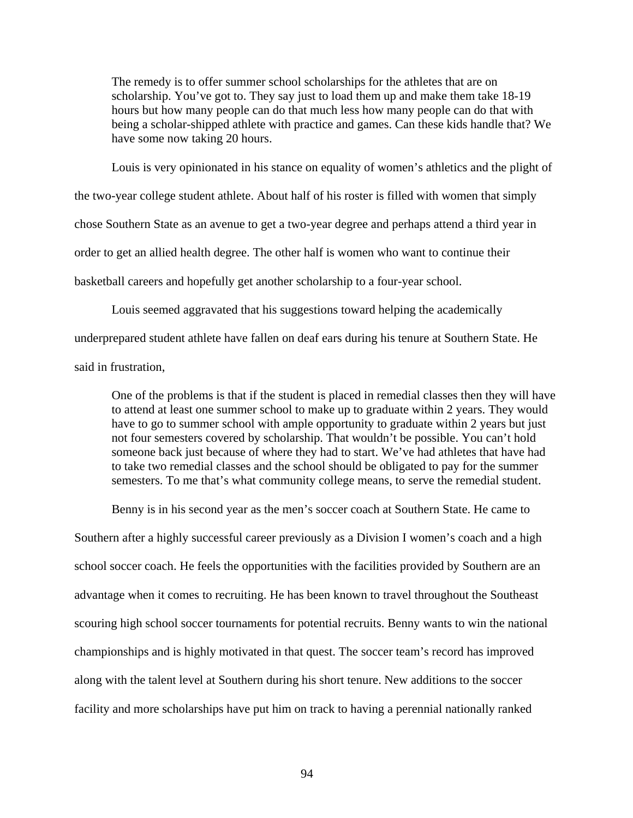The remedy is to offer summer school scholarships for the athletes that are on scholarship. You've got to. They say just to load them up and make them take 18-19 hours but how many people can do that much less how many people can do that with being a scholar-shipped athlete with practice and games. Can these kids handle that? We have some now taking 20 hours.

Louis is very opinionated in his stance on equality of women's athletics and the plight of the two-year college student athlete. About half of his roster is filled with women that simply chose Southern State as an avenue to get a two-year degree and perhaps attend a third year in order to get an allied health degree. The other half is women who want to continue their basketball careers and hopefully get another scholarship to a four-year school.

Louis seemed aggravated that his suggestions toward helping the academically underprepared student athlete have fallen on deaf ears during his tenure at Southern State. He said in frustration,

One of the problems is that if the student is placed in remedial classes then they will have to attend at least one summer school to make up to graduate within 2 years. They would have to go to summer school with ample opportunity to graduate within 2 years but just not four semesters covered by scholarship. That wouldn't be possible. You can't hold someone back just because of where they had to start. We've had athletes that have had to take two remedial classes and the school should be obligated to pay for the summer semesters. To me that's what community college means, to serve the remedial student.

Benny is in his second year as the men's soccer coach at Southern State. He came to

Southern after a highly successful career previously as a Division I women's coach and a high school soccer coach. He feels the opportunities with the facilities provided by Southern are an advantage when it comes to recruiting. He has been known to travel throughout the Southeast scouring high school soccer tournaments for potential recruits. Benny wants to win the national championships and is highly motivated in that quest. The soccer team's record has improved along with the talent level at Southern during his short tenure. New additions to the soccer facility and more scholarships have put him on track to having a perennial nationally ranked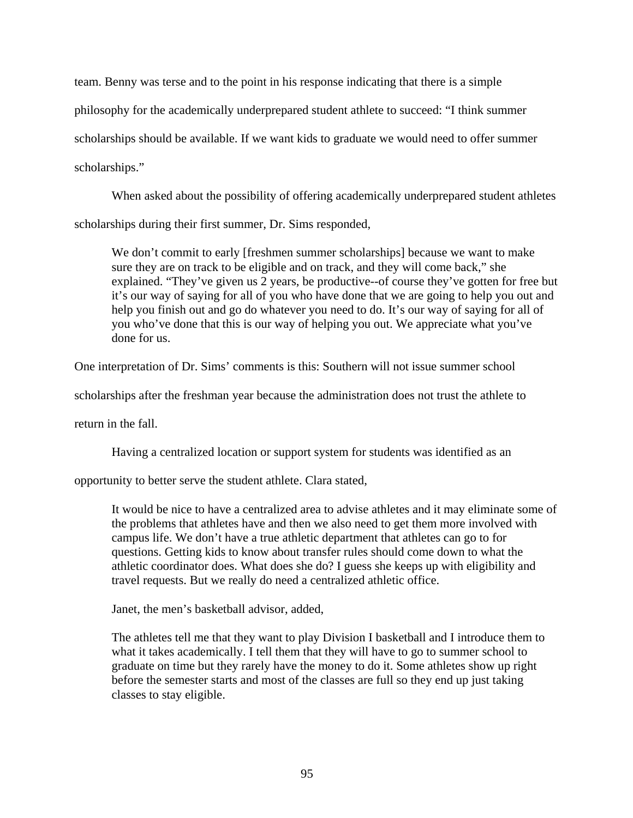team. Benny was terse and to the point in his response indicating that there is a simple philosophy for the academically underprepared student athlete to succeed: "I think summer scholarships should be available. If we want kids to graduate we would need to offer summer scholarships."

 When asked about the possibility of offering academically underprepared student athletes scholarships during their first summer, Dr. Sims responded,

We don't commit to early [freshmen summer scholarships] because we want to make sure they are on track to be eligible and on track, and they will come back," she explained. "They've given us 2 years, be productive--of course they've gotten for free but it's our way of saying for all of you who have done that we are going to help you out and help you finish out and go do whatever you need to do. It's our way of saying for all of you who've done that this is our way of helping you out. We appreciate what you've done for us.

One interpretation of Dr. Sims' comments is this: Southern will not issue summer school

scholarships after the freshman year because the administration does not trust the athlete to

return in the fall.

Having a centralized location or support system for students was identified as an

opportunity to better serve the student athlete. Clara stated,

It would be nice to have a centralized area to advise athletes and it may eliminate some of the problems that athletes have and then we also need to get them more involved with campus life. We don't have a true athletic department that athletes can go to for questions. Getting kids to know about transfer rules should come down to what the athletic coordinator does. What does she do? I guess she keeps up with eligibility and travel requests. But we really do need a centralized athletic office.

Janet, the men's basketball advisor, added,

The athletes tell me that they want to play Division I basketball and I introduce them to what it takes academically. I tell them that they will have to go to summer school to graduate on time but they rarely have the money to do it. Some athletes show up right before the semester starts and most of the classes are full so they end up just taking classes to stay eligible.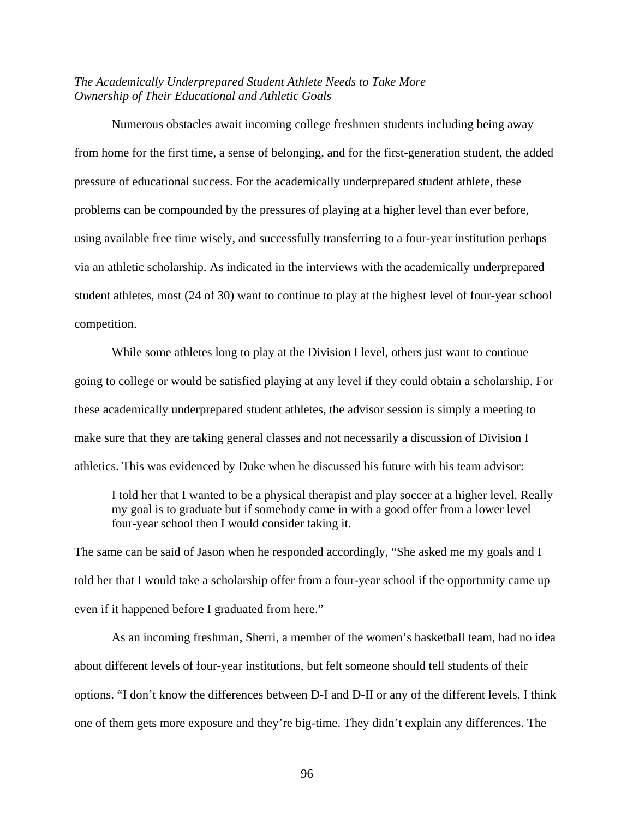## *The Academically Underprepared Student Athlete Needs to Take More Ownership of Their Educational and Athletic Goals*

Numerous obstacles await incoming college freshmen students including being away from home for the first time, a sense of belonging, and for the first-generation student, the added pressure of educational success. For the academically underprepared student athlete, these problems can be compounded by the pressures of playing at a higher level than ever before, using available free time wisely, and successfully transferring to a four-year institution perhaps via an athletic scholarship. As indicated in the interviews with the academically underprepared student athletes, most (24 of 30) want to continue to play at the highest level of four-year school competition.

While some athletes long to play at the Division I level, others just want to continue going to college or would be satisfied playing at any level if they could obtain a scholarship. For these academically underprepared student athletes, the advisor session is simply a meeting to make sure that they are taking general classes and not necessarily a discussion of Division I athletics. This was evidenced by Duke when he discussed his future with his team advisor:

I told her that I wanted to be a physical therapist and play soccer at a higher level. Really my goal is to graduate but if somebody came in with a good offer from a lower level four-year school then I would consider taking it.

The same can be said of Jason when he responded accordingly, "She asked me my goals and I told her that I would take a scholarship offer from a four-year school if the opportunity came up even if it happened before I graduated from here."

As an incoming freshman, Sherri, a member of the women's basketball team, had no idea about different levels of four-year institutions, but felt someone should tell students of their options. "I don't know the differences between D-I and D-II or any of the different levels. I think one of them gets more exposure and they're big-time. They didn't explain any differences. The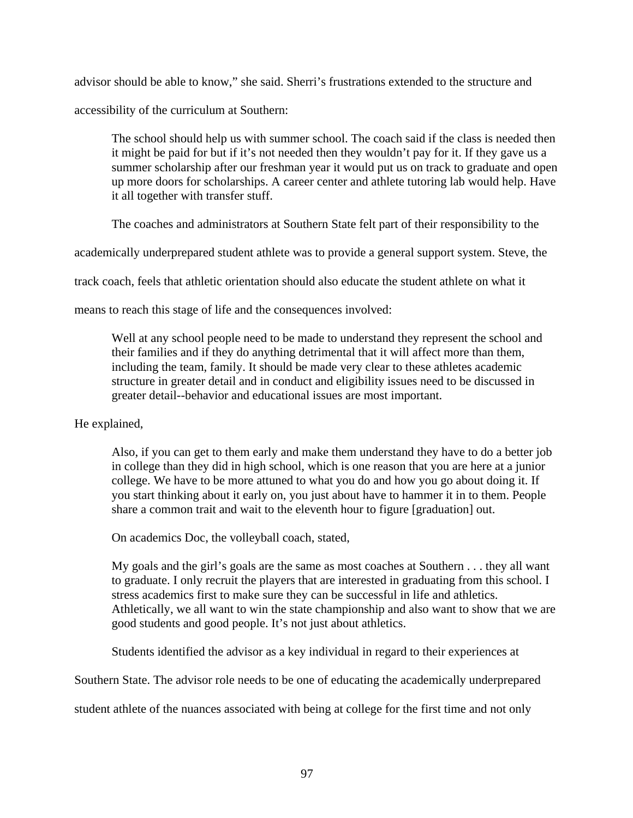advisor should be able to know," she said. Sherri's frustrations extended to the structure and accessibility of the curriculum at Southern:

The school should help us with summer school. The coach said if the class is needed then it might be paid for but if it's not needed then they wouldn't pay for it. If they gave us a summer scholarship after our freshman year it would put us on track to graduate and open up more doors for scholarships. A career center and athlete tutoring lab would help. Have it all together with transfer stuff.

The coaches and administrators at Southern State felt part of their responsibility to the

academically underprepared student athlete was to provide a general support system. Steve, the

track coach, feels that athletic orientation should also educate the student athlete on what it

means to reach this stage of life and the consequences involved:

Well at any school people need to be made to understand they represent the school and their families and if they do anything detrimental that it will affect more than them, including the team, family. It should be made very clear to these athletes academic structure in greater detail and in conduct and eligibility issues need to be discussed in greater detail--behavior and educational issues are most important.

# He explained,

Also, if you can get to them early and make them understand they have to do a better job in college than they did in high school, which is one reason that you are here at a junior college. We have to be more attuned to what you do and how you go about doing it. If you start thinking about it early on, you just about have to hammer it in to them. People share a common trait and wait to the eleventh hour to figure [graduation] out.

On academics Doc, the volleyball coach, stated,

My goals and the girl's goals are the same as most coaches at Southern . . . they all want to graduate. I only recruit the players that are interested in graduating from this school. I stress academics first to make sure they can be successful in life and athletics. Athletically, we all want to win the state championship and also want to show that we are good students and good people. It's not just about athletics.

Students identified the advisor as a key individual in regard to their experiences at

Southern State. The advisor role needs to be one of educating the academically underprepared

student athlete of the nuances associated with being at college for the first time and not only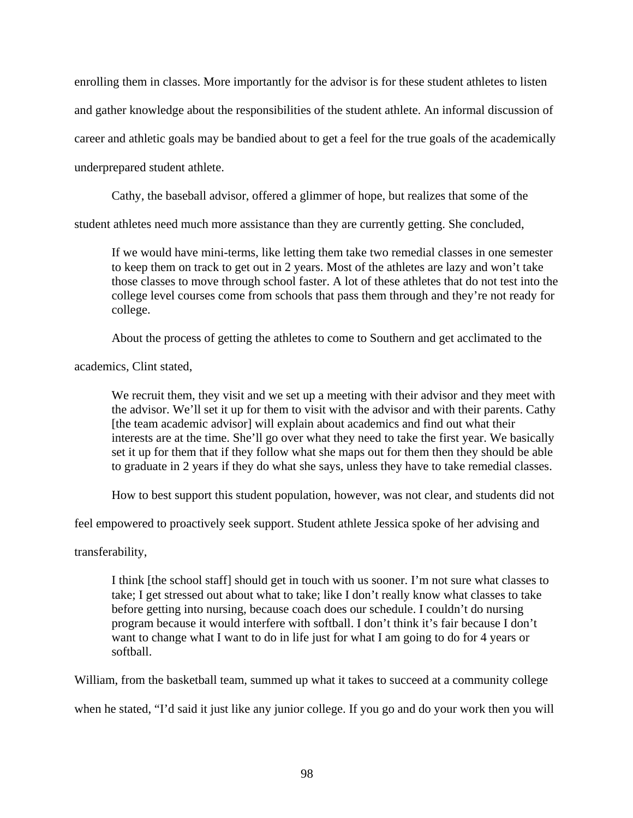enrolling them in classes. More importantly for the advisor is for these student athletes to listen and gather knowledge about the responsibilities of the student athlete. An informal discussion of career and athletic goals may be bandied about to get a feel for the true goals of the academically underprepared student athlete.

Cathy, the baseball advisor, offered a glimmer of hope, but realizes that some of the

student athletes need much more assistance than they are currently getting. She concluded,

If we would have mini-terms, like letting them take two remedial classes in one semester to keep them on track to get out in 2 years. Most of the athletes are lazy and won't take those classes to move through school faster. A lot of these athletes that do not test into the college level courses come from schools that pass them through and they're not ready for college.

About the process of getting the athletes to come to Southern and get acclimated to the

academics, Clint stated,

We recruit them, they visit and we set up a meeting with their advisor and they meet with the advisor. We'll set it up for them to visit with the advisor and with their parents. Cathy [the team academic advisor] will explain about academics and find out what their interests are at the time. She'll go over what they need to take the first year. We basically set it up for them that if they follow what she maps out for them then they should be able to graduate in 2 years if they do what she says, unless they have to take remedial classes.

How to best support this student population, however, was not clear, and students did not

feel empowered to proactively seek support. Student athlete Jessica spoke of her advising and

transferability,

I think [the school staff] should get in touch with us sooner. I'm not sure what classes to take; I get stressed out about what to take; like I don't really know what classes to take before getting into nursing, because coach does our schedule. I couldn't do nursing program because it would interfere with softball. I don't think it's fair because I don't want to change what I want to do in life just for what I am going to do for 4 years or softball.

William, from the basketball team, summed up what it takes to succeed at a community college

when he stated, "I'd said it just like any junior college. If you go and do your work then you will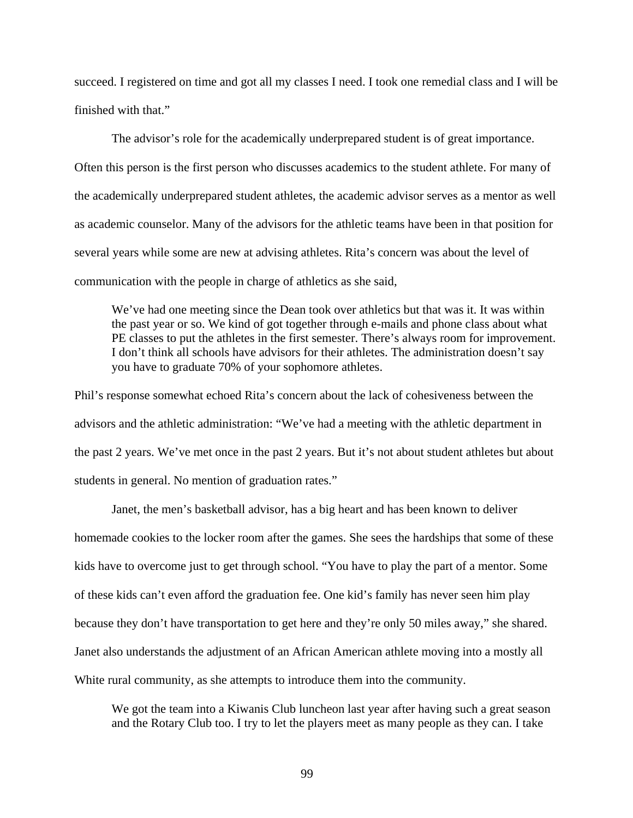succeed. I registered on time and got all my classes I need. I took one remedial class and I will be finished with that."

 The advisor's role for the academically underprepared student is of great importance. Often this person is the first person who discusses academics to the student athlete. For many of the academically underprepared student athletes, the academic advisor serves as a mentor as well as academic counselor. Many of the advisors for the athletic teams have been in that position for several years while some are new at advising athletes. Rita's concern was about the level of communication with the people in charge of athletics as she said,

We've had one meeting since the Dean took over athletics but that was it. It was within the past year or so. We kind of got together through e-mails and phone class about what PE classes to put the athletes in the first semester. There's always room for improvement. I don't think all schools have advisors for their athletes. The administration doesn't say you have to graduate 70% of your sophomore athletes.

Phil's response somewhat echoed Rita's concern about the lack of cohesiveness between the advisors and the athletic administration: "We've had a meeting with the athletic department in the past 2 years. We've met once in the past 2 years. But it's not about student athletes but about students in general. No mention of graduation rates."

Janet, the men's basketball advisor, has a big heart and has been known to deliver homemade cookies to the locker room after the games. She sees the hardships that some of these kids have to overcome just to get through school. "You have to play the part of a mentor. Some of these kids can't even afford the graduation fee. One kid's family has never seen him play because they don't have transportation to get here and they're only 50 miles away," she shared. Janet also understands the adjustment of an African American athlete moving into a mostly all White rural community, as she attempts to introduce them into the community.

We got the team into a Kiwanis Club luncheon last year after having such a great season and the Rotary Club too. I try to let the players meet as many people as they can. I take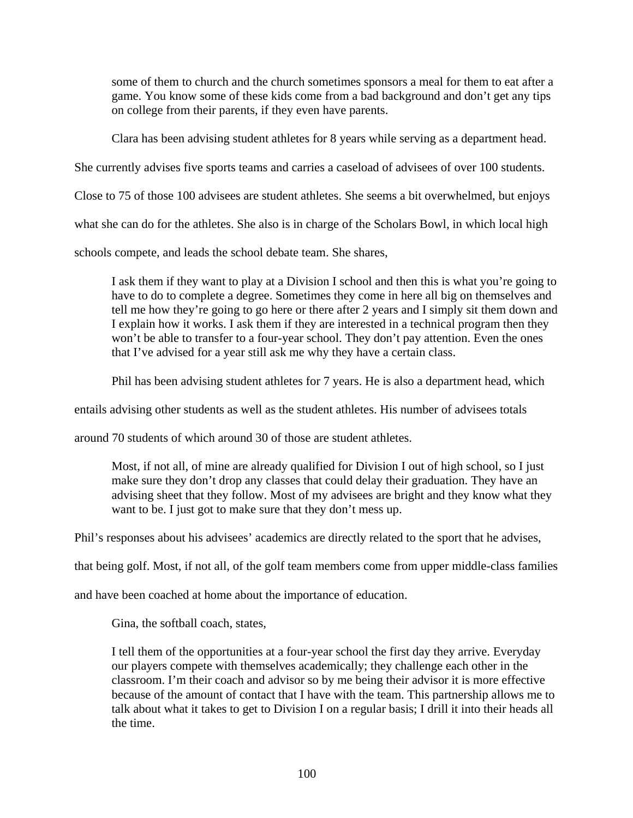some of them to church and the church sometimes sponsors a meal for them to eat after a game. You know some of these kids come from a bad background and don't get any tips on college from their parents, if they even have parents.

Clara has been advising student athletes for 8 years while serving as a department head.

She currently advises five sports teams and carries a caseload of advisees of over 100 students.

Close to 75 of those 100 advisees are student athletes. She seems a bit overwhelmed, but enjoys

what she can do for the athletes. She also is in charge of the Scholars Bowl, in which local high

schools compete, and leads the school debate team. She shares,

I ask them if they want to play at a Division I school and then this is what you're going to have to do to complete a degree. Sometimes they come in here all big on themselves and tell me how they're going to go here or there after 2 years and I simply sit them down and I explain how it works. I ask them if they are interested in a technical program then they won't be able to transfer to a four-year school. They don't pay attention. Even the ones that I've advised for a year still ask me why they have a certain class.

Phil has been advising student athletes for 7 years. He is also a department head, which

entails advising other students as well as the student athletes. His number of advisees totals

around 70 students of which around 30 of those are student athletes.

Most, if not all, of mine are already qualified for Division I out of high school, so I just make sure they don't drop any classes that could delay their graduation. They have an advising sheet that they follow. Most of my advisees are bright and they know what they want to be. I just got to make sure that they don't mess up.

Phil's responses about his advisees' academics are directly related to the sport that he advises,

that being golf. Most, if not all, of the golf team members come from upper middle-class families

and have been coached at home about the importance of education.

Gina, the softball coach, states,

I tell them of the opportunities at a four-year school the first day they arrive. Everyday our players compete with themselves academically; they challenge each other in the classroom. I'm their coach and advisor so by me being their advisor it is more effective because of the amount of contact that I have with the team. This partnership allows me to talk about what it takes to get to Division I on a regular basis; I drill it into their heads all the time.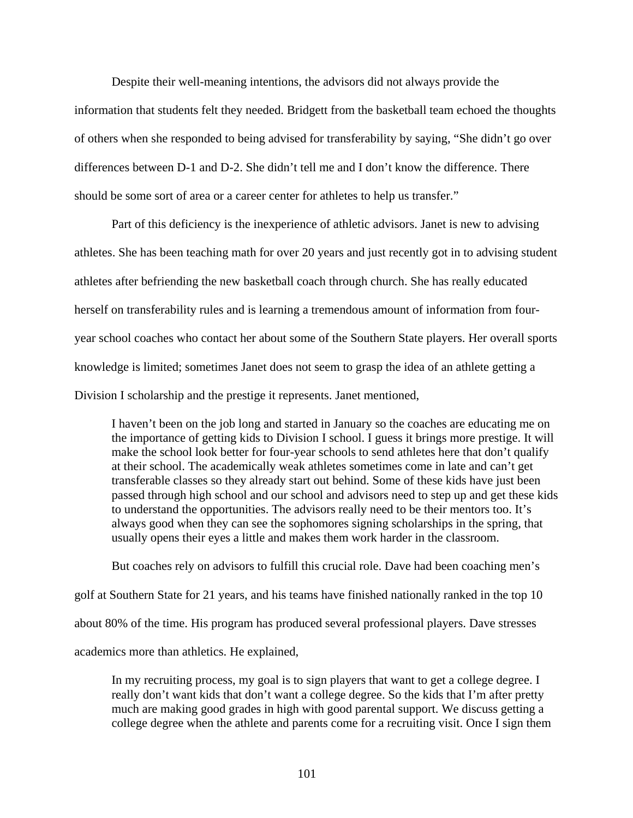Despite their well-meaning intentions, the advisors did not always provide the

information that students felt they needed. Bridgett from the basketball team echoed the thoughts of others when she responded to being advised for transferability by saying, "She didn't go over differences between D-1 and D-2. She didn't tell me and I don't know the difference. There should be some sort of area or a career center for athletes to help us transfer."

Part of this deficiency is the inexperience of athletic advisors. Janet is new to advising athletes. She has been teaching math for over 20 years and just recently got in to advising student athletes after befriending the new basketball coach through church. She has really educated herself on transferability rules and is learning a tremendous amount of information from fouryear school coaches who contact her about some of the Southern State players. Her overall sports knowledge is limited; sometimes Janet does not seem to grasp the idea of an athlete getting a Division I scholarship and the prestige it represents. Janet mentioned,

I haven't been on the job long and started in January so the coaches are educating me on the importance of getting kids to Division I school. I guess it brings more prestige. It will make the school look better for four-year schools to send athletes here that don't qualify at their school. The academically weak athletes sometimes come in late and can't get transferable classes so they already start out behind. Some of these kids have just been passed through high school and our school and advisors need to step up and get these kids to understand the opportunities. The advisors really need to be their mentors too. It's always good when they can see the sophomores signing scholarships in the spring, that usually opens their eyes a little and makes them work harder in the classroom.

But coaches rely on advisors to fulfill this crucial role. Dave had been coaching men's golf at Southern State for 21 years, and his teams have finished nationally ranked in the top 10 about 80% of the time. His program has produced several professional players. Dave stresses academics more than athletics. He explained,

In my recruiting process, my goal is to sign players that want to get a college degree. I really don't want kids that don't want a college degree. So the kids that I'm after pretty much are making good grades in high with good parental support. We discuss getting a college degree when the athlete and parents come for a recruiting visit. Once I sign them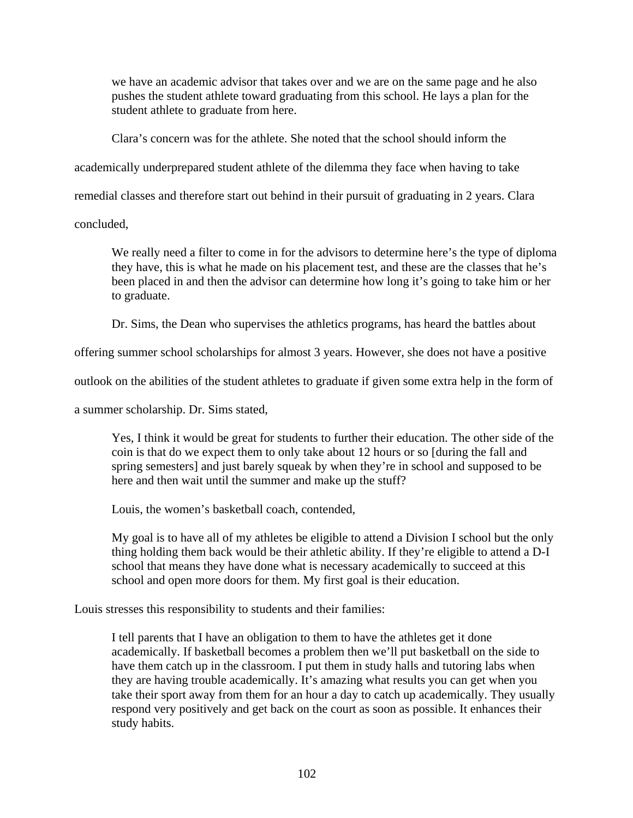we have an academic advisor that takes over and we are on the same page and he also pushes the student athlete toward graduating from this school. He lays a plan for the student athlete to graduate from here.

Clara's concern was for the athlete. She noted that the school should inform the

academically underprepared student athlete of the dilemma they face when having to take

remedial classes and therefore start out behind in their pursuit of graduating in 2 years. Clara

concluded,

We really need a filter to come in for the advisors to determine here's the type of diploma they have, this is what he made on his placement test, and these are the classes that he's been placed in and then the advisor can determine how long it's going to take him or her to graduate.

Dr. Sims, the Dean who supervises the athletics programs, has heard the battles about

offering summer school scholarships for almost 3 years. However, she does not have a positive

outlook on the abilities of the student athletes to graduate if given some extra help in the form of

a summer scholarship. Dr. Sims stated,

Yes, I think it would be great for students to further their education. The other side of the coin is that do we expect them to only take about 12 hours or so [during the fall and spring semesters] and just barely squeak by when they're in school and supposed to be here and then wait until the summer and make up the stuff?

Louis, the women's basketball coach, contended,

My goal is to have all of my athletes be eligible to attend a Division I school but the only thing holding them back would be their athletic ability. If they're eligible to attend a D-I school that means they have done what is necessary academically to succeed at this school and open more doors for them. My first goal is their education.

Louis stresses this responsibility to students and their families:

I tell parents that I have an obligation to them to have the athletes get it done academically. If basketball becomes a problem then we'll put basketball on the side to have them catch up in the classroom. I put them in study halls and tutoring labs when they are having trouble academically. It's amazing what results you can get when you take their sport away from them for an hour a day to catch up academically. They usually respond very positively and get back on the court as soon as possible. It enhances their study habits.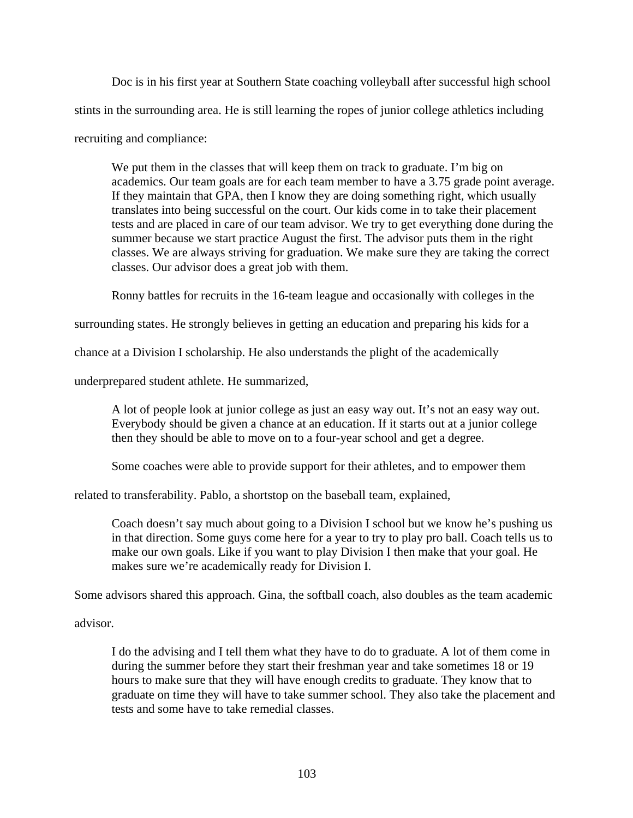Doc is in his first year at Southern State coaching volleyball after successful high school stints in the surrounding area. He is still learning the ropes of junior college athletics including recruiting and compliance:

We put them in the classes that will keep them on track to graduate. I'm big on academics. Our team goals are for each team member to have a 3.75 grade point average. If they maintain that GPA, then I know they are doing something right, which usually translates into being successful on the court. Our kids come in to take their placement tests and are placed in care of our team advisor. We try to get everything done during the summer because we start practice August the first. The advisor puts them in the right classes. We are always striving for graduation. We make sure they are taking the correct classes. Our advisor does a great job with them.

Ronny battles for recruits in the 16-team league and occasionally with colleges in the

surrounding states. He strongly believes in getting an education and preparing his kids for a

chance at a Division I scholarship. He also understands the plight of the academically

underprepared student athlete. He summarized,

A lot of people look at junior college as just an easy way out. It's not an easy way out. Everybody should be given a chance at an education. If it starts out at a junior college then they should be able to move on to a four-year school and get a degree.

Some coaches were able to provide support for their athletes, and to empower them

related to transferability. Pablo, a shortstop on the baseball team, explained,

Coach doesn't say much about going to a Division I school but we know he's pushing us in that direction. Some guys come here for a year to try to play pro ball. Coach tells us to make our own goals. Like if you want to play Division I then make that your goal. He makes sure we're academically ready for Division I.

Some advisors shared this approach. Gina, the softball coach, also doubles as the team academic

advisor.

I do the advising and I tell them what they have to do to graduate. A lot of them come in during the summer before they start their freshman year and take sometimes 18 or 19 hours to make sure that they will have enough credits to graduate. They know that to graduate on time they will have to take summer school. They also take the placement and tests and some have to take remedial classes.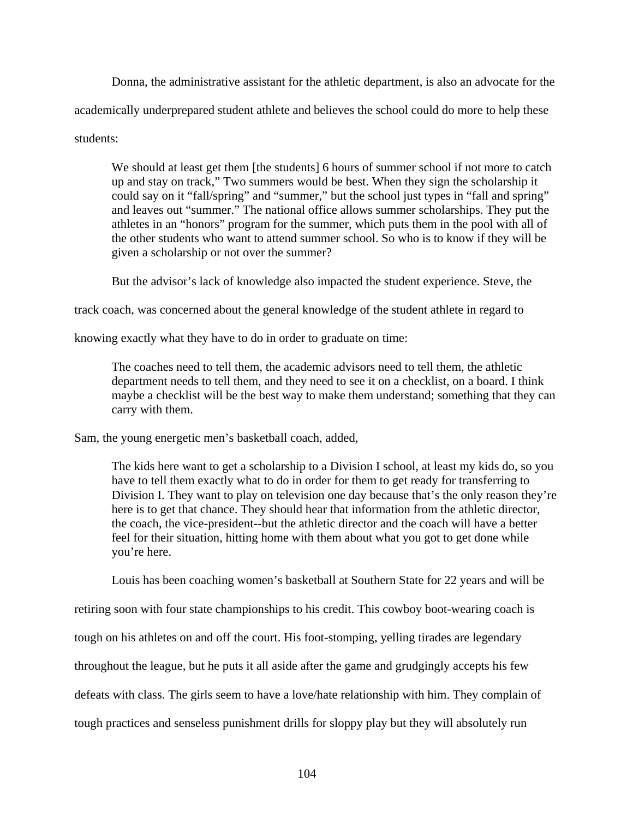Donna, the administrative assistant for the athletic department, is also an advocate for the academically underprepared student athlete and believes the school could do more to help these students:

We should at least get them [the students] 6 hours of summer school if not more to catch up and stay on track," Two summers would be best. When they sign the scholarship it could say on it "fall/spring" and "summer," but the school just types in "fall and spring" and leaves out "summer." The national office allows summer scholarships. They put the athletes in an "honors" program for the summer, which puts them in the pool with all of the other students who want to attend summer school. So who is to know if they will be given a scholarship or not over the summer?

But the advisor's lack of knowledge also impacted the student experience. Steve, the

track coach, was concerned about the general knowledge of the student athlete in regard to

knowing exactly what they have to do in order to graduate on time:

The coaches need to tell them, the academic advisors need to tell them, the athletic department needs to tell them, and they need to see it on a checklist, on a board. I think maybe a checklist will be the best way to make them understand; something that they can carry with them.

Sam, the young energetic men's basketball coach, added,

The kids here want to get a scholarship to a Division I school, at least my kids do, so you have to tell them exactly what to do in order for them to get ready for transferring to Division I. They want to play on television one day because that's the only reason they're here is to get that chance. They should hear that information from the athletic director, the coach, the vice-president--but the athletic director and the coach will have a better feel for their situation, hitting home with them about what you got to get done while you're here.

Louis has been coaching women's basketball at Southern State for 22 years and will be

retiring soon with four state championships to his credit. This cowboy boot-wearing coach is

tough on his athletes on and off the court. His foot-stomping, yelling tirades are legendary

throughout the league, but he puts it all aside after the game and grudgingly accepts his few

defeats with class. The girls seem to have a love/hate relationship with him. They complain of

tough practices and senseless punishment drills for sloppy play but they will absolutely run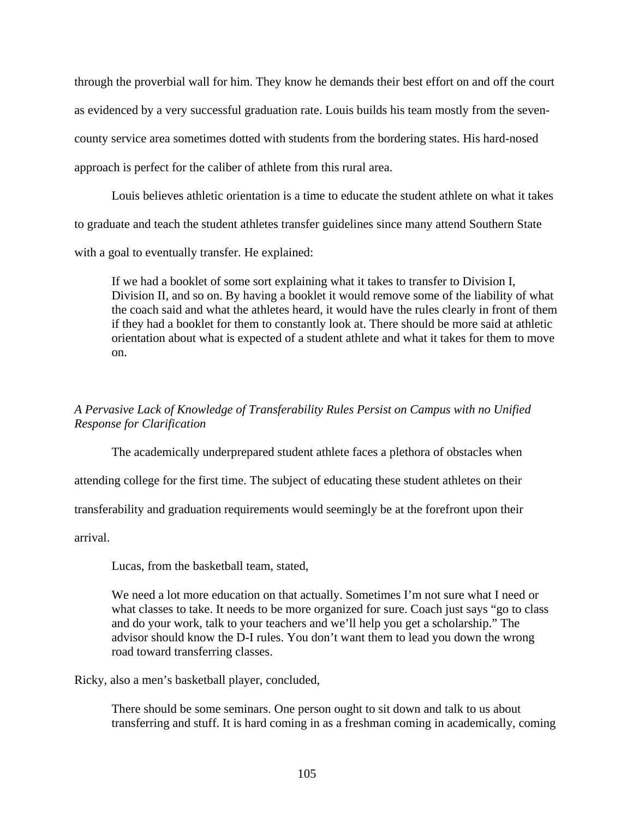through the proverbial wall for him. They know he demands their best effort on and off the court as evidenced by a very successful graduation rate. Louis builds his team mostly from the sevencounty service area sometimes dotted with students from the bordering states. His hard-nosed approach is perfect for the caliber of athlete from this rural area.

Louis believes athletic orientation is a time to educate the student athlete on what it takes to graduate and teach the student athletes transfer guidelines since many attend Southern State with a goal to eventually transfer. He explained:

If we had a booklet of some sort explaining what it takes to transfer to Division I, Division II, and so on. By having a booklet it would remove some of the liability of what the coach said and what the athletes heard, it would have the rules clearly in front of them if they had a booklet for them to constantly look at. There should be more said at athletic orientation about what is expected of a student athlete and what it takes for them to move on.

# *A Pervasive Lack of Knowledge of Transferability Rules Persist on Campus with no Unified Response for Clarification*

 The academically underprepared student athlete faces a plethora of obstacles when attending college for the first time. The subject of educating these student athletes on their transferability and graduation requirements would seemingly be at the forefront upon their

arrival.

Lucas, from the basketball team, stated,

We need a lot more education on that actually. Sometimes I'm not sure what I need or what classes to take. It needs to be more organized for sure. Coach just says "go to class and do your work, talk to your teachers and we'll help you get a scholarship." The advisor should know the D-I rules. You don't want them to lead you down the wrong road toward transferring classes.

Ricky, also a men's basketball player, concluded,

There should be some seminars. One person ought to sit down and talk to us about transferring and stuff. It is hard coming in as a freshman coming in academically, coming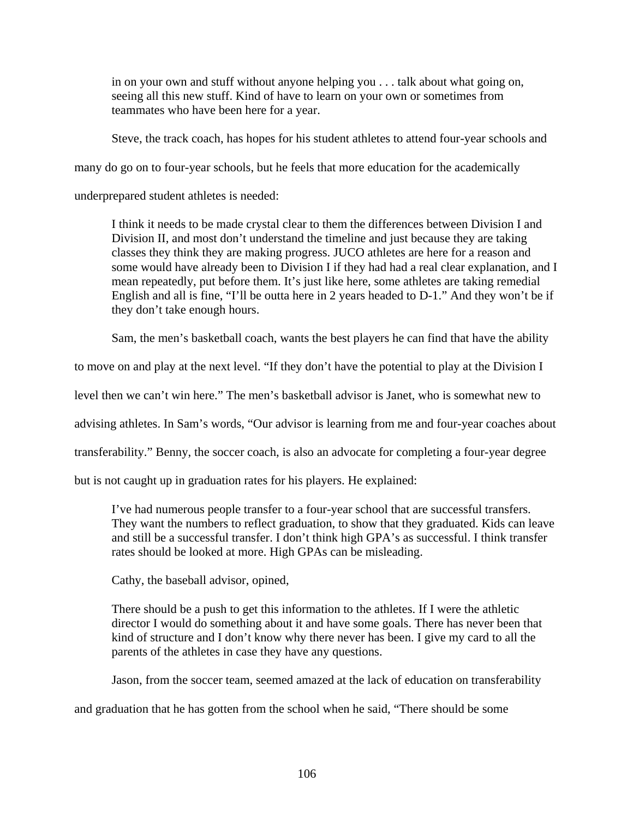in on your own and stuff without anyone helping you . . . talk about what going on, seeing all this new stuff. Kind of have to learn on your own or sometimes from teammates who have been here for a year.

Steve, the track coach, has hopes for his student athletes to attend four-year schools and

many do go on to four-year schools, but he feels that more education for the academically

underprepared student athletes is needed:

I think it needs to be made crystal clear to them the differences between Division I and Division II, and most don't understand the timeline and just because they are taking classes they think they are making progress. JUCO athletes are here for a reason and some would have already been to Division I if they had had a real clear explanation, and I mean repeatedly, put before them. It's just like here, some athletes are taking remedial English and all is fine, "I'll be outta here in 2 years headed to D-1." And they won't be if they don't take enough hours.

Sam, the men's basketball coach, wants the best players he can find that have the ability

to move on and play at the next level. "If they don't have the potential to play at the Division I

level then we can't win here." The men's basketball advisor is Janet, who is somewhat new to

advising athletes. In Sam's words, "Our advisor is learning from me and four-year coaches about

transferability." Benny, the soccer coach, is also an advocate for completing a four-year degree

but is not caught up in graduation rates for his players. He explained:

I've had numerous people transfer to a four-year school that are successful transfers. They want the numbers to reflect graduation, to show that they graduated. Kids can leave and still be a successful transfer. I don't think high GPA's as successful. I think transfer rates should be looked at more. High GPAs can be misleading.

Cathy, the baseball advisor, opined,

There should be a push to get this information to the athletes. If I were the athletic director I would do something about it and have some goals. There has never been that kind of structure and I don't know why there never has been. I give my card to all the parents of the athletes in case they have any questions.

Jason, from the soccer team, seemed amazed at the lack of education on transferability

and graduation that he has gotten from the school when he said, "There should be some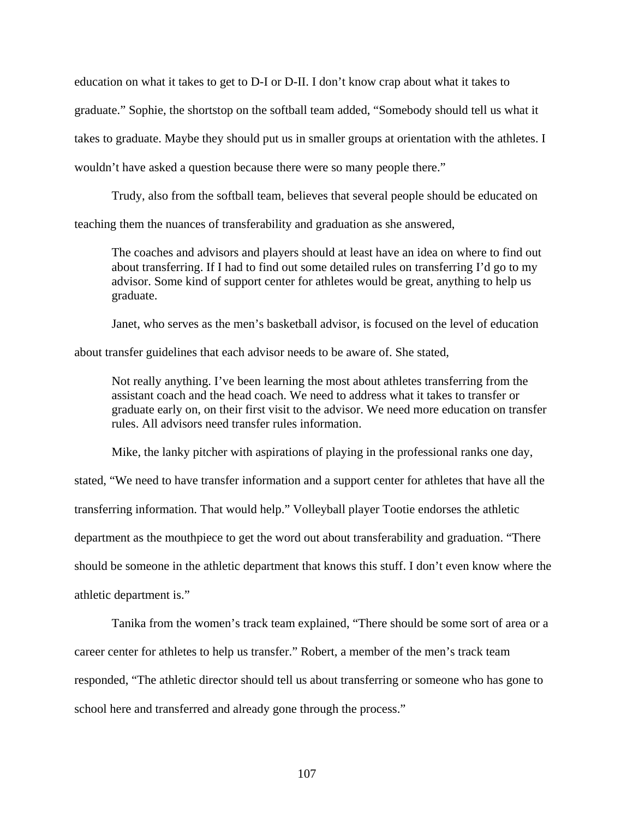education on what it takes to get to D-I or D-II. I don't know crap about what it takes to graduate." Sophie, the shortstop on the softball team added, "Somebody should tell us what it takes to graduate. Maybe they should put us in smaller groups at orientation with the athletes. I wouldn't have asked a question because there were so many people there."

Trudy, also from the softball team, believes that several people should be educated on teaching them the nuances of transferability and graduation as she answered,

The coaches and advisors and players should at least have an idea on where to find out about transferring. If I had to find out some detailed rules on transferring I'd go to my advisor. Some kind of support center for athletes would be great, anything to help us graduate.

Janet, who serves as the men's basketball advisor, is focused on the level of education

about transfer guidelines that each advisor needs to be aware of. She stated,

Not really anything. I've been learning the most about athletes transferring from the assistant coach and the head coach. We need to address what it takes to transfer or graduate early on, on their first visit to the advisor. We need more education on transfer rules. All advisors need transfer rules information.

Mike, the lanky pitcher with aspirations of playing in the professional ranks one day,

stated, "We need to have transfer information and a support center for athletes that have all the transferring information. That would help." Volleyball player Tootie endorses the athletic department as the mouthpiece to get the word out about transferability and graduation. "There should be someone in the athletic department that knows this stuff. I don't even know where the athletic department is."

Tanika from the women's track team explained, "There should be some sort of area or a career center for athletes to help us transfer." Robert, a member of the men's track team responded, "The athletic director should tell us about transferring or someone who has gone to school here and transferred and already gone through the process."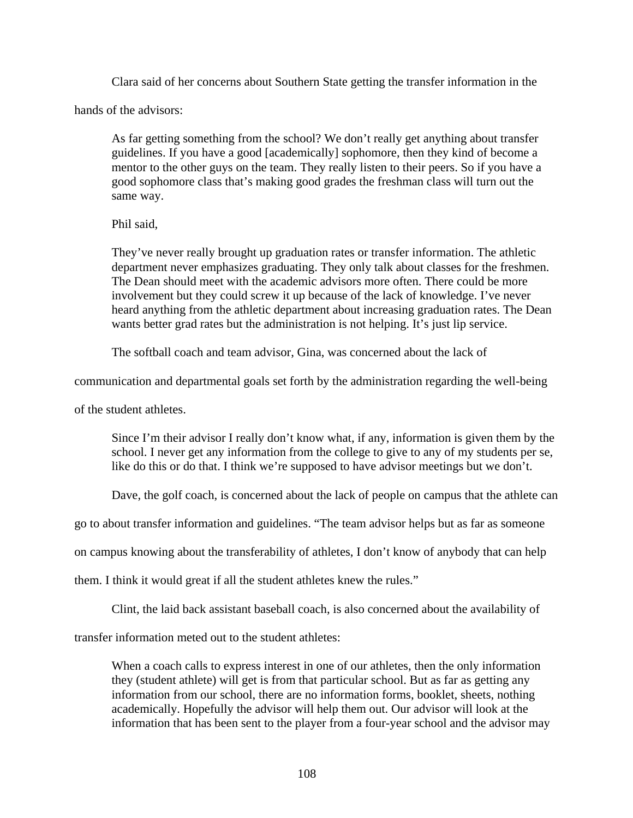Clara said of her concerns about Southern State getting the transfer information in the

hands of the advisors:

As far getting something from the school? We don't really get anything about transfer guidelines. If you have a good [academically] sophomore, then they kind of become a mentor to the other guys on the team. They really listen to their peers. So if you have a good sophomore class that's making good grades the freshman class will turn out the same way.

### Phil said,

They've never really brought up graduation rates or transfer information. The athletic department never emphasizes graduating. They only talk about classes for the freshmen. The Dean should meet with the academic advisors more often. There could be more involvement but they could screw it up because of the lack of knowledge. I've never heard anything from the athletic department about increasing graduation rates. The Dean wants better grad rates but the administration is not helping. It's just lip service.

The softball coach and team advisor, Gina, was concerned about the lack of

communication and departmental goals set forth by the administration regarding the well-being

of the student athletes.

Since I'm their advisor I really don't know what, if any, information is given them by the school. I never get any information from the college to give to any of my students per se, like do this or do that. I think we're supposed to have advisor meetings but we don't.

Dave, the golf coach, is concerned about the lack of people on campus that the athlete can

go to about transfer information and guidelines. "The team advisor helps but as far as someone

on campus knowing about the transferability of athletes, I don't know of anybody that can help

them. I think it would great if all the student athletes knew the rules."

Clint, the laid back assistant baseball coach, is also concerned about the availability of

transfer information meted out to the student athletes:

When a coach calls to express interest in one of our athletes, then the only information they (student athlete) will get is from that particular school. But as far as getting any information from our school, there are no information forms, booklet, sheets, nothing academically. Hopefully the advisor will help them out. Our advisor will look at the information that has been sent to the player from a four-year school and the advisor may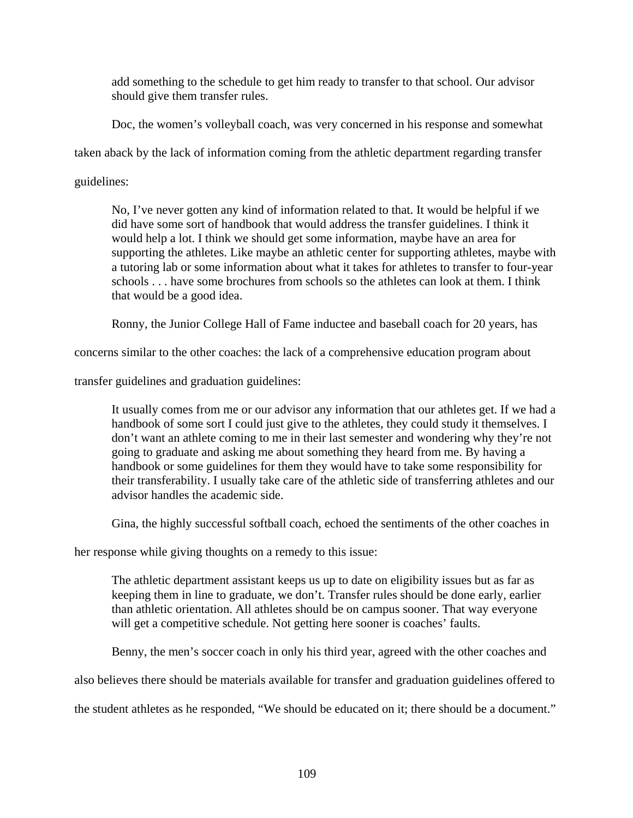add something to the schedule to get him ready to transfer to that school. Our advisor should give them transfer rules.

Doc*,* the women's volleyball coach, was very concerned in his response and somewhat

taken aback by the lack of information coming from the athletic department regarding transfer

guidelines:

No, I've never gotten any kind of information related to that. It would be helpful if we did have some sort of handbook that would address the transfer guidelines. I think it would help a lot. I think we should get some information, maybe have an area for supporting the athletes. Like maybe an athletic center for supporting athletes, maybe with a tutoring lab or some information about what it takes for athletes to transfer to four-year schools . . . have some brochures from schools so the athletes can look at them. I think that would be a good idea.

Ronny, the Junior College Hall of Fame inductee and baseball coach for 20 years, has

concerns similar to the other coaches: the lack of a comprehensive education program about

transfer guidelines and graduation guidelines:

It usually comes from me or our advisor any information that our athletes get. If we had a handbook of some sort I could just give to the athletes, they could study it themselves. I don't want an athlete coming to me in their last semester and wondering why they're not going to graduate and asking me about something they heard from me. By having a handbook or some guidelines for them they would have to take some responsibility for their transferability. I usually take care of the athletic side of transferring athletes and our advisor handles the academic side.

Gina, the highly successful softball coach, echoed the sentiments of the other coaches in

her response while giving thoughts on a remedy to this issue:

The athletic department assistant keeps us up to date on eligibility issues but as far as keeping them in line to graduate, we don't. Transfer rules should be done early, earlier than athletic orientation. All athletes should be on campus sooner. That way everyone will get a competitive schedule. Not getting here sooner is coaches' faults.

Benny, the men's soccer coach in only his third year, agreed with the other coaches and

also believes there should be materials available for transfer and graduation guidelines offered to

the student athletes as he responded, "We should be educated on it; there should be a document."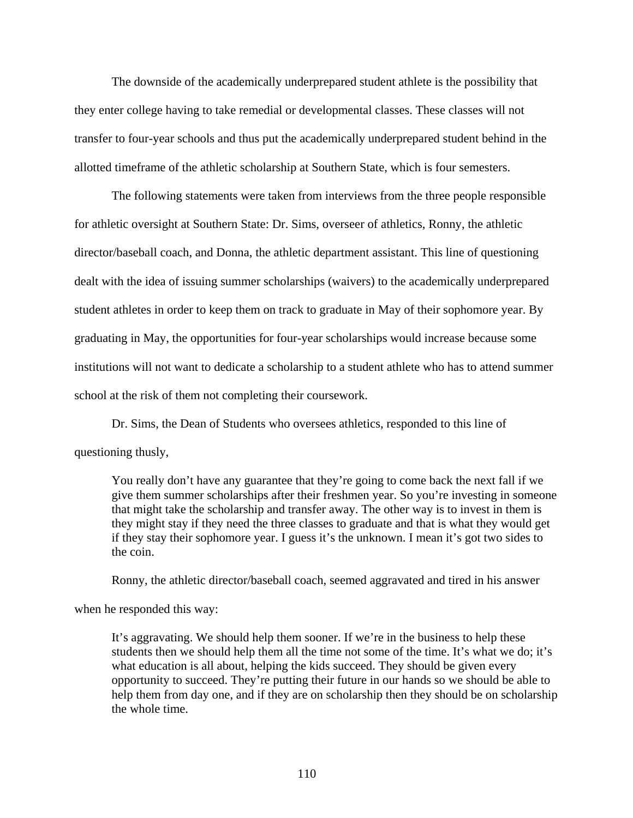The downside of the academically underprepared student athlete is the possibility that they enter college having to take remedial or developmental classes. These classes will not transfer to four-year schools and thus put the academically underprepared student behind in the allotted timeframe of the athletic scholarship at Southern State, which is four semesters.

The following statements were taken from interviews from the three people responsible for athletic oversight at Southern State: Dr. Sims, overseer of athletics, Ronny, the athletic director/baseball coach, and Donna, the athletic department assistant. This line of questioning dealt with the idea of issuing summer scholarships (waivers) to the academically underprepared student athletes in order to keep them on track to graduate in May of their sophomore year. By graduating in May, the opportunities for four-year scholarships would increase because some institutions will not want to dedicate a scholarship to a student athlete who has to attend summer school at the risk of them not completing their coursework.

 Dr. Sims, the Dean of Students who oversees athletics, responded to this line of questioning thusly,

You really don't have any guarantee that they're going to come back the next fall if we give them summer scholarships after their freshmen year. So you're investing in someone that might take the scholarship and transfer away. The other way is to invest in them is they might stay if they need the three classes to graduate and that is what they would get if they stay their sophomore year. I guess it's the unknown. I mean it's got two sides to the coin.

Ronny, the athletic director/baseball coach, seemed aggravated and tired in his answer

when he responded this way:

It's aggravating. We should help them sooner. If we're in the business to help these students then we should help them all the time not some of the time. It's what we do; it's what education is all about, helping the kids succeed. They should be given every opportunity to succeed. They're putting their future in our hands so we should be able to help them from day one, and if they are on scholarship then they should be on scholarship the whole time.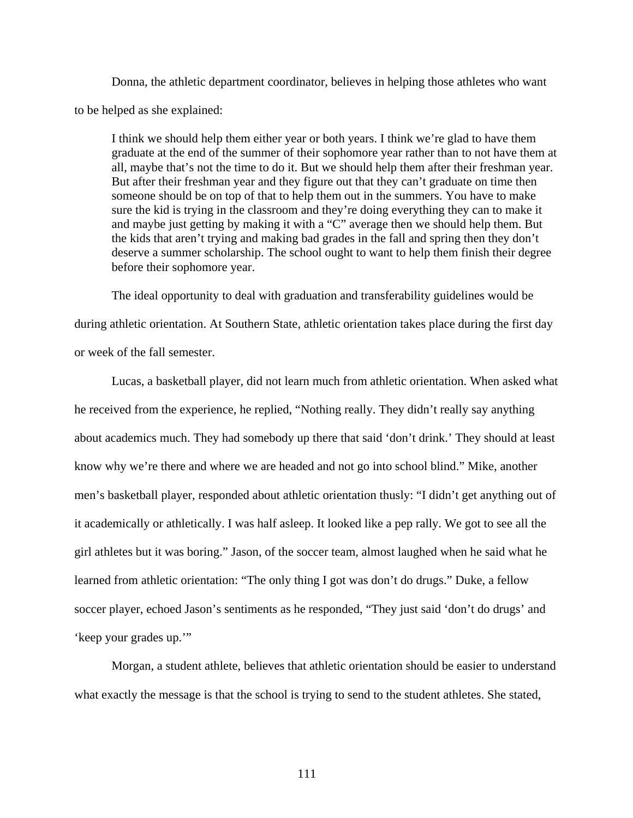Donna, the athletic department coordinator, believes in helping those athletes who want to be helped as she explained:

I think we should help them either year or both years. I think we're glad to have them graduate at the end of the summer of their sophomore year rather than to not have them at all, maybe that's not the time to do it. But we should help them after their freshman year. But after their freshman year and they figure out that they can't graduate on time then someone should be on top of that to help them out in the summers. You have to make sure the kid is trying in the classroom and they're doing everything they can to make it and maybe just getting by making it with a "C" average then we should help them. But the kids that aren't trying and making bad grades in the fall and spring then they don't deserve a summer scholarship. The school ought to want to help them finish their degree before their sophomore year.

 The ideal opportunity to deal with graduation and transferability guidelines would be during athletic orientation. At Southern State, athletic orientation takes place during the first day or week of the fall semester.

 Lucas, a basketball player, did not learn much from athletic orientation. When asked what he received from the experience, he replied, "Nothing really. They didn't really say anything about academics much. They had somebody up there that said 'don't drink.' They should at least know why we're there and where we are headed and not go into school blind." Mike, another men's basketball player, responded about athletic orientation thusly: "I didn't get anything out of it academically or athletically. I was half asleep. It looked like a pep rally. We got to see all the girl athletes but it was boring." Jason, of the soccer team, almost laughed when he said what he learned from athletic orientation: "The only thing I got was don't do drugs." Duke, a fellow soccer player, echoed Jason's sentiments as he responded, "They just said 'don't do drugs' and 'keep your grades up.'"

 Morgan, a student athlete, believes that athletic orientation should be easier to understand what exactly the message is that the school is trying to send to the student athletes. She stated,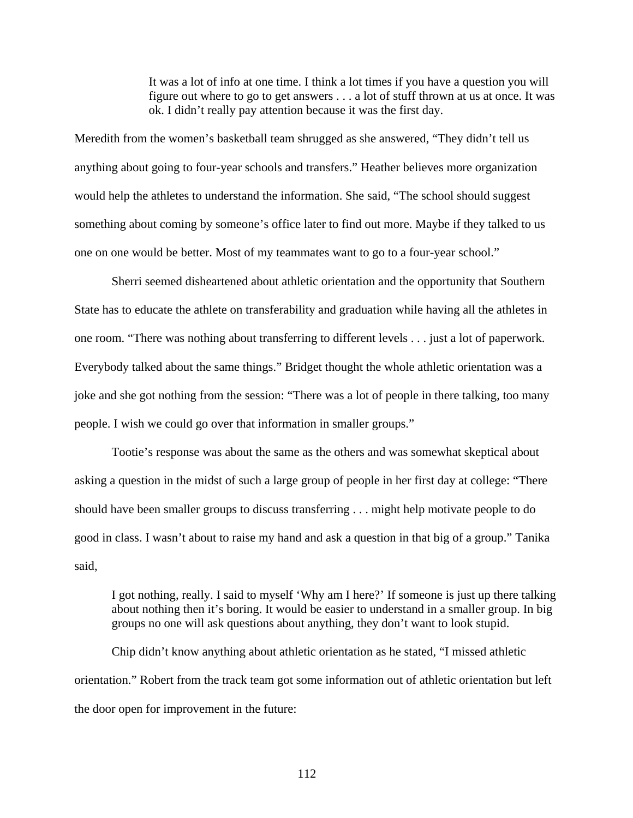It was a lot of info at one time. I think a lot times if you have a question you will figure out where to go to get answers . . . a lot of stuff thrown at us at once. It was ok. I didn't really pay attention because it was the first day.

Meredith from the women's basketball team shrugged as she answered, "They didn't tell us anything about going to four-year schools and transfers." Heather believes more organization would help the athletes to understand the information. She said, "The school should suggest something about coming by someone's office later to find out more. Maybe if they talked to us one on one would be better. Most of my teammates want to go to a four-year school."

 Sherri seemed disheartened about athletic orientation and the opportunity that Southern State has to educate the athlete on transferability and graduation while having all the athletes in one room. "There was nothing about transferring to different levels . . . just a lot of paperwork. Everybody talked about the same things." Bridget thought the whole athletic orientation was a joke and she got nothing from the session: "There was a lot of people in there talking, too many people. I wish we could go over that information in smaller groups."

Tootie's response was about the same as the others and was somewhat skeptical about asking a question in the midst of such a large group of people in her first day at college: "There should have been smaller groups to discuss transferring . . . might help motivate people to do good in class. I wasn't about to raise my hand and ask a question in that big of a group." Tanika said,

I got nothing, really. I said to myself 'Why am I here?' If someone is just up there talking about nothing then it's boring. It would be easier to understand in a smaller group. In big groups no one will ask questions about anything, they don't want to look stupid.

 Chip didn't know anything about athletic orientation as he stated, "I missed athletic orientation." Robert from the track team got some information out of athletic orientation but left the door open for improvement in the future: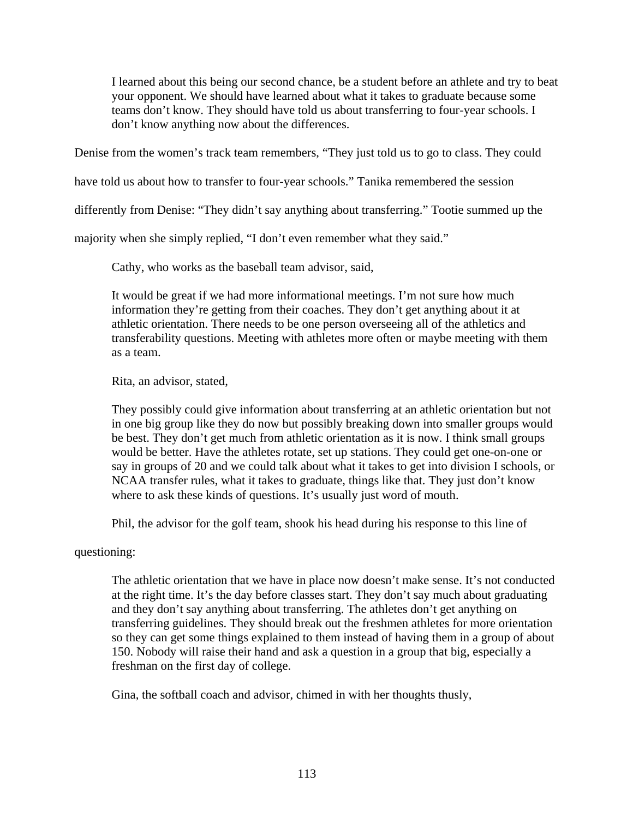I learned about this being our second chance, be a student before an athlete and try to beat your opponent. We should have learned about what it takes to graduate because some teams don't know. They should have told us about transferring to four-year schools. I don't know anything now about the differences.

Denise from the women's track team remembers, "They just told us to go to class. They could

have told us about how to transfer to four-year schools." Tanika remembered the session

differently from Denise: "They didn't say anything about transferring." Tootie summed up the

majority when she simply replied, "I don't even remember what they said."

Cathy, who works as the baseball team advisor, said,

It would be great if we had more informational meetings. I'm not sure how much information they're getting from their coaches. They don't get anything about it at athletic orientation. There needs to be one person overseeing all of the athletics and transferability questions. Meeting with athletes more often or maybe meeting with them as a team.

Rita, an advisor, stated,

They possibly could give information about transferring at an athletic orientation but not in one big group like they do now but possibly breaking down into smaller groups would be best. They don't get much from athletic orientation as it is now. I think small groups would be better. Have the athletes rotate, set up stations. They could get one-on-one or say in groups of 20 and we could talk about what it takes to get into division I schools, or NCAA transfer rules, what it takes to graduate, things like that. They just don't know where to ask these kinds of questions. It's usually just word of mouth.

Phil, the advisor for the golf team, shook his head during his response to this line of

questioning:

The athletic orientation that we have in place now doesn't make sense. It's not conducted at the right time. It's the day before classes start. They don't say much about graduating and they don't say anything about transferring. The athletes don't get anything on transferring guidelines. They should break out the freshmen athletes for more orientation so they can get some things explained to them instead of having them in a group of about 150. Nobody will raise their hand and ask a question in a group that big, especially a freshman on the first day of college.

Gina, the softball coach and advisor, chimed in with her thoughts thusly,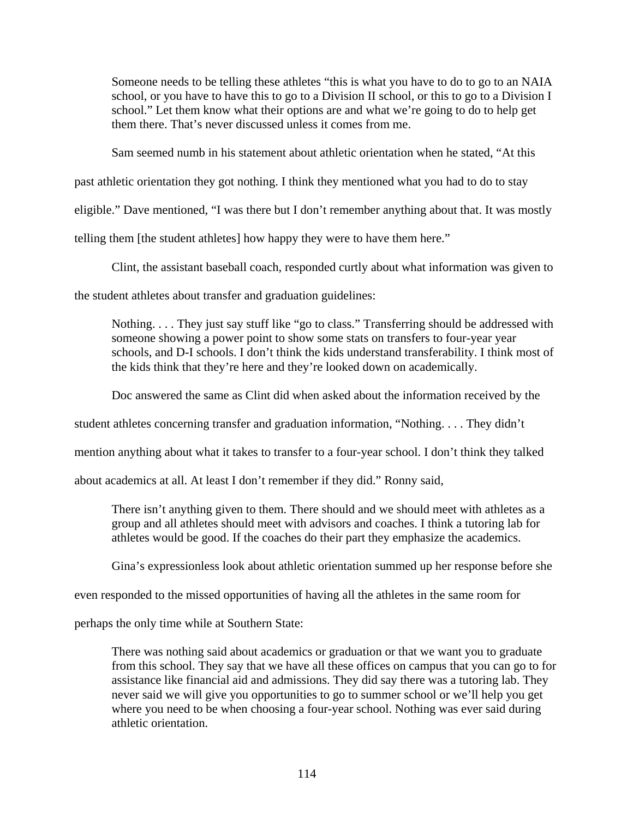Someone needs to be telling these athletes "this is what you have to do to go to an NAIA school, or you have to have this to go to a Division II school, or this to go to a Division I school." Let them know what their options are and what we're going to do to help get them there. That's never discussed unless it comes from me.

Sam seemed numb in his statement about athletic orientation when he stated, "At this

past athletic orientation they got nothing. I think they mentioned what you had to do to stay

eligible." Dave mentioned, "I was there but I don't remember anything about that. It was mostly

telling them [the student athletes] how happy they were to have them here."

Clint, the assistant baseball coach, responded curtly about what information was given to

the student athletes about transfer and graduation guidelines:

Nothing. . . . They just say stuff like "go to class." Transferring should be addressed with someone showing a power point to show some stats on transfers to four-year year schools, and D-I schools. I don't think the kids understand transferability. I think most of the kids think that they're here and they're looked down on academically.

Doc answered the same as Clint did when asked about the information received by the

student athletes concerning transfer and graduation information, "Nothing. . . . They didn't

mention anything about what it takes to transfer to a four-year school. I don't think they talked

about academics at all. At least I don't remember if they did." Ronny said,

There isn't anything given to them. There should and we should meet with athletes as a group and all athletes should meet with advisors and coaches. I think a tutoring lab for athletes would be good. If the coaches do their part they emphasize the academics.

Gina's expressionless look about athletic orientation summed up her response before she

even responded to the missed opportunities of having all the athletes in the same room for

perhaps the only time while at Southern State:

There was nothing said about academics or graduation or that we want you to graduate from this school. They say that we have all these offices on campus that you can go to for assistance like financial aid and admissions. They did say there was a tutoring lab. They never said we will give you opportunities to go to summer school or we'll help you get where you need to be when choosing a four-year school. Nothing was ever said during athletic orientation.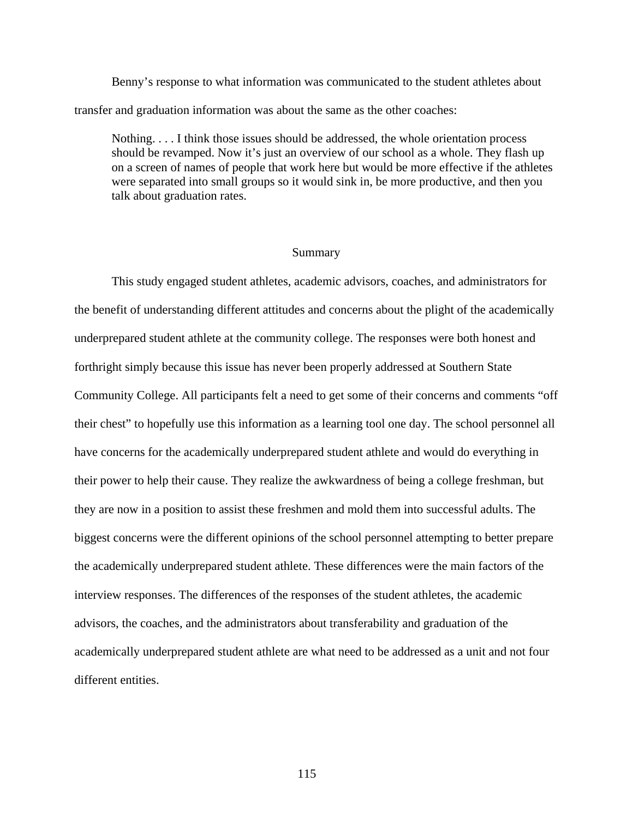Benny's response to what information was communicated to the student athletes about transfer and graduation information was about the same as the other coaches:

Nothing. . . . I think those issues should be addressed, the whole orientation process should be revamped. Now it's just an overview of our school as a whole. They flash up on a screen of names of people that work here but would be more effective if the athletes were separated into small groups so it would sink in, be more productive, and then you talk about graduation rates.

#### Summary

 This study engaged student athletes, academic advisors, coaches, and administrators for the benefit of understanding different attitudes and concerns about the plight of the academically underprepared student athlete at the community college. The responses were both honest and forthright simply because this issue has never been properly addressed at Southern State Community College. All participants felt a need to get some of their concerns and comments "off their chest" to hopefully use this information as a learning tool one day. The school personnel all have concerns for the academically underprepared student athlete and would do everything in their power to help their cause. They realize the awkwardness of being a college freshman, but they are now in a position to assist these freshmen and mold them into successful adults. The biggest concerns were the different opinions of the school personnel attempting to better prepare the academically underprepared student athlete. These differences were the main factors of the interview responses. The differences of the responses of the student athletes, the academic advisors, the coaches, and the administrators about transferability and graduation of the academically underprepared student athlete are what need to be addressed as a unit and not four different entities.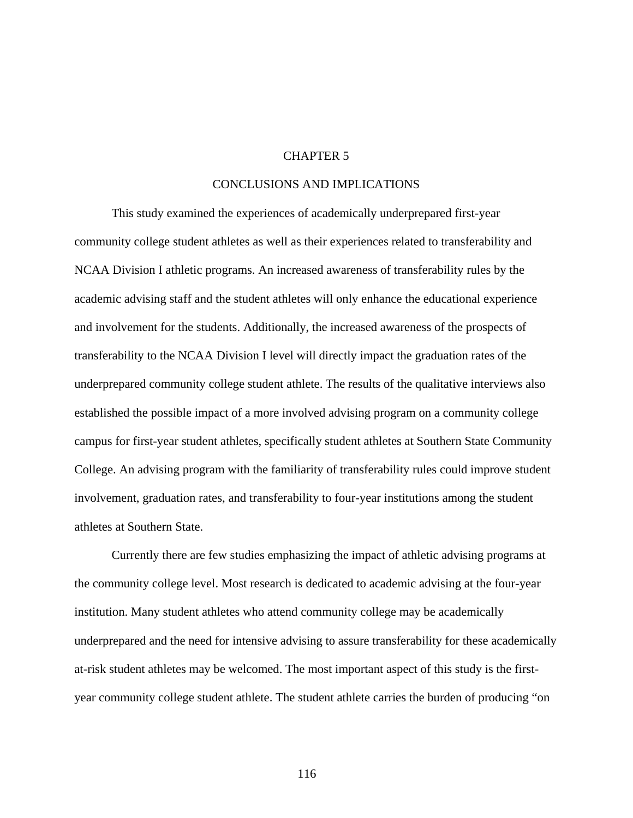#### CHAPTER 5

### CONCLUSIONS AND IMPLICATIONS

This study examined the experiences of academically underprepared first-year community college student athletes as well as their experiences related to transferability and NCAA Division I athletic programs. An increased awareness of transferability rules by the academic advising staff and the student athletes will only enhance the educational experience and involvement for the students. Additionally, the increased awareness of the prospects of transferability to the NCAA Division I level will directly impact the graduation rates of the underprepared community college student athlete. The results of the qualitative interviews also established the possible impact of a more involved advising program on a community college campus for first-year student athletes, specifically student athletes at Southern State Community College. An advising program with the familiarity of transferability rules could improve student involvement, graduation rates, and transferability to four-year institutions among the student athletes at Southern State.

Currently there are few studies emphasizing the impact of athletic advising programs at the community college level. Most research is dedicated to academic advising at the four-year institution. Many student athletes who attend community college may be academically underprepared and the need for intensive advising to assure transferability for these academically at-risk student athletes may be welcomed. The most important aspect of this study is the firstyear community college student athlete. The student athlete carries the burden of producing "on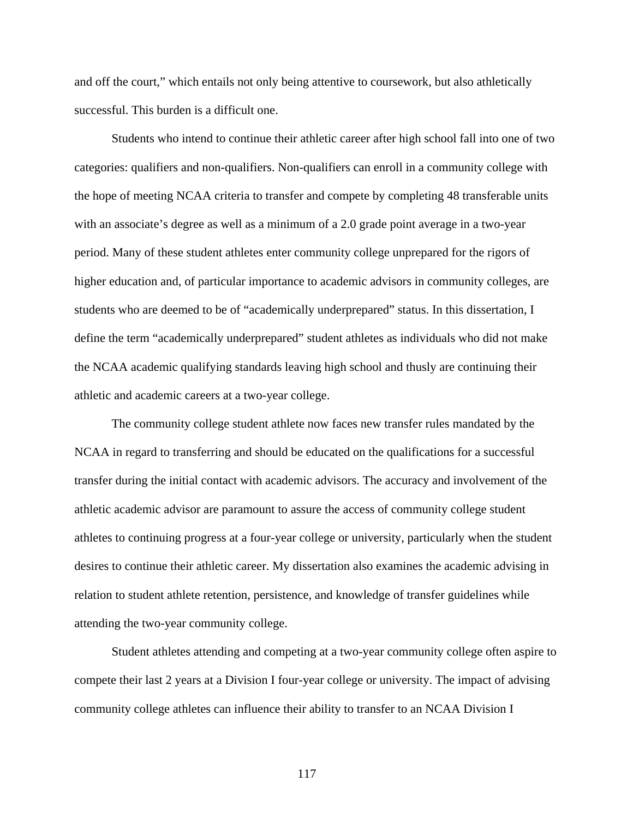and off the court," which entails not only being attentive to coursework, but also athletically successful. This burden is a difficult one.

Students who intend to continue their athletic career after high school fall into one of two categories: qualifiers and non-qualifiers. Non-qualifiers can enroll in a community college with the hope of meeting NCAA criteria to transfer and compete by completing 48 transferable units with an associate's degree as well as a minimum of a 2.0 grade point average in a two-year period. Many of these student athletes enter community college unprepared for the rigors of higher education and, of particular importance to academic advisors in community colleges, are students who are deemed to be of "academically underprepared" status. In this dissertation, I define the term "academically underprepared" student athletes as individuals who did not make the NCAA academic qualifying standards leaving high school and thusly are continuing their athletic and academic careers at a two-year college.

The community college student athlete now faces new transfer rules mandated by the NCAA in regard to transferring and should be educated on the qualifications for a successful transfer during the initial contact with academic advisors. The accuracy and involvement of the athletic academic advisor are paramount to assure the access of community college student athletes to continuing progress at a four-year college or university, particularly when the student desires to continue their athletic career. My dissertation also examines the academic advising in relation to student athlete retention, persistence, and knowledge of transfer guidelines while attending the two-year community college.

Student athletes attending and competing at a two-year community college often aspire to compete their last 2 years at a Division I four-year college or university. The impact of advising community college athletes can influence their ability to transfer to an NCAA Division I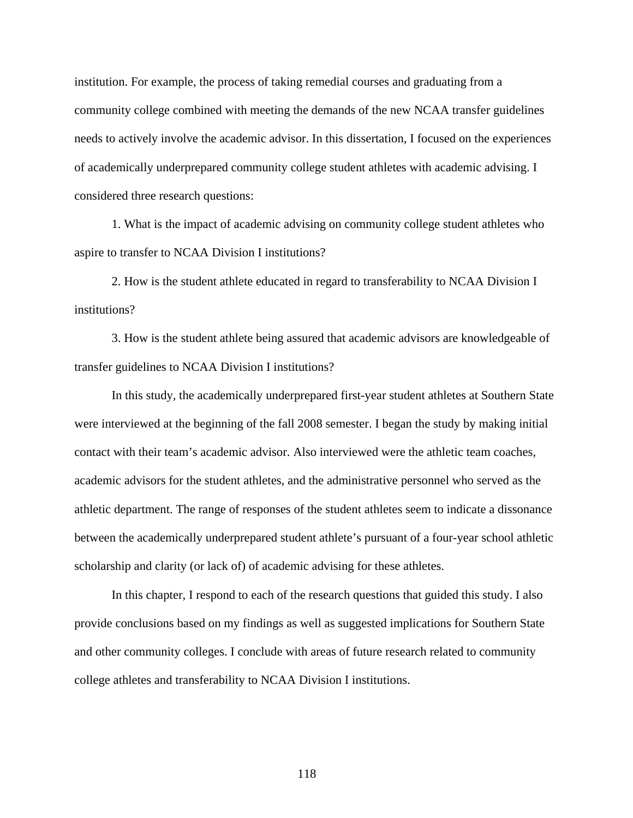institution. For example, the process of taking remedial courses and graduating from a community college combined with meeting the demands of the new NCAA transfer guidelines needs to actively involve the academic advisor. In this dissertation, I focused on the experiences of academically underprepared community college student athletes with academic advising. I considered three research questions:

1. What is the impact of academic advising on community college student athletes who aspire to transfer to NCAA Division I institutions?

2. How is the student athlete educated in regard to transferability to NCAA Division I institutions?

3. How is the student athlete being assured that academic advisors are knowledgeable of transfer guidelines to NCAA Division I institutions?

In this study, the academically underprepared first-year student athletes at Southern State were interviewed at the beginning of the fall 2008 semester. I began the study by making initial contact with their team's academic advisor. Also interviewed were the athletic team coaches, academic advisors for the student athletes, and the administrative personnel who served as the athletic department. The range of responses of the student athletes seem to indicate a dissonance between the academically underprepared student athlete's pursuant of a four-year school athletic scholarship and clarity (or lack of) of academic advising for these athletes.

In this chapter, I respond to each of the research questions that guided this study. I also provide conclusions based on my findings as well as suggested implications for Southern State and other community colleges. I conclude with areas of future research related to community college athletes and transferability to NCAA Division I institutions.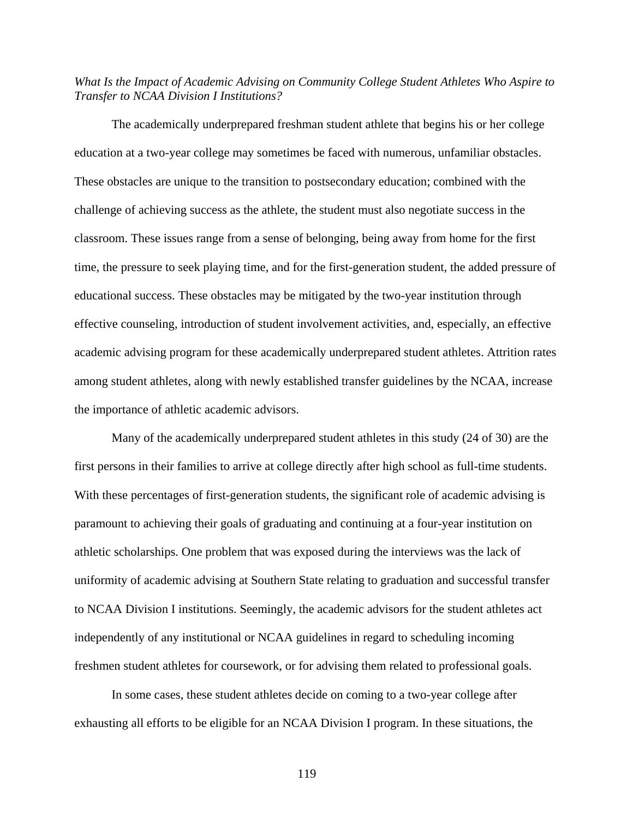### *What Is the Impact of Academic Advising on Community College Student Athletes Who Aspire to Transfer to NCAA Division I Institutions?*

The academically underprepared freshman student athlete that begins his or her college education at a two-year college may sometimes be faced with numerous, unfamiliar obstacles. These obstacles are unique to the transition to postsecondary education; combined with the challenge of achieving success as the athlete, the student must also negotiate success in the classroom. These issues range from a sense of belonging, being away from home for the first time, the pressure to seek playing time, and for the first-generation student, the added pressure of educational success. These obstacles may be mitigated by the two-year institution through effective counseling, introduction of student involvement activities, and, especially, an effective academic advising program for these academically underprepared student athletes. Attrition rates among student athletes, along with newly established transfer guidelines by the NCAA, increase the importance of athletic academic advisors.

 Many of the academically underprepared student athletes in this study (24 of 30) are the first persons in their families to arrive at college directly after high school as full-time students. With these percentages of first-generation students, the significant role of academic advising is paramount to achieving their goals of graduating and continuing at a four-year institution on athletic scholarships. One problem that was exposed during the interviews was the lack of uniformity of academic advising at Southern State relating to graduation and successful transfer to NCAA Division I institutions. Seemingly, the academic advisors for the student athletes act independently of any institutional or NCAA guidelines in regard to scheduling incoming freshmen student athletes for coursework, or for advising them related to professional goals.

In some cases, these student athletes decide on coming to a two-year college after exhausting all efforts to be eligible for an NCAA Division I program. In these situations, the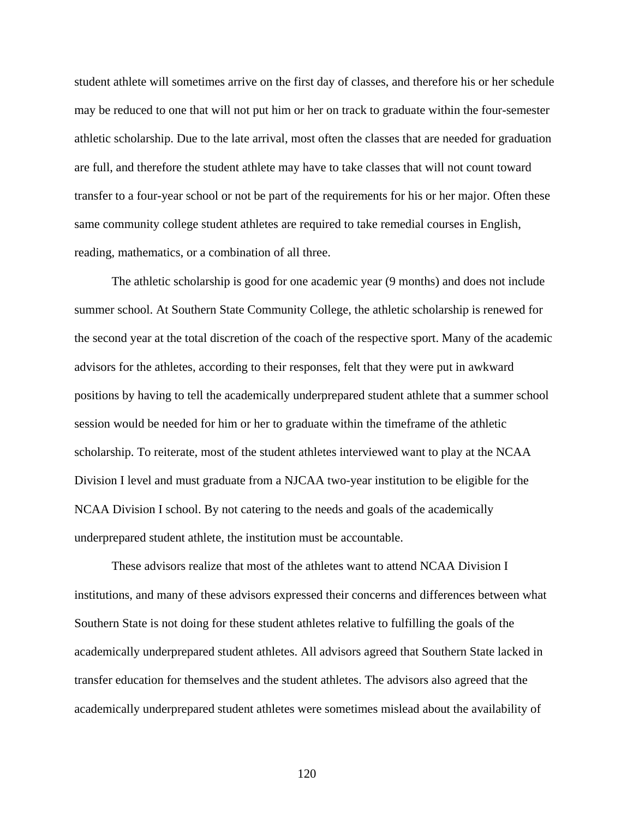student athlete will sometimes arrive on the first day of classes, and therefore his or her schedule may be reduced to one that will not put him or her on track to graduate within the four-semester athletic scholarship. Due to the late arrival, most often the classes that are needed for graduation are full, and therefore the student athlete may have to take classes that will not count toward transfer to a four-year school or not be part of the requirements for his or her major. Often these same community college student athletes are required to take remedial courses in English, reading, mathematics, or a combination of all three.

 The athletic scholarship is good for one academic year (9 months) and does not include summer school. At Southern State Community College, the athletic scholarship is renewed for the second year at the total discretion of the coach of the respective sport. Many of the academic advisors for the athletes, according to their responses, felt that they were put in awkward positions by having to tell the academically underprepared student athlete that a summer school session would be needed for him or her to graduate within the timeframe of the athletic scholarship. To reiterate, most of the student athletes interviewed want to play at the NCAA Division I level and must graduate from a NJCAA two-year institution to be eligible for the NCAA Division I school. By not catering to the needs and goals of the academically underprepared student athlete, the institution must be accountable.

 These advisors realize that most of the athletes want to attend NCAA Division I institutions, and many of these advisors expressed their concerns and differences between what Southern State is not doing for these student athletes relative to fulfilling the goals of the academically underprepared student athletes. All advisors agreed that Southern State lacked in transfer education for themselves and the student athletes. The advisors also agreed that the academically underprepared student athletes were sometimes mislead about the availability of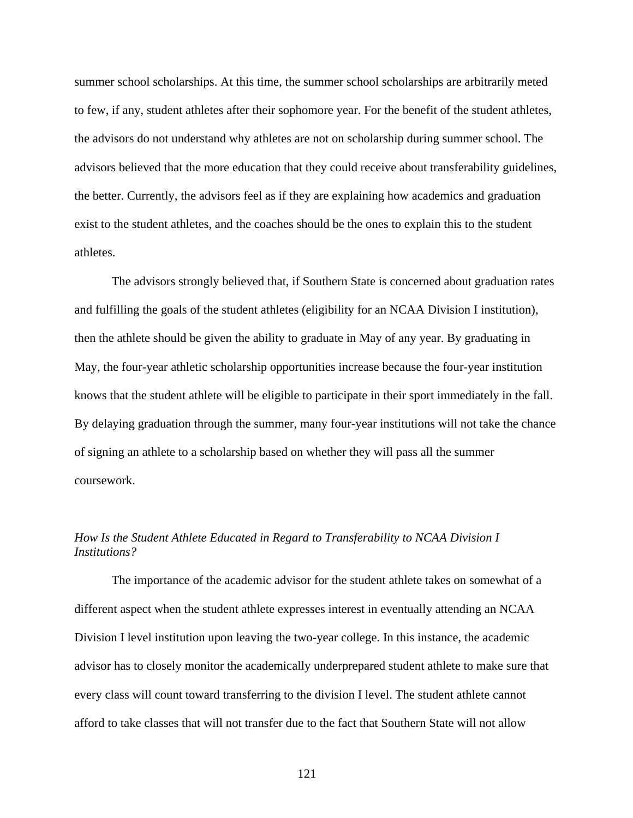summer school scholarships. At this time, the summer school scholarships are arbitrarily meted to few, if any, student athletes after their sophomore year. For the benefit of the student athletes, the advisors do not understand why athletes are not on scholarship during summer school. The advisors believed that the more education that they could receive about transferability guidelines, the better. Currently, the advisors feel as if they are explaining how academics and graduation exist to the student athletes, and the coaches should be the ones to explain this to the student athletes.

 The advisors strongly believed that, if Southern State is concerned about graduation rates and fulfilling the goals of the student athletes (eligibility for an NCAA Division I institution), then the athlete should be given the ability to graduate in May of any year. By graduating in May, the four-year athletic scholarship opportunities increase because the four-year institution knows that the student athlete will be eligible to participate in their sport immediately in the fall. By delaying graduation through the summer, many four-year institutions will not take the chance of signing an athlete to a scholarship based on whether they will pass all the summer coursework.

## *How Is the Student Athlete Educated in Regard to Transferability to NCAA Division I Institutions?*

 The importance of the academic advisor for the student athlete takes on somewhat of a different aspect when the student athlete expresses interest in eventually attending an NCAA Division I level institution upon leaving the two-year college. In this instance, the academic advisor has to closely monitor the academically underprepared student athlete to make sure that every class will count toward transferring to the division I level. The student athlete cannot afford to take classes that will not transfer due to the fact that Southern State will not allow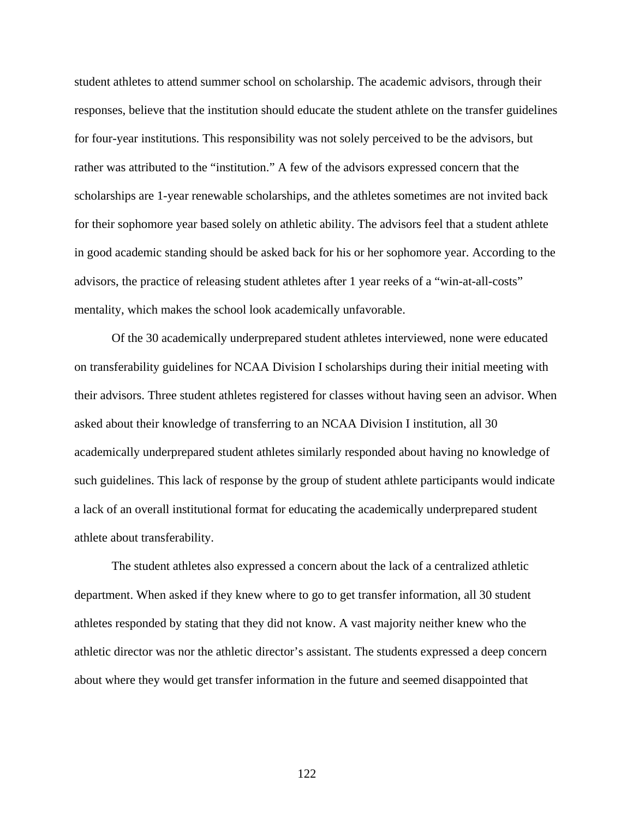student athletes to attend summer school on scholarship. The academic advisors, through their responses, believe that the institution should educate the student athlete on the transfer guidelines for four-year institutions. This responsibility was not solely perceived to be the advisors, but rather was attributed to the "institution." A few of the advisors expressed concern that the scholarships are 1-year renewable scholarships, and the athletes sometimes are not invited back for their sophomore year based solely on athletic ability. The advisors feel that a student athlete in good academic standing should be asked back for his or her sophomore year. According to the advisors, the practice of releasing student athletes after 1 year reeks of a "win-at-all-costs" mentality, which makes the school look academically unfavorable.

 Of the 30 academically underprepared student athletes interviewed, none were educated on transferability guidelines for NCAA Division I scholarships during their initial meeting with their advisors. Three student athletes registered for classes without having seen an advisor. When asked about their knowledge of transferring to an NCAA Division I institution, all 30 academically underprepared student athletes similarly responded about having no knowledge of such guidelines. This lack of response by the group of student athlete participants would indicate a lack of an overall institutional format for educating the academically underprepared student athlete about transferability.

 The student athletes also expressed a concern about the lack of a centralized athletic department. When asked if they knew where to go to get transfer information, all 30 student athletes responded by stating that they did not know. A vast majority neither knew who the athletic director was nor the athletic director's assistant. The students expressed a deep concern about where they would get transfer information in the future and seemed disappointed that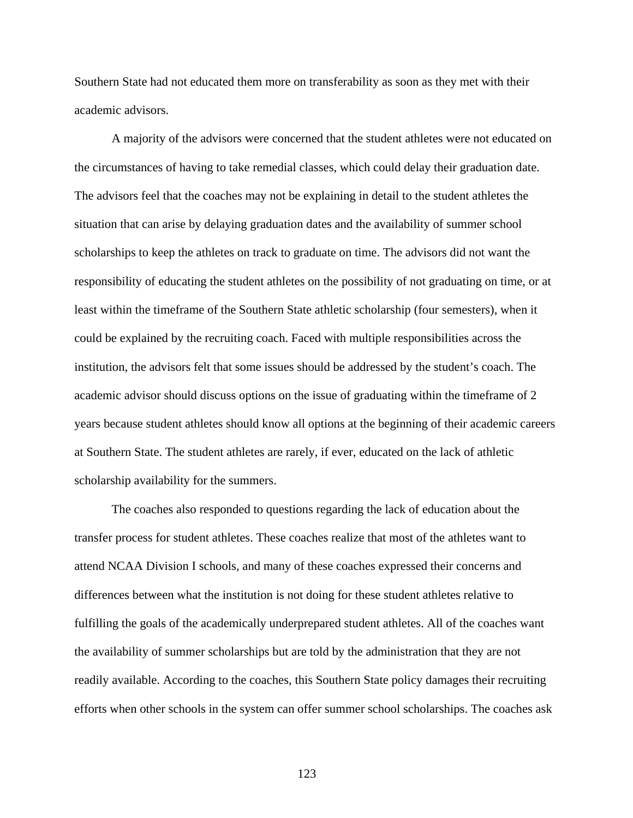Southern State had not educated them more on transferability as soon as they met with their academic advisors.

A majority of the advisors were concerned that the student athletes were not educated on the circumstances of having to take remedial classes, which could delay their graduation date. The advisors feel that the coaches may not be explaining in detail to the student athletes the situation that can arise by delaying graduation dates and the availability of summer school scholarships to keep the athletes on track to graduate on time. The advisors did not want the responsibility of educating the student athletes on the possibility of not graduating on time, or at least within the timeframe of the Southern State athletic scholarship (four semesters), when it could be explained by the recruiting coach. Faced with multiple responsibilities across the institution, the advisors felt that some issues should be addressed by the student's coach. The academic advisor should discuss options on the issue of graduating within the timeframe of 2 years because student athletes should know all options at the beginning of their academic careers at Southern State. The student athletes are rarely, if ever, educated on the lack of athletic scholarship availability for the summers.

The coaches also responded to questions regarding the lack of education about the transfer process for student athletes. These coaches realize that most of the athletes want to attend NCAA Division I schools, and many of these coaches expressed their concerns and differences between what the institution is not doing for these student athletes relative to fulfilling the goals of the academically underprepared student athletes. All of the coaches want the availability of summer scholarships but are told by the administration that they are not readily available. According to the coaches, this Southern State policy damages their recruiting efforts when other schools in the system can offer summer school scholarships. The coaches ask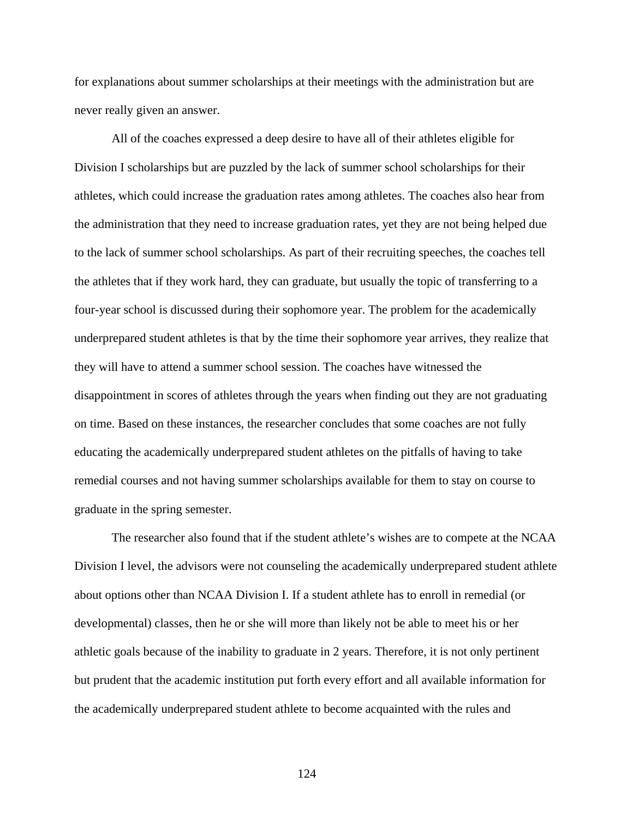for explanations about summer scholarships at their meetings with the administration but are never really given an answer.

All of the coaches expressed a deep desire to have all of their athletes eligible for Division I scholarships but are puzzled by the lack of summer school scholarships for their athletes, which could increase the graduation rates among athletes. The coaches also hear from the administration that they need to increase graduation rates, yet they are not being helped due to the lack of summer school scholarships. As part of their recruiting speeches, the coaches tell the athletes that if they work hard, they can graduate, but usually the topic of transferring to a four-year school is discussed during their sophomore year. The problem for the academically underprepared student athletes is that by the time their sophomore year arrives, they realize that they will have to attend a summer school session. The coaches have witnessed the disappointment in scores of athletes through the years when finding out they are not graduating on time. Based on these instances, the researcher concludes that some coaches are not fully educating the academically underprepared student athletes on the pitfalls of having to take remedial courses and not having summer scholarships available for them to stay on course to graduate in the spring semester.

The researcher also found that if the student athlete's wishes are to compete at the NCAA Division I level, the advisors were not counseling the academically underprepared student athlete about options other than NCAA Division I. If a student athlete has to enroll in remedial (or developmental) classes, then he or she will more than likely not be able to meet his or her athletic goals because of the inability to graduate in 2 years. Therefore, it is not only pertinent but prudent that the academic institution put forth every effort and all available information for the academically underprepared student athlete to become acquainted with the rules and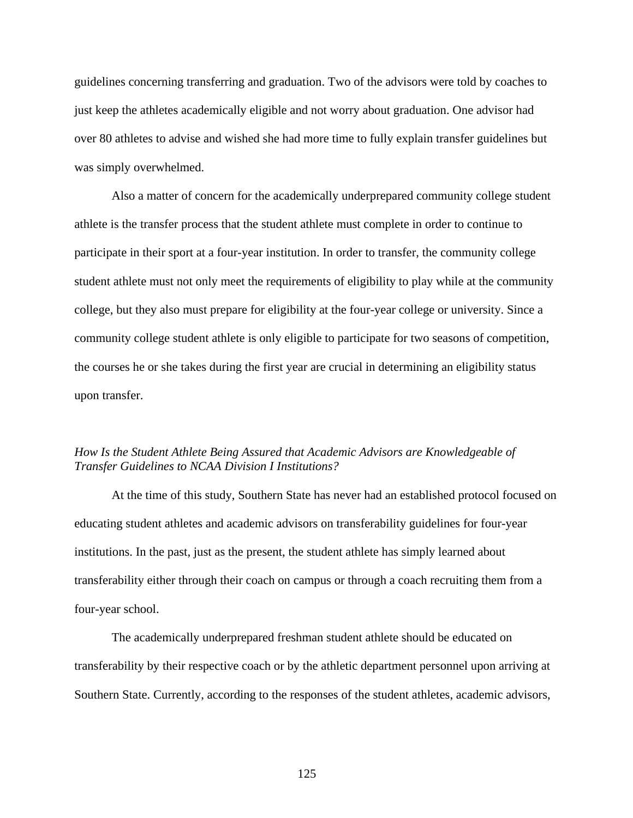guidelines concerning transferring and graduation. Two of the advisors were told by coaches to just keep the athletes academically eligible and not worry about graduation. One advisor had over 80 athletes to advise and wished she had more time to fully explain transfer guidelines but was simply overwhelmed.

Also a matter of concern for the academically underprepared community college student athlete is the transfer process that the student athlete must complete in order to continue to participate in their sport at a four-year institution. In order to transfer, the community college student athlete must not only meet the requirements of eligibility to play while at the community college, but they also must prepare for eligibility at the four-year college or university. Since a community college student athlete is only eligible to participate for two seasons of competition, the courses he or she takes during the first year are crucial in determining an eligibility status upon transfer.

### *How Is the Student Athlete Being Assured that Academic Advisors are Knowledgeable of Transfer Guidelines to NCAA Division I Institutions?*

At the time of this study, Southern State has never had an established protocol focused on educating student athletes and academic advisors on transferability guidelines for four-year institutions. In the past, just as the present, the student athlete has simply learned about transferability either through their coach on campus or through a coach recruiting them from a four-year school.

 The academically underprepared freshman student athlete should be educated on transferability by their respective coach or by the athletic department personnel upon arriving at Southern State. Currently, according to the responses of the student athletes, academic advisors,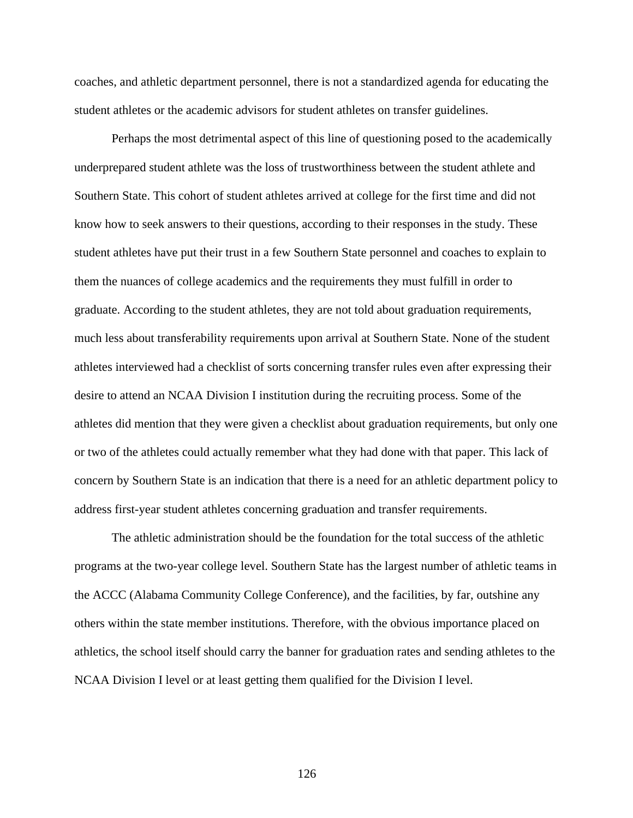coaches, and athletic department personnel, there is not a standardized agenda for educating the student athletes or the academic advisors for student athletes on transfer guidelines.

 Perhaps the most detrimental aspect of this line of questioning posed to the academically underprepared student athlete was the loss of trustworthiness between the student athlete and Southern State. This cohort of student athletes arrived at college for the first time and did not know how to seek answers to their questions, according to their responses in the study. These student athletes have put their trust in a few Southern State personnel and coaches to explain to them the nuances of college academics and the requirements they must fulfill in order to graduate. According to the student athletes, they are not told about graduation requirements, much less about transferability requirements upon arrival at Southern State. None of the student athletes interviewed had a checklist of sorts concerning transfer rules even after expressing their desire to attend an NCAA Division I institution during the recruiting process. Some of the athletes did mention that they were given a checklist about graduation requirements, but only one or two of the athletes could actually remember what they had done with that paper. This lack of concern by Southern State is an indication that there is a need for an athletic department policy to address first-year student athletes concerning graduation and transfer requirements.

The athletic administration should be the foundation for the total success of the athletic programs at the two-year college level. Southern State has the largest number of athletic teams in the ACCC (Alabama Community College Conference), and the facilities, by far, outshine any others within the state member institutions. Therefore, with the obvious importance placed on athletics, the school itself should carry the banner for graduation rates and sending athletes to the NCAA Division I level or at least getting them qualified for the Division I level.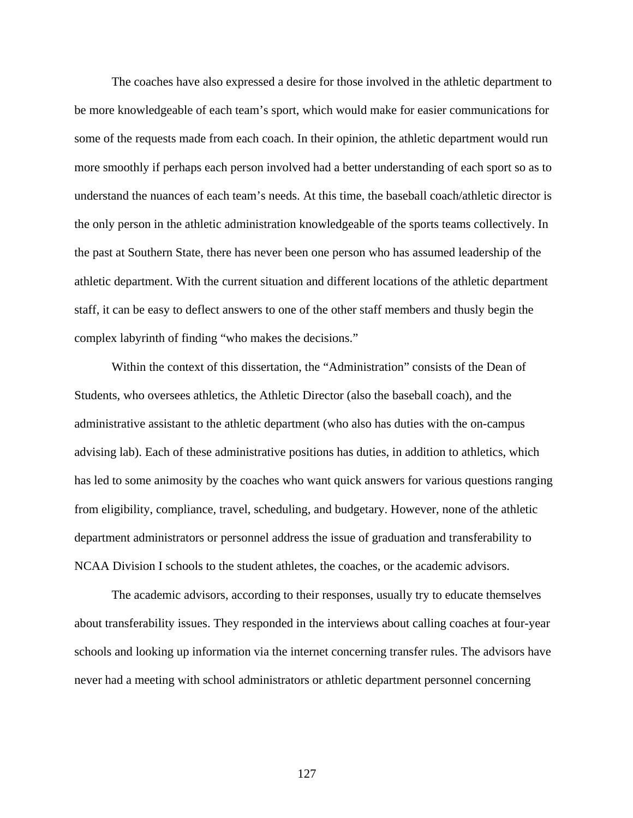The coaches have also expressed a desire for those involved in the athletic department to be more knowledgeable of each team's sport, which would make for easier communications for some of the requests made from each coach. In their opinion, the athletic department would run more smoothly if perhaps each person involved had a better understanding of each sport so as to understand the nuances of each team's needs. At this time, the baseball coach/athletic director is the only person in the athletic administration knowledgeable of the sports teams collectively. In the past at Southern State, there has never been one person who has assumed leadership of the athletic department. With the current situation and different locations of the athletic department staff, it can be easy to deflect answers to one of the other staff members and thusly begin the complex labyrinth of finding "who makes the decisions."

Within the context of this dissertation, the "Administration" consists of the Dean of Students, who oversees athletics, the Athletic Director (also the baseball coach), and the administrative assistant to the athletic department (who also has duties with the on-campus advising lab). Each of these administrative positions has duties, in addition to athletics, which has led to some animosity by the coaches who want quick answers for various questions ranging from eligibility, compliance, travel, scheduling, and budgetary. However, none of the athletic department administrators or personnel address the issue of graduation and transferability to NCAA Division I schools to the student athletes, the coaches, or the academic advisors.

The academic advisors, according to their responses, usually try to educate themselves about transferability issues. They responded in the interviews about calling coaches at four-year schools and looking up information via the internet concerning transfer rules. The advisors have never had a meeting with school administrators or athletic department personnel concerning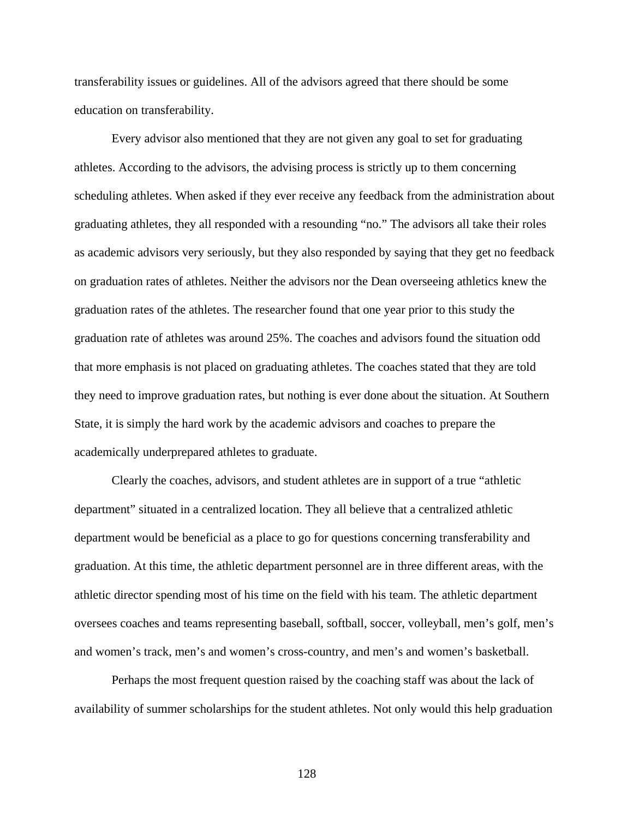transferability issues or guidelines. All of the advisors agreed that there should be some education on transferability.

Every advisor also mentioned that they are not given any goal to set for graduating athletes. According to the advisors, the advising process is strictly up to them concerning scheduling athletes. When asked if they ever receive any feedback from the administration about graduating athletes, they all responded with a resounding "no." The advisors all take their roles as academic advisors very seriously, but they also responded by saying that they get no feedback on graduation rates of athletes. Neither the advisors nor the Dean overseeing athletics knew the graduation rates of the athletes. The researcher found that one year prior to this study the graduation rate of athletes was around 25%. The coaches and advisors found the situation odd that more emphasis is not placed on graduating athletes. The coaches stated that they are told they need to improve graduation rates, but nothing is ever done about the situation. At Southern State, it is simply the hard work by the academic advisors and coaches to prepare the academically underprepared athletes to graduate.

Clearly the coaches, advisors, and student athletes are in support of a true "athletic department" situated in a centralized location. They all believe that a centralized athletic department would be beneficial as a place to go for questions concerning transferability and graduation. At this time, the athletic department personnel are in three different areas, with the athletic director spending most of his time on the field with his team. The athletic department oversees coaches and teams representing baseball, softball, soccer, volleyball, men's golf, men's and women's track, men's and women's cross-country, and men's and women's basketball.

Perhaps the most frequent question raised by the coaching staff was about the lack of availability of summer scholarships for the student athletes. Not only would this help graduation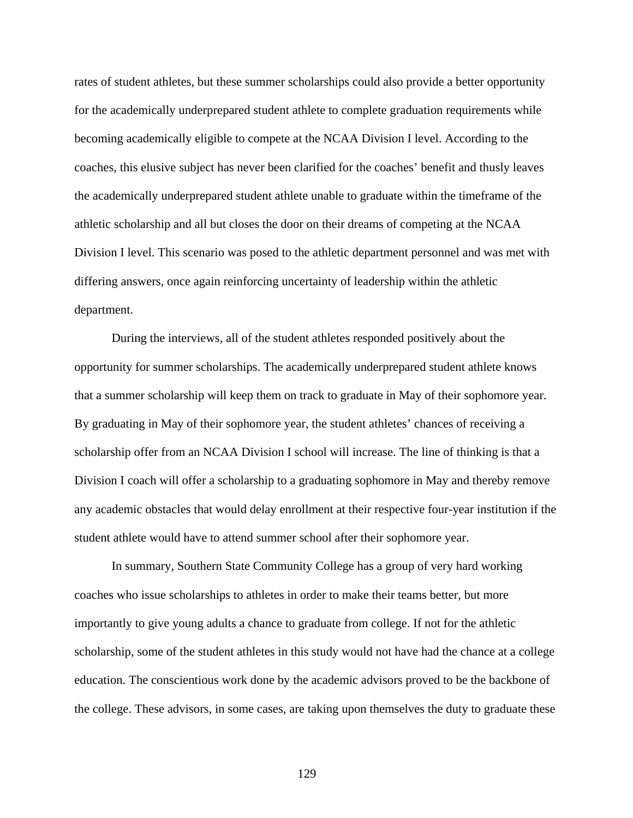rates of student athletes, but these summer scholarships could also provide a better opportunity for the academically underprepared student athlete to complete graduation requirements while becoming academically eligible to compete at the NCAA Division I level. According to the coaches, this elusive subject has never been clarified for the coaches' benefit and thusly leaves the academically underprepared student athlete unable to graduate within the timeframe of the athletic scholarship and all but closes the door on their dreams of competing at the NCAA Division I level. This scenario was posed to the athletic department personnel and was met with differing answers, once again reinforcing uncertainty of leadership within the athletic department.

During the interviews, all of the student athletes responded positively about the opportunity for summer scholarships. The academically underprepared student athlete knows that a summer scholarship will keep them on track to graduate in May of their sophomore year. By graduating in May of their sophomore year, the student athletes' chances of receiving a scholarship offer from an NCAA Division I school will increase. The line of thinking is that a Division I coach will offer a scholarship to a graduating sophomore in May and thereby remove any academic obstacles that would delay enrollment at their respective four-year institution if the student athlete would have to attend summer school after their sophomore year.

In summary, Southern State Community College has a group of very hard working coaches who issue scholarships to athletes in order to make their teams better, but more importantly to give young adults a chance to graduate from college. If not for the athletic scholarship, some of the student athletes in this study would not have had the chance at a college education. The conscientious work done by the academic advisors proved to be the backbone of the college. These advisors, in some cases, are taking upon themselves the duty to graduate these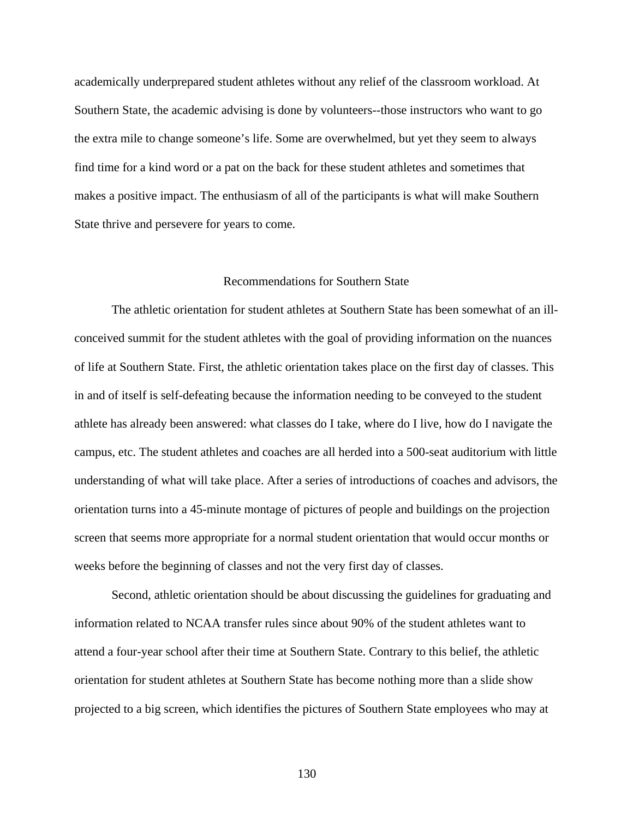academically underprepared student athletes without any relief of the classroom workload. At Southern State, the academic advising is done by volunteers--those instructors who want to go the extra mile to change someone's life. Some are overwhelmed, but yet they seem to always find time for a kind word or a pat on the back for these student athletes and sometimes that makes a positive impact. The enthusiasm of all of the participants is what will make Southern State thrive and persevere for years to come.

#### Recommendations for Southern State

 The athletic orientation for student athletes at Southern State has been somewhat of an illconceived summit for the student athletes with the goal of providing information on the nuances of life at Southern State. First, the athletic orientation takes place on the first day of classes. This in and of itself is self-defeating because the information needing to be conveyed to the student athlete has already been answered: what classes do I take, where do I live, how do I navigate the campus, etc. The student athletes and coaches are all herded into a 500-seat auditorium with little understanding of what will take place. After a series of introductions of coaches and advisors, the orientation turns into a 45-minute montage of pictures of people and buildings on the projection screen that seems more appropriate for a normal student orientation that would occur months or weeks before the beginning of classes and not the very first day of classes.

 Second, athletic orientation should be about discussing the guidelines for graduating and information related to NCAA transfer rules since about 90% of the student athletes want to attend a four-year school after their time at Southern State. Contrary to this belief, the athletic orientation for student athletes at Southern State has become nothing more than a slide show projected to a big screen, which identifies the pictures of Southern State employees who may at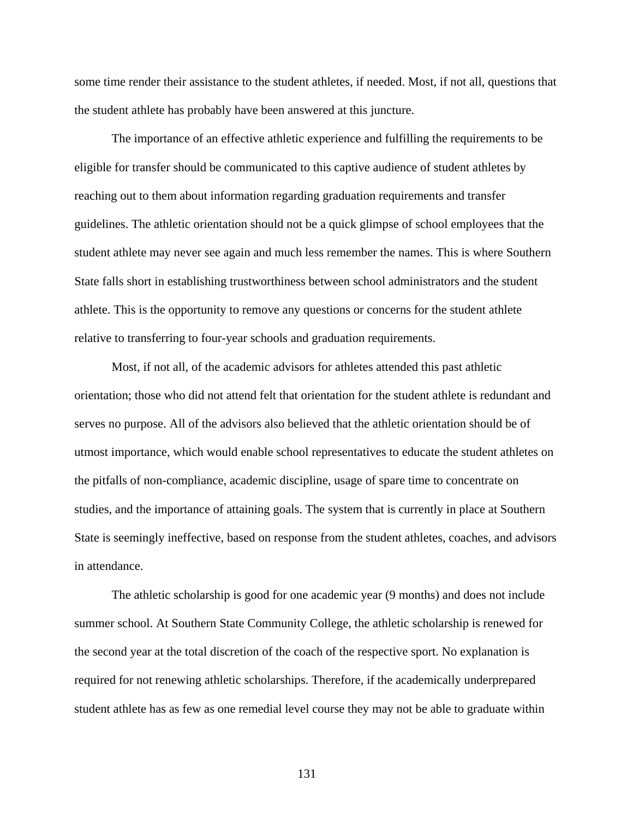some time render their assistance to the student athletes, if needed. Most, if not all, questions that the student athlete has probably have been answered at this juncture.

 The importance of an effective athletic experience and fulfilling the requirements to be eligible for transfer should be communicated to this captive audience of student athletes by reaching out to them about information regarding graduation requirements and transfer guidelines. The athletic orientation should not be a quick glimpse of school employees that the student athlete may never see again and much less remember the names. This is where Southern State falls short in establishing trustworthiness between school administrators and the student athlete. This is the opportunity to remove any questions or concerns for the student athlete relative to transferring to four-year schools and graduation requirements.

Most, if not all, of the academic advisors for athletes attended this past athletic orientation; those who did not attend felt that orientation for the student athlete is redundant and serves no purpose. All of the advisors also believed that the athletic orientation should be of utmost importance, which would enable school representatives to educate the student athletes on the pitfalls of non-compliance, academic discipline, usage of spare time to concentrate on studies, and the importance of attaining goals. The system that is currently in place at Southern State is seemingly ineffective, based on response from the student athletes, coaches, and advisors in attendance.

The athletic scholarship is good for one academic year (9 months) and does not include summer school. At Southern State Community College, the athletic scholarship is renewed for the second year at the total discretion of the coach of the respective sport. No explanation is required for not renewing athletic scholarships. Therefore, if the academically underprepared student athlete has as few as one remedial level course they may not be able to graduate within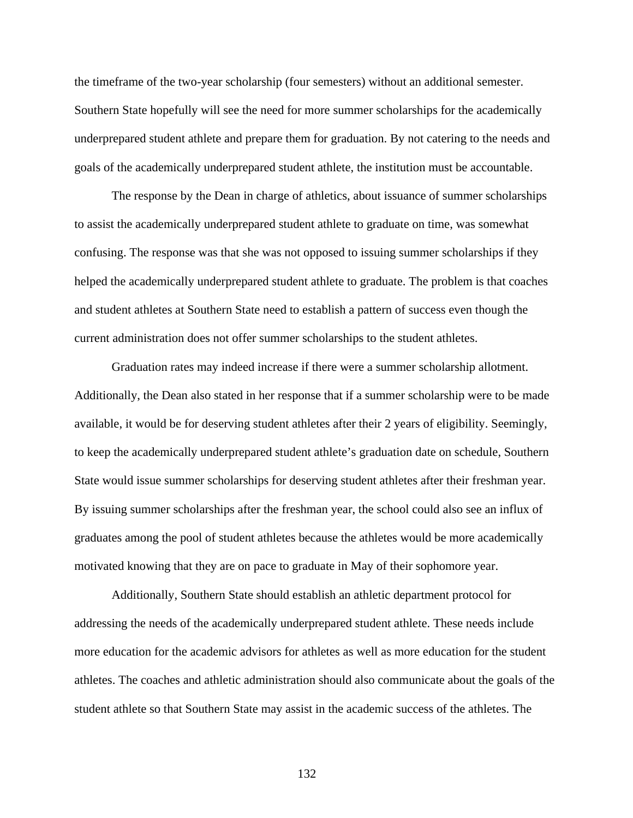the timeframe of the two-year scholarship (four semesters) without an additional semester. Southern State hopefully will see the need for more summer scholarships for the academically underprepared student athlete and prepare them for graduation. By not catering to the needs and goals of the academically underprepared student athlete, the institution must be accountable.

The response by the Dean in charge of athletics, about issuance of summer scholarships to assist the academically underprepared student athlete to graduate on time, was somewhat confusing. The response was that she was not opposed to issuing summer scholarships if they helped the academically underprepared student athlete to graduate. The problem is that coaches and student athletes at Southern State need to establish a pattern of success even though the current administration does not offer summer scholarships to the student athletes.

Graduation rates may indeed increase if there were a summer scholarship allotment. Additionally, the Dean also stated in her response that if a summer scholarship were to be made available, it would be for deserving student athletes after their 2 years of eligibility. Seemingly, to keep the academically underprepared student athlete's graduation date on schedule, Southern State would issue summer scholarships for deserving student athletes after their freshman year. By issuing summer scholarships after the freshman year, the school could also see an influx of graduates among the pool of student athletes because the athletes would be more academically motivated knowing that they are on pace to graduate in May of their sophomore year.

Additionally, Southern State should establish an athletic department protocol for addressing the needs of the academically underprepared student athlete. These needs include more education for the academic advisors for athletes as well as more education for the student athletes. The coaches and athletic administration should also communicate about the goals of the student athlete so that Southern State may assist in the academic success of the athletes. The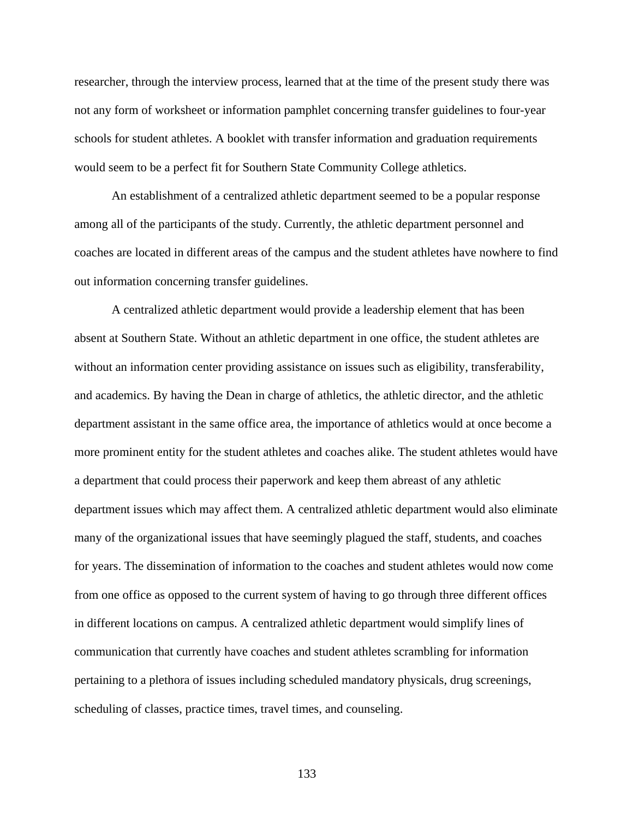researcher, through the interview process, learned that at the time of the present study there was not any form of worksheet or information pamphlet concerning transfer guidelines to four-year schools for student athletes. A booklet with transfer information and graduation requirements would seem to be a perfect fit for Southern State Community College athletics.

An establishment of a centralized athletic department seemed to be a popular response among all of the participants of the study. Currently, the athletic department personnel and coaches are located in different areas of the campus and the student athletes have nowhere to find out information concerning transfer guidelines.

A centralized athletic department would provide a leadership element that has been absent at Southern State. Without an athletic department in one office, the student athletes are without an information center providing assistance on issues such as eligibility, transferability, and academics. By having the Dean in charge of athletics, the athletic director, and the athletic department assistant in the same office area, the importance of athletics would at once become a more prominent entity for the student athletes and coaches alike. The student athletes would have a department that could process their paperwork and keep them abreast of any athletic department issues which may affect them. A centralized athletic department would also eliminate many of the organizational issues that have seemingly plagued the staff, students, and coaches for years. The dissemination of information to the coaches and student athletes would now come from one office as opposed to the current system of having to go through three different offices in different locations on campus. A centralized athletic department would simplify lines of communication that currently have coaches and student athletes scrambling for information pertaining to a plethora of issues including scheduled mandatory physicals, drug screenings, scheduling of classes, practice times, travel times, and counseling.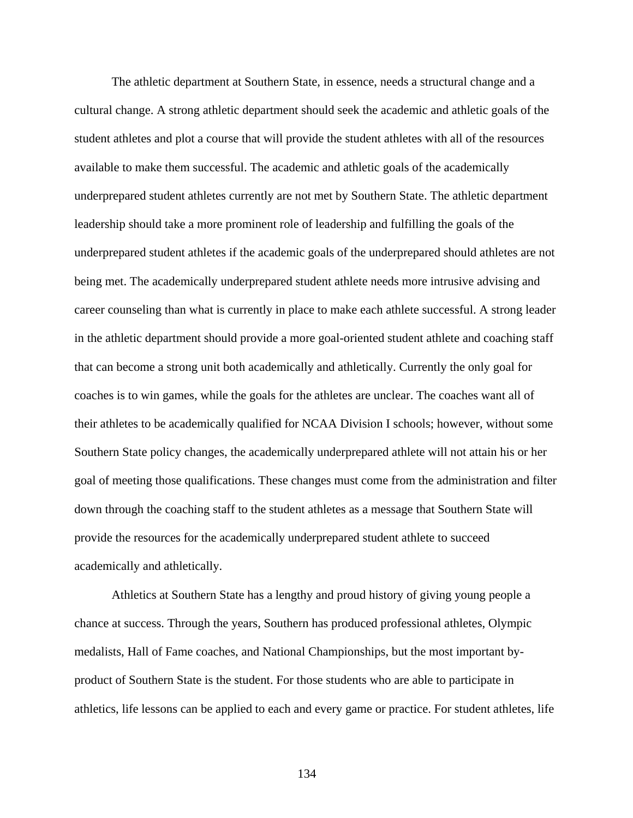The athletic department at Southern State, in essence, needs a structural change and a cultural change. A strong athletic department should seek the academic and athletic goals of the student athletes and plot a course that will provide the student athletes with all of the resources available to make them successful. The academic and athletic goals of the academically underprepared student athletes currently are not met by Southern State. The athletic department leadership should take a more prominent role of leadership and fulfilling the goals of the underprepared student athletes if the academic goals of the underprepared should athletes are not being met. The academically underprepared student athlete needs more intrusive advising and career counseling than what is currently in place to make each athlete successful. A strong leader in the athletic department should provide a more goal-oriented student athlete and coaching staff that can become a strong unit both academically and athletically. Currently the only goal for coaches is to win games, while the goals for the athletes are unclear. The coaches want all of their athletes to be academically qualified for NCAA Division I schools; however, without some Southern State policy changes, the academically underprepared athlete will not attain his or her goal of meeting those qualifications. These changes must come from the administration and filter down through the coaching staff to the student athletes as a message that Southern State will provide the resources for the academically underprepared student athlete to succeed academically and athletically.

Athletics at Southern State has a lengthy and proud history of giving young people a chance at success. Through the years, Southern has produced professional athletes, Olympic medalists, Hall of Fame coaches, and National Championships, but the most important byproduct of Southern State is the student. For those students who are able to participate in athletics, life lessons can be applied to each and every game or practice. For student athletes, life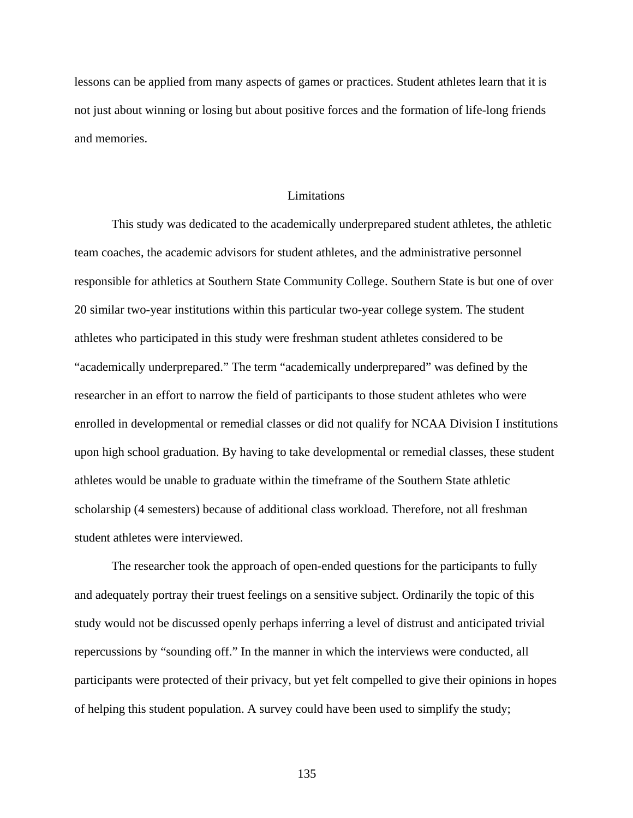lessons can be applied from many aspects of games or practices. Student athletes learn that it is not just about winning or losing but about positive forces and the formation of life-long friends and memories.

#### Limitations

This study was dedicated to the academically underprepared student athletes, the athletic team coaches, the academic advisors for student athletes, and the administrative personnel responsible for athletics at Southern State Community College. Southern State is but one of over 20 similar two-year institutions within this particular two-year college system. The student athletes who participated in this study were freshman student athletes considered to be "academically underprepared." The term "academically underprepared" was defined by the researcher in an effort to narrow the field of participants to those student athletes who were enrolled in developmental or remedial classes or did not qualify for NCAA Division I institutions upon high school graduation. By having to take developmental or remedial classes, these student athletes would be unable to graduate within the timeframe of the Southern State athletic scholarship (4 semesters) because of additional class workload. Therefore, not all freshman student athletes were interviewed.

 The researcher took the approach of open-ended questions for the participants to fully and adequately portray their truest feelings on a sensitive subject. Ordinarily the topic of this study would not be discussed openly perhaps inferring a level of distrust and anticipated trivial repercussions by "sounding off." In the manner in which the interviews were conducted, all participants were protected of their privacy, but yet felt compelled to give their opinions in hopes of helping this student population. A survey could have been used to simplify the study;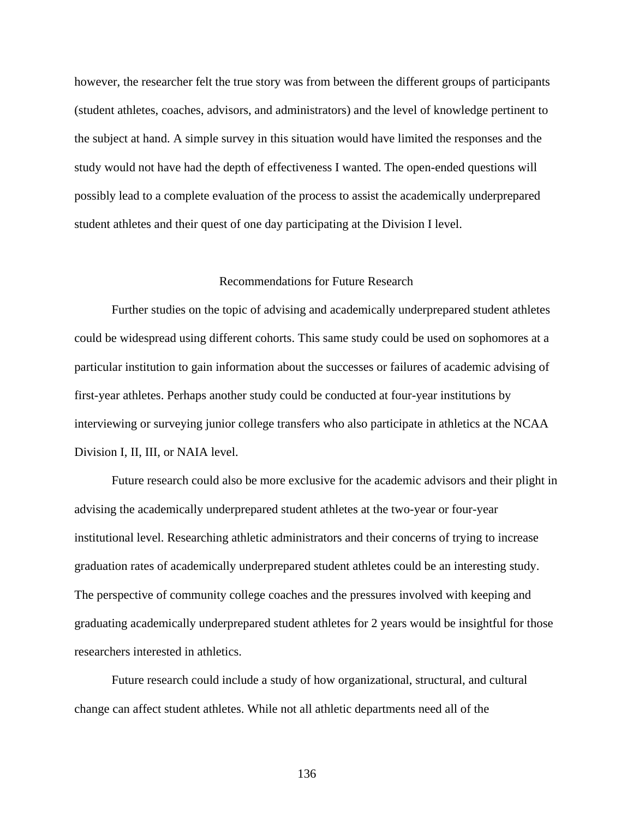however, the researcher felt the true story was from between the different groups of participants (student athletes, coaches, advisors, and administrators) and the level of knowledge pertinent to the subject at hand. A simple survey in this situation would have limited the responses and the study would not have had the depth of effectiveness I wanted. The open-ended questions will possibly lead to a complete evaluation of the process to assist the academically underprepared student athletes and their quest of one day participating at the Division I level.

## Recommendations for Future Research

 Further studies on the topic of advising and academically underprepared student athletes could be widespread using different cohorts. This same study could be used on sophomores at a particular institution to gain information about the successes or failures of academic advising of first-year athletes. Perhaps another study could be conducted at four-year institutions by interviewing or surveying junior college transfers who also participate in athletics at the NCAA Division I, II, III, or NAIA level.

 Future research could also be more exclusive for the academic advisors and their plight in advising the academically underprepared student athletes at the two-year or four-year institutional level. Researching athletic administrators and their concerns of trying to increase graduation rates of academically underprepared student athletes could be an interesting study. The perspective of community college coaches and the pressures involved with keeping and graduating academically underprepared student athletes for 2 years would be insightful for those researchers interested in athletics.

 Future research could include a study of how organizational, structural, and cultural change can affect student athletes. While not all athletic departments need all of the

136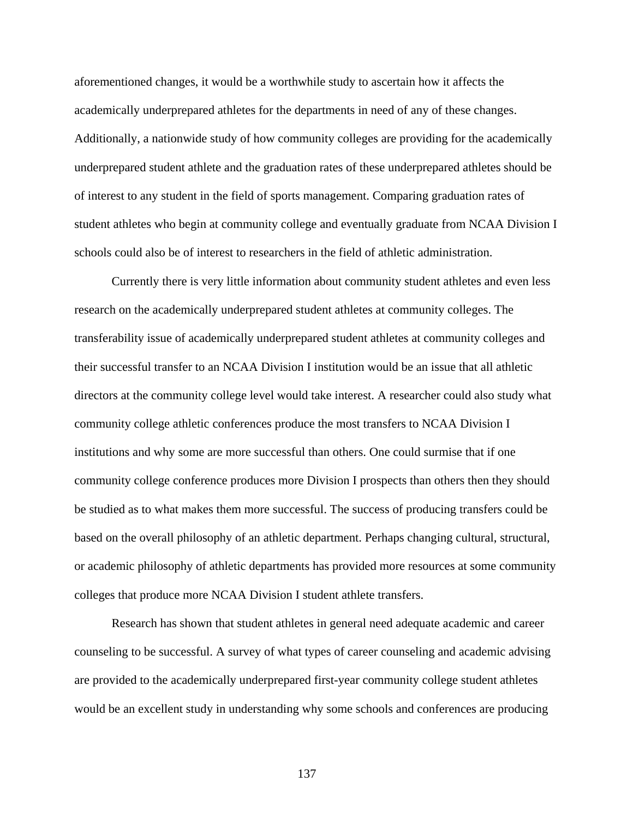aforementioned changes, it would be a worthwhile study to ascertain how it affects the academically underprepared athletes for the departments in need of any of these changes. Additionally, a nationwide study of how community colleges are providing for the academically underprepared student athlete and the graduation rates of these underprepared athletes should be of interest to any student in the field of sports management. Comparing graduation rates of student athletes who begin at community college and eventually graduate from NCAA Division I schools could also be of interest to researchers in the field of athletic administration.

 Currently there is very little information about community student athletes and even less research on the academically underprepared student athletes at community colleges. The transferability issue of academically underprepared student athletes at community colleges and their successful transfer to an NCAA Division I institution would be an issue that all athletic directors at the community college level would take interest. A researcher could also study what community college athletic conferences produce the most transfers to NCAA Division I institutions and why some are more successful than others. One could surmise that if one community college conference produces more Division I prospects than others then they should be studied as to what makes them more successful. The success of producing transfers could be based on the overall philosophy of an athletic department. Perhaps changing cultural, structural, or academic philosophy of athletic departments has provided more resources at some community colleges that produce more NCAA Division I student athlete transfers.

 Research has shown that student athletes in general need adequate academic and career counseling to be successful. A survey of what types of career counseling and academic advising are provided to the academically underprepared first-year community college student athletes would be an excellent study in understanding why some schools and conferences are producing

137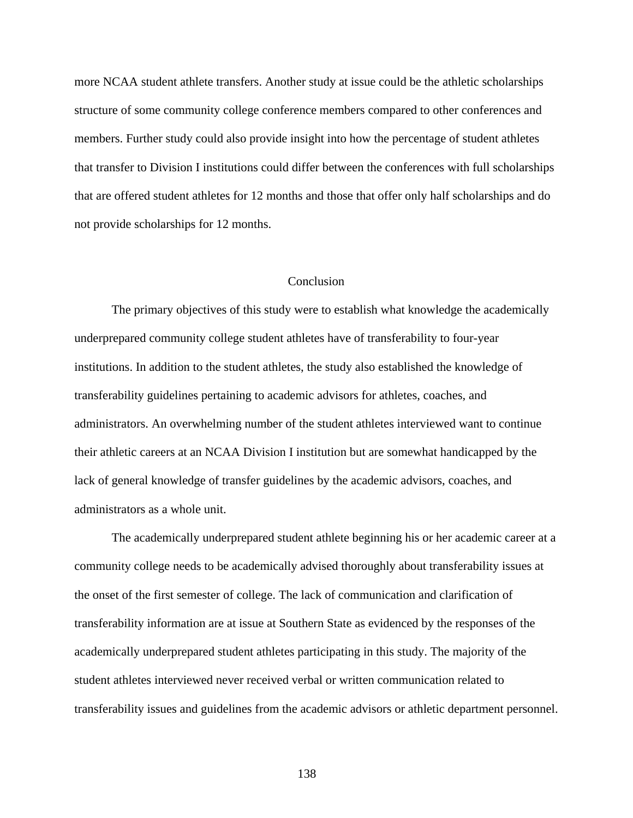more NCAA student athlete transfers. Another study at issue could be the athletic scholarships structure of some community college conference members compared to other conferences and members. Further study could also provide insight into how the percentage of student athletes that transfer to Division I institutions could differ between the conferences with full scholarships that are offered student athletes for 12 months and those that offer only half scholarships and do not provide scholarships for 12 months.

## Conclusion

The primary objectives of this study were to establish what knowledge the academically underprepared community college student athletes have of transferability to four-year institutions. In addition to the student athletes, the study also established the knowledge of transferability guidelines pertaining to academic advisors for athletes, coaches, and administrators. An overwhelming number of the student athletes interviewed want to continue their athletic careers at an NCAA Division I institution but are somewhat handicapped by the lack of general knowledge of transfer guidelines by the academic advisors, coaches, and administrators as a whole unit.

 The academically underprepared student athlete beginning his or her academic career at a community college needs to be academically advised thoroughly about transferability issues at the onset of the first semester of college. The lack of communication and clarification of transferability information are at issue at Southern State as evidenced by the responses of the academically underprepared student athletes participating in this study. The majority of the student athletes interviewed never received verbal or written communication related to transferability issues and guidelines from the academic advisors or athletic department personnel.

138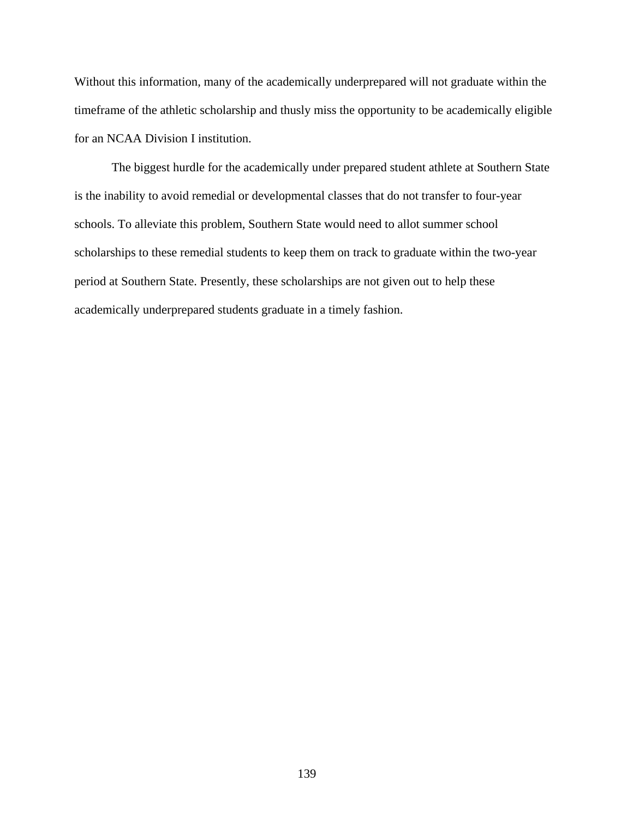Without this information, many of the academically underprepared will not graduate within the timeframe of the athletic scholarship and thusly miss the opportunity to be academically eligible for an NCAA Division I institution.

The biggest hurdle for the academically under prepared student athlete at Southern State is the inability to avoid remedial or developmental classes that do not transfer to four-year schools. To alleviate this problem, Southern State would need to allot summer school scholarships to these remedial students to keep them on track to graduate within the two-year period at Southern State. Presently, these scholarships are not given out to help these academically underprepared students graduate in a timely fashion.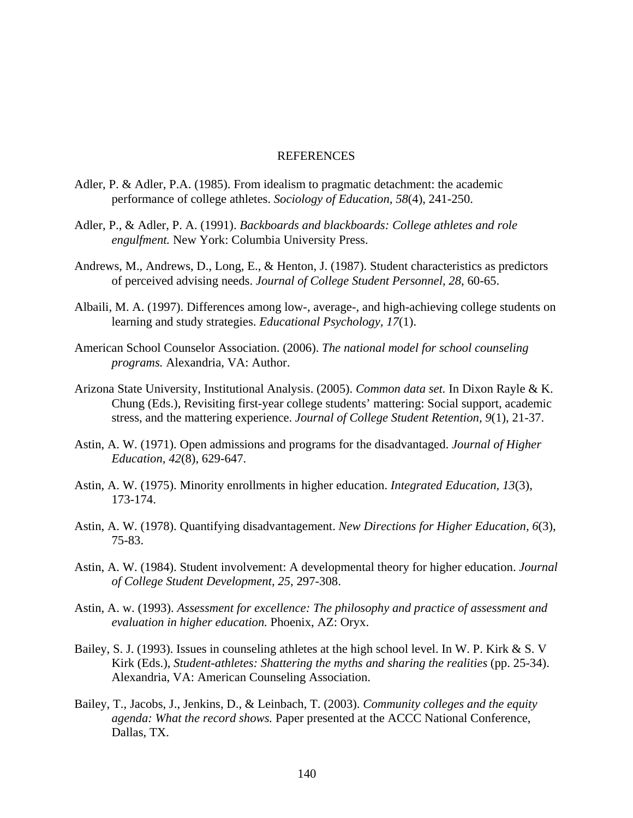## REFERENCES

- Adler, P. & Adler, P.A. (1985). From idealism to pragmatic detachment: the academic performance of college athletes. *Sociology of Education, 58*(4), 241-250.
- Adler, P., & Adler, P. A. (1991). *Backboards and blackboards: College athletes and role engulfment.* New York: Columbia University Press.
- Andrews, M., Andrews, D., Long, E., & Henton, J. (1987). Student characteristics as predictors of perceived advising needs. *Journal of College Student Personnel, 28*, 60-65.
- Albaili, M. A. (1997). Differences among low-, average-, and high-achieving college students on learning and study strategies. *Educational Psychology, 17*(1).
- American School Counselor Association. (2006). *The national model for school counseling programs.* Alexandria, VA: Author.
- Arizona State University, Institutional Analysis. (2005). *Common data set.* In Dixon Rayle & K. Chung (Eds.), Revisiting first-year college students' mattering: Social support, academic stress, and the mattering experience. *Journal of College Student Retention, 9*(1), 21-37.
- Astin, A. W. (1971). Open admissions and programs for the disadvantaged. *Journal of Higher Education, 42*(8), 629-647.
- Astin, A. W. (1975). Minority enrollments in higher education. *Integrated Education, 13*(3), 173-174.
- Astin, A. W. (1978). Quantifying disadvantagement. *New Directions for Higher Education, 6*(3), 75-83.
- Astin, A. W. (1984). Student involvement: A developmental theory for higher education. *Journal of College Student Development, 25,* 297-308.
- Astin, A. w. (1993). *Assessment for excellence: The philosophy and practice of assessment and evaluation in higher education.* Phoenix, AZ: Oryx.
- Bailey, S. J. (1993). Issues in counseling athletes at the high school level. In W. P. Kirk & S. V Kirk (Eds.), *Student-athletes: Shattering the myths and sharing the realities* (pp. 25-34). Alexandria, VA: American Counseling Association.
- Bailey, T., Jacobs, J., Jenkins, D., & Leinbach, T. (2003). *Community colleges and the equity agenda: What the record shows.* Paper presented at the ACCC National Conference, Dallas, TX.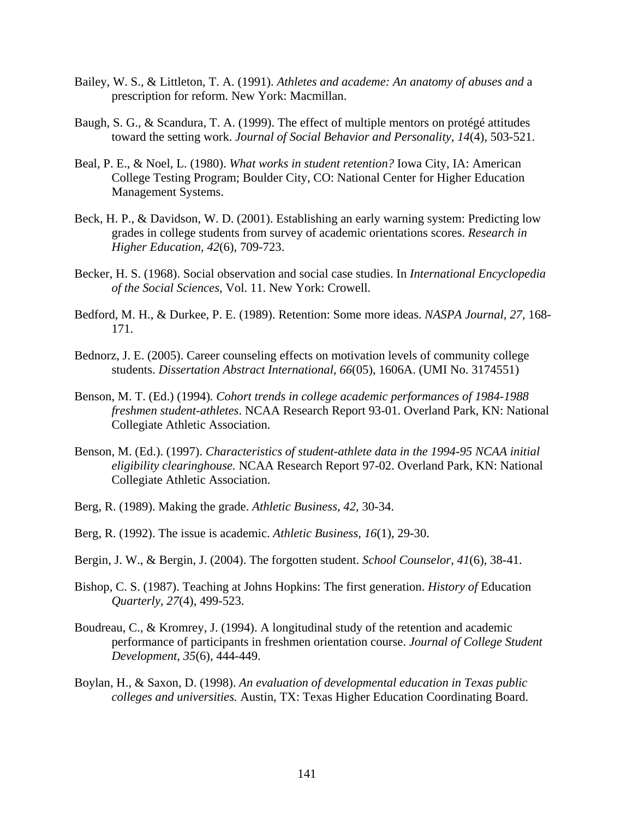- Bailey, W. S., & Littleton, T. A. (1991). *Athletes and academe: An anatomy of abuses and* a prescription for reform. New York: Macmillan.
- Baugh, S. G., & Scandura, T. A. (1999). The effect of multiple mentors on protégé attitudes toward the setting work. *Journal of Social Behavior and Personality, 14*(4), 503-521.
- Beal, P. E., & Noel, L. (1980). *What works in student retention?* Iowa City, IA: American College Testing Program; Boulder City, CO: National Center for Higher Education Management Systems.
- Beck, H. P., & Davidson, W. D. (2001). Establishing an early warning system: Predicting low grades in college students from survey of academic orientations scores. *Research in Higher Education, 42*(6), 709-723.
- Becker, H. S. (1968). Social observation and social case studies. In *International Encyclopedia of the Social Sciences,* Vol. 11. New York: Crowell.
- Bedford, M. H., & Durkee, P. E. (1989). Retention: Some more ideas. *NASPA Journal, 27,* 168- 171.
- Bednorz, J. E. (2005). Career counseling effects on motivation levels of community college students. *Dissertation Abstract International, 66*(05), 1606A. (UMI No. 3174551)
- Benson, M. T. (Ed.) (1994)*. Cohort trends in college academic performances of 1984-1988 freshmen student-athletes*. NCAA Research Report 93-01. Overland Park, KN: National Collegiate Athletic Association.
- Benson, M. (Ed.). (1997). *Characteristics of student-athlete data in the 1994-95 NCAA initial eligibility clearinghouse.* NCAA Research Report 97-02. Overland Park, KN: National Collegiate Athletic Association.
- Berg, R. (1989). Making the grade. *Athletic Business, 42,* 30-34.
- Berg, R. (1992). The issue is academic. *Athletic Business, 16*(1), 29-30.
- Bergin, J. W., & Bergin, J. (2004). The forgotten student. *School Counselor, 41*(6), 38-41.
- Bishop, C. S. (1987). Teaching at Johns Hopkins: The first generation. *History of* Education *Quarterly, 27*(4), 499-523.
- Boudreau, C., & Kromrey, J. (1994). A longitudinal study of the retention and academic performance of participants in freshmen orientation course. *Journal of College Student Development, 35*(6), 444-449.
- Boylan, H., & Saxon, D. (1998). *An evaluation of developmental education in Texas public colleges and universities.* Austin, TX: Texas Higher Education Coordinating Board.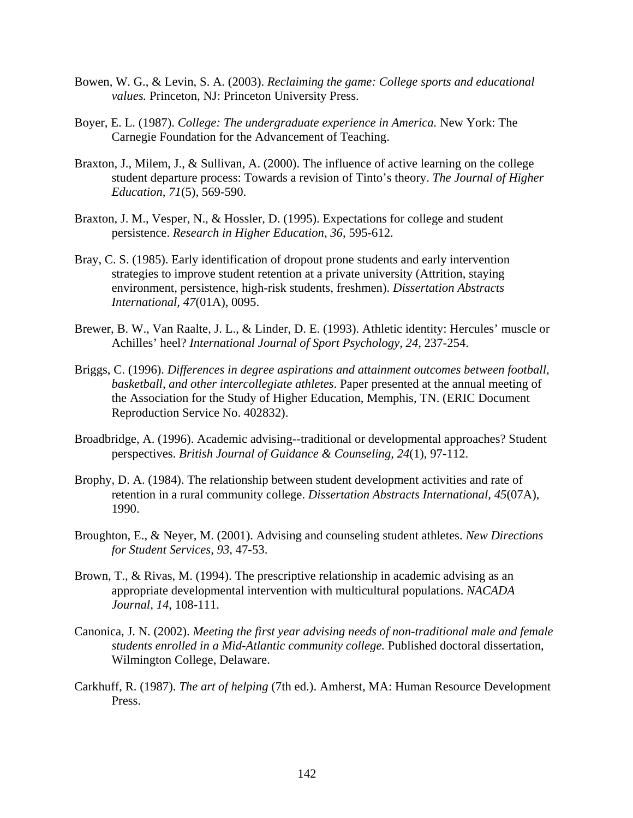- Bowen, W. G., & Levin, S. A. (2003). *Reclaiming the game: College sports and educational values.* Princeton, NJ: Princeton University Press.
- Boyer, E. L. (1987). *College: The undergraduate experience in America.* New York: The Carnegie Foundation for the Advancement of Teaching.
- Braxton, J., Milem, J., & Sullivan, A. (2000). The influence of active learning on the college student departure process: Towards a revision of Tinto's theory. *The Journal of Higher Education, 71*(5), 569-590.
- Braxton, J. M., Vesper, N., & Hossler, D. (1995). Expectations for college and student persistence. *Research in Higher Education, 36*, 595-612.
- Bray, C. S. (1985). Early identification of dropout prone students and early intervention strategies to improve student retention at a private university (Attrition, staying environment, persistence, high-risk students, freshmen). *Dissertation Abstracts International, 47*(01A), 0095.
- Brewer, B. W., Van Raalte, J. L., & Linder, D. E. (1993). Athletic identity: Hercules' muscle or Achilles' heel? *International Journal of Sport Psychology, 24*, 237-254.
- Briggs, C. (1996). *Differences in degree aspirations and attainment outcomes between football, basketball, and other intercollegiate athletes*. Paper presented at the annual meeting of the Association for the Study of Higher Education, Memphis, TN. (ERIC Document Reproduction Service No. 402832).
- Broadbridge, A. (1996). Academic advising--traditional or developmental approaches? Student perspectives. *British Journal of Guidance & Counseling, 24*(1), 97-112.
- Brophy, D. A. (1984). The relationship between student development activities and rate of retention in a rural community college. *Dissertation Abstracts International, 45*(07A), 1990.
- Broughton, E., & Neyer, M. (2001). Advising and counseling student athletes. *New Directions for Student Services, 93,* 47-53.
- Brown, T., & Rivas, M. (1994). The prescriptive relationship in academic advising as an appropriate developmental intervention with multicultural populations. *NACADA Journal, 14*, 108-111.
- Canonica, J. N. (2002). *Meeting the first year advising needs of non-traditional male and female students enrolled in a Mid-Atlantic community college.* Published doctoral dissertation, Wilmington College, Delaware.
- Carkhuff, R. (1987). *The art of helping* (7th ed.). Amherst, MA: Human Resource Development Press.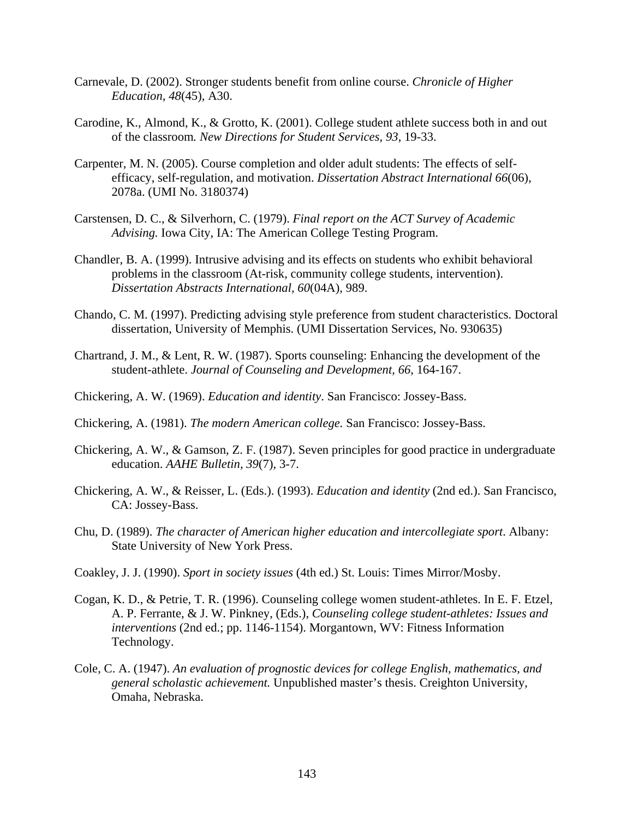- Carnevale, D. (2002). Stronger students benefit from online course. *Chronicle of Higher Education, 48*(45), A30.
- Carodine, K., Almond, K., & Grotto, K. (2001). College student athlete success both in and out of the classroom*. New Directions for Student Services, 93*, 19-33.
- Carpenter, M. N. (2005). Course completion and older adult students: The effects of selfefficacy, self-regulation, and motivation. *Dissertation Abstract International 66*(06), 2078a. (UMI No. 3180374)
- Carstensen, D. C., & Silverhorn, C. (1979). *Final report on the ACT Survey of Academic Advising.* Iowa City, IA: The American College Testing Program.
- Chandler, B. A. (1999). Intrusive advising and its effects on students who exhibit behavioral problems in the classroom (At-risk, community college students, intervention). *Dissertation Abstracts International, 60*(04A), 989.
- Chando, C. M. (1997). Predicting advising style preference from student characteristics. Doctoral dissertation, University of Memphis. (UMI Dissertation Services, No. 930635)
- Chartrand, J. M., & Lent, R. W. (1987). Sports counseling: Enhancing the development of the student-athlete. *Journal of Counseling and Development, 66*, 164-167.
- Chickering, A. W. (1969). *Education and identity*. San Francisco: Jossey-Bass.
- Chickering, A. (1981). *The modern American college.* San Francisco: Jossey-Bass.
- Chickering, A. W., & Gamson, Z. F. (1987). Seven principles for good practice in undergraduate education. *AAHE Bulletin, 39*(7), 3-7.
- Chickering, A. W., & Reisser, L. (Eds.). (1993). *Education and identity* (2nd ed.). San Francisco, CA: Jossey-Bass.
- Chu, D. (1989). *The character of American higher education and intercollegiate sport*. Albany: State University of New York Press.
- Coakley, J. J. (1990). *Sport in society issues* (4th ed.) St. Louis: Times Mirror/Mosby.
- Cogan, K. D., & Petrie, T. R. (1996). Counseling college women student-athletes. In E. F. Etzel, A. P. Ferrante, & J. W. Pinkney, (Eds.), *Counseling college student-athletes: Issues and interventions* (2nd ed.; pp. 1146-1154). Morgantown, WV: Fitness Information Technology.
- Cole, C. A. (1947). *An evaluation of prognostic devices for college English, mathematics, and general scholastic achievement.* Unpublished master's thesis. Creighton University, Omaha, Nebraska.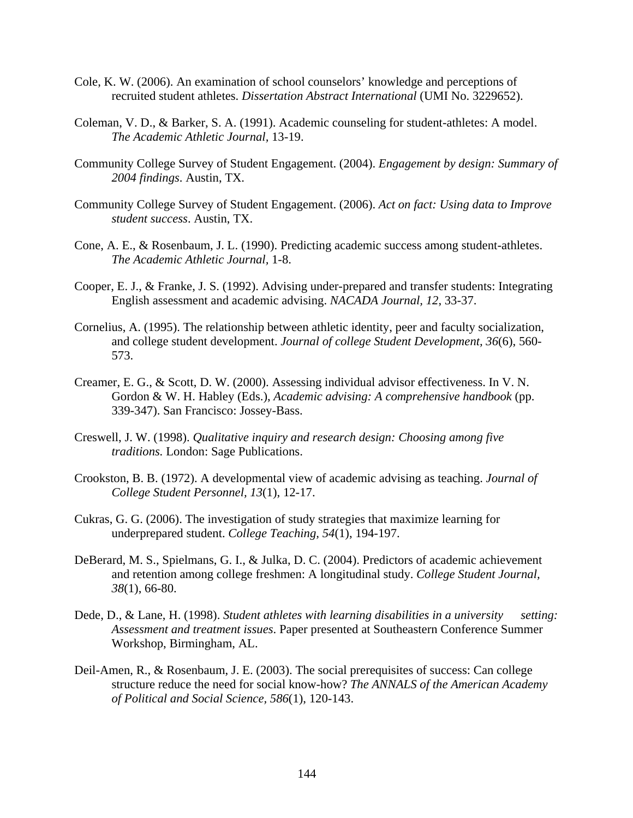- Cole, K. W. (2006). An examination of school counselors' knowledge and perceptions of recruited student athletes. *Dissertation Abstract International* (UMI No. 3229652).
- Coleman, V. D., & Barker, S. A. (1991). Academic counseling for student-athletes: A model. *The Academic Athletic Journal,* 13-19.
- Community College Survey of Student Engagement. (2004). *Engagement by design: Summary of 2004 findings*. Austin, TX.
- Community College Survey of Student Engagement. (2006). *Act on fact: Using data to Improve student success*. Austin, TX.
- Cone, A. E., & Rosenbaum, J. L. (1990). Predicting academic success among student-athletes. *The Academic Athletic Journal,* 1-8.
- Cooper, E. J., & Franke, J. S. (1992). Advising under-prepared and transfer students: Integrating English assessment and academic advising. *NACADA Journal, 12*, 33-37.
- Cornelius, A. (1995). The relationship between athletic identity, peer and faculty socialization, and college student development. *Journal of college Student Development, 36*(6), 560- 573.
- Creamer, E. G., & Scott, D. W. (2000). Assessing individual advisor effectiveness. In V. N. Gordon & W. H. Habley (Eds.), *Academic advising: A comprehensive handbook* (pp. 339-347). San Francisco: Jossey-Bass.
- Creswell, J. W. (1998). *Qualitative inquiry and research design: Choosing among five traditions.* London: Sage Publications.
- Crookston, B. B. (1972). A developmental view of academic advising as teaching. *Journal of College Student Personnel, 13*(1), 12-17.
- Cukras, G. G. (2006). The investigation of study strategies that maximize learning for underprepared student. *College Teaching, 54*(1), 194-197.
- DeBerard, M. S., Spielmans, G. I., & Julka, D. C. (2004). Predictors of academic achievement and retention among college freshmen: A longitudinal study. *College Student Journal, 38*(1), 66-80.
- Dede, D., & Lane, H. (1998). *Student athletes with learning disabilities in a university setting: Assessment and treatment issues*. Paper presented at Southeastern Conference Summer Workshop, Birmingham, AL.
- Deil-Amen, R., & Rosenbaum, J. E. (2003). The social prerequisites of success: Can college structure reduce the need for social know-how? *The ANNALS of the American Academy of Political and Social Science, 586*(1), 120-143.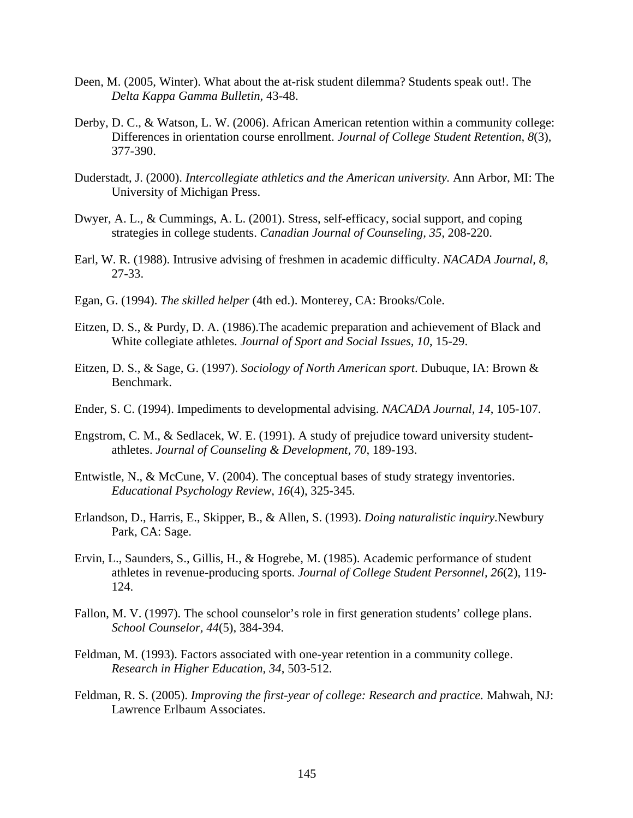- Deen, M. (2005, Winter). What about the at-risk student dilemma? Students speak out!. The *Delta Kappa Gamma Bulletin,* 43-48.
- Derby, D. C., & Watson, L. W. (2006). African American retention within a community college: Differences in orientation course enrollment. *Journal of College Student Retention, 8*(3), 377-390.
- Duderstadt, J. (2000). *Intercollegiate athletics and the American university.* Ann Arbor, MI: The University of Michigan Press.
- Dwyer, A. L., & Cummings, A. L. (2001). Stress, self-efficacy, social support, and coping strategies in college students. *Canadian Journal of Counseling, 35,* 208-220.
- Earl, W. R. (1988). Intrusive advising of freshmen in academic difficulty. *NACADA Journal, 8*, 27-33.
- Egan, G. (1994). *The skilled helper* (4th ed.). Monterey, CA: Brooks/Cole.
- Eitzen, D. S., & Purdy, D. A. (1986).The academic preparation and achievement of Black and White collegiate athletes. *Journal of Sport and Social Issues, 10*, 15-29.
- Eitzen, D. S., & Sage, G. (1997). *Sociology of North American sport*. Dubuque, IA: Brown & Benchmark.
- Ender, S. C. (1994). Impediments to developmental advising. *NACADA Journal, 14*, 105-107.
- Engstrom, C. M., & Sedlacek, W. E. (1991). A study of prejudice toward university studentathletes. *Journal of Counseling & Development, 70*, 189-193.
- Entwistle, N., & McCune, V. (2004). The conceptual bases of study strategy inventories. *Educational Psychology Review, 16*(4), 325-345.
- Erlandson, D., Harris, E., Skipper, B., & Allen, S. (1993). *Doing naturalistic inquiry.*Newbury Park, CA: Sage.
- Ervin, L., Saunders, S., Gillis, H., & Hogrebe, M. (1985). Academic performance of student athletes in revenue-producing sports. *Journal of College Student Personnel, 26*(2), 119- 124.
- Fallon, M. V. (1997). The school counselor's role in first generation students' college plans. *School Counselor, 44*(5), 384-394.
- Feldman, M. (1993). Factors associated with one-year retention in a community college. *Research in Higher Education, 34*, 503-512.
- Feldman, R. S. (2005). *Improving the first-year of college: Research and practice.* Mahwah, NJ: Lawrence Erlbaum Associates.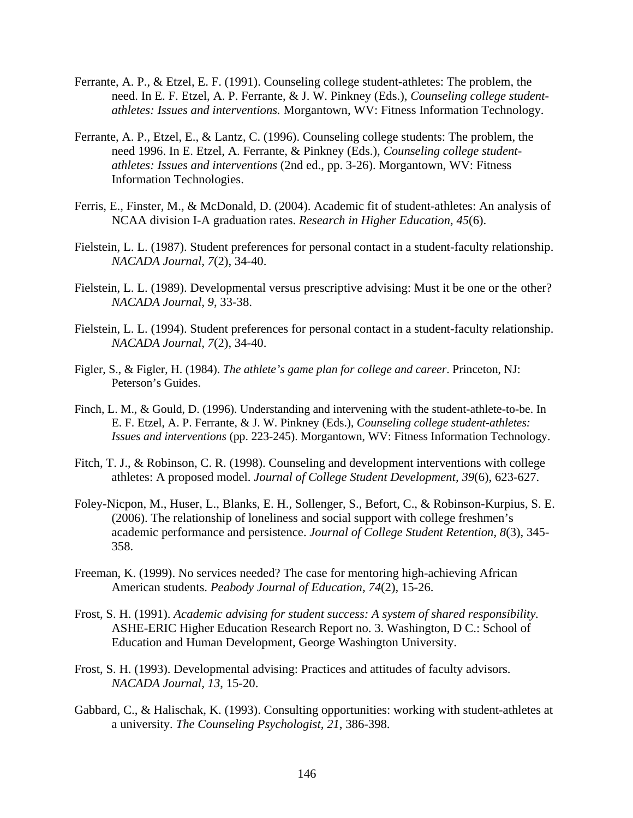- Ferrante, A. P., & Etzel, E. F. (1991). Counseling college student-athletes: The problem, the need. In E. F. Etzel, A. P. Ferrante, & J. W. Pinkney (Eds.), *Counseling college studentathletes: Issues and interventions.* Morgantown, WV: Fitness Information Technology.
- Ferrante, A. P., Etzel, E., & Lantz, C. (1996). Counseling college students: The problem, the need 1996. In E. Etzel, A. Ferrante, & Pinkney (Eds.), *Counseling college studentathletes: Issues and interventions* (2nd ed., pp. 3-26). Morgantown, WV: Fitness Information Technologies.
- Ferris, E., Finster, M., & McDonald, D. (2004). Academic fit of student-athletes: An analysis of NCAA division I-A graduation rates. *Research in Higher Education, 45*(6).
- Fielstein, L. L. (1987). Student preferences for personal contact in a student-faculty relationship. *NACADA Journal, 7*(2), 34-40.
- Fielstein, L. L. (1989). Developmental versus prescriptive advising: Must it be one or the other? *NACADA Journal, 9*, 33-38.
- Fielstein, L. L. (1994). Student preferences for personal contact in a student-faculty relationship. *NACADA Journal, 7*(2), 34-40.
- Figler, S., & Figler, H. (1984). *The athlete's game plan for college and career*. Princeton, NJ: Peterson's Guides.
- Finch, L. M., & Gould, D. (1996). Understanding and intervening with the student-athlete-to-be. In E. F. Etzel, A. P. Ferrante, & J. W. Pinkney (Eds.), *Counseling college student-athletes: Issues and interventions* (pp. 223-245). Morgantown, WV: Fitness Information Technology.
- Fitch, T. J., & Robinson, C. R. (1998). Counseling and development interventions with college athletes: A proposed model. *Journal of College Student Development, 39*(6), 623-627.
- Foley-Nicpon, M., Huser, L., Blanks, E. H., Sollenger, S., Befort, C., & Robinson-Kurpius, S. E. (2006). The relationship of loneliness and social support with college freshmen's academic performance and persistence. *Journal of College Student Retention, 8*(3), 345- 358.
- Freeman, K. (1999). No services needed? The case for mentoring high-achieving African American students. *Peabody Journal of Education, 74*(2), 15-26.
- Frost, S. H. (1991). *Academic advising for student success: A system of shared responsibility.*  ASHE-ERIC Higher Education Research Report no. 3. Washington, D C.: School of Education and Human Development, George Washington University.
- Frost, S. H. (1993). Developmental advising: Practices and attitudes of faculty advisors. *NACADA Journal, 13*, 15-20.
- Gabbard, C., & Halischak, K. (1993). Consulting opportunities: working with student-athletes at a university. *The Counseling Psychologist, 21*, 386-398.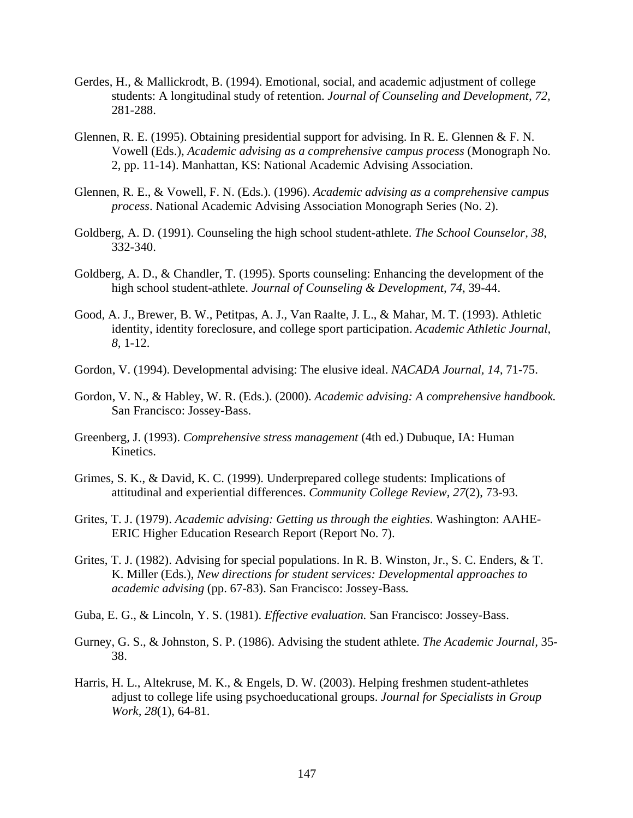- Gerdes, H., & Mallickrodt, B. (1994). Emotional, social, and academic adjustment of college students: A longitudinal study of retention. *Journal of Counseling and Development, 72,*  281-288.
- Glennen, R. E. (1995). Obtaining presidential support for advising. In R. E. Glennen & F. N. Vowell (Eds.), *Academic advising as a comprehensive campus process* (Monograph No. 2, pp. 11-14). Manhattan, KS: National Academic Advising Association.
- Glennen, R. E., & Vowell, F. N. (Eds.). (1996). *Academic advising as a comprehensive campus process*. National Academic Advising Association Monograph Series (No. 2).
- Goldberg, A. D. (1991). Counseling the high school student-athlete. *The School Counselor, 38*, 332-340.
- Goldberg, A. D., & Chandler, T. (1995). Sports counseling: Enhancing the development of the high school student-athlete. *Journal of Counseling & Development, 74*, 39-44.
- Good, A. J., Brewer, B. W., Petitpas, A. J., Van Raalte, J. L., & Mahar, M. T. (1993). Athletic identity, identity foreclosure, and college sport participation. *Academic Athletic Journal, 8,* 1-12.
- Gordon, V. (1994). Developmental advising: The elusive ideal. *NACADA Journal, 14*, 71-75.
- Gordon, V. N., & Habley, W. R. (Eds.). (2000). *Academic advising: A comprehensive handbook.* San Francisco: Jossey-Bass.
- Greenberg, J. (1993). *Comprehensive stress management* (4th ed.) Dubuque, IA: Human Kinetics.
- Grimes, S. K., & David, K. C. (1999). Underprepared college students: Implications of attitudinal and experiential differences. *Community College Review, 27*(2), 73-93.
- Grites, T. J. (1979). *Academic advising: Getting us through the eighties*. Washington: AAHE-ERIC Higher Education Research Report (Report No. 7).
- Grites, T. J. (1982). Advising for special populations. In R. B. Winston, Jr., S. C. Enders, & T. K. Miller (Eds.), *New directions for student services: Developmental approaches to academic advising* (pp. 67-83). San Francisco: Jossey-Bass*.*
- Guba, E. G., & Lincoln, Y. S. (1981). *Effective evaluation.* San Francisco: Jossey-Bass.
- Gurney, G. S., & Johnston, S. P. (1986). Advising the student athlete. *The Academic Journal,* 35- 38.
- Harris, H. L., Altekruse, M. K., & Engels, D. W. (2003). Helping freshmen student-athletes adjust to college life using psychoeducational groups. *Journal for Specialists in Group Work, 28*(1), 64-81.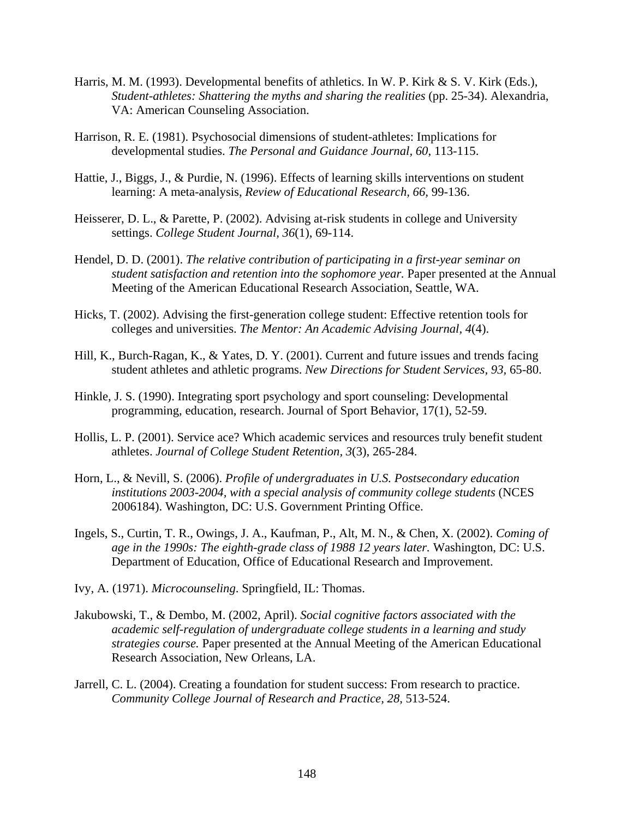- Harris, M. M. (1993). Developmental benefits of athletics. In W. P. Kirk  $\& S. V.$  Kirk (Eds.), *Student-athletes: Shattering the myths and sharing the realities (pp. 25-34). Alexandria,* VA: American Counseling Association.
- Harrison, R. E. (1981). Psychosocial dimensions of student-athletes: Implications for developmental studies. *The Personal and Guidance Journal, 60*, 113-115.
- Hattie, J., Biggs, J., & Purdie, N. (1996). Effects of learning skills interventions on student learning: A meta-analysis, *Review of Educational Research, 66,* 99-136.
- Heisserer, D. L., & Parette, P. (2002). Advising at-risk students in college and University settings. *College Student Journal, 36*(1), 69-114.
- Hendel, D. D. (2001). *The relative contribution of participating in a first-year seminar on student satisfaction and retention into the sophomore year.* Paper presented at the Annual Meeting of the American Educational Research Association, Seattle, WA.
- Hicks, T. (2002). Advising the first-generation college student: Effective retention tools for colleges and universities. *The Mentor: An Academic Advising Journal, 4*(4).
- Hill, K., Burch-Ragan, K., & Yates, D. Y. (2001). Current and future issues and trends facing student athletes and athletic programs. *New Directions for Student Services, 93,* 65-80.
- Hinkle, J. S. (1990). Integrating sport psychology and sport counseling: Developmental programming, education, research. Journal of Sport Behavior, 17(1), 52-59.
- Hollis, L. P. (2001). Service ace? Which academic services and resources truly benefit student athletes. *Journal of College Student Retention, 3*(3), 265-284.
- Horn, L., & Nevill, S. (2006). *Profile of undergraduates in U.S. Postsecondary education institutions 2003-2004, with a special analysis of community college students* (NCES 2006184). Washington, DC: U.S. Government Printing Office.
- Ingels, S., Curtin, T. R., Owings, J. A., Kaufman, P., Alt, M. N., & Chen, X. (2002). *Coming of age in the 1990s: The eighth-grade class of 1988 12 years later.* Washington, DC: U.S. Department of Education, Office of Educational Research and Improvement.
- Ivy, A. (1971). *Microcounseling*. Springfield, IL: Thomas.
- Jakubowski, T., & Dembo, M. (2002, April). *Social cognitive factors associated with the academic self-regulation of undergraduate college students in a learning and study strategies course.* Paper presented at the Annual Meeting of the American Educational Research Association, New Orleans, LA.
- Jarrell, C. L. (2004). Creating a foundation for student success: From research to practice. *Community College Journal of Research and Practice, 28*, 513-524.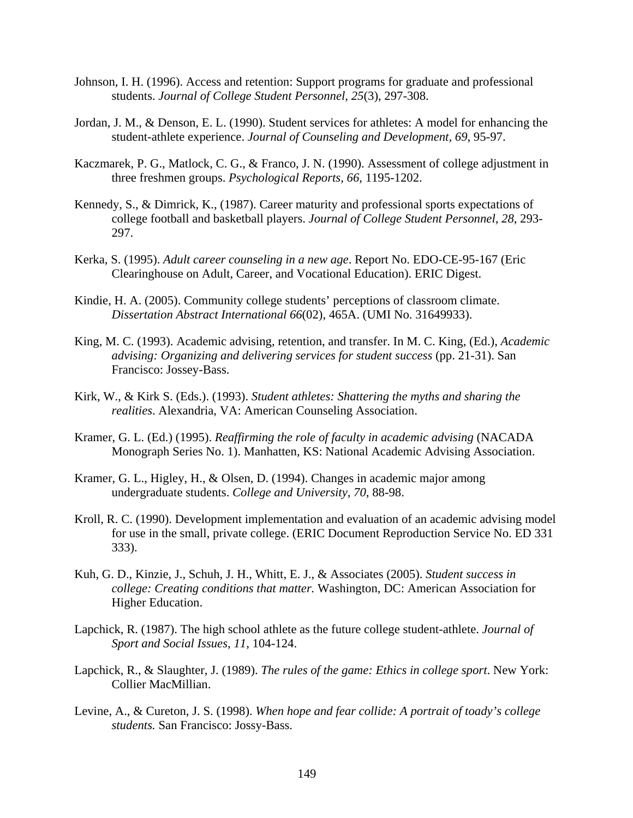- Johnson, I. H. (1996). Access and retention: Support programs for graduate and professional students. *Journal of College Student Personnel, 25*(3), 297-308.
- Jordan, J. M., & Denson, E. L. (1990). Student services for athletes: A model for enhancing the student-athlete experience. *Journal of Counseling and Development, 69*, 95-97.
- Kaczmarek, P. G., Matlock, C. G., & Franco, J. N. (1990). Assessment of college adjustment in three freshmen groups. *Psychological Reports, 66*, 1195-1202.
- Kennedy, S., & Dimrick, K., (1987). Career maturity and professional sports expectations of college football and basketball players. *Journal of College Student Personnel, 28*, 293- 297.
- Kerka, S. (1995). *Adult career counseling in a new age*. Report No. EDO-CE-95-167 (Eric Clearinghouse on Adult, Career, and Vocational Education). ERIC Digest.
- Kindie, H. A. (2005). Community college students' perceptions of classroom climate. *Dissertation Abstract International 66*(02), 465A. (UMI No. 31649933).
- King, M. C. (1993). Academic advising, retention, and transfer. In M. C. King, (Ed.), *Academic advising: Organizing and delivering services for student success* (pp. 21-31). San Francisco: Jossey-Bass.
- Kirk, W., & Kirk S. (Eds.). (1993). *Student athletes: Shattering the myths and sharing the realities*. Alexandria, VA: American Counseling Association.
- Kramer, G. L. (Ed.) (1995). *Reaffirming the role of faculty in academic advising* (NACADA Monograph Series No. 1). Manhatten, KS: National Academic Advising Association.
- Kramer, G. L., Higley, H., & Olsen, D. (1994). Changes in academic major among undergraduate students. *College and University, 70*, 88-98.
- Kroll, R. C. (1990). Development implementation and evaluation of an academic advising model for use in the small, private college. (ERIC Document Reproduction Service No. ED 331 333).
- Kuh, G. D., Kinzie, J., Schuh, J. H., Whitt, E. J., & Associates (2005). *Student success in college: Creating conditions that matter.* Washington, DC: American Association for Higher Education.
- Lapchick, R. (1987). The high school athlete as the future college student-athlete. *Journal of Sport and Social Issues, 11*, 104-124.
- Lapchick, R., & Slaughter, J. (1989). *The rules of the game: Ethics in college sport*. New York: Collier MacMillian.
- Levine, A., & Cureton, J. S. (1998). *When hope and fear collide: A portrait of toady's college students.* San Francisco: Jossy-Bass.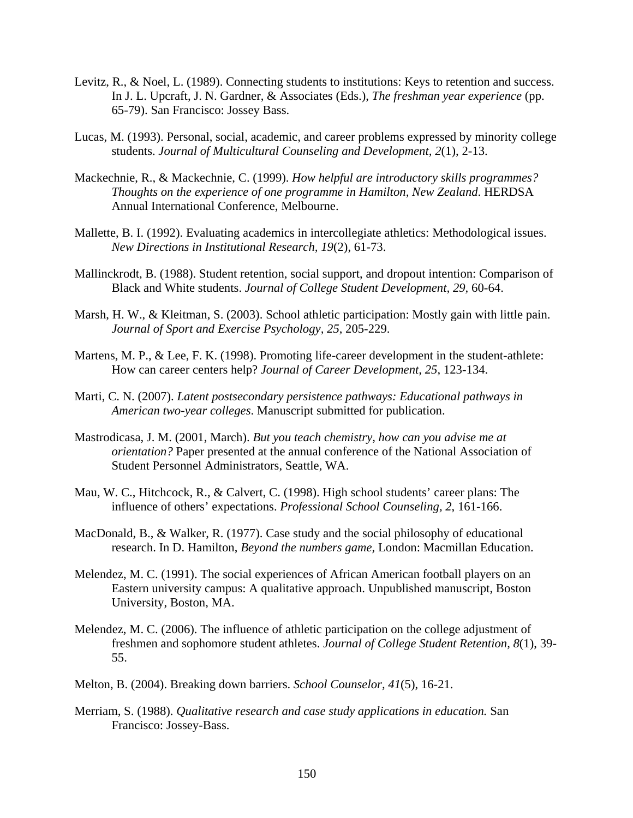- Levitz, R., & Noel, L. (1989). Connecting students to institutions: Keys to retention and success. In J. L. Upcraft, J. N. Gardner, & Associates (Eds.), *The freshman year experience* (pp. 65-79). San Francisco: Jossey Bass.
- Lucas, M. (1993). Personal, social, academic, and career problems expressed by minority college students. *Journal of Multicultural Counseling and Development, 2*(1), 2-13.
- Mackechnie, R., & Mackechnie, C. (1999). *How helpful are introductory skills programmes? Thoughts on the experience of one programme in Hamilton, New Zealand*. HERDSA Annual International Conference, Melbourne.
- Mallette, B. I. (1992). Evaluating academics in intercollegiate athletics: Methodological issues. *New Directions in Institutional Research, 19*(2), 61-73.
- Mallinckrodt, B. (1988). Student retention, social support, and dropout intention: Comparison of Black and White students. *Journal of College Student Development, 29,* 60-64.
- Marsh, H. W., & Kleitman, S. (2003). School athletic participation: Mostly gain with little pain. *Journal of Sport and Exercise Psychology, 25*, 205-229.
- Martens, M. P., & Lee, F. K. (1998). Promoting life-career development in the student-athlete: How can career centers help? *Journal of Career Development, 25*, 123-134.
- Marti, C. N. (2007). *Latent postsecondary persistence pathways: Educational pathways in American two-year colleges*. Manuscript submitted for publication.
- Mastrodicasa, J. M. (2001, March). *But you teach chemistry, how can you advise me at orientation?* Paper presented at the annual conference of the National Association of Student Personnel Administrators, Seattle, WA.
- Mau, W. C., Hitchcock, R., & Calvert, C. (1998). High school students' career plans: The influence of others' expectations. *Professional School Counseling, 2*, 161-166.
- MacDonald, B., & Walker, R. (1977). Case study and the social philosophy of educational research. In D. Hamilton, *Beyond the numbers game,* London: Macmillan Education.
- Melendez, M. C. (1991). The social experiences of African American football players on an Eastern university campus: A qualitative approach. Unpublished manuscript, Boston University, Boston, MA.
- Melendez, M. C. (2006). The influence of athletic participation on the college adjustment of freshmen and sophomore student athletes. *Journal of College Student Retention, 8*(1), 39- 55.
- Melton, B. (2004). Breaking down barriers. *School Counselor, 41*(5), 16-21.
- Merriam, S. (1988). *Qualitative research and case study applications in education.* San Francisco: Jossey-Bass.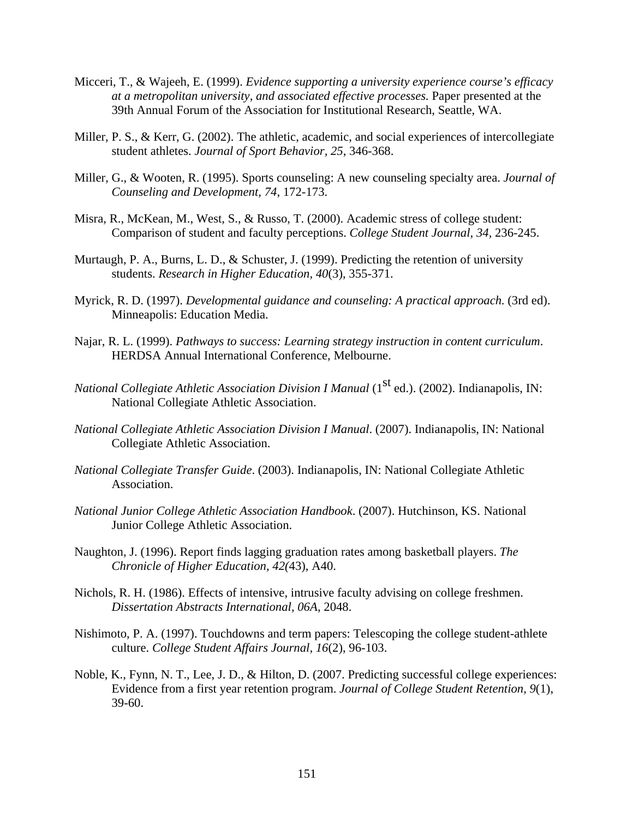- Micceri, T., & Wajeeh, E. (1999). *Evidence supporting a university experience course's efficacy at a metropolitan university, and associated effective processes.* Paper presented at the 39th Annual Forum of the Association for Institutional Research, Seattle, WA.
- Miller, P. S., & Kerr, G. (2002). The athletic, academic, and social experiences of intercollegiate student athletes. *Journal of Sport Behavior, 25*, 346-368.
- Miller, G., & Wooten, R. (1995). Sports counseling: A new counseling specialty area. *Journal of Counseling and Development, 74*, 172-173.
- Misra, R., McKean, M., West, S., & Russo, T. (2000). Academic stress of college student: Comparison of student and faculty perceptions. *College Student Journal, 34,* 236-245.
- Murtaugh, P. A., Burns, L. D., & Schuster, J. (1999). Predicting the retention of university students. *Research in Higher Education, 40*(3), 355-371.
- Myrick, R. D. (1997). *Developmental guidance and counseling: A practical approach.* (3rd ed). Minneapolis: Education Media.
- Najar, R. L. (1999). *Pathways to success: Learning strategy instruction in content curriculum*. HERDSA Annual International Conference, Melbourne.
- *National Collegiate Athletic Association Division I Manual* (1<sup>st</sup> ed.). (2002). Indianapolis, IN: National Collegiate Athletic Association.
- *National Collegiate Athletic Association Division I Manual*. (2007). Indianapolis, IN: National Collegiate Athletic Association.
- *National Collegiate Transfer Guide*. (2003). Indianapolis, IN: National Collegiate Athletic Association.
- *National Junior College Athletic Association Handbook*. (2007). Hutchinson, KS. National Junior College Athletic Association.
- Naughton, J. (1996). Report finds lagging graduation rates among basketball players. *The Chronicle of Higher Education, 42(*43), A40.
- Nichols, R. H. (1986). Effects of intensive, intrusive faculty advising on college freshmen. *Dissertation Abstracts International, 06A*, 2048.
- Nishimoto, P. A. (1997). Touchdowns and term papers: Telescoping the college student-athlete culture. *College Student Affairs Journal, 16*(2), 96-103.
- Noble, K., Fynn, N. T., Lee, J. D., & Hilton, D. (2007. Predicting successful college experiences: Evidence from a first year retention program. *Journal of College Student Retention, 9*(1), 39-60.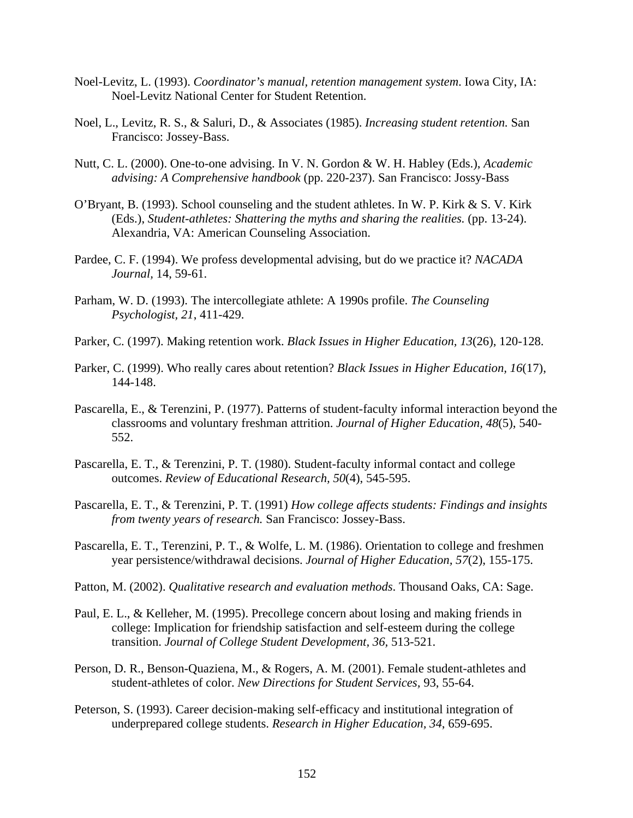- Noel-Levitz, L. (1993). *Coordinator's manual, retention management system*. Iowa City, IA: Noel-Levitz National Center for Student Retention.
- Noel, L., Levitz, R. S., & Saluri, D., & Associates (1985). *Increasing student retention.* San Francisco: Jossey-Bass.
- Nutt, C. L. (2000). One-to-one advising. In V. N. Gordon & W. H. Habley (Eds.), *Academic advising: A Comprehensive handbook* (pp. 220-237). San Francisco: Jossy-Bass
- O'Bryant, B. (1993). School counseling and the student athletes. In W. P. Kirk & S. V. Kirk (Eds.), *Student-athletes: Shattering the myths and sharing the realities.* (pp. 13-24). Alexandria, VA: American Counseling Association.
- Pardee, C. F. (1994). We profess developmental advising, but do we practice it? *NACADA Journal,* 14, 59-61.
- Parham, W. D. (1993). The intercollegiate athlete: A 1990s profile. *The Counseling Psychologist, 21*, 411-429.
- Parker, C. (1997). Making retention work. *Black Issues in Higher Education, 13*(26), 120-128.
- Parker, C. (1999). Who really cares about retention? *Black Issues in Higher Education, 16*(17), 144-148.
- Pascarella, E., & Terenzini, P. (1977). Patterns of student-faculty informal interaction beyond the classrooms and voluntary freshman attrition. *Journal of Higher Education, 48*(5), 540- 552.
- Pascarella, E. T., & Terenzini, P. T. (1980). Student-faculty informal contact and college outcomes. *Review of Educational Research, 50*(4), 545-595.
- Pascarella, E. T., & Terenzini, P. T. (1991) *How college affects students: Findings and insights from twenty years of research.* San Francisco: Jossey-Bass.
- Pascarella, E. T., Terenzini, P. T., & Wolfe, L. M. (1986). Orientation to college and freshmen year persistence/withdrawal decisions. *Journal of Higher Education, 57*(2), 155-175.
- Patton, M. (2002). *Qualitative research and evaluation methods*. Thousand Oaks, CA: Sage.
- Paul, E. L., & Kelleher, M. (1995). Precollege concern about losing and making friends in college: Implication for friendship satisfaction and self-esteem during the college transition. *Journal of College Student Development, 36,* 513-521.
- Person, D. R., Benson-Quaziena, M., & Rogers, A. M. (2001). Female student-athletes and student-athletes of color. *New Directions for Student Services,* 93, 55-64.
- Peterson, S. (1993). Career decision-making self-efficacy and institutional integration of underprepared college students. *Research in Higher Education, 34*, 659-695.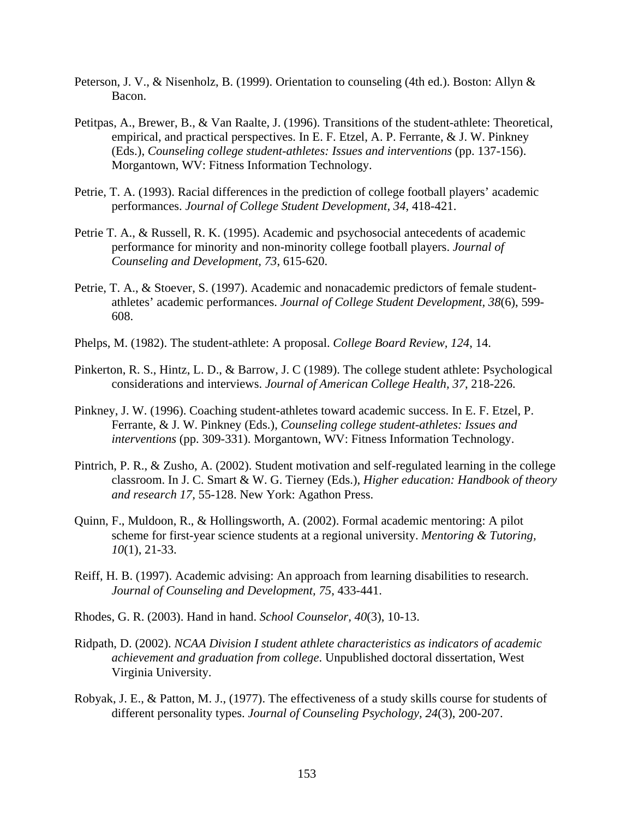- Peterson, J. V., & Nisenholz, B. (1999). Orientation to counseling (4th ed.). Boston: Allyn & Bacon.
- Petitpas, A., Brewer, B., & Van Raalte, J. (1996). Transitions of the student-athlete: Theoretical, empirical, and practical perspectives. In E. F. Etzel, A. P. Ferrante, & J. W. Pinkney (Eds.), *Counseling college student-athletes: Issues and interventions* (pp. 137-156). Morgantown, WV: Fitness Information Technology.
- Petrie, T. A. (1993). Racial differences in the prediction of college football players' academic performances. *Journal of College Student Development, 34*, 418-421.
- Petrie T. A., & Russell, R. K. (1995). Academic and psychosocial antecedents of academic performance for minority and non-minority college football players. *Journal of Counseling and Development, 73*, 615-620.
- Petrie, T. A., & Stoever, S. (1997). Academic and nonacademic predictors of female studentathletes' academic performances. *Journal of College Student Development, 38*(6), 599- 608.
- Phelps, M. (1982). The student-athlete: A proposal. *College Board Review, 124*, 14.
- Pinkerton, R. S., Hintz, L. D., & Barrow, J. C (1989). The college student athlete: Psychological considerations and interviews. *Journal of American College Health, 37*, 218-226.
- Pinkney, J. W. (1996). Coaching student-athletes toward academic success. In E. F. Etzel, P. Ferrante, & J. W. Pinkney (Eds.), *Counseling college student-athletes: Issues and interventions* (pp. 309-331). Morgantown, WV: Fitness Information Technology.
- Pintrich, P. R., & Zusho, A. (2002). Student motivation and self-regulated learning in the college classroom. In J. C. Smart & W. G. Tierney (Eds.), *Higher education: Handbook of theory and research 17,* 55-128. New York: Agathon Press.
- Quinn, F., Muldoon, R., & Hollingsworth, A. (2002). Formal academic mentoring: A pilot scheme for first-year science students at a regional university. *Mentoring & Tutoring, 10*(1), 21-33.
- Reiff, H. B. (1997). Academic advising: An approach from learning disabilities to research. *Journal of Counseling and Development, 75*, 433-441.
- Rhodes, G. R. (2003). Hand in hand. *School Counselor, 40*(3), 10-13.
- Ridpath, D. (2002). *NCAA Division I student athlete characteristics as indicators of academic achievement and graduation from college*. Unpublished doctoral dissertation, West Virginia University.
- Robyak, J. E., & Patton, M. J., (1977). The effectiveness of a study skills course for students of different personality types. *Journal of Counseling Psychology, 24*(3), 200-207.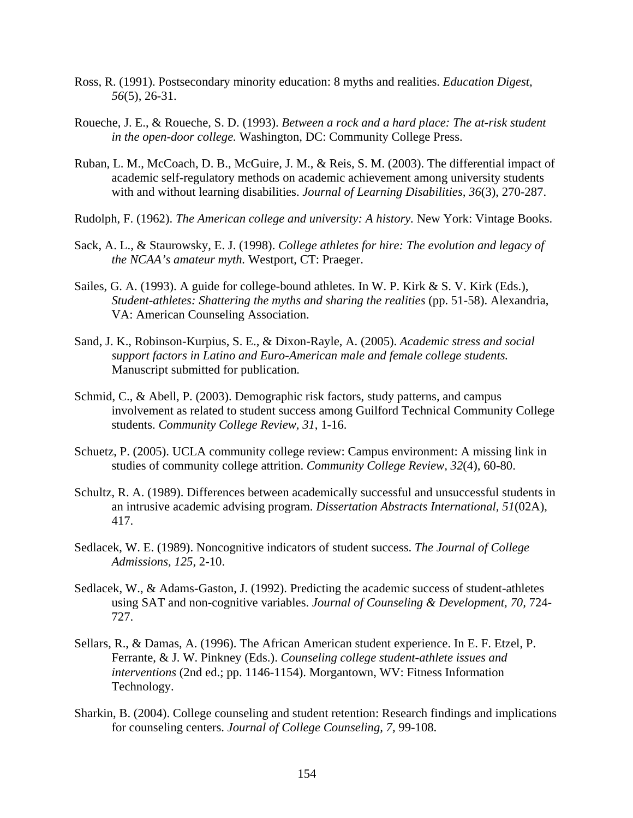- Ross, R. (1991). Postsecondary minority education: 8 myths and realities. *Education Digest, 56*(5), 26-31.
- Roueche, J. E., & Roueche, S. D. (1993). *Between a rock and a hard place: The at-risk student in the open-door college.* Washington, DC: Community College Press.
- Ruban, L. M., McCoach, D. B., McGuire, J. M., & Reis, S. M. (2003). The differential impact of academic self-regulatory methods on academic achievement among university students with and without learning disabilities. *Journal of Learning Disabilities, 36*(3), 270-287.
- Rudolph, F. (1962). *The American college and university: A history.* New York: Vintage Books.
- Sack, A. L., & Staurowsky, E. J. (1998). *College athletes for hire: The evolution and legacy of the NCAA's amateur myth.* Westport, CT: Praeger.
- Sailes, G. A. (1993). A guide for college-bound athletes. In W. P. Kirk  $& S. V.$  Kirk (Eds.), *Student-athletes: Shattering the myths and sharing the realities* (pp. 51-58). Alexandria, VA: American Counseling Association.
- Sand, J. K., Robinson-Kurpius, S. E., & Dixon-Rayle, A. (2005). *Academic stress and social support factors in Latino and Euro-American male and female college students.* Manuscript submitted for publication.
- Schmid, C., & Abell, P. (2003). Demographic risk factors, study patterns, and campus involvement as related to student success among Guilford Technical Community College students. *Community College Review, 31*, 1-16.
- Schuetz, P. (2005). UCLA community college review: Campus environment: A missing link in studies of community college attrition. *Community College Review, 32*(4), 60-80.
- Schultz, R. A. (1989). Differences between academically successful and unsuccessful students in an intrusive academic advising program. *Dissertation Abstracts International, 51*(02A), 417.
- Sedlacek, W. E. (1989). Noncognitive indicators of student success. *The Journal of College Admissions, 125*, 2-10.
- Sedlacek, W., & Adams-Gaston, J. (1992). Predicting the academic success of student-athletes using SAT and non-cognitive variables. *Journal of Counseling & Development, 70,* 724- 727.
- Sellars, R., & Damas, A. (1996). The African American student experience. In E. F. Etzel, P. Ferrante, & J. W. Pinkney (Eds.). *Counseling college student-athlete issues and interventions* (2nd ed.; pp. 1146-1154). Morgantown, WV: Fitness Information Technology.
- Sharkin, B. (2004). College counseling and student retention: Research findings and implications for counseling centers. *Journal of College Counseling, 7,* 99-108.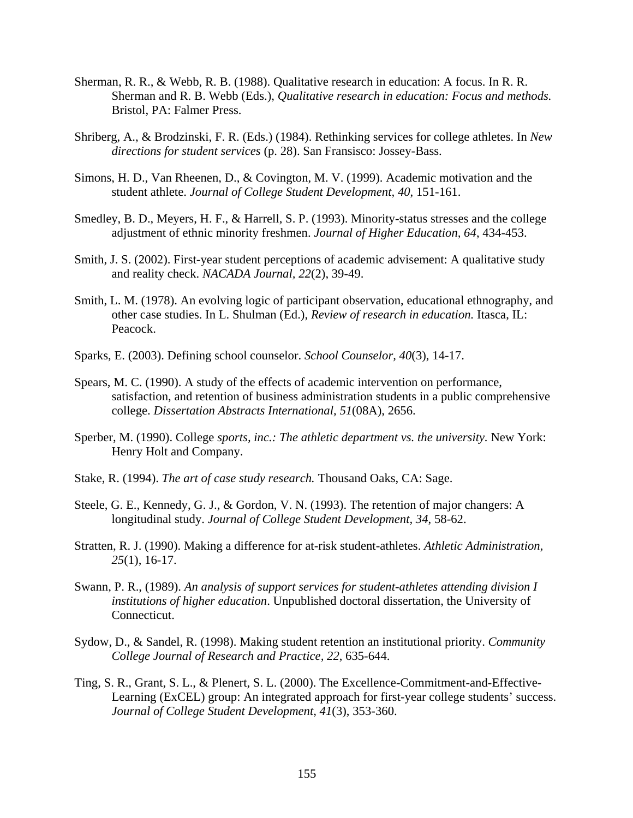- Sherman, R. R., & Webb, R. B. (1988). Qualitative research in education: A focus. In R. R. Sherman and R. B. Webb (Eds.), *Qualitative research in education: Focus and methods.*  Bristol, PA: Falmer Press.
- Shriberg, A., & Brodzinski, F. R. (Eds.) (1984). Rethinking services for college athletes. In *New directions for student services* (p. 28). San Fransisco: Jossey-Bass.
- Simons, H. D., Van Rheenen, D., & Covington, M. V. (1999). Academic motivation and the student athlete. *Journal of College Student Development, 40*, 151-161.
- Smedley, B. D., Meyers, H. F., & Harrell, S. P. (1993). Minority-status stresses and the college adjustment of ethnic minority freshmen. *Journal of Higher Education, 64*, 434-453.
- Smith, J. S. (2002). First-year student perceptions of academic advisement: A qualitative study and reality check. *NACADA Journal, 22*(2), 39-49.
- Smith, L. M. (1978). An evolving logic of participant observation, educational ethnography, and other case studies. In L. Shulman (Ed.), *Review of research in education.* Itasca, IL: Peacock.
- Sparks, E. (2003). Defining school counselor. *School Counselor, 40*(3), 14-17.
- Spears, M. C. (1990). A study of the effects of academic intervention on performance, satisfaction, and retention of business administration students in a public comprehensive college. *Dissertation Abstracts International, 51*(08A), 2656.
- Sperber, M. (1990). College *sports, inc.: The athletic department vs. the university*. New York: Henry Holt and Company.
- Stake, R. (1994). *The art of case study research.* Thousand Oaks, CA: Sage.
- Steele, G. E., Kennedy, G. J., & Gordon, V. N. (1993). The retention of major changers: A longitudinal study. *Journal of College Student Development, 34*, 58-62.
- Stratten, R. J. (1990). Making a difference for at-risk student-athletes. *Athletic Administration, 25*(1), 16-17.
- Swann, P. R., (1989). *An analysis of support services for student-athletes attending division I institutions of higher education*. Unpublished doctoral dissertation, the University of Connecticut.
- Sydow, D., & Sandel, R. (1998). Making student retention an institutional priority. *Community College Journal of Research and Practice, 22*, 635-644.
- Ting, S. R., Grant, S. L., & Plenert, S. L. (2000). The Excellence-Commitment-and-Effective-Learning (ExCEL) group: An integrated approach for first-year college students' success. *Journal of College Student Development, 41*(3), 353-360.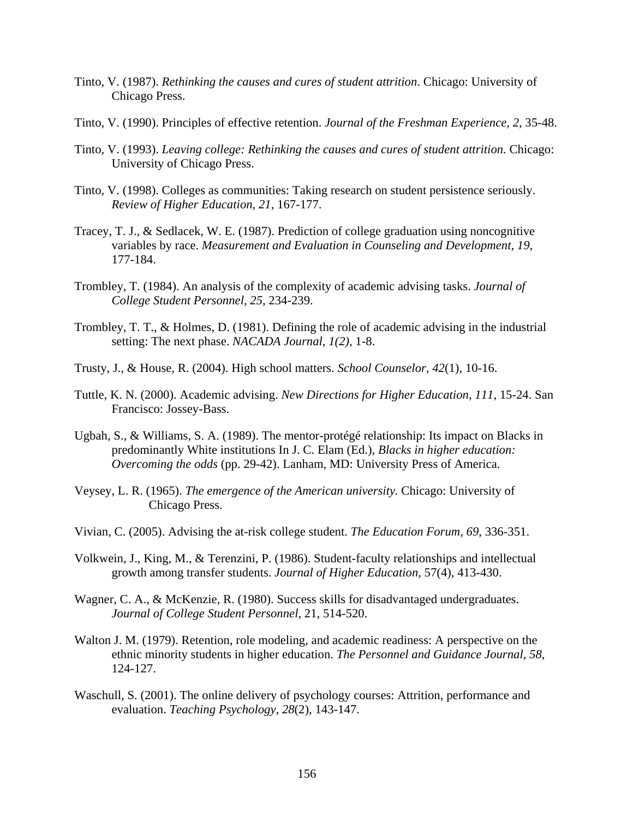- Tinto, V. (1987). *Rethinking the causes and cures of student attrition*. Chicago: University of Chicago Press.
- Tinto, V. (1990). Principles of effective retention. *Journal of the Freshman Experience, 2*, 35-48.
- Tinto, V. (1993). *Leaving college: Rethinking the causes and cures of student attrition.* Chicago: University of Chicago Press.
- Tinto, V. (1998). Colleges as communities: Taking research on student persistence seriously. *Review of Higher Education, 21,* 167-177.
- Tracey, T. J., & Sedlacek, W. E. (1987). Prediction of college graduation using noncognitive variables by race. *Measurement and Evaluation in Counseling and Development, 19*, 177-184.
- Trombley, T. (1984). An analysis of the complexity of academic advising tasks. *Journal of College Student Personnel, 25*, 234-239.
- Trombley, T. T., & Holmes, D. (1981). Defining the role of academic advising in the industrial setting: The next phase. *NACADA Journal, 1(2),* 1-8.
- Trusty, J., & House, R. (2004). High school matters. *School Counselor, 42*(1), 10-16.
- Tuttle, K. N. (2000). Academic advising. *New Directions for Higher Education, 111,* 15-24. San Francisco: Jossey-Bass.
- Ugbah, S., & Williams, S. A. (1989). The mentor-protégé relationship: Its impact on Blacks in predominantly White institutions In J. C. Elam (Ed.), *Blacks in higher education: Overcoming the odds* (pp. 29-42). Lanham, MD: University Press of America.
- Veysey, L. R. (1965). *The emergence of the American university.* Chicago: University of Chicago Press.
- Vivian, C. (2005). Advising the at-risk college student. *The Education Forum, 69,* 336-351.
- Volkwein, J., King, M., & Terenzini, P. (1986). Student-faculty relationships and intellectual growth among transfer students. *Journal of Higher Education,* 57(4), 413-430.
- Wagner, C. A., & McKenzie, R. (1980). Success skills for disadvantaged undergraduates. *Journal of College Student Personnel,* 21, 514-520.
- Walton J. M. (1979). Retention, role modeling, and academic readiness: A perspective on the ethnic minority students in higher education. *The Personnel and Guidance Journal, 58*, 124-127.
- Waschull, S. (2001). The online delivery of psychology courses: Attrition, performance and evaluation. *Teaching Psychology, 28*(2), 143-147.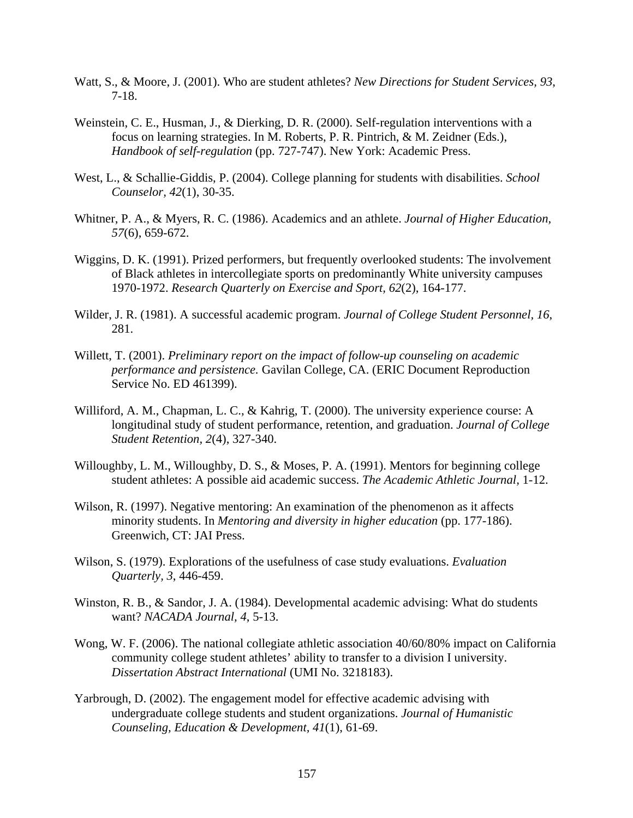- Watt, S., & Moore, J. (2001). Who are student athletes? *New Directions for Student Services, 93*, 7-18.
- Weinstein, C. E., Husman, J., & Dierking, D. R. (2000). Self-regulation interventions with a focus on learning strategies. In M. Roberts, P. R. Pintrich, & M. Zeidner (Eds.), *Handbook of self-regulation* (pp. 727-747). New York: Academic Press.
- West, L., & Schallie-Giddis, P. (2004). College planning for students with disabilities. *School Counselor, 42*(1), 30-35.
- Whitner, P. A., & Myers, R. C. (1986). Academics and an athlete. *Journal of Higher Education, 57*(6), 659-672.
- Wiggins, D. K. (1991). Prized performers, but frequently overlooked students: The involvement of Black athletes in intercollegiate sports on predominantly White university campuses 1970-1972. *Research Quarterly on Exercise and Sport, 62*(2), 164-177.
- Wilder, J. R. (1981). A successful academic program. *Journal of College Student Personnel, 16*, 281.
- Willett, T. (2001). *Preliminary report on the impact of follow-up counseling on academic performance and persistence.* Gavilan College, CA. (ERIC Document Reproduction Service No. ED 461399).
- Williford, A. M., Chapman, L. C., & Kahrig, T. (2000). The university experience course: A longitudinal study of student performance, retention, and graduation. *Journal of College Student Retention, 2*(4), 327-340.
- Willoughby, L. M., Willoughby, D. S., & Moses, P. A. (1991). Mentors for beginning college student athletes: A possible aid academic success. *The Academic Athletic Journal,* 1-12.
- Wilson, R. (1997). Negative mentoring: An examination of the phenomenon as it affects minority students. In *Mentoring and diversity in higher education* (pp. 177-186). Greenwich, CT: JAI Press.
- Wilson, S. (1979). Explorations of the usefulness of case study evaluations. *Evaluation Quarterly, 3*, 446-459.
- Winston, R. B., & Sandor, J. A. (1984). Developmental academic advising: What do students want? *NACADA Journal, 4*, 5-13.
- Wong, W. F. (2006). The national collegiate athletic association 40/60/80% impact on California community college student athletes' ability to transfer to a division I university. *Dissertation Abstract International* (UMI No. 3218183).
- Yarbrough, D. (2002). The engagement model for effective academic advising with undergraduate college students and student organizations. *Journal of Humanistic Counseling, Education & Development, 41*(1), 61-69.